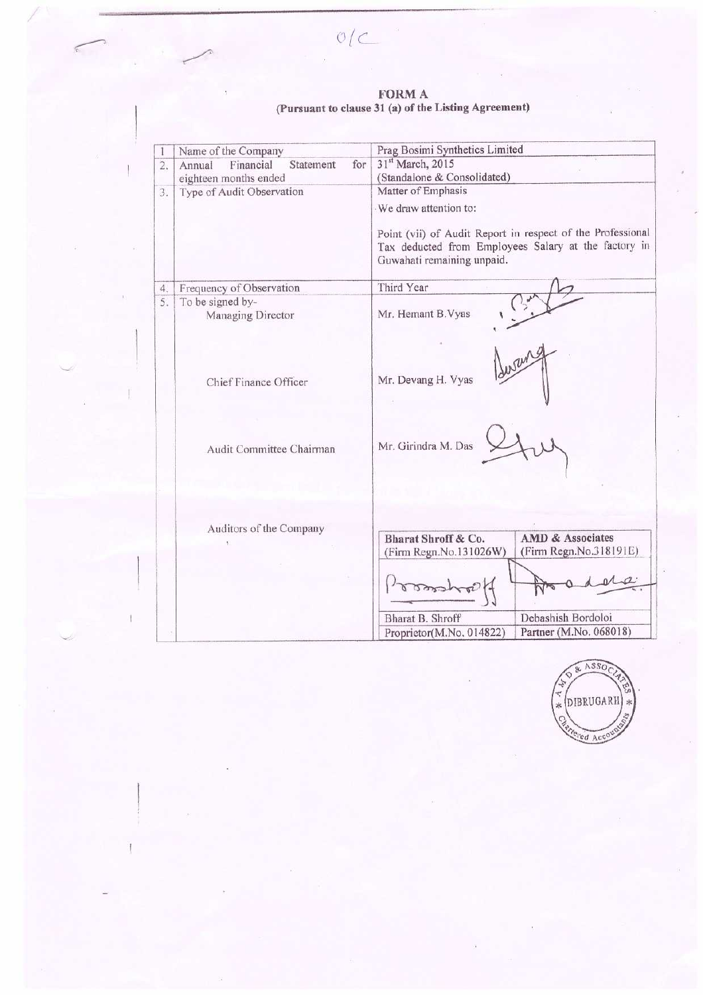$O/C$ 

ł

# $\begin{array}{c} \textbf{FORM A}\\ \textbf{(Pursuant to clause 31 (a) of the Listing Agreement)} \end{array}$

|                  | Name of the Company                     | Prag Bosimi Synthetics Limited                                                                                                                   |
|------------------|-----------------------------------------|--------------------------------------------------------------------------------------------------------------------------------------------------|
| $\overline{2}$ . | Financial<br>Statement<br>for<br>Annual | 31st March, 2015                                                                                                                                 |
|                  | eighteen months ended                   | (Standalone & Consolidated)                                                                                                                      |
| 3.               | Type of Audit Observation               | Matter of Emphasis                                                                                                                               |
|                  |                                         | We draw attention to:                                                                                                                            |
|                  |                                         | Point (vii) of Audit Report in respect of the Professional<br>Tax deducted from Employees Salary at the factory in<br>Guwahati remaining unpaid. |
| 4.               | Frequency of Observation                | Third Year                                                                                                                                       |
| 5.               | To be signed by-                        |                                                                                                                                                  |
|                  | Managing Director                       | Mr. Hemant B.Vyas                                                                                                                                |
|                  | Chief Finance Officer                   | Mr. Devang H. Vyas                                                                                                                               |
|                  | Audit Committee Chairman                | Mr. Girindra M. Das                                                                                                                              |
|                  | Auditors of the Company                 | <b>AMD &amp; Associates</b><br>Bharat Shroff & Co.                                                                                               |
|                  |                                         | (Firm Regn.No.318191E)<br>(Firm Regn.No.131026W)                                                                                                 |
|                  |                                         | Debashish Bordoloi<br>Bharat B. Shroff                                                                                                           |
|                  |                                         | Partner (M.No. 068018)<br>Proprietor(M.No. 014822)                                                                                               |

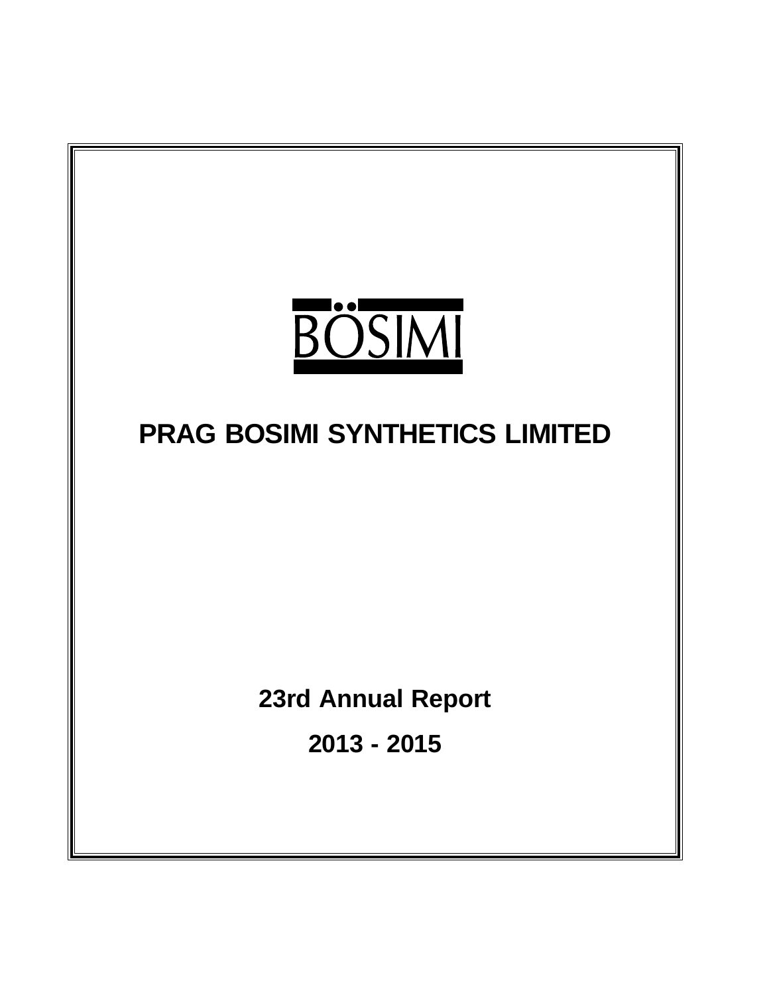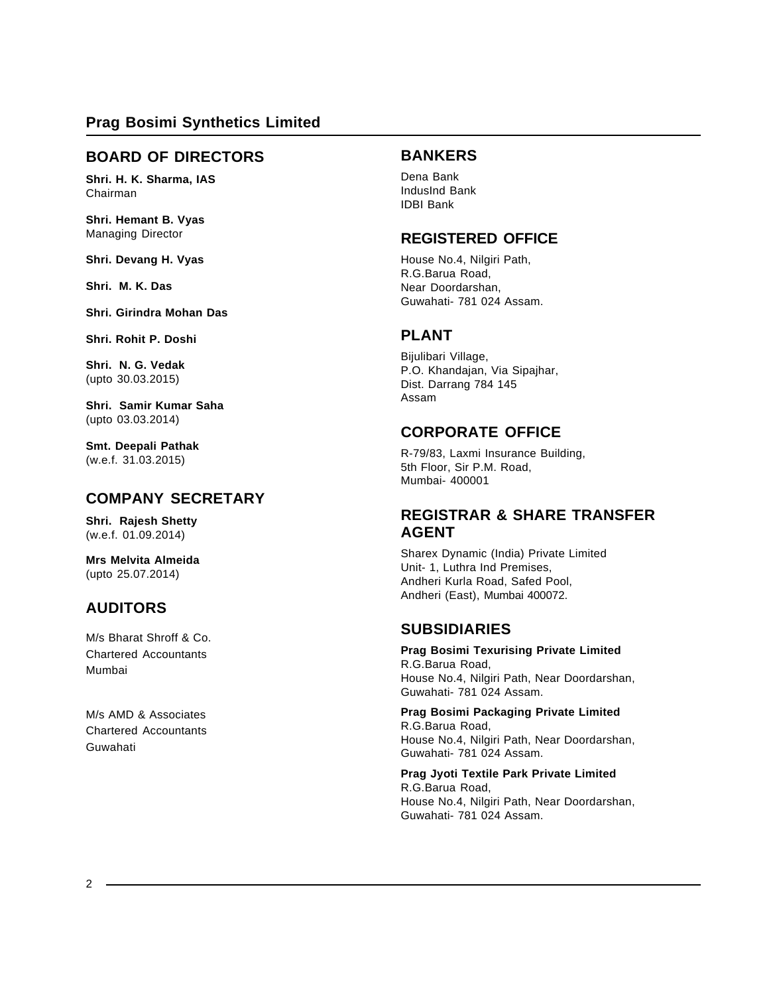# **BOARD OF DIRECTORS**

**Shri. H. K. Sharma, IAS** Chairman

**Shri. Hemant B. Vyas** Managing Director

**Shri. Devang H. Vyas**

**Shri. M. K. Das**

**Shri. Girindra Mohan Das**

**Shri. Rohit P. Doshi**

**Shri. N. G. Vedak** (upto 30.03.2015)

**Shri. Samir Kumar Saha** (upto 03.03.2014)

**Smt. Deepali Pathak** (w.e.f. 31.03.2015)

# **COMPANY SECRETARY**

**Shri. Rajesh Shetty** (w.e.f. 01.09.2014)

**Mrs Melvita Almeida** (upto 25.07.2014)

# **AUDITORS**

M/s Bharat Shroff & Co. Chartered Accountants Mumbai

M/s AMD & Associates Chartered Accountants Guwahati

# **BANKERS**

Dena Bank IndusInd Bank IDBI Bank

# **REGISTERED OFFICE**

House No.4, Nilgiri Path, R.G.Barua Road, Near Doordarshan, Guwahati- 781 024 Assam.

# **PLANT**

Bijulibari Village, P.O. Khandajan, Via Sipajhar, Dist. Darrang 784 145 Assam

# **CORPORATE OFFICE**

R-79/83, Laxmi Insurance Building, 5th Floor, Sir P.M. Road, Mumbai- 400001

# **REGISTRAR & SHARE TRANSFER AGENT**

Sharex Dynamic (India) Private Limited Unit- 1, Luthra Ind Premises, Andheri Kurla Road, Safed Pool, Andheri (East), Mumbai 400072.

# **SUBSIDIARIES**

**Prag Bosimi Texurising Private Limited** R.G.Barua Road, House No.4, Nilgiri Path, Near Doordarshan, Guwahati- 781 024 Assam.

# **Prag Bosimi Packaging Private Limited**

R.G.Barua Road, House No.4, Nilgiri Path, Near Doordarshan, Guwahati- 781 024 Assam.

**Prag Jyoti Textile Park Private Limited** R.G.Barua Road, House No.4, Nilgiri Path, Near Doordarshan, Guwahati- 781 024 Assam.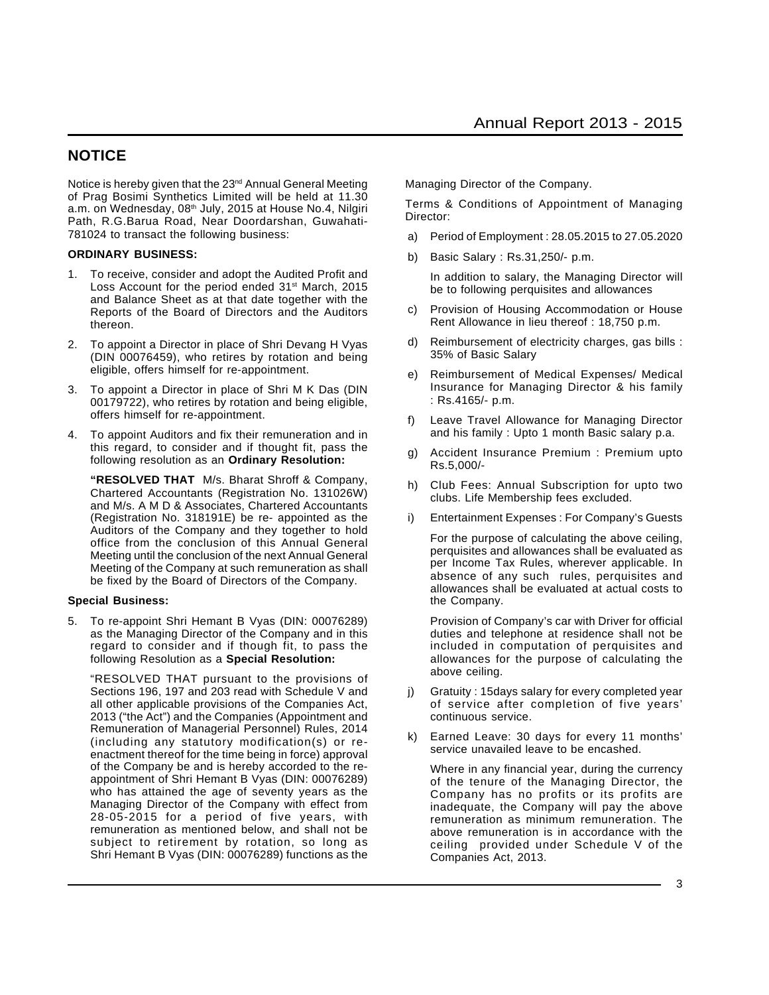# **NOTICE**

Notice is hereby given that the 23<sup>nd</sup> Annual General Meeting of Prag Bosimi Synthetics Limited will be held at 11.30 a.m. on Wednesday, 08<sup>th</sup> July, 2015 at House No.4, Nilgiri Path, R.G.Barua Road, Near Doordarshan, Guwahati-781024 to transact the following business:

#### **ORDINARY BUSINESS:**

- 1. To receive, consider and adopt the Audited Profit and Loss Account for the period ended  $31<sup>st</sup>$  March, 2015 and Balance Sheet as at that date together with the Reports of the Board of Directors and the Auditors thereon.
- 2. To appoint a Director in place of Shri Devang H Vyas (DIN 00076459), who retires by rotation and being eligible, offers himself for re-appointment.
- 3. To appoint a Director in place of Shri M K Das (DIN 00179722), who retires by rotation and being eligible, offers himself for re-appointment.
- 4. To appoint Auditors and fix their remuneration and in this regard, to consider and if thought fit, pass the following resolution as an **Ordinary Resolution:**

**"RESOLVED THAT** M/s. Bharat Shroff & Company, Chartered Accountants (Registration No. 131026W) and M/s. A M D & Associates, Chartered Accountants (Registration No. 318191E) be re- appointed as the Auditors of the Company and they together to hold office from the conclusion of this Annual General Meeting until the conclusion of the next Annual General Meeting of the Company at such remuneration as shall be fixed by the Board of Directors of the Company.

#### **Special Business:**

5. To re-appoint Shri Hemant B Vyas (DIN: 00076289) as the Managing Director of the Company and in this regard to consider and if though fit, to pass the following Resolution as a **Special Resolution:**

"RESOLVED THAT pursuant to the provisions of Sections 196, 197 and 203 read with Schedule V and all other applicable provisions of the Companies Act, 2013 ("the Act") and the Companies (Appointment and Remuneration of Managerial Personnel) Rules, 2014 (including any statutory modification(s) or reenactment thereof for the time being in force) approval of the Company be and is hereby accorded to the reappointment of Shri Hemant B Vyas (DIN: 00076289) who has attained the age of seventy years as the Managing Director of the Company with effect from 28-05-2015 for a period of five years, with remuneration as mentioned below, and shall not be subject to retirement by rotation, so long as Shri Hemant B Vyas (DIN: 00076289) functions as the Managing Director of the Company.

Terms & Conditions of Appointment of Managing Director:

- a) Period of Employment : 28.05.2015 to 27.05.2020
- b) Basic Salary : Rs.31,250/- p.m.

In addition to salary, the Managing Director will be to following perquisites and allowances

- c) Provision of Housing Accommodation or House Rent Allowance in lieu thereof : 18,750 p.m.
- d) Reimbursement of electricity charges, gas bills : 35% of Basic Salary
- e) Reimbursement of Medical Expenses/ Medical Insurance for Managing Director & his family : Rs.4165/- p.m.
- f) Leave Travel Allowance for Managing Director and his family : Upto 1 month Basic salary p.a.
- g) Accident Insurance Premium : Premium upto Rs.5,000/-
- h) Club Fees: Annual Subscription for upto two clubs. Life Membership fees excluded.
- i) Entertainment Expenses : For Company's Guests

For the purpose of calculating the above ceiling, perquisites and allowances shall be evaluated as per Income Tax Rules, wherever applicable. In absence of any such rules, perquisites and allowances shall be evaluated at actual costs to the Company.

Provision of Company's car with Driver for official duties and telephone at residence shall not be included in computation of perquisites and allowances for the purpose of calculating the above ceiling.

- j) Gratuity : 15days salary for every completed year of service after completion of five years' continuous service.
- k) Earned Leave: 30 days for every 11 months' service unavailed leave to be encashed.

Where in any financial year, during the currency of the tenure of the Managing Director, the Company has no profits or its profits are inadequate, the Company will pay the above remuneration as minimum remuneration. The above remuneration is in accordance with the ceiling provided under Schedule V of the Companies Act, 2013.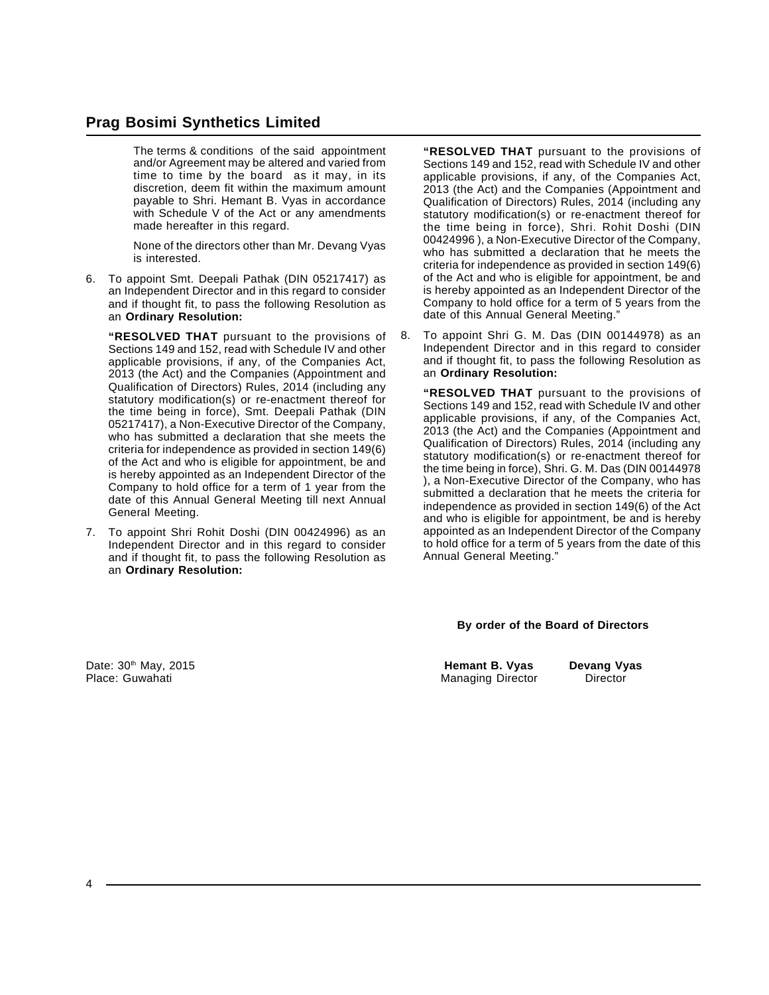The terms & conditions of the said appointment and/or Agreement may be altered and varied from time to time by the board as it may, in its discretion, deem fit within the maximum amount payable to Shri. Hemant B. Vyas in accordance with Schedule V of the Act or any amendments made hereafter in this regard.

None of the directors other than Mr. Devang Vyas is interested.

6. To appoint Smt. Deepali Pathak (DIN 05217417) as an Independent Director and in this regard to consider and if thought fit, to pass the following Resolution as an **Ordinary Resolution:**

**"RESOLVED THAT** pursuant to the provisions of Sections 149 and 152, read with Schedule IV and other applicable provisions, if any, of the Companies Act, 2013 (the Act) and the Companies (Appointment and Qualification of Directors) Rules, 2014 (including any statutory modification(s) or re-enactment thereof for the time being in force), Smt. Deepali Pathak (DIN 05217417), a Non-Executive Director of the Company, who has submitted a declaration that she meets the criteria for independence as provided in section 149(6) of the Act and who is eligible for appointment, be and is hereby appointed as an Independent Director of the Company to hold office for a term of 1 year from the date of this Annual General Meeting till next Annual General Meeting.

7. To appoint Shri Rohit Doshi (DIN 00424996) as an Independent Director and in this regard to consider and if thought fit, to pass the following Resolution as an **Ordinary Resolution:**

**"RESOLVED THAT** pursuant to the provisions of Sections 149 and 152, read with Schedule IV and other applicable provisions, if any, of the Companies Act, 2013 (the Act) and the Companies (Appointment and Qualification of Directors) Rules, 2014 (including any statutory modification(s) or re-enactment thereof for the time being in force), Shri. Rohit Doshi (DIN 00424996 ), a Non-Executive Director of the Company, who has submitted a declaration that he meets the criteria for independence as provided in section 149(6) of the Act and who is eligible for appointment, be and is hereby appointed as an Independent Director of the Company to hold office for a term of 5 years from the date of this Annual General Meeting."

8. To appoint Shri G. M. Das (DIN 00144978) as an Independent Director and in this regard to consider and if thought fit, to pass the following Resolution as an **Ordinary Resolution:**

**"RESOLVED THAT** pursuant to the provisions of Sections 149 and 152, read with Schedule IV and other applicable provisions, if any, of the Companies Act, 2013 (the Act) and the Companies (Appointment and Qualification of Directors) Rules, 2014 (including any statutory modification(s) or re-enactment thereof for the time being in force), Shri. G. M. Das (DIN 00144978 ), a Non-Executive Director of the Company, who has submitted a declaration that he meets the criteria for independence as provided in section 149(6) of the Act and who is eligible for appointment, be and is hereby appointed as an Independent Director of the Company to hold office for a term of 5 years from the date of this Annual General Meeting."

#### **By order of the Board of Directors**

**Managing Director** 

Date: 30<sup>th</sup> May, 2015 **hemant B. Vyas Devang Vyas Devang Vyas Place: Guwahati**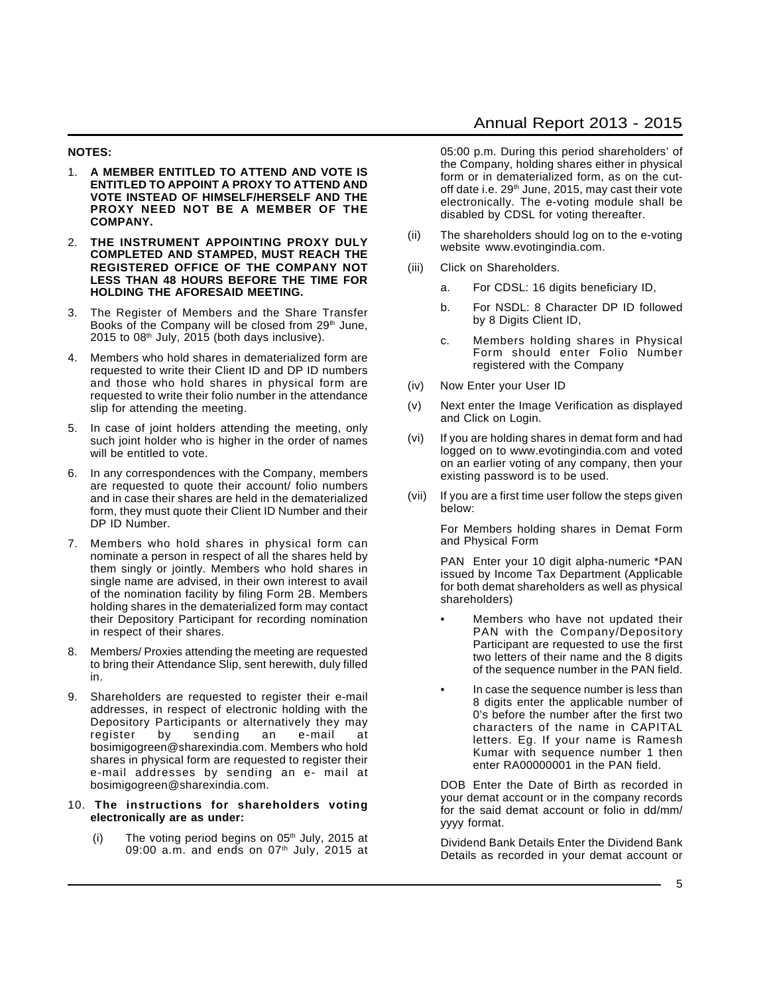#### **NOTES:**

- 1. **A MEMBER ENTITLED TO ATTEND AND VOTE IS ENTITLED TO APPOINT A PROXY TO ATTEND AND VOTE INSTEAD OF HIMSELF/HERSELF AND THE PROXY NEED NOT BE A MEMBER OF THE COMPANY.**
- 2. **THE INSTRUMENT APPOINTING PROXY DULY COMPLETED AND STAMPED, MUST REACH THE REGISTERED OFFICE OF THE COMPANY NOT LESS THAN 48 HOURS BEFORE THE TIME FOR HOLDING THE AFORESAID MEETING.**
- 3. The Register of Members and the Share Transfer Books of the Company will be closed from 29<sup>th</sup> June,  $2015$  to  $08<sup>th</sup>$  July, 2015 (both days inclusive).
- 4. Members who hold shares in dematerialized form are requested to write their Client ID and DP ID numbers and those who hold shares in physical form are requested to write their folio number in the attendance slip for attending the meeting.
- 5. In case of joint holders attending the meeting, only such joint holder who is higher in the order of names will be entitled to vote.
- 6. In any correspondences with the Company, members are requested to quote their account/ folio numbers and in case their shares are held in the dematerialized form, they must quote their Client ID Number and their DP ID Number.
- 7. Members who hold shares in physical form can nominate a person in respect of all the shares held by them singly or jointly. Members who hold shares in single name are advised, in their own interest to avail of the nomination facility by filing Form 2B. Members holding shares in the dematerialized form may contact their Depository Participant for recording nomination in respect of their shares.
- 8. Members/ Proxies attending the meeting are requested to bring their Attendance Slip, sent herewith, duly filled in.
- 9. Shareholders are requested to register their e-mail addresses, in respect of electronic holding with the Depository Participants or alternatively they may register by sending an e-mail at bosimigogreen@sharexindia.com. Members who hold shares in physical form are requested to register their e-mail addresses by sending an e- mail at bosimigogreen@sharexindia.com.
- 10. **The instructions for shareholders voting electronically are as under:**
	- (i) The voting period begins on  $05<sup>th</sup>$  July, 2015 at 09:00 a.m. and ends on 07<sup>th</sup> July, 2015 at

05:00 p.m. During this period shareholders' of the Company, holding shares either in physical form or in dematerialized form, as on the cutoff date i.e. 29<sup>th</sup> June, 2015, may cast their vote electronically. The e-voting module shall be disabled by CDSL for voting thereafter.

- (ii) The shareholders should log on to the e-voting website www.evotingindia.com.
- (iii) Click on Shareholders.
	- a. For CDSL: 16 digits beneficiary ID,
	- b. For NSDL: 8 Character DP ID followed by 8 Digits Client ID,
	- c. Members holding shares in Physical Form should enter Folio Number registered with the Company
- (iv) Now Enter your User ID
- (v) Next enter the Image Verification as displayed and Click on Login.
- (vi) If you are holding shares in demat form and had logged on to www.evotingindia.com and voted on an earlier voting of any company, then your existing password is to be used.
- (vii) If you are a first time user follow the steps given below:

For Members holding shares in Demat Form and Physical Form

PAN Enter your 10 digit alpha-numeric \*PAN issued by Income Tax Department (Applicable for both demat shareholders as well as physical shareholders)

- Members who have not updated their PAN with the Company/Depository Participant are requested to use the first two letters of their name and the 8 digits of the sequence number in the PAN field.
- In case the sequence number is less than 8 digits enter the applicable number of 0's before the number after the first two characters of the name in CAPITAL letters. Eg. If your name is Ramesh Kumar with sequence number 1 then enter RA00000001 in the PAN field.

DOB Enter the Date of Birth as recorded in your demat account or in the company records for the said demat account or folio in dd/mm/ yyyy format.

Dividend Bank Details Enter the Dividend Bank Details as recorded in your demat account or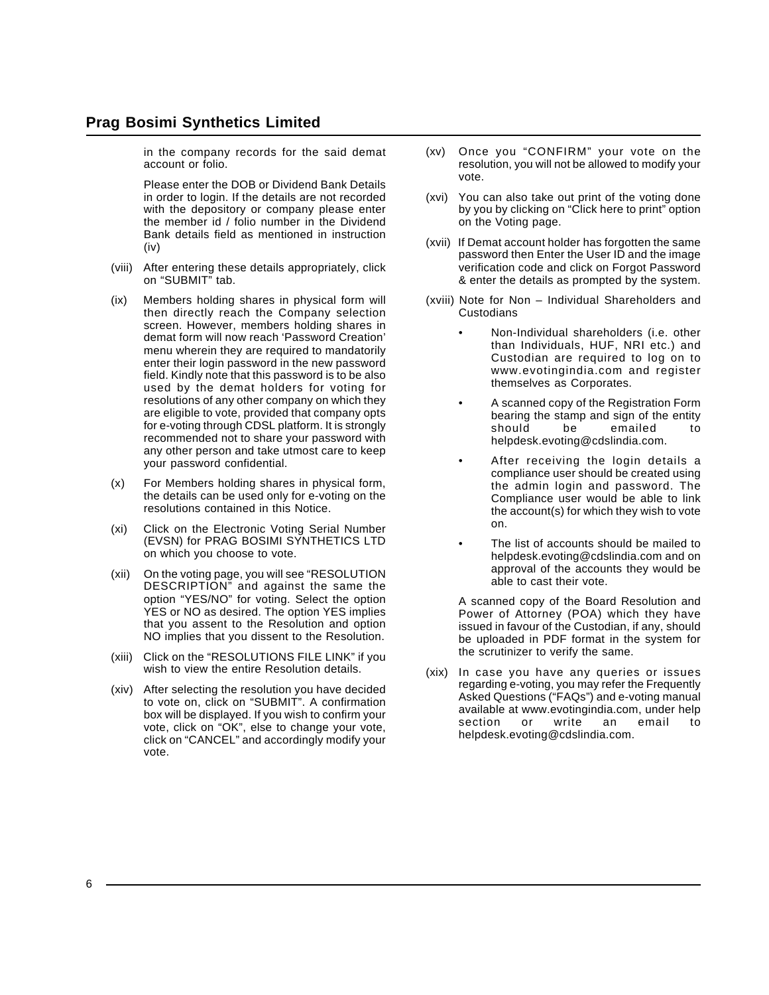in the company records for the said demat account or folio.

Please enter the DOB or Dividend Bank Details in order to login. If the details are not recorded with the depository or company please enter the member id / folio number in the Dividend Bank details field as mentioned in instruction (iv)

- (viii) After entering these details appropriately, click on "SUBMIT" tab.
- (ix) Members holding shares in physical form will then directly reach the Company selection screen. However, members holding shares in demat form will now reach 'Password Creation' menu wherein they are required to mandatorily enter their login password in the new password field. Kindly note that this password is to be also used by the demat holders for voting for resolutions of any other company on which they are eligible to vote, provided that company opts for e-voting through CDSL platform. It is strongly recommended not to share your password with any other person and take utmost care to keep your password confidential.
- (x) For Members holding shares in physical form, the details can be used only for e-voting on the resolutions contained in this Notice.
- (xi) Click on the Electronic Voting Serial Number (EVSN) for PRAG BOSIMI SYNTHETICS LTD on which you choose to vote.
- (xii) On the voting page, you will see "RESOLUTION DESCRIPTION" and against the same the option "YES/NO" for voting. Select the option YES or NO as desired. The option YES implies that you assent to the Resolution and option NO implies that you dissent to the Resolution.
- (xiii) Click on the "RESOLUTIONS FILE LINK" if you wish to view the entire Resolution details.
- (xiv) After selecting the resolution you have decided to vote on, click on "SUBMIT". A confirmation box will be displayed. If you wish to confirm your vote, click on "OK", else to change your vote, click on "CANCEL" and accordingly modify your vote.
- (xv) Once you "CONFIRM" your vote on the resolution, you will not be allowed to modify your vote.
- (xvi) You can also take out print of the voting done by you by clicking on "Click here to print" option on the Voting page.
- (xvii) If Demat account holder has forgotten the same password then Enter the User ID and the image verification code and click on Forgot Password & enter the details as prompted by the system.
- (xviii) Note for Non Individual Shareholders and **Custodians** 
	- Non-Individual shareholders (i.e. other than Individuals, HUF, NRI etc.) and Custodian are required to log on to www.evotingindia.com and register themselves as Corporates.
	- A scanned copy of the Registration Form bearing the stamp and sign of the entity should be emailed to helpdesk.evoting@cdslindia.com.
	- After receiving the login details a compliance user should be created using the admin login and password. The Compliance user would be able to link the account(s) for which they wish to vote on.
	- The list of accounts should be mailed to helpdesk.evoting@cdslindia.com and on approval of the accounts they would be able to cast their vote.

A scanned copy of the Board Resolution and Power of Attorney (POA) which they have issued in favour of the Custodian, if any, should be uploaded in PDF format in the system for the scrutinizer to verify the same.

(xix) In case you have any queries or issues regarding e-voting, you may refer the Frequently Asked Questions ("FAQs") and e-voting manual available at www.evotingindia.com, under help section or write an email to helpdesk.evoting@cdslindia.com.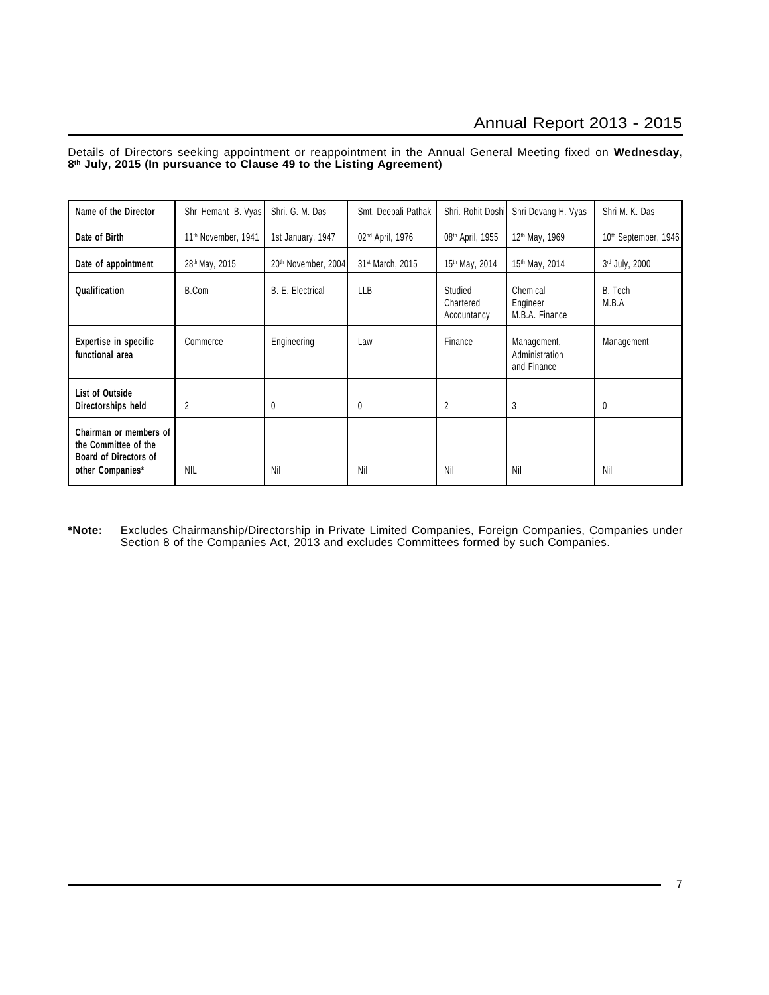Details of Directors seeking appointment or reappointment in the Annual General Meeting fixed on **Wednesday, 8th July, 2015 (In pursuance to Clause 49 to the Listing Agreement)**

| Name of the Director                                                                        | Shri Hemant B. Vyas             | Shri. G. M. Das     | Smt. Deepali Pathak          | Shri. Rohit Doshi                   | Shri Devang H. Vyas                          | Shri M. K. Das                   |
|---------------------------------------------------------------------------------------------|---------------------------------|---------------------|------------------------------|-------------------------------------|----------------------------------------------|----------------------------------|
| Date of Birth                                                                               | 11 <sup>th</sup> November, 1941 | 1st January, 1947   | 02 <sup>nd</sup> April, 1976 | 08 <sup>th</sup> April, 1955        | 12 <sup>th</sup> May, 1969                   | 10 <sup>th</sup> September, 1946 |
| Date of appointment                                                                         | 28 <sup>th</sup> May, 2015      | 20th November, 2004 | 31 <sup>st</sup> March, 2015 | 15 <sup>th</sup> May, 2014          | 15th May, 2014                               | 3rd July, 2000                   |
| Qualification                                                                               | B.Com                           | B. E. Electrical    | LLB                          | Studied<br>Chartered<br>Accountancy | Chemical<br>Engineer<br>M.B.A. Finance       | B. Tech<br>M.B.A                 |
| Expertise in specific<br>functional area                                                    | Commerce                        | Engineering         | Law                          | Finance                             | Management,<br>Administration<br>and Finance | Management                       |
| List of Outside<br>Directorships held                                                       | 2                               | 0                   | 0                            | $\overline{2}$                      | 3                                            | 0                                |
| Chairman or members of<br>the Committee of the<br>Board of Directors of<br>other Companies* | <b>NIL</b>                      | Nil                 | Nil                          | Nil                                 | Nil                                          | Nil                              |

**\*Note:** Excludes Chairmanship/Directorship in Private Limited Companies, Foreign Companies, Companies under Section 8 of the Companies Act, 2013 and excludes Committees formed by such Companies.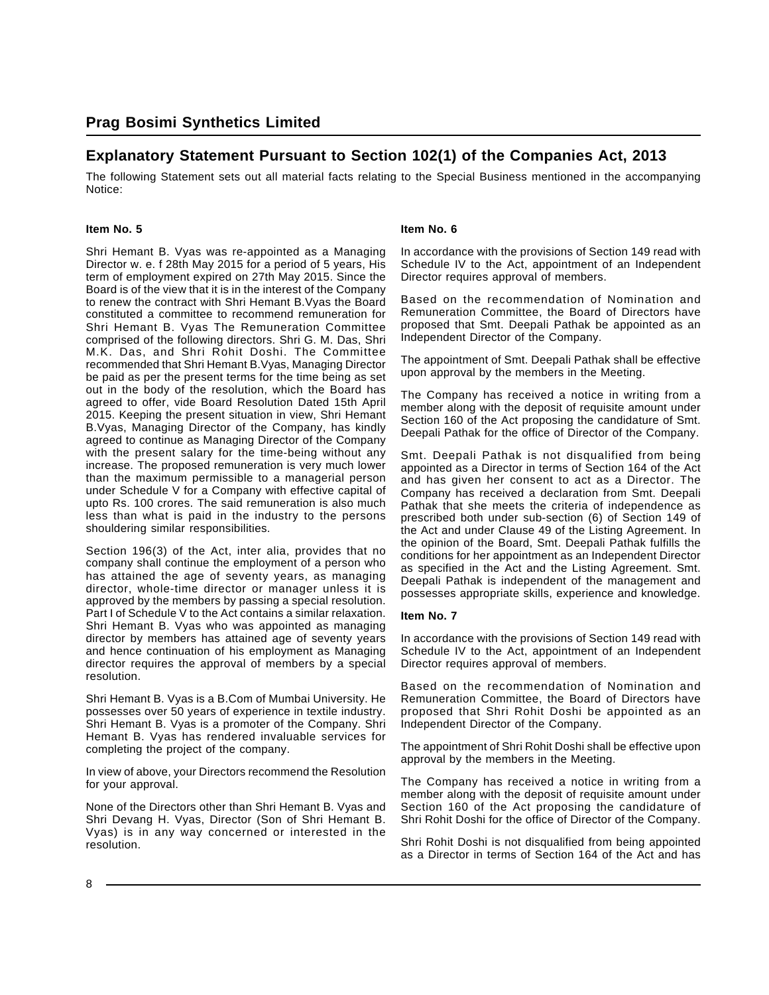# **Explanatory Statement Pursuant to Section 102(1) of the Companies Act, 2013**

The following Statement sets out all material facts relating to the Special Business mentioned in the accompanying Notice:

#### **Item No. 5**

Shri Hemant B. Vyas was re-appointed as a Managing Director w. e. f 28th May 2015 for a period of 5 years, His term of employment expired on 27th May 2015. Since the Board is of the view that it is in the interest of the Company to renew the contract with Shri Hemant B.Vyas the Board constituted a committee to recommend remuneration for Shri Hemant B. Vyas The Remuneration Committee comprised of the following directors. Shri G. M. Das, Shri M.K. Das, and Shri Rohit Doshi. The Committee recommended that Shri Hemant B.Vyas, Managing Director be paid as per the present terms for the time being as set out in the body of the resolution, which the Board has agreed to offer, vide Board Resolution Dated 15th April 2015. Keeping the present situation in view, Shri Hemant B.Vyas, Managing Director of the Company, has kindly agreed to continue as Managing Director of the Company with the present salary for the time-being without any increase. The proposed remuneration is very much lower than the maximum permissible to a managerial person under Schedule V for a Company with effective capital of upto Rs. 100 crores. The said remuneration is also much less than what is paid in the industry to the persons shouldering similar responsibilities.

Section 196(3) of the Act, inter alia, provides that no company shall continue the employment of a person who has attained the age of seventy years, as managing director, whole-time director or manager unless it is approved by the members by passing a special resolution. Part I of Schedule V to the Act contains a similar relaxation. Shri Hemant B. Vyas who was appointed as managing director by members has attained age of seventy years and hence continuation of his employment as Managing director requires the approval of members by a special resolution.

Shri Hemant B. Vyas is a B.Com of Mumbai University. He possesses over 50 years of experience in textile industry. Shri Hemant B. Vyas is a promoter of the Company. Shri Hemant B. Vyas has rendered invaluable services for completing the project of the company.

In view of above, your Directors recommend the Resolution for your approval.

None of the Directors other than Shri Hemant B. Vyas and Shri Devang H. Vyas, Director (Son of Shri Hemant B. Vyas) is in any way concerned or interested in the resolution.

#### **Item No. 6**

In accordance with the provisions of Section 149 read with Schedule IV to the Act, appointment of an Independent Director requires approval of members.

Based on the recommendation of Nomination and Remuneration Committee, the Board of Directors have proposed that Smt. Deepali Pathak be appointed as an Independent Director of the Company.

The appointment of Smt. Deepali Pathak shall be effective upon approval by the members in the Meeting.

The Company has received a notice in writing from a member along with the deposit of requisite amount under Section 160 of the Act proposing the candidature of Smt. Deepali Pathak for the office of Director of the Company.

Smt. Deepali Pathak is not disqualified from being appointed as a Director in terms of Section 164 of the Act and has given her consent to act as a Director. The Company has received a declaration from Smt. Deepali Pathak that she meets the criteria of independence as prescribed both under sub-section (6) of Section 149 of the Act and under Clause 49 of the Listing Agreement. In the opinion of the Board, Smt. Deepali Pathak fulfills the conditions for her appointment as an Independent Director as specified in the Act and the Listing Agreement. Smt. Deepali Pathak is independent of the management and possesses appropriate skills, experience and knowledge.

#### **Item No. 7**

In accordance with the provisions of Section 149 read with Schedule IV to the Act, appointment of an Independent Director requires approval of members.

Based on the recommendation of Nomination and Remuneration Committee, the Board of Directors have proposed that Shri Rohit Doshi be appointed as an Independent Director of the Company.

The appointment of Shri Rohit Doshi shall be effective upon approval by the members in the Meeting.

The Company has received a notice in writing from a member along with the deposit of requisite amount under Section 160 of the Act proposing the candidature of Shri Rohit Doshi for the office of Director of the Company.

Shri Rohit Doshi is not disqualified from being appointed as a Director in terms of Section 164 of the Act and has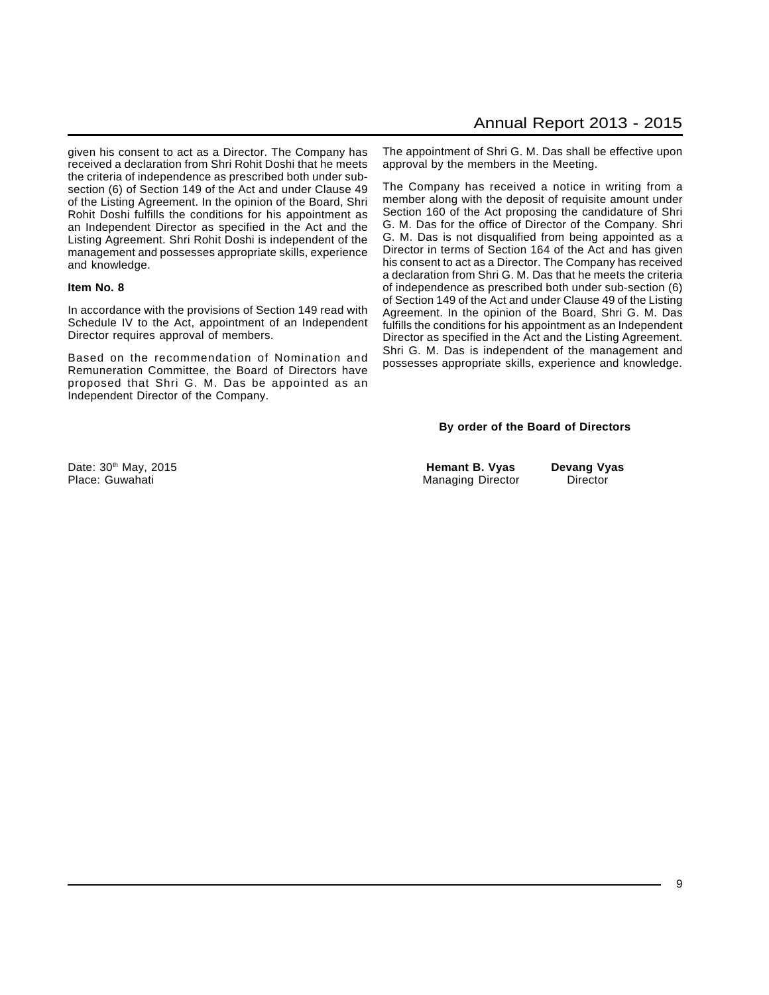given his consent to act as a Director. The Company has received a declaration from Shri Rohit Doshi that he meets the criteria of independence as prescribed both under subsection (6) of Section 149 of the Act and under Clause 49 of the Listing Agreement. In the opinion of the Board, Shri Rohit Doshi fulfills the conditions for his appointment as an Independent Director as specified in the Act and the Listing Agreement. Shri Rohit Doshi is independent of the management and possesses appropriate skills, experience and knowledge.

#### **Item No. 8**

In accordance with the provisions of Section 149 read with Schedule IV to the Act, appointment of an Independent Director requires approval of members.

Based on the recommendation of Nomination and Remuneration Committee, the Board of Directors have proposed that Shri G. M. Das be appointed as an Independent Director of the Company.

The appointment of Shri G. M. Das shall be effective upon approval by the members in the Meeting.

The Company has received a notice in writing from a member along with the deposit of requisite amount under Section 160 of the Act proposing the candidature of Shri G. M. Das for the office of Director of the Company. Shri G. M. Das is not disqualified from being appointed as a Director in terms of Section 164 of the Act and has given his consent to act as a Director. The Company has received a declaration from Shri G. M. Das that he meets the criteria of independence as prescribed both under sub-section (6) of Section 149 of the Act and under Clause 49 of the Listing Agreement. In the opinion of the Board, Shri G. M. Das fulfills the conditions for his appointment as an Independent Director as specified in the Act and the Listing Agreement. Shri G. M. Das is independent of the management and possesses appropriate skills, experience and knowledge.

#### **By order of the Board of Directors**

Managing Director Director

Date: 30<sup>th</sup> May, 2015 **hemant B. Vyas Devang Vyas Devang Vyas Place: Guwahati**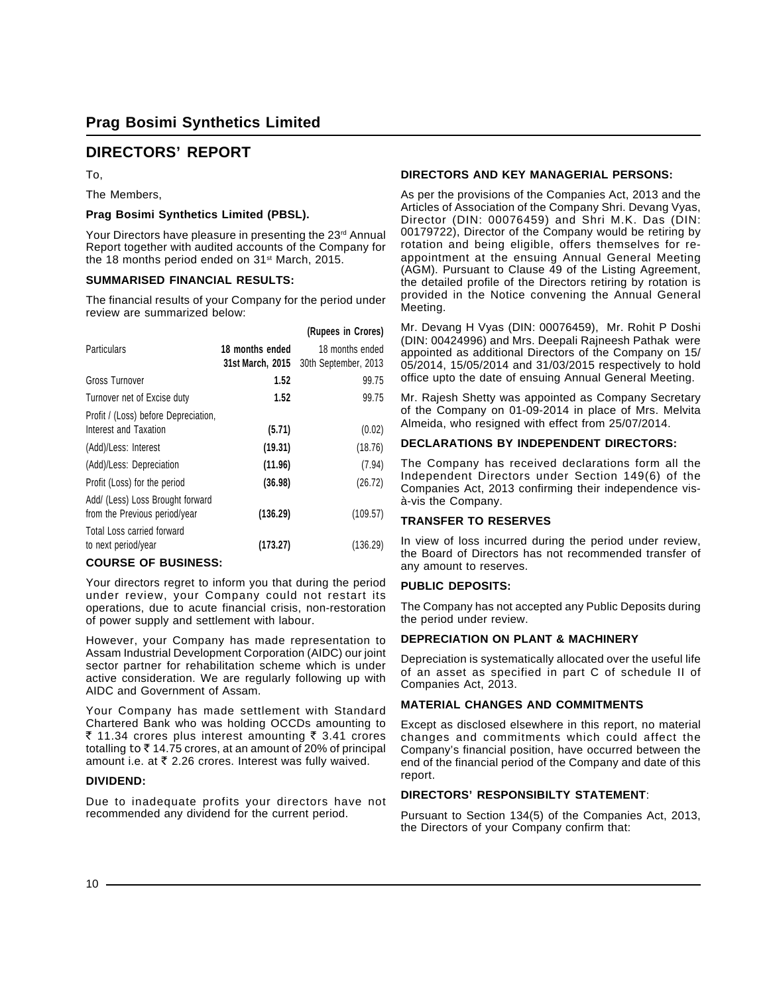# **DIRECTORS' REPORT**

To,

The Members,

#### **Prag Bosimi Synthetics Limited (PBSL).**

Your Directors have pleasure in presenting the 23rd Annual Report together with audited accounts of the Company for the 18 months period ended on 31<sup>st</sup> March, 2015.

#### **SUMMARISED FINANCIAL RESULTS:**

The financial results of your Company for the period under review are summarized below:

|                                      |                  | (Rupees in Crores)   |
|--------------------------------------|------------------|----------------------|
| <b>Particulars</b>                   | 18 months ended  | 18 months ended      |
|                                      | 31st March, 2015 | 30th September, 2013 |
| Gross Turnover                       | 1.52             | 99.75                |
| Turnover net of Excise duty          | 1.52             | 99.75                |
| Profit / (Loss) before Depreciation, |                  |                      |
| Interest and Taxation                | (5.71)           | (0.02)               |
| (Add)/Less: Interest                 | (19.31)          | (18.76)              |
| (Add)/Less: Depreciation             | (11.96)          | (7.94)               |
| Profit (Loss) for the period         | (36.98)          | (26.72)              |
| Add/ (Less) Loss Brought forward     |                  |                      |
| from the Previous period/year        | (136.29)         | (109.57)             |
| Total Loss carried forward           |                  |                      |
| to next period/year                  | (173.27)         | (136.29)             |

#### **COURSE OF BUSINESS:**

Your directors regret to inform you that during the period under review, your Company could not restart its operations, due to acute financial crisis, non-restoration of power supply and settlement with labour.

However, your Company has made representation to Assam Industrial Development Corporation (AIDC) our joint sector partner for rehabilitation scheme which is under active consideration. We are regularly following up with AIDC and Government of Assam.

Your Company has made settlement with Standard Chartered Bank who was holding OCCDs amounting to ₹ 11.34 crores plus interest amounting  $\bar{\tau}$  3.41 crores totalling to  $\bar{\tau}$  14.75 crores, at an amount of 20% of principal amount i.e. at  $\bar{\tau}$  2.26 crores. Interest was fully waived.

#### **DIVIDEND:**

Due to inadequate profits your directors have not recommended any dividend for the current period.

#### **DIRECTORS AND KEY MANAGERIAL PERSONS:**

As per the provisions of the Companies Act, 2013 and the Articles of Association of the Company Shri. Devang Vyas, Director (DIN: 00076459) and Shri M.K. Das (DIN: 00179722), Director of the Company would be retiring by rotation and being eligible, offers themselves for reappointment at the ensuing Annual General Meeting (AGM). Pursuant to Clause 49 of the Listing Agreement, the detailed profile of the Directors retiring by rotation is provided in the Notice convening the Annual General Meeting.

Mr. Devang H Vyas (DIN: 00076459), Mr. Rohit P Doshi (DIN: 00424996) and Mrs. Deepali Rajneesh Pathak were appointed as additional Directors of the Company on 15/ 05/2014, 15/05/2014 and 31/03/2015 respectively to hold office upto the date of ensuing Annual General Meeting.

Mr. Rajesh Shetty was appointed as Company Secretary of the Company on 01-09-2014 in place of Mrs. Melvita Almeida, who resigned with effect from 25/07/2014.

#### **DECLARATIONS BY INDEPENDENT DIRECTORS:**

The Company has received declarations form all the Independent Directors under Section 149(6) of the Companies Act, 2013 confirming their independence visà-vis the Company.

#### **TRANSFER TO RESERVES**

In view of loss incurred during the period under review, the Board of Directors has not recommended transfer of any amount to reserves.

#### **PUBLIC DEPOSITS:**

The Company has not accepted any Public Deposits during the period under review.

#### **DEPRECIATION ON PLANT & MACHINERY**

Depreciation is systematically allocated over the useful life of an asset as specified in part C of schedule II of Companies Act, 2013.

#### **MATERIAL CHANGES AND COMMITMENTS**

Except as disclosed elsewhere in this report, no material changes and commitments which could affect the Company's financial position, have occurred between the end of the financial period of the Company and date of this report.

#### **DIRECTORS' RESPONSIBILTY STATEMENT**:

Pursuant to Section 134(5) of the Companies Act, 2013, the Directors of your Company confirm that:

 $10 -$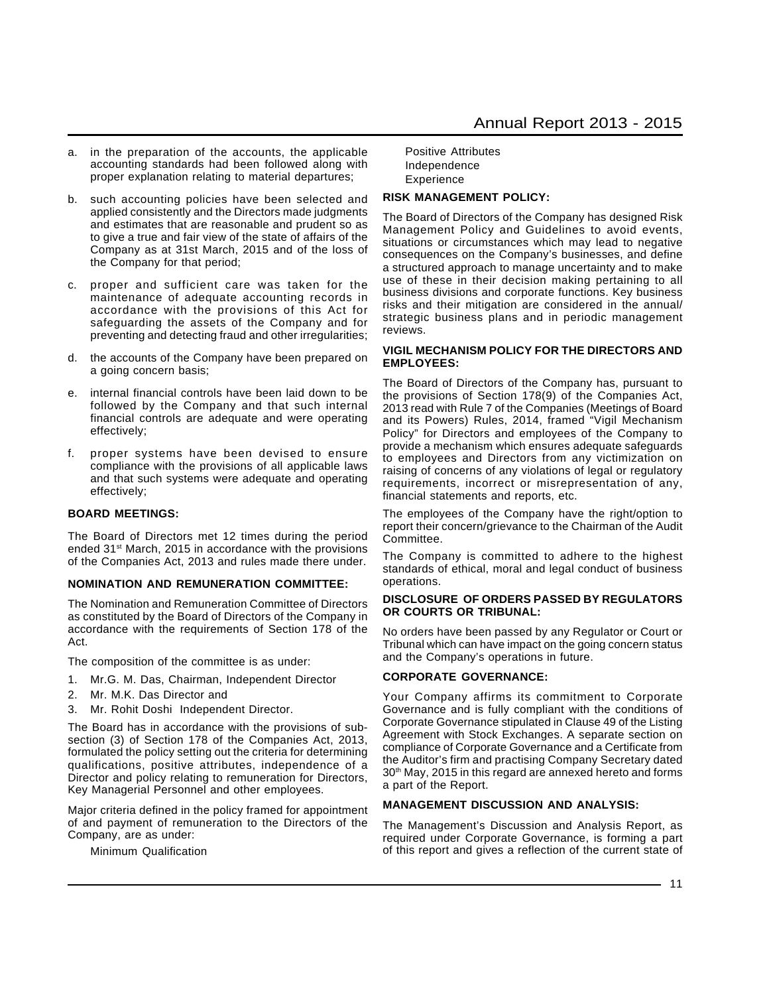- a. in the preparation of the accounts, the applicable accounting standards had been followed along with proper explanation relating to material departures;
- b. such accounting policies have been selected and applied consistently and the Directors made judgments and estimates that are reasonable and prudent so as to give a true and fair view of the state of affairs of the Company as at 31st March, 2015 and of the loss of the Company for that period;
- c. proper and sufficient care was taken for the maintenance of adequate accounting records in accordance with the provisions of this Act for safeguarding the assets of the Company and for preventing and detecting fraud and other irregularities;
- d. the accounts of the Company have been prepared on a going concern basis;
- e. internal financial controls have been laid down to be followed by the Company and that such internal financial controls are adequate and were operating effectively;
- f. proper systems have been devised to ensure compliance with the provisions of all applicable laws and that such systems were adequate and operating effectively;

#### **BOARD MEETINGS:**

The Board of Directors met 12 times during the period ended 31<sup>st</sup> March, 2015 in accordance with the provisions of the Companies Act, 2013 and rules made there under.

#### **NOMINATION AND REMUNERATION COMMITTEE:**

The Nomination and Remuneration Committee of Directors as constituted by the Board of Directors of the Company in accordance with the requirements of Section 178 of the Act.

The composition of the committee is as under:

- 1. Mr.G. M. Das, Chairman, Independent Director
- 2. Mr. M.K. Das Director and
- 3. Mr. Rohit Doshi Independent Director.

The Board has in accordance with the provisions of subsection (3) of Section 178 of the Companies Act, 2013, formulated the policy setting out the criteria for determining qualifications, positive attributes, independence of a Director and policy relating to remuneration for Directors, Key Managerial Personnel and other employees.

Major criteria defined in the policy framed for appointment of and payment of remuneration to the Directors of the Company, are as under:

Minimum Qualification

Positive Attributes Independence Experience

#### **RISK MANAGEMENT POLICY:**

The Board of Directors of the Company has designed Risk Management Policy and Guidelines to avoid events, situations or circumstances which may lead to negative consequences on the Company's businesses, and define a structured approach to manage uncertainty and to make use of these in their decision making pertaining to all business divisions and corporate functions. Key business risks and their mitigation are considered in the annual/ strategic business plans and in periodic management reviews.

#### **VIGIL MECHANISM POLICY FOR THE DIRECTORS AND EMPLOYEES:**

The Board of Directors of the Company has, pursuant to the provisions of Section 178(9) of the Companies Act, 2013 read with Rule 7 of the Companies (Meetings of Board and its Powers) Rules, 2014, framed "Vigil Mechanism Policy" for Directors and employees of the Company to provide a mechanism which ensures adequate safeguards to employees and Directors from any victimization on raising of concerns of any violations of legal or regulatory requirements, incorrect or misrepresentation of any, financial statements and reports, etc.

The employees of the Company have the right/option to report their concern/grievance to the Chairman of the Audit Committee.

The Company is committed to adhere to the highest standards of ethical, moral and legal conduct of business operations.

#### **DISCLOSURE OF ORDERS PASSED BY REGULATORS OR COURTS OR TRIBUNAL:**

No orders have been passed by any Regulator or Court or Tribunal which can have impact on the going concern status and the Company's operations in future.

#### **CORPORATE GOVERNANCE:**

Your Company affirms its commitment to Corporate Governance and is fully compliant with the conditions of Corporate Governance stipulated in Clause 49 of the Listing Agreement with Stock Exchanges. A separate section on compliance of Corporate Governance and a Certificate from the Auditor's firm and practising Company Secretary dated 30<sup>th</sup> May, 2015 in this regard are annexed hereto and forms a part of the Report.

#### **MANAGEMENT DISCUSSION AND ANALYSIS:**

The Management's Discussion and Analysis Report, as required under Corporate Governance, is forming a part of this report and gives a reflection of the current state of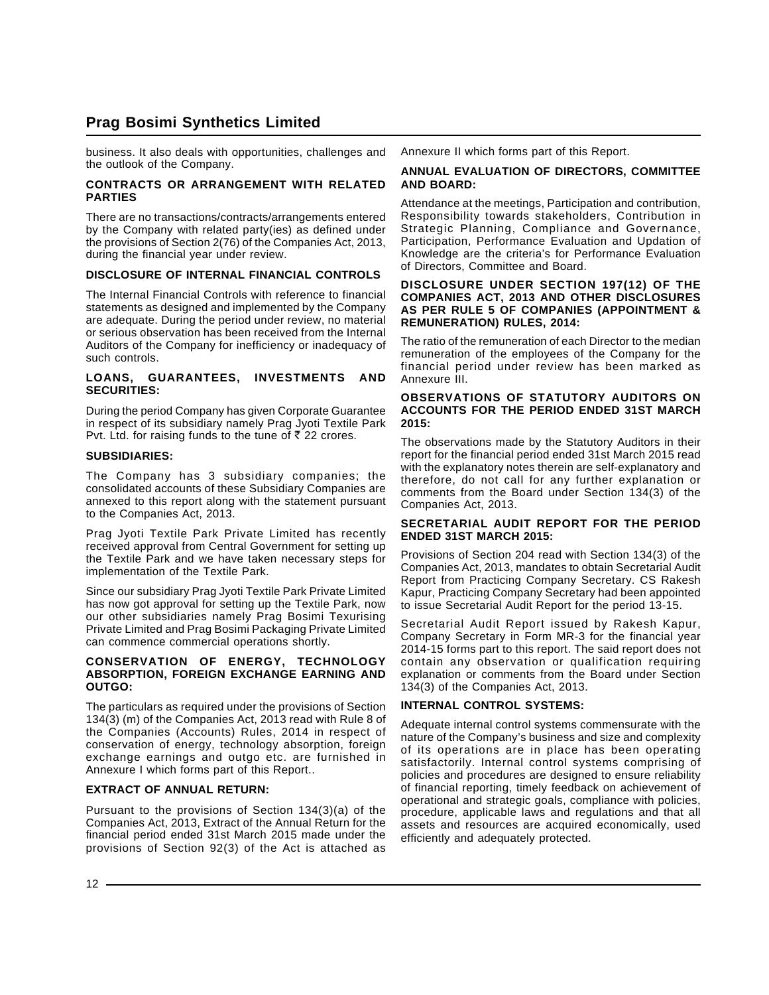business. It also deals with opportunities, challenges and the outlook of the Company.

#### **CONTRACTS OR ARRANGEMENT WITH RELATED PARTIES**

There are no transactions/contracts/arrangements entered by the Company with related party(ies) as defined under the provisions of Section 2(76) of the Companies Act, 2013, during the financial year under review.

#### **DISCLOSURE OF INTERNAL FINANCIAL CONTROLS**

The Internal Financial Controls with reference to financial statements as designed and implemented by the Company are adequate. During the period under review, no material or serious observation has been received from the Internal Auditors of the Company for inefficiency or inadequacy of such controls.

#### **LOANS, GUARANTEES, INVESTMENTS AND SECURITIES:**

During the period Company has given Corporate Guarantee in respect of its subsidiary namely Prag Jyoti Textile Park Pvt. Ltd. for raising funds to the tune of  $\overline{\tau}$  22 crores.

#### **SUBSIDIARIES:**

The Company has 3 subsidiary companies; the consolidated accounts of these Subsidiary Companies are annexed to this report along with the statement pursuant to the Companies Act, 2013.

Prag Jyoti Textile Park Private Limited has recently received approval from Central Government for setting up the Textile Park and we have taken necessary steps for implementation of the Textile Park.

Since our subsidiary Prag Jyoti Textile Park Private Limited has now got approval for setting up the Textile Park, now our other subsidiaries namely Prag Bosimi Texurising Private Limited and Prag Bosimi Packaging Private Limited can commence commercial operations shortly.

#### **CONSERVATION OF ENERGY, TECHNOLOGY ABSORPTION, FOREIGN EXCHANGE EARNING AND OUTGO:**

The particulars as required under the provisions of Section 134(3) (m) of the Companies Act, 2013 read with Rule 8 of the Companies (Accounts) Rules, 2014 in respect of conservation of energy, technology absorption, foreign exchange earnings and outgo etc. are furnished in Annexure I which forms part of this Report..

#### **EXTRACT OF ANNUAL RETURN:**

Pursuant to the provisions of Section 134(3)(a) of the Companies Act, 2013, Extract of the Annual Return for the financial period ended 31st March 2015 made under the provisions of Section 92(3) of the Act is attached as

Annexure II which forms part of this Report.

#### **ANNUAL EVALUATION OF DIRECTORS, COMMITTEE AND BOARD:**

Attendance at the meetings, Participation and contribution, Responsibility towards stakeholders, Contribution in Strategic Planning, Compliance and Governance, Participation, Performance Evaluation and Updation of Knowledge are the criteria's for Performance Evaluation of Directors, Committee and Board.

#### **DISCLOSURE UNDER SECTION 197(12) OF THE COMPANIES ACT, 2013 AND OTHER DISCLOSURES AS PER RULE 5 OF COMPANIES (APPOINTMENT & REMUNERATION) RULES, 2014:**

The ratio of the remuneration of each Director to the median remuneration of the employees of the Company for the financial period under review has been marked as Annexure III.

#### **OBSERVATIONS OF STATUTORY AUDITORS ON ACCOUNTS FOR THE PERIOD ENDED 31ST MARCH 2015:**

The observations made by the Statutory Auditors in their report for the financial period ended 31st March 2015 read with the explanatory notes therein are self-explanatory and therefore, do not call for any further explanation or comments from the Board under Section 134(3) of the Companies Act, 2013.

#### **SECRETARIAL AUDIT REPORT FOR THE PERIOD ENDED 31ST MARCH 2015:**

Provisions of Section 204 read with Section 134(3) of the Companies Act, 2013, mandates to obtain Secretarial Audit Report from Practicing Company Secretary. CS Rakesh Kapur, Practicing Company Secretary had been appointed to issue Secretarial Audit Report for the period 13-15.

Secretarial Audit Report issued by Rakesh Kapur, Company Secretary in Form MR-3 for the financial year 2014-15 forms part to this report. The said report does not contain any observation or qualification requiring explanation or comments from the Board under Section 134(3) of the Companies Act, 2013.

#### **INTERNAL CONTROL SYSTEMS:**

Adequate internal control systems commensurate with the nature of the Company's business and size and complexity of its operations are in place has been operating satisfactorily. Internal control systems comprising of policies and procedures are designed to ensure reliability of financial reporting, timely feedback on achievement of operational and strategic goals, compliance with policies, procedure, applicable laws and regulations and that all assets and resources are acquired economically, used efficiently and adequately protected.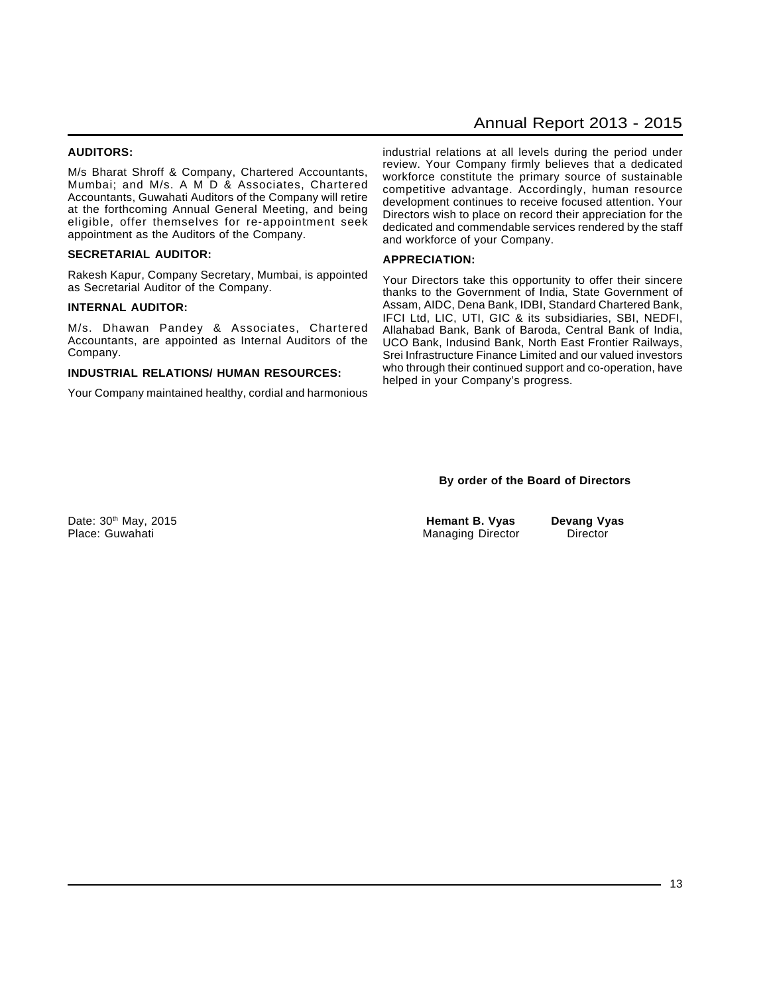#### **AUDITORS:**

M/s Bharat Shroff & Company, Chartered Accountants, Mumbai; and M/s. A M D & Associates, Chartered Accountants, Guwahati Auditors of the Company will retire at the forthcoming Annual General Meeting, and being eligible, offer themselves for re-appointment seek appointment as the Auditors of the Company.

#### **SECRETARIAL AUDITOR:**

Rakesh Kapur, Company Secretary, Mumbai, is appointed as Secretarial Auditor of the Company.

#### **INTERNAL AUDITOR:**

M/s. Dhawan Pandey & Associates, Chartered Accountants, are appointed as Internal Auditors of the Company.

#### **INDUSTRIAL RELATIONS/ HUMAN RESOURCES:**

Your Company maintained healthy, cordial and harmonious

# Annual Report 2013 - 2015

industrial relations at all levels during the period under review. Your Company firmly believes that a dedicated workforce constitute the primary source of sustainable competitive advantage. Accordingly, human resource development continues to receive focused attention. Your Directors wish to place on record their appreciation for the dedicated and commendable services rendered by the staff and workforce of your Company.

#### **APPRECIATION:**

Your Directors take this opportunity to offer their sincere thanks to the Government of India, State Government of Assam, AIDC, Dena Bank, IDBI, Standard Chartered Bank, IFCI Ltd, LIC, UTI, GIC & its subsidiaries, SBI, NEDFI, Allahabad Bank, Bank of Baroda, Central Bank of India, UCO Bank, Indusind Bank, North East Frontier Railways, Srei Infrastructure Finance Limited and our valued investors who through their continued support and co-operation, have helped in your Company's progress.

#### **By order of the Board of Directors**

Place: Guwahati **Managing Director** Director Director Director

Date: 30th May, 2015 **Hemant B. Vyas Devang Vyas**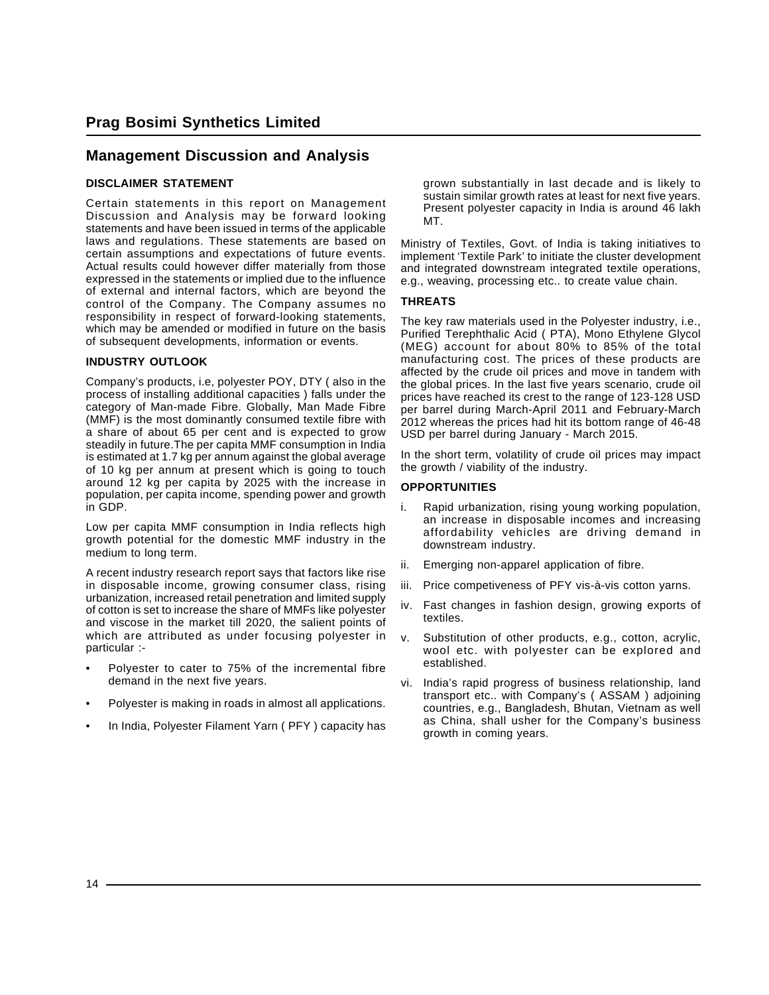# **Management Discussion and Analysis**

#### **DISCLAIMER STATEMENT**

Certain statements in this report on Management Discussion and Analysis may be forward looking statements and have been issued in terms of the applicable laws and regulations. These statements are based on certain assumptions and expectations of future events. Actual results could however differ materially from those expressed in the statements or implied due to the influence of external and internal factors, which are beyond the control of the Company. The Company assumes no responsibility in respect of forward-looking statements, which may be amended or modified in future on the basis of subsequent developments, information or events.

#### **INDUSTRY OUTLOOK**

Company's products, i.e, polyester POY, DTY ( also in the process of installing additional capacities ) falls under the category of Man-made Fibre. Globally, Man Made Fibre (MMF) is the most dominantly consumed textile fibre with a share of about 65 per cent and is expected to grow steadily in future.The per capita MMF consumption in India is estimated at 1.7 kg per annum against the global average of 10 kg per annum at present which is going to touch around 12 kg per capita by 2025 with the increase in population, per capita income, spending power and growth in GDP.

Low per capita MMF consumption in India reflects high growth potential for the domestic MMF industry in the medium to long term.

A recent industry research report says that factors like rise in disposable income, growing consumer class, rising urbanization, increased retail penetration and limited supply of cotton is set to increase the share of MMFs like polyester and viscose in the market till 2020, the salient points of which are attributed as under focusing polyester in particular :-

- Polyester to cater to 75% of the incremental fibre demand in the next five years.
- Polyester is making in roads in almost all applications.
- In India, Polyester Filament Yarn (PFY) capacity has

grown substantially in last decade and is likely to sustain similar growth rates at least for next five years. Present polyester capacity in India is around 46 lakh MT.

Ministry of Textiles, Govt. of India is taking initiatives to implement 'Textile Park' to initiate the cluster development and integrated downstream integrated textile operations, e.g., weaving, processing etc.. to create value chain.

#### **THREATS**

The key raw materials used in the Polyester industry, i.e., Purified Terephthalic Acid ( PTA), Mono Ethylene Glycol (MEG) account for about 80% to 85% of the total manufacturing cost. The prices of these products are affected by the crude oil prices and move in tandem with the global prices. In the last five years scenario, crude oil prices have reached its crest to the range of 123-128 USD per barrel during March-April 2011 and February-March 2012 whereas the prices had hit its bottom range of 46-48 USD per barrel during January - March 2015.

In the short term, volatility of crude oil prices may impact the growth / viability of the industry.

#### **OPPORTUNITIES**

- i. Rapid urbanization, rising young working population, an increase in disposable incomes and increasing affordability vehicles are driving demand in downstream industry.
- ii. Emerging non-apparel application of fibre.
- iii. Price competiveness of PFY vis-à-vis cotton yarns.
- iv. Fast changes in fashion design, growing exports of textiles.
- v. Substitution of other products, e.g., cotton, acrylic, wool etc. with polyester can be explored and established.
- vi. India's rapid progress of business relationship, land transport etc.. with Company's ( ASSAM ) adjoining countries, e.g., Bangladesh, Bhutan, Vietnam as well as China, shall usher for the Company's business growth in coming years.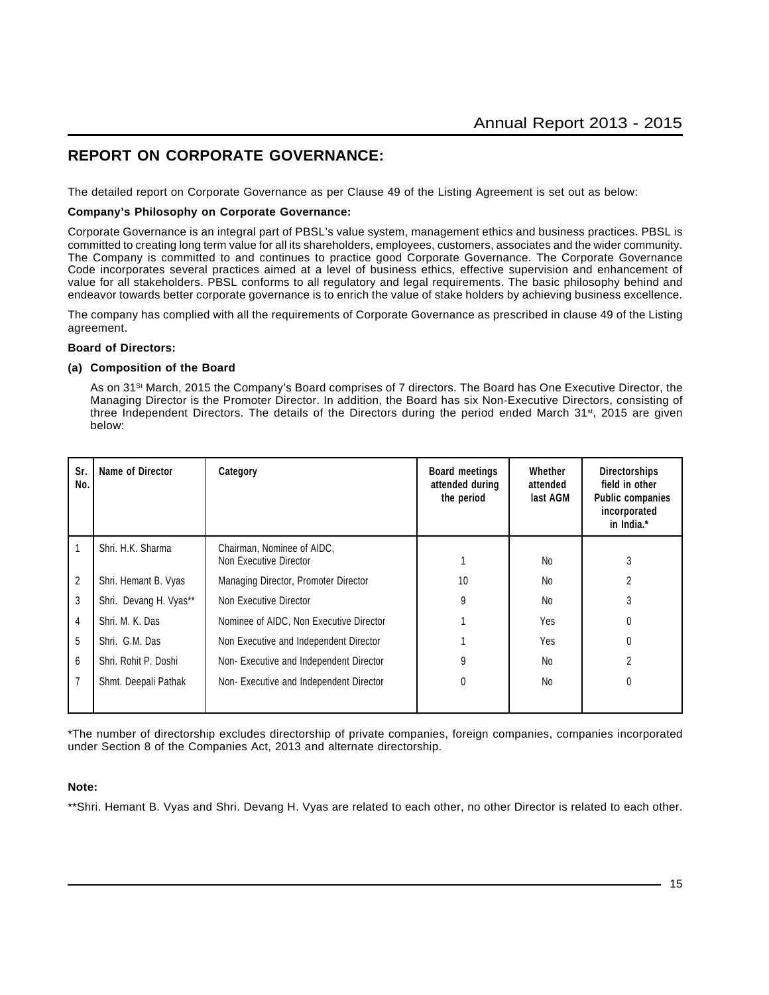# **REPORT ON CORPORATE GOVERNANCE:**

The detailed report on Corporate Governance as per Clause 49 of the Listing Agreement is set out as below:

#### **Company's Philosophy on Corporate Governance:**

Corporate Governance is an integral part of PBSL's value system, management ethics and business practices. PBSL is committed to creating long term value for all its shareholders, employees, customers, associates and the wider community. The Company is committed to and continues to practice good Corporate Governance. The Corporate Governance Code incorporates several practices aimed at a level of business ethics, effective supervision and enhancement of value for all stakeholders. PBSL conforms to all regulatory and legal requirements. The basic philosophy behind and endeavor towards better corporate governance is to enrich the value of stake holders by achieving business excellence.

The company has complied with all the requirements of Corporate Governance as prescribed in clause 49 of the Listing agreement.

#### **Board of Directors:**

#### **(a) Composition of the Board**

As on 31<sup>st</sup> March, 2015 the Company's Board comprises of 7 directors. The Board has One Executive Director, the Managing Director is the Promoter Director. In addition, the Board has six Non-Executive Directors, consisting of three Independent Directors. The details of the Directors during the period ended March 31<sup>st</sup>, 2015 are given below:

| Sr.<br>No.     | Name of Director       | Category                                             | <b>Board meetings</b><br>attended during<br>the period | Whether<br>attended<br>last AGM | <b>Directorships</b><br>field in other<br><b>Public companies</b><br>incorporated<br>in India.* |
|----------------|------------------------|------------------------------------------------------|--------------------------------------------------------|---------------------------------|-------------------------------------------------------------------------------------------------|
|                | Shri, H.K. Sharma      | Chairman, Nominee of AIDC,<br>Non Executive Director |                                                        | <b>No</b>                       | 3                                                                                               |
| $\overline{c}$ | Shri. Hemant B. Vyas   | Managing Director, Promoter Director                 | 10                                                     | <b>No</b>                       |                                                                                                 |
| 3              | Shri. Devang H. Vyas** | Non Executive Director                               | 9                                                      | No                              |                                                                                                 |
| 4              | Shri, M. K. Das        | Nominee of AIDC, Non Executive Director              |                                                        | Yes                             |                                                                                                 |
| 5              | Shri. G.M. Das         | Non Executive and Independent Director               |                                                        | Yes                             |                                                                                                 |
| 6              | Shri, Rohit P. Doshi   | Non-Executive and Independent Director               | 9                                                      | No                              | 2                                                                                               |
|                | Shmt. Deepali Pathak   | Non-Executive and Independent Director               | 0                                                      | No                              | $\Omega$                                                                                        |
|                |                        |                                                      |                                                        |                                 |                                                                                                 |

\*The number of directorship excludes directorship of private companies, foreign companies, companies incorporated under Section 8 of the Companies Act, 2013 and alternate directorship.

#### **Note:**

\*\*Shri. Hemant B. Vyas and Shri. Devang H. Vyas are related to each other, no other Director is related to each other.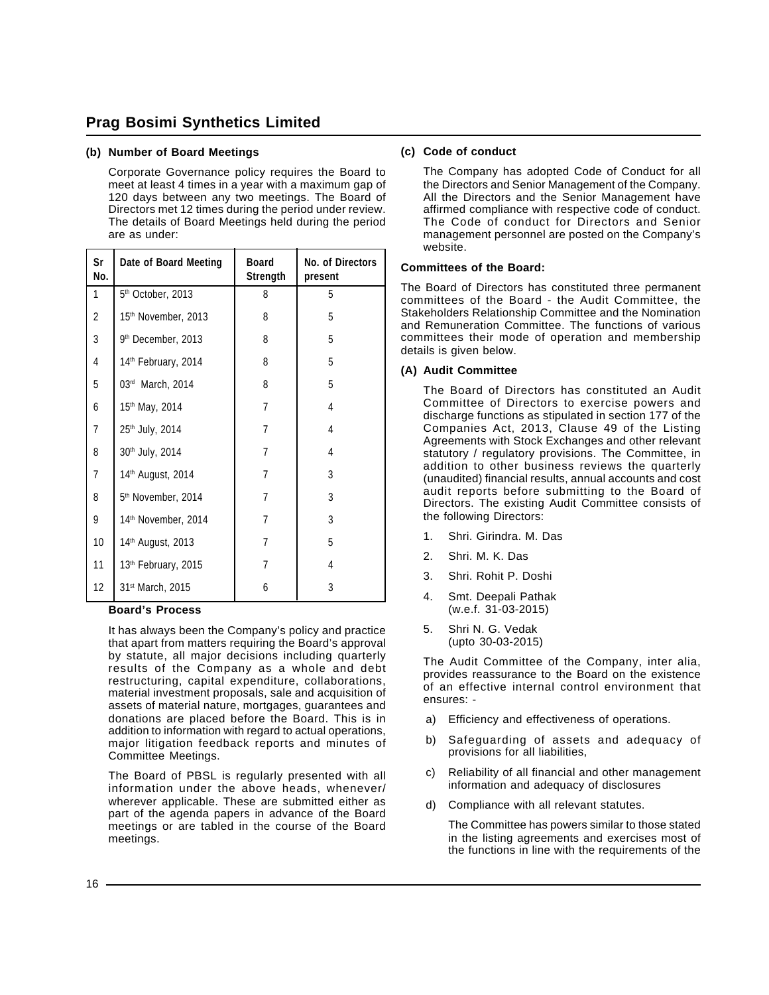#### **(b) Number of Board Meetings**

Corporate Governance policy requires the Board to meet at least 4 times in a year with a maximum gap of 120 days between any two meetings. The Board of Directors met 12 times during the period under review. The details of Board Meetings held during the period are as under:

| Sr<br>No.      | Date of Board Meeting           | <b>Board</b><br>Strength | No. of Directors<br>present |
|----------------|---------------------------------|--------------------------|-----------------------------|
| 1              | 5th October, 2013               | 8                        | 5                           |
| 2              | 15th November, 2013             | 8                        | 5                           |
| 3              | 9 <sup>th</sup> December, 2013  | 8                        | 5                           |
| 4              | 14 <sup>th</sup> February, 2014 | 8                        | 5                           |
| 5              | 03rd March, 2014                | 8                        | 5                           |
| 6              | 15th May, 2014                  | $\overline{7}$           | 4                           |
| $\overline{7}$ | 25 <sup>th</sup> July, 2014     | 7                        | 4                           |
| 8              | 30th July, 2014                 | 7                        | 4                           |
| $\overline{7}$ | 14th August, 2014               | 7                        | 3                           |
| 8              | 5th November, 2014              | 7                        | 3                           |
| 9              | 14th November, 2014             | $\overline{7}$           | 3                           |
| 10             | 14th August, 2013               | 7                        | 5                           |
| 11             | 13th February, 2015             | $\overline{7}$           | 4                           |
| 12             | 31 <sup>st</sup> March, 2015    | 6                        | 3                           |

#### **Board's Process**

It has always been the Company's policy and practice that apart from matters requiring the Board's approval by statute, all major decisions including quarterly results of the Company as a whole and debt restructuring, capital expenditure, collaborations, material investment proposals, sale and acquisition of assets of material nature, mortgages, guarantees and donations are placed before the Board. This is in addition to information with regard to actual operations, major litigation feedback reports and minutes of Committee Meetings.

The Board of PBSL is regularly presented with all information under the above heads, whenever/ wherever applicable. These are submitted either as part of the agenda papers in advance of the Board meetings or are tabled in the course of the Board meetings.

#### **(c) Code of conduct**

The Company has adopted Code of Conduct for all the Directors and Senior Management of the Company. All the Directors and the Senior Management have affirmed compliance with respective code of conduct. The Code of conduct for Directors and Senior management personnel are posted on the Company's website.

#### **Committees of the Board:**

The Board of Directors has constituted three permanent committees of the Board - the Audit Committee, the Stakeholders Relationship Committee and the Nomination and Remuneration Committee. The functions of various committees their mode of operation and membership details is given below.

#### **(A) Audit Committee**

The Board of Directors has constituted an Audit Committee of Directors to exercise powers and discharge functions as stipulated in section 177 of the Companies Act, 2013, Clause 49 of the Listing Agreements with Stock Exchanges and other relevant statutory / regulatory provisions. The Committee, in addition to other business reviews the quarterly (unaudited) financial results, annual accounts and cost audit reports before submitting to the Board of Directors. The existing Audit Committee consists of the following Directors:

- 1. Shri. Girindra. M. Das
- 2. Shri. M. K. Das
- 3. Shri. Rohit P. Doshi
- 4. Smt. Deepali Pathak (w.e.f. 31-03-2015)
- 5. Shri N. G. Vedak (upto 30-03-2015)

The Audit Committee of the Company, inter alia, provides reassurance to the Board on the existence of an effective internal control environment that ensures: -

- a) Efficiency and effectiveness of operations.
- b) Safeguarding of assets and adequacy of provisions for all liabilities,
- c) Reliability of all financial and other management information and adequacy of disclosures
- d) Compliance with all relevant statutes.
	- The Committee has powers similar to those stated in the listing agreements and exercises most of the functions in line with the requirements of the

 $16 -$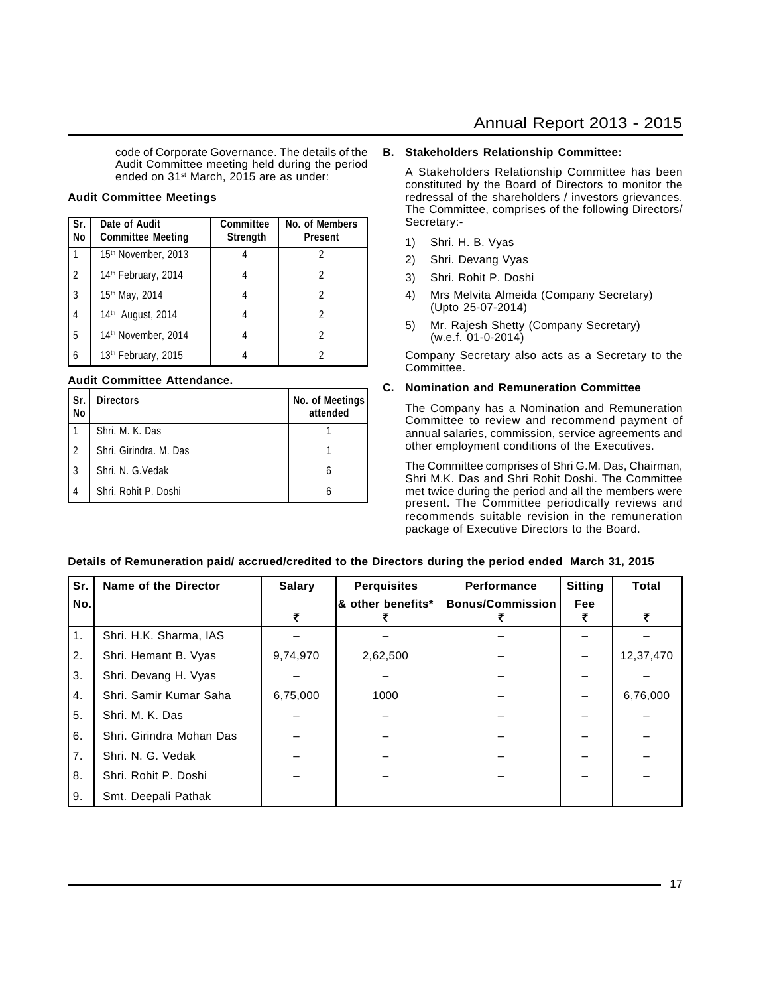code of Corporate Governance. The details of the Audit Committee meeting held during the period ended on 31<sup>st</sup> March, 2015 are as under:

#### **Audit Committee Meetings**

| ∣Sr.<br>No     | Date of Audit<br><b>Committee Meeting</b> | <b>Committee</b><br>Strength | No. of Members<br><b>Present</b> |
|----------------|-------------------------------------------|------------------------------|----------------------------------|
|                | 15 <sup>th</sup> November, 2013           |                              |                                  |
| l 2            | 14 <sup>th</sup> February, 2014           |                              |                                  |
| ვ              | 15th May, 2014                            |                              | 2                                |
| $\overline{4}$ | 14th August, 2014                         | 4                            | 2                                |
| l 5            | 14 <sup>th</sup> November, 2014           | 4                            | 2                                |
| l 6            | 13th February, 2015                       |                              |                                  |

#### **Audit Committee Attendance.**

| l Sr.<br>  No  | <b>Directors</b>       | No. of Meetings<br>attended |
|----------------|------------------------|-----------------------------|
|                | Shri. M. K. Das        |                             |
| $\overline{2}$ | Shri, Girindra, M. Das |                             |
| l 3            | Shri. N. G. Vedak      |                             |
|                | Shri, Rohit P. Doshi   |                             |

#### **B. Stakeholders Relationship Committee:**

A Stakeholders Relationship Committee has been constituted by the Board of Directors to monitor the redressal of the shareholders / investors grievances. The Committee, comprises of the following Directors/ Secretary:-

- 1) Shri. H. B. Vyas
- 2) Shri. Devang Vyas
- 3) Shri. Rohit P. Doshi
- 4) Mrs Melvita Almeida (Company Secretary) (Upto 25-07-2014)
- 5) Mr. Rajesh Shetty (Company Secretary) (w.e.f. 01-0-2014)

Company Secretary also acts as a Secretary to the Committee.

#### **C. Nomination and Remuneration Committee**

The Company has a Nomination and Remuneration Committee to review and recommend payment of annual salaries, commission, service agreements and other employment conditions of the Executives.

The Committee comprises of Shri G.M. Das, Chairman, Shri M.K. Das and Shri Rohit Doshi. The Committee met twice during the period and all the members were present. The Committee periodically reviews and recommends suitable revision in the remuneration package of Executive Directors to the Board.

| Sr. | Name of the Director     | <b>Salary</b> | <b>Perquisites</b> | <b>Performance</b>      | <b>Sitting</b> | <b>Total</b> |
|-----|--------------------------|---------------|--------------------|-------------------------|----------------|--------------|
| No. |                          |               | & other benefits*  | <b>Bonus/Commission</b> | Fee            | ₹            |
| 1.  | Shri. H.K. Sharma, IAS   |               |                    |                         |                |              |
| 2.  | Shri. Hemant B. Vyas     | 9,74,970      | 2,62,500           |                         |                | 12,37,470    |
| 3.  | Shri. Devang H. Vyas     |               |                    |                         |                |              |
| 4.  | Shri, Samir Kumar Saha   | 6,75,000      | 1000               |                         |                | 6,76,000     |
| 5.  | Shri. M. K. Das          |               |                    |                         |                |              |
| 6.  | Shri, Girindra Mohan Das |               |                    |                         |                |              |
| 7.  | Shri, N. G. Vedak        |               |                    |                         |                |              |
| 8.  | Shri. Rohit P. Doshi     |               |                    |                         |                |              |
| 9.  | Smt. Deepali Pathak      |               |                    |                         |                |              |

#### **Details of Remuneration paid/ accrued/credited to the Directors during the period ended March 31, 2015**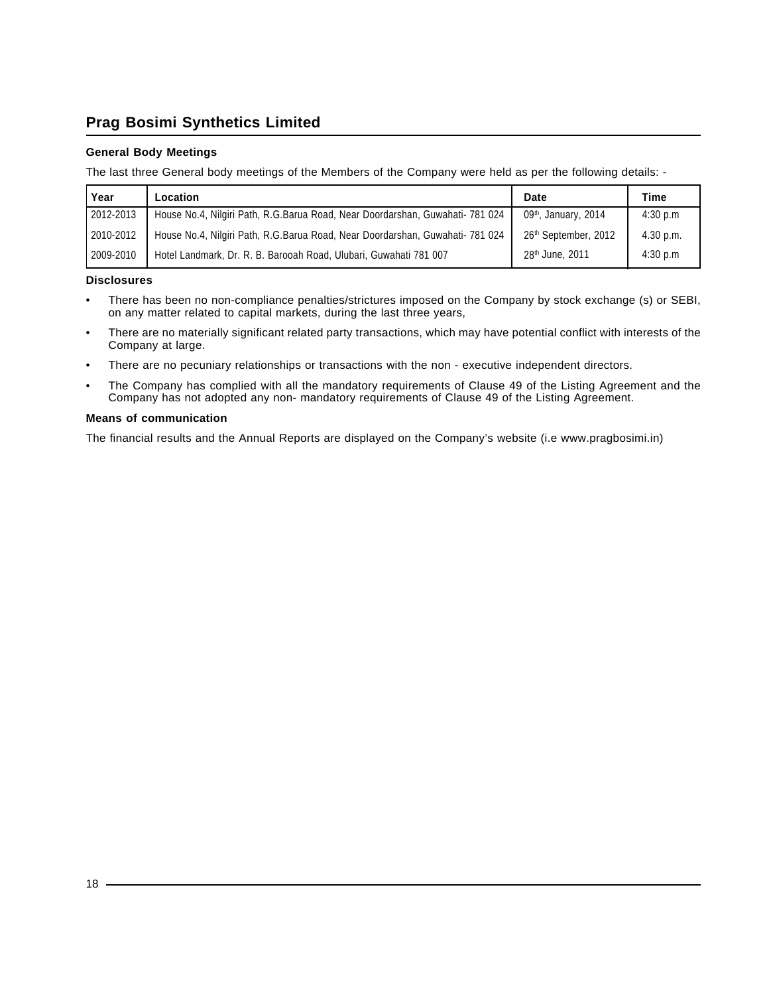#### **General Body Meetings**

The last three General body meetings of the Members of the Company were held as per the following details: -

| Year      | Location                                                                      | <b>Date</b>                      | Time      |
|-----------|-------------------------------------------------------------------------------|----------------------------------|-----------|
| 2012-2013 | House No.4, Nilgiri Path, R.G.Barua Road, Near Doordarshan, Guwahati- 781 024 | 09 <sup>th</sup> , January, 2014 | 4:30 p.m  |
| 2010-2012 | House No.4, Nilgiri Path, R.G.Barua Road, Near Doordarshan, Guwahati- 781 024 | 26 <sup>th</sup> September, 2012 | 4.30 p.m. |
| 2009-2010 | Hotel Landmark, Dr. R. B. Barooah Road, Ulubari, Guwahati 781 007             | 28 <sup>th</sup> June, 2011      | 4:30 p.m  |

#### **Disclosures**

- There has been no non-compliance penalties/strictures imposed on the Company by stock exchange (s) or SEBI, on any matter related to capital markets, during the last three years,
- There are no materially significant related party transactions, which may have potential conflict with interests of the Company at large.
- There are no pecuniary relationships or transactions with the non executive independent directors.
- The Company has complied with all the mandatory requirements of Clause 49 of the Listing Agreement and the Company has not adopted any non- mandatory requirements of Clause 49 of the Listing Agreement.

#### **Means of communication**

The financial results and the Annual Reports are displayed on the Company's website (i.e www.pragbosimi.in)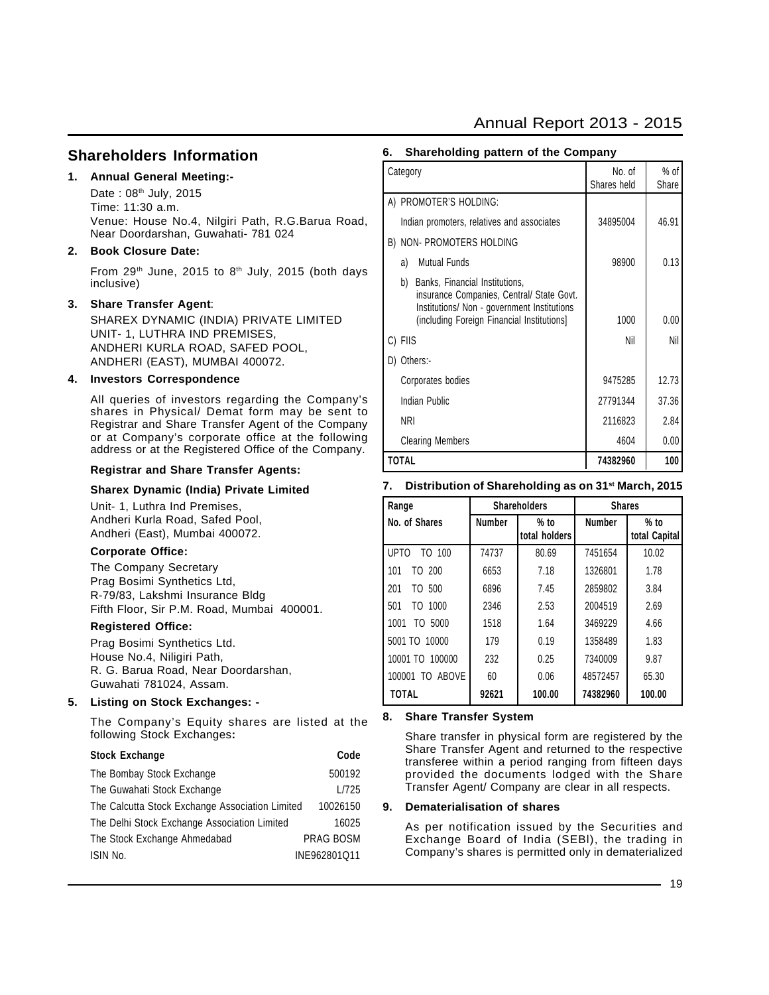# Annual Report 2013 - 2015

### **Shareholders Information**

#### **1. Annual General Meeting:-**

Date:  $08<sup>th</sup>$  July, 2015 Time: 11:30 a.m. Venue: House No.4, Nilgiri Path, R.G.Barua Road, Near Doordarshan, Guwahati- 781 024

#### **2. Book Closure Date:**

From  $29<sup>th</sup>$  June, 2015 to  $8<sup>th</sup>$  July, 2015 (both days inclusive)

#### **3. Share Transfer Agent**:

SHAREX DYNAMIC (INDIA) PRIVATE LIMITED UNIT- 1, LUTHRA IND PREMISES, ANDHERI KURLA ROAD, SAFED POOL, ANDHERI (EAST), MUMBAI 400072.

#### **4. Investors Correspondence**

All queries of investors regarding the Company's shares in Physical/ Demat form may be sent to Registrar and Share Transfer Agent of the Company or at Company's corporate office at the following address or at the Registered Office of the Company.

#### **Registrar and Share Transfer Agents:**

#### **Sharex Dynamic (India) Private Limited**

Unit- 1, Luthra Ind Premises, Andheri Kurla Road, Safed Pool, Andheri (East), Mumbai 400072.

#### **Corporate Office:**

The Company Secretary Prag Bosimi Synthetics Ltd, R-79/83, Lakshmi Insurance Bldg Fifth Floor, Sir P.M. Road, Mumbai 400001.

#### **Registered Office:**

Prag Bosimi Synthetics Ltd. House No.4, Niligiri Path, R. G. Barua Road, Near Doordarshan, Guwahati 781024, Assam.

#### **5. Listing on Stock Exchanges: -**

The Company's Equity shares are listed at the following Stock Exchanges**:**

# **Stock Exchange Code**

| The Bombay Stock Exchange                       | 500192           |
|-------------------------------------------------|------------------|
| The Guwahati Stock Exchange                     | L/725            |
| The Calcutta Stock Exchange Association Limited | 10026150         |
| The Delhi Stock Exchange Association Limited    | 16025            |
| The Stock Exchange Ahmedabad                    | <b>PRAG BOSM</b> |
| ISIN No.                                        | INE962801Q11     |

| Shareholding pattern of the Company<br>6.                                                                                                                                      |                       |                 |  |  |  |
|--------------------------------------------------------------------------------------------------------------------------------------------------------------------------------|-----------------------|-----------------|--|--|--|
| Category                                                                                                                                                                       | No. of<br>Shares held | $%$ of<br>Share |  |  |  |
| A) PROMOTER'S HOLDING:                                                                                                                                                         |                       |                 |  |  |  |
| Indian promoters, relatives and associates                                                                                                                                     | 34895004              | 46.91           |  |  |  |
| B) NON- PROMOTERS HOLDING                                                                                                                                                      |                       |                 |  |  |  |
| <b>Mutual Funds</b><br>a)                                                                                                                                                      | 98900                 | 0.13            |  |  |  |
| b)<br>Banks, Financial Institutions,<br>insurance Companies, Central/ State Govt.<br>Institutions/ Non - government Institutions<br>(including Foreign Financial Institutions) | 1000                  | 0.00            |  |  |  |
| C) FIIS                                                                                                                                                                        | Nil                   | Nil             |  |  |  |
| D) Others:-                                                                                                                                                                    |                       |                 |  |  |  |
| Corporates bodies                                                                                                                                                              | 9475285               | 12.73           |  |  |  |
| Indian Public                                                                                                                                                                  | 27791344              | 37.36           |  |  |  |
| <b>NRI</b>                                                                                                                                                                     | 2116823               | 2.84            |  |  |  |
| <b>Clearing Members</b>                                                                                                                                                        | 4604                  | 0.00            |  |  |  |
| <b>TOTAL</b>                                                                                                                                                                   | 74382960              | 100             |  |  |  |

#### **7. Distribution of Shareholding as on 31st March, 2015**

| Range            |               | <b>Shareholders</b> | <b>Shares</b> |               |
|------------------|---------------|---------------------|---------------|---------------|
| l No. of Shares  | <b>Number</b> | $%$ to              | <b>Number</b> | $%$ to        |
|                  |               | total holders       |               | total Capital |
| l upto<br>TO 100 | 74737         | 80.69               | 7451654       | 10.02         |
| TO 200<br>101    | 6653          | 7.18                | 1326801       | 1.78          |
| 1201<br>TO 500   | 6896          | 7.45                | 2859802       | 3.84          |
| TO 1000<br>501   | 2346          | 2.53                | 2004519       | 2.69          |
| TO 5000<br>1001  | 1518          | 1.64                | 3469229       | 4.66          |
| 5001 TO 10000    | 179           | 0.19                | 1358489       | 1.83          |
| 10001 TO 100000  | 232           | 0.25                | 7340009       | 9.87          |
| 100001 TO ABOVE  | 60            | 0.06                | 48572457      | 65.30         |
| <b>TOTAL</b>     | 92621         | 100.00              | 74382960      | 100.00        |

#### **8. Share Transfer System**

Share transfer in physical form are registered by the Share Transfer Agent and returned to the respective transferee within a period ranging from fifteen days provided the documents lodged with the Share Transfer Agent/ Company are clear in all respects.

#### **9. Dematerialisation of shares**

As per notification issued by the Securities and Exchange Board of India (SEBl), the trading in Company's shares is permitted only in dematerialized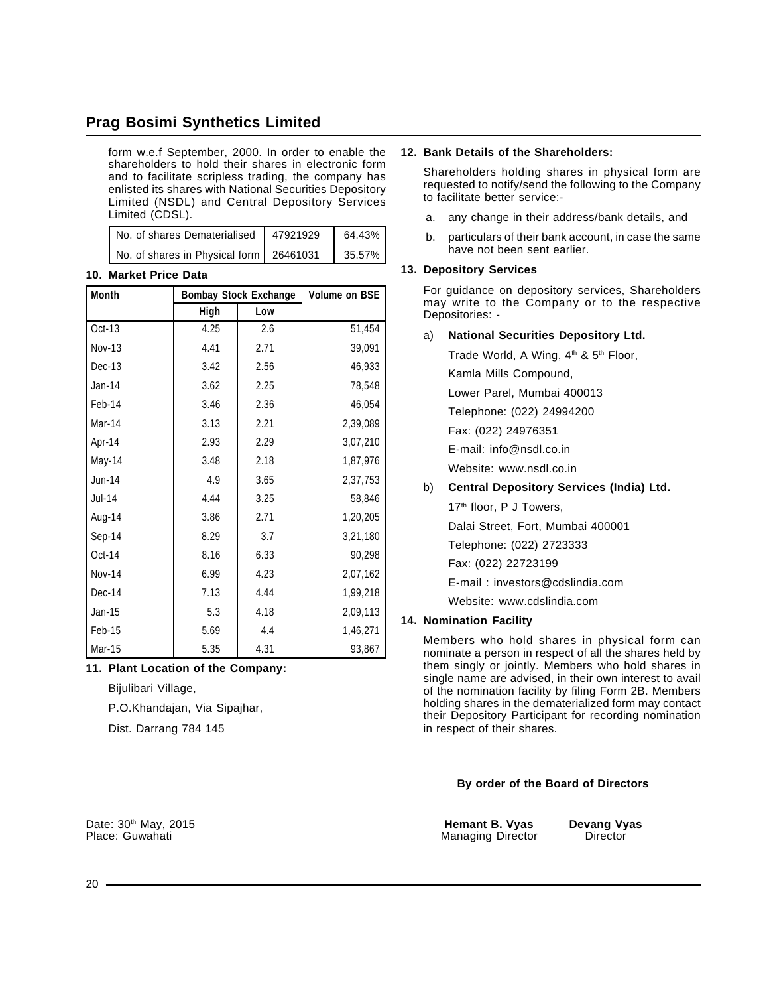form w.e.f September, 2000. In order to enable the shareholders to hold their shares in electronic form and to facilitate scripless trading, the company has enlisted its shares with National Securities Depository Limited (NSDL) and Central Depository Services Limited (CDSL).

| No. of shares Dematerialised   47921929   | 64.43% |
|-------------------------------------------|--------|
| No. of shares in Physical form   26461031 | 35.57% |

#### **10. Market Price Data**

| <b>Month</b>  | <b>Bombay Stock Exchange</b> | <b>Volume on BSE</b> |          |
|---------------|------------------------------|----------------------|----------|
|               | High                         | Low                  |          |
| $Oct-13$      | 4.25                         | 2.6                  | 51,454   |
| <b>Nov-13</b> | 4.41                         | 2.71                 | 39,091   |
| Dec-13        | 3.42                         | 2.56                 | 46,933   |
| Jan-14        | 3.62                         | 2.25                 | 78,548   |
| Feb-14        | 3.46                         | 2.36                 | 46,054   |
| Mar-14        | 3.13                         | 2.21                 | 2,39,089 |
| Apr-14        | 2.93                         | 2.29                 | 3,07,210 |
| May-14        | 3.48                         | 2.18                 | 1,87,976 |
| Jun-14        | 4.9                          | 3.65                 | 2,37,753 |
| Jul-14        | 4.44                         | 3.25                 | 58,846   |
| Aug-14        | 3.86                         | 2.71                 | 1,20,205 |
| Sep-14        | 8.29                         | 3.7                  | 3,21,180 |
| Oct-14        | 8.16                         | 6.33                 | 90,298   |
| <b>Nov-14</b> | 6.99                         | 4.23                 | 2,07,162 |
| Dec-14        | 7.13                         | 4.44                 | 1,99,218 |
| $Jan-15$      | 5.3                          | 4.18                 | 2,09,113 |
| Feb-15        | 5.69                         | 4.4                  | 1,46,271 |
| Mar-15        | 5.35                         | 4.31                 | 93,867   |

#### **11. Plant Location of the Company:**

Bijulibari Village,

P.O.Khandajan, Via Sipajhar,

Dist. Darrang 784 145

#### **12. Bank Details of the Shareholders:**

Shareholders holding shares in physical form are requested to notify/send the following to the Company to facilitate better service:-

- a. any change in their address/bank details, and
- b. particulars of their bank account, in case the same have not been sent earlier.

#### **13. Depository Services**

For guidance on depository services, Shareholders may write to the Company or to the respective Depositories: -

#### a) **National Securities Depository Ltd.**

Trade World, A Wing,  $4<sup>th</sup>$  &  $5<sup>th</sup>$  Floor, Kamla Mills Compound, Lower Parel, Mumbai 400013 Telephone: (022) 24994200 Fax: (022) 24976351 E-mail: info@nsdl.co.in Website: www.nsdl.co.in b) **Central Depository Services (India) Ltd.** 17<sup>th</sup> floor, P J Towers,

Dalai Street, Fort, Mumbai 400001

Telephone: (022) 2723333

Fax: (022) 22723199

E-mail : investors@cdslindia.com

Website: www.cdslindia.com

#### **14. Nomination Facility**

Members who hold shares in physical form can nominate a person in respect of all the shares held by them singly or jointly. Members who hold shares in single name are advised, in their own interest to avail of the nomination facility by filing Form 2B. Members holding shares in the dematerialized form may contact their Depository Participant for recording nomination in respect of their shares.

#### **By order of the Board of Directors**

Date: 30<sup>th</sup> May, 2015 **hemant B. Vyas Devang Vyas Devang Vyas Place: Guwahati Hemant B. Vyas Devang Vyas Place: Guwahati Hemant B. Vyas Devang Vyas Place: Guwahati Hemant B. Wanaging Director Managing Director**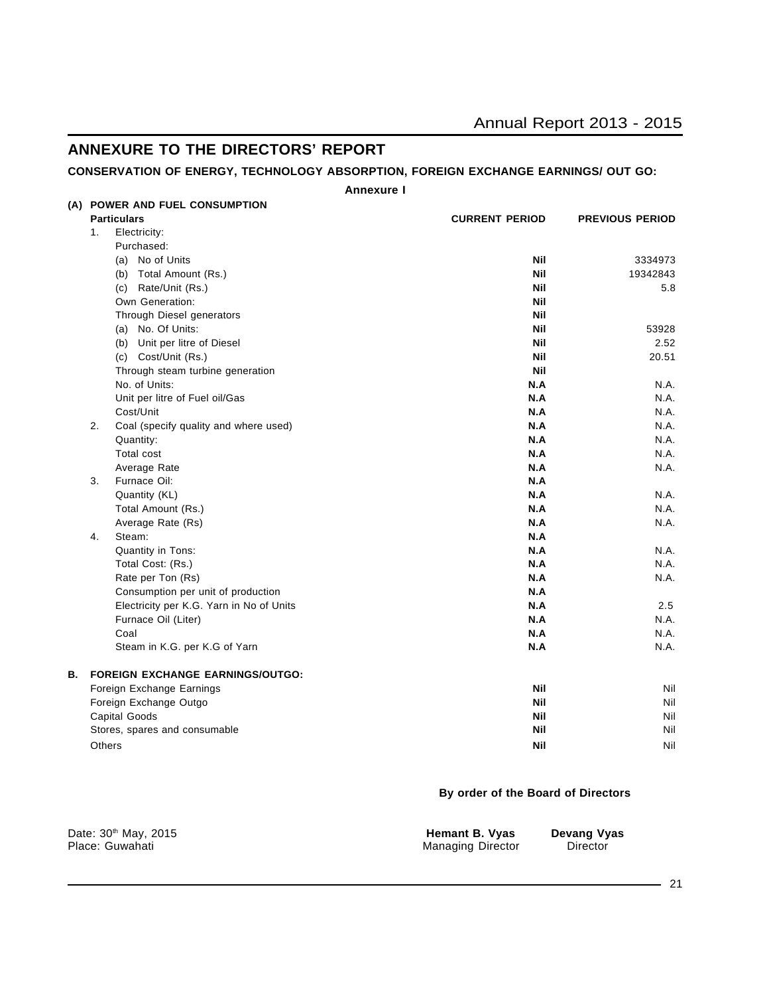# **ANNEXURE TO THE DIRECTORS' REPORT**

### **CONSERVATION OF ENERGY, TECHNOLOGY ABSORPTION, FOREIGN EXCHANGE EARNINGS/ OUT GO:**

**Annexure I**

|    | (A) POWER AND FUEL CONSUMPTION              |                       |                        |
|----|---------------------------------------------|-----------------------|------------------------|
|    | <b>Particulars</b>                          | <b>CURRENT PERIOD</b> | <b>PREVIOUS PERIOD</b> |
|    | 1.<br>Electricity:                          |                       |                        |
|    | Purchased:                                  |                       |                        |
|    | (a) No of Units                             | <b>Nil</b>            | 3334973                |
|    | (b) Total Amount (Rs.)                      | <b>Nil</b>            | 19342843               |
|    | (c) Rate/Unit (Rs.)                         | <b>Nil</b>            | 5.8                    |
|    | Own Generation:                             | <b>Nil</b>            |                        |
|    | Through Diesel generators                   | <b>Nil</b>            |                        |
|    | (a) No. Of Units:                           | <b>Nil</b>            | 53928                  |
|    | (b) Unit per litre of Diesel                | <b>Nil</b>            | 2.52                   |
|    | (c) Cost/Unit (Rs.)                         | Nil                   | 20.51                  |
|    | Through steam turbine generation            | Nil                   |                        |
|    | No. of Units:                               | N.A                   | N.A.                   |
|    | Unit per litre of Fuel oil/Gas              | N.A                   | N.A.                   |
|    | Cost/Unit                                   | N.A                   | N.A.                   |
|    | 2.<br>Coal (specify quality and where used) | N.A                   | N.A.                   |
|    | Quantity:                                   | N.A                   | N.A.                   |
|    | <b>Total cost</b>                           | N.A                   | N.A.                   |
|    | Average Rate                                | N.A                   | N.A.                   |
|    | 3.<br>Furnace Oil:                          | N.A                   |                        |
|    | Quantity (KL)                               | N.A                   | N.A.                   |
|    | Total Amount (Rs.)                          | N.A                   | N.A.                   |
|    | Average Rate (Rs)                           | N.A                   | N.A.                   |
|    | 4.<br>Steam:                                | N.A                   |                        |
|    | Quantity in Tons:                           | N.A                   | N.A.                   |
|    | Total Cost: (Rs.)                           | N.A                   | N.A.                   |
|    | Rate per Ton (Rs)                           | N.A                   | N.A.                   |
|    | Consumption per unit of production          | N.A                   |                        |
|    | Electricity per K.G. Yarn in No of Units    | N.A                   | 2.5                    |
|    | Furnace Oil (Liter)                         | N.A                   | N.A.                   |
|    | Coal                                        | N.A                   | N.A.                   |
|    | Steam in K.G. per K.G of Yarn               | N.A                   | N.A.                   |
| В. | <b>FOREIGN EXCHANGE EARNINGS/OUTGO:</b>     |                       |                        |
|    | Foreign Exchange Earnings                   | <b>Nil</b>            | Nil                    |
|    | Foreign Exchange Outgo                      | Nil                   | Nil                    |
|    | Capital Goods                               | Nil                   | Nil                    |
|    | Stores, spares and consumable               | <b>Nil</b>            | Nil                    |
|    | Others                                      | <b>Nil</b>            | Nil                    |

#### **By order of the Board of Directors**

| Date: 30 <sup>th</sup> May, 2015 | Hemant B. Vyas           | Devang Vyas |
|----------------------------------|--------------------------|-------------|
| Place: Guwahati                  | <b>Managing Director</b> | Director    |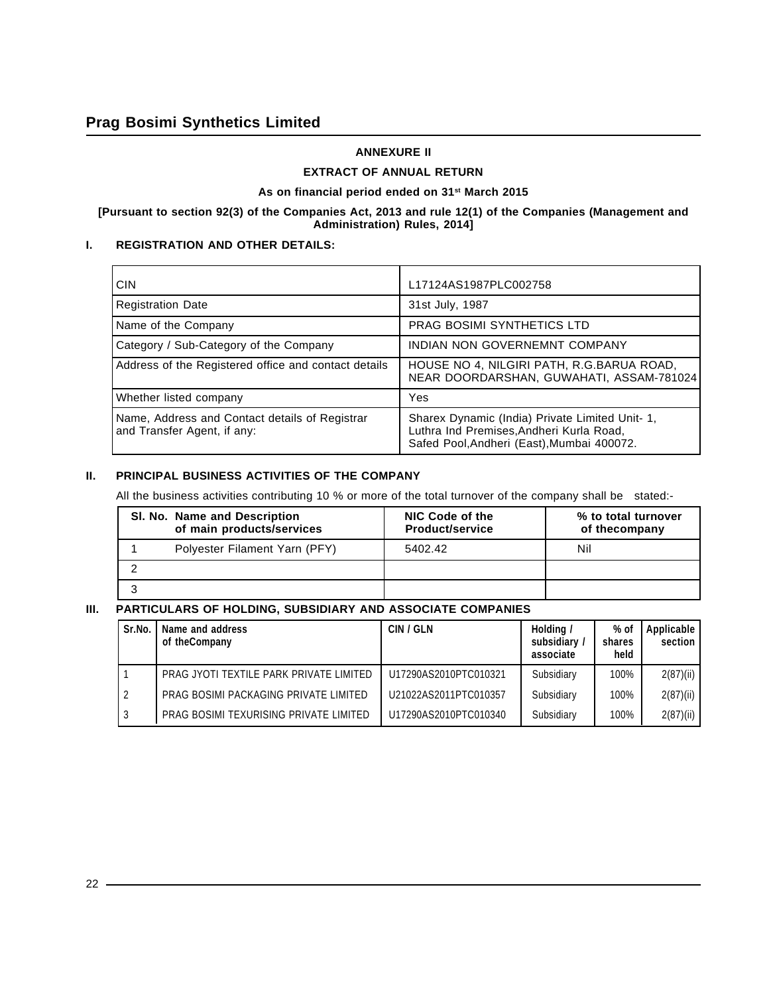#### **ANNEXURE II**

#### **EXTRACT OF ANNUAL RETURN**

#### As on financial period ended on 31<sup>st</sup> March 2015

#### **[Pursuant to section 92(3) of the Companies Act, 2013 and rule 12(1) of the Companies (Management and Administration) Rules, 2014]**

### **I. REGISTRATION AND OTHER DETAILS:**

| <b>CIN</b>                                                                    | L17124AS1987PLC002758                                                                                                                     |
|-------------------------------------------------------------------------------|-------------------------------------------------------------------------------------------------------------------------------------------|
| <b>Registration Date</b>                                                      | 31st July, 1987                                                                                                                           |
| Name of the Company                                                           | <b>PRAG BOSIMI SYNTHETICS LTD</b>                                                                                                         |
| Category / Sub-Category of the Company                                        | INDIAN NON GOVERNEMNT COMPANY                                                                                                             |
| Address of the Registered office and contact details                          | HOUSE NO 4, NILGIRI PATH, R.G.BARUA ROAD,<br>NEAR DOORDARSHAN, GUWAHATI, ASSAM-781024                                                     |
| Whether listed company                                                        | Yes                                                                                                                                       |
| Name, Address and Contact details of Registrar<br>and Transfer Agent, if any: | Sharex Dynamic (India) Private Limited Unit- 1,<br>Luthra Ind Premises, Andheri Kurla Road,<br>Safed Pool, Andheri (East), Mumbai 400072. |

#### **II. PRINCIPAL BUSINESS ACTIVITIES OF THE COMPANY**

All the business activities contributing 10 % or more of the total turnover of the company shall be stated:-

| SI. No. Name and Description<br>of main products/services | NIC Code of the<br><b>Product/service</b> | % to total turnover<br>of thecompany |
|-----------------------------------------------------------|-------------------------------------------|--------------------------------------|
| Polyester Filament Yarn (PFY)                             | 5402.42                                   | Nil                                  |
|                                                           |                                           |                                      |
|                                                           |                                           |                                      |

## **III. PARTICULARS OF HOLDING, SUBSIDIARY AND ASSOCIATE COMPANIES**

| Sr.No. | Name and address<br>of theCompany       | CIN / GLN             | Holding /<br>subsidiary /<br>associate | % of<br>shares<br>held | Applicable<br>section |
|--------|-----------------------------------------|-----------------------|----------------------------------------|------------------------|-----------------------|
|        | PRAG JYOTI TEXTILE PARK PRIVATE LIMITED | U17290AS2010PTC010321 | Subsidiary                             | 100%                   | 2(87)(ii)             |
|        | PRAG BOSIMI PACKAGING PRIVATE LIMITED   | U21022AS2011PTC010357 | Subsidiary                             | 100%                   | 2(87)(ii)             |
| -3     | PRAG BOSIMI TEXURISING PRIVATE LIMITED  | U17290AS2010PTC010340 | Subsidiary                             | 100%                   | 2(87)(ii)             |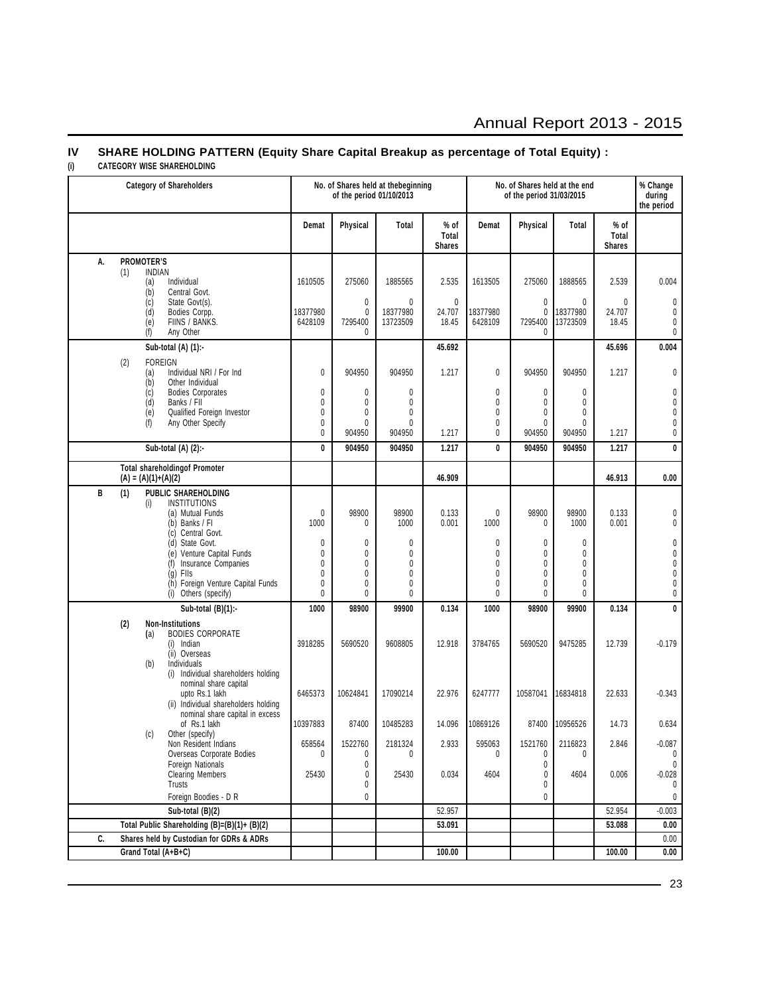# Annual Report 2013 - 2015

# **IV SHARE HOLDING PATTERN (Equity Share Capital Breakup as percentage of Total Equity) :**

#### **(i) CATEGORY WISE SHAREHOLDING**

| <b>Category of Shareholders</b>                               |                        | of the period 01/10/2013 | No. of Shares held at thebeginning |                                | No. of Shares held at the end<br>of the period 31/03/2015 |                              |                     | % Change<br>during<br>the period |                         |
|---------------------------------------------------------------|------------------------|--------------------------|------------------------------------|--------------------------------|-----------------------------------------------------------|------------------------------|---------------------|----------------------------------|-------------------------|
|                                                               | Demat                  | Physical                 | Total                              | % of<br>Total<br><b>Shares</b> | Demat                                                     | Physical                     | <b>Total</b>        | % of<br>Total<br><b>Shares</b>   |                         |
| <b>PROMOTER'S</b><br>А.                                       |                        |                          |                                    |                                |                                                           |                              |                     |                                  |                         |
| <b>INDIAN</b><br>(1)<br>Individual<br>(a)                     | 1610505                | 275060                   | 1885565                            | 2.535                          | 1613505                                                   | 275060                       | 1888565             | 2.539                            | 0.004                   |
| (b)<br>Central Govt.                                          |                        |                          |                                    |                                |                                                           |                              |                     |                                  |                         |
| State Govt(s).<br>(c)<br>(d)<br>Bodies Corpp.                 | 18377980               | $\pmb{0}$<br>0           | $\mathbf{0}$<br>18377980           | $\mathbf{0}$<br>24.707         | 18377980                                                  | $\mathbf{0}$<br>0            | 0<br>18377980       | 0<br>24.707                      | $\pmb{0}$<br>$\pmb{0}$  |
| FIINS / BANKS.<br>(e)<br>(f)<br>Any Other                     | 6428109                | 7295400<br>$\mathbf{0}$  | 13723509                           | 18.45                          | 6428109                                                   | 7295400<br>$\mathbf{0}$      | 13723509            | 18.45                            | 0<br>$\pmb{0}$          |
| Sub-total (A) (1):-                                           |                        |                          |                                    | 45.692                         |                                                           |                              |                     | 45.696                           | 0.004                   |
| (2)<br><b>FOREIGN</b>                                         |                        |                          |                                    |                                |                                                           |                              |                     |                                  |                         |
| Individual NRI / For Ind<br>(a)                               | 0                      | 904950                   | 904950                             | 1.217                          | 0                                                         | 904950                       | 904950              | 1.217                            | 0                       |
| (b)<br>Other Individual<br><b>Bodies Corporates</b><br>(c)    | 0                      | 0                        | 0                                  |                                | 0                                                         | 0                            | 0                   |                                  | $\pmb{0}$               |
| (d)<br>Banks / FII                                            | 0<br>0                 | 0                        | 0<br>$\mathbf{0}$                  |                                | 0<br>0                                                    | $\mathbf{0}$<br>$\mathbf{0}$ | 0<br>0              |                                  | $\pmb{0}$               |
| (e)<br>Qualified Foreign Investor<br>(f)<br>Any Other Specify | $\mathbf{0}$           | 0<br>0                   | 0                                  |                                | 0                                                         | $\mathbf{0}$                 | 0                   |                                  | 0<br>0                  |
|                                                               | 0                      | 904950                   | 904950                             | 1.217                          | 0                                                         | 904950                       | 904950              | 1.217                            | 0                       |
| Sub-total (A) (2):-                                           | 0                      | 904950                   | 904950                             | 1.217                          | 0                                                         | 904950                       | 904950              | 1.217                            | $\overline{\mathbf{0}}$ |
| <b>Total shareholdingof Promoter</b><br>$(A) = (A)(1)+(A)(2)$ |                        |                          |                                    | 46.909                         |                                                           |                              |                     | 46.913                           | 0.00                    |
| <b>PUBLIC SHAREHOLDING</b><br>B<br>(1)                        |                        |                          |                                    |                                |                                                           |                              |                     |                                  |                         |
| <b>INSTITUTIONS</b><br>(i)<br>(a) Mutual Funds                | $\mathbf{0}$           | 98900                    | 98900                              | 0.133                          | 0                                                         | 98900                        | 98900               | 0.133                            | 0                       |
| (b) Banks / FI                                                | 1000                   | 0                        | 1000                               | 0.001                          | 1000                                                      | 0                            | 1000                | 0.001                            | 0                       |
| Central Govt.<br>(c)<br>State Govt.<br>(d)                    | 0                      | 0                        | 0                                  |                                | 0                                                         | 0                            | 0                   |                                  | 0                       |
| Venture Capital Funds<br>(e)                                  | 0<br>0                 | 0<br>0                   | 0<br>0                             |                                | 0<br>0                                                    | $\mathbf{0}$<br>$\mathbf{0}$ | 0<br>$\mathbf{0}$   |                                  | 0<br>$\pmb{0}$          |
| Insurance Companies<br>(f)<br>Flls<br>(g)                     | $\mathbf{0}$           | 0                        | 0                                  |                                | 0                                                         | $\mathbf{0}$                 | $\mathbf{0}$        |                                  | 0                       |
| (h) Foreign Venture Capital Funds<br>(i) Others (specify)     | 0<br>0                 | 0<br>0                   | 0<br>0                             |                                | 0<br>0                                                    | $\mathbf{0}$<br>$\mathbf{0}$ | 0<br>0              |                                  | 0<br>0                  |
| Sub-total $(B)(1)$ :-                                         | 1000                   | 98900                    | 99900                              | 0.134                          | 1000                                                      | 98900                        | 99900               | 0.134                            | $\pmb{0}$               |
| (2)<br><b>Non-Institutions</b>                                |                        |                          |                                    |                                |                                                           |                              |                     |                                  |                         |
| <b>BODIES CORPORATE</b><br>(a)<br>(i) Indian                  | 3918285                | 5690520                  | 9608805                            | 12.918                         | 3784765                                                   | 5690520                      | 9475285             | 12.739                           | $-0.179$                |
| (ii) Overseas                                                 |                        |                          |                                    |                                |                                                           |                              |                     |                                  |                         |
| Individuals<br>(b)<br>(i) Individual shareholders holding     |                        |                          |                                    |                                |                                                           |                              |                     |                                  |                         |
| nominal share capital                                         |                        |                          |                                    |                                |                                                           |                              |                     |                                  |                         |
| upto Rs.1 lakh<br>(ii) Individual shareholders holding        | 6465373                | 10624841                 | 17090214                           | 22.976                         | 6247777                                                   | 10587041                     | 16834818            | 22.633                           | $-0.343$                |
| nominal share capital in excess                               |                        |                          |                                    |                                |                                                           |                              |                     |                                  |                         |
| of Rs.1 lakh<br>Other (specify)<br>(c)                        | 10397883               | 87400                    | 10485283                           | 14.096                         | 10869126                                                  | 87400                        | 10956526            | 14.73                            | 0.634                   |
| Non Resident Indians<br>Overseas Corporate Bodies             | 658564<br>$\mathbf{0}$ | 1522760                  | 2181324<br>$\mathbf{0}$            | 2.933                          | 595063<br>$\Omega$                                        | 1521760                      | 2116823<br>$\Omega$ | 2.846                            | $-0.087$                |
| Foreign Nationals                                             |                        | 0<br>0                   |                                    |                                |                                                           | 0<br>0                       |                     |                                  | $\bf{0}$<br>$\mathbf 0$ |
| <b>Clearing Members</b><br>Trusts                             | 25430                  | 0<br>0                   | 25430                              | 0.034                          | 4604                                                      | 0<br>0                       | 4604                | 0.006                            | $-0.028$<br>0           |
| Foreign Boodies - D R                                         |                        | 0                        |                                    |                                |                                                           | 0                            |                     |                                  | $\mathbf 0$             |
| Sub-total (B)(2)                                              |                        |                          |                                    | 52.957                         |                                                           |                              |                     | 52.954                           | $-0.003$                |
| Total Public Shareholding (B)=(B)(1)+ (B)(2)                  |                        |                          |                                    | 53.091                         |                                                           |                              |                     | 53.088                           | 0.00                    |
| C.<br>Shares held by Custodian for GDRs & ADRs                |                        |                          |                                    |                                |                                                           |                              |                     |                                  | 0.00                    |
| Grand Total (A+B+C)                                           |                        |                          |                                    | 100.00                         |                                                           |                              |                     | 100.00                           | 0.00                    |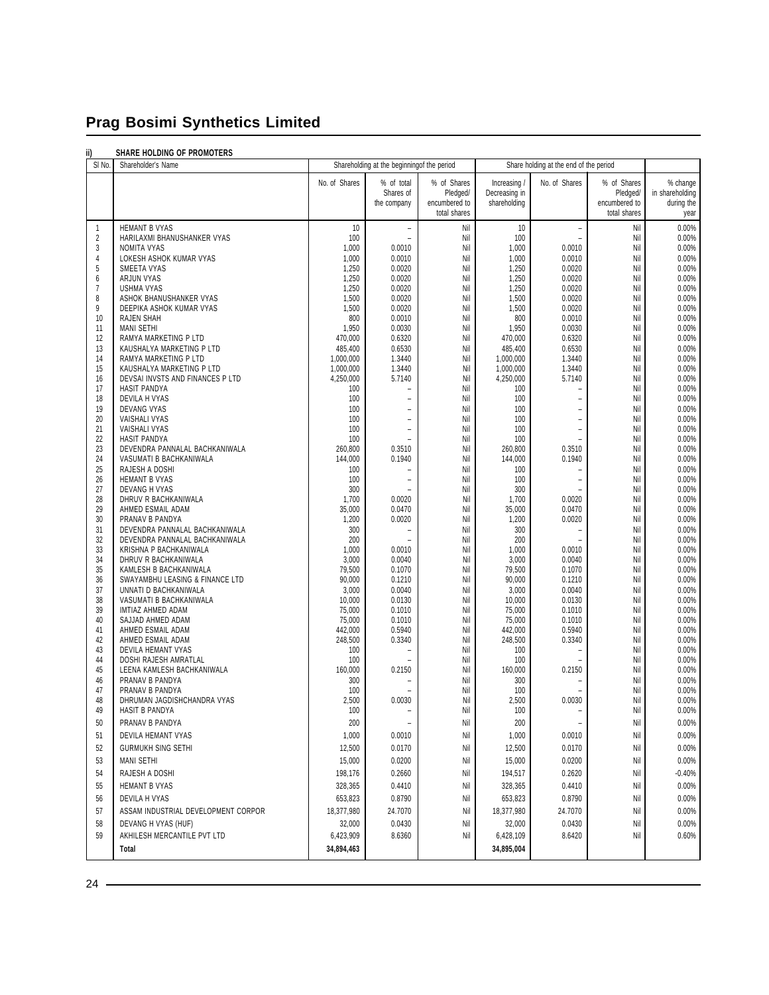#### **ii) SHARE HOLDING OF PROMOTERS**

| ш<br>SI No.         | JAME AVLUING UF FRUINDIERS<br>Shareholder's Name          | Shareholding at the beginning of the period |                                            | Share holding at the end of the period |                        |                                            |                               |                 |
|---------------------|-----------------------------------------------------------|---------------------------------------------|--------------------------------------------|----------------------------------------|------------------------|--------------------------------------------|-------------------------------|-----------------|
|                     |                                                           | No. of Shares                               | % of total                                 | % of Shares                            | Increasing /           | No. of Shares                              | % of Shares                   | % change        |
|                     |                                                           |                                             | Shares of                                  | Pledged/                               | Decreasing in          |                                            | Pledged/                      | in shareholding |
|                     |                                                           |                                             | the company                                | encumbered to<br>total shares          | shareholding           |                                            | encumbered to<br>total shares | during the      |
|                     |                                                           |                                             |                                            |                                        |                        |                                            |                               | year            |
| 1<br>$\overline{2}$ | <b>HEMANT B VYAS</b><br>HARILAXMI BHANUSHANKER VYAS       | 10<br>100                                   | $\overline{\phantom{a}}$<br>$\overline{a}$ | Nil<br>Nil                             | 10<br>100              | $\overline{a}$<br>$\overline{a}$           | Nil<br>Nil                    | 0.00%<br>0.00%  |
| 3                   | NOMITA VYAS                                               | 1,000                                       | 0.0010                                     | Nil                                    | 1,000                  | 0.0010                                     | Nil                           | 0.00%           |
| 4                   | LOKESH ASHOK KUMAR VYAS                                   | 1,000                                       | 0.0010                                     | Nil                                    | 1,000                  | 0.0010                                     | Nil                           | 0.00%           |
| 5<br>6              | SMEETA VYAS<br>ARJUN VYAS                                 | 1,250<br>1,250                              | 0.0020<br>0.0020                           | Nil<br>Nil                             | 1,250<br>1,250         | 0.0020<br>0.0020                           | Nil<br>Nil                    | 0.00%<br>0.00%  |
| $\overline{7}$      | <b>USHMA VYAS</b>                                         | 1,250                                       | 0.0020                                     | Nil                                    | 1,250                  | 0.0020                                     | Nil                           | 0.00%           |
| 8                   | ASHOK BHANUSHANKER VYAS                                   | 1,500                                       | 0.0020                                     | Nil                                    | 1,500                  | 0.0020                                     | Nil                           | 0.00%           |
| 9<br>10             | DEEPIKA ASHOK KUMAR VYAS<br>RAJEN SHAH                    | 1,500<br>800                                | 0.0020<br>0.0010                           | Nil<br>Nil                             | 1,500<br>800           | 0.0020<br>0.0010                           | Nil<br>Nil                    | 0.00%<br>0.00%  |
| 11                  | <b>MANI SETHI</b>                                         | 1,950                                       | 0.0030                                     | Nil                                    | 1,950                  | 0.0030                                     | Nil                           | 0.00%           |
| 12                  | RAMYA MARKETING P LTD                                     | 470,000                                     | 0.6320                                     | Nil                                    | 470,000                | 0.6320                                     | Nil                           | 0.00%           |
| 13                  | KAUSHALYA MARKETING P LTD                                 | 485,400                                     | 0.6530                                     | Nil                                    | 485,400                | 0.6530                                     | Nil                           | 0.00%           |
| 14<br>15            | RAMYA MARKETING P LTD<br>KAUSHALYA MARKETING P LTD        | 1,000,000<br>1,000,000                      | 1.3440<br>1.3440                           | Nil<br>Nil                             | 1,000,000<br>1,000,000 | 1.3440<br>1.3440                           | Nil<br>Nil                    | 0.00%<br>0.00%  |
| 16                  | DEVSAI INVSTS AND FINANCES P LTD                          | 4,250,000                                   | 5.7140                                     | Nil                                    | 4,250,000              | 5.7140                                     | Nil                           | 0.00%           |
| 17                  | HASIT PANDYA                                              | 100                                         | L.                                         | Nil                                    | 100                    |                                            | Nil                           | 0.00%           |
| 18<br>19            | DEVILA H VYAS<br>DEVANG VYAS                              | 100<br>100                                  | L,<br>$\overline{a}$                       | Nil<br>Nil                             | 100<br>100             | $\overline{\phantom{a}}$<br>$\overline{a}$ | Nil<br>Nil                    | 0.00%<br>0.00%  |
| 20                  | VAISHALI VYAS                                             | 100                                         | $\overline{a}$                             | Nil                                    | 100                    | $\overline{a}$                             | Nil                           | 0.00%           |
| 21                  | VAISHALI VYAS                                             | 100                                         | $\overline{\phantom{m}}$                   | Nil                                    | 100                    | $\overline{a}$                             | Nil                           | 0.00%           |
| 22                  | <b>HASIT PANDYA</b>                                       | 100                                         | L,                                         | Nil                                    | 100                    |                                            | Nil                           | 0.00%           |
| 23<br>24            | DEVENDRA PANNALAL BACHKANIWALA<br>VASUMATI B BACHKANIWALA | 260,800<br>144,000                          | 0.3510<br>0.1940                           | Nil<br>Nil                             | 260,800<br>144,000     | 0.3510<br>0.1940                           | Nil<br>Nil                    | 0.00%<br>0.00%  |
| 25                  | RAJESH A DOSHI                                            | 100                                         | $\overline{\phantom{0}}$                   | Nil                                    | 100                    |                                            | Nil                           | 0.00%           |
| 26                  | <b>HEMANT B VYAS</b>                                      | 100                                         | L,                                         | Nil                                    | 100                    | $\overline{a}$                             | Nil                           | 0.00%           |
| 27                  | DEVANG H VYAS                                             | 300                                         | $\overline{a}$                             | Nil                                    | 300                    |                                            | Nil                           | 0.00%           |
| 28<br>29            | DHRUV R BACHKANIWALA<br>AHMED ESMAIL ADAM                 | 1,700<br>35,000                             | 0.0020<br>0.0470                           | Nil<br>Nil                             | 1,700<br>35,000        | 0.0020<br>0.0470                           | Nil<br>Nil                    | 0.00%<br>0.00%  |
| 30                  | PRANAV B PANDYA                                           | 1,200                                       | 0.0020                                     | Nil                                    | 1,200                  | 0.0020                                     | Nil                           | 0.00%           |
| 31                  | DEVENDRA PANNALAL BACHKANIWALA                            | 300                                         | $\overline{a}$                             | Nil                                    | 300                    |                                            | Nil                           | 0.00%           |
| 32<br>33            | DEVENDRA PANNALAL BACHKANIWALA<br>KRISHNA P BACHKANIWALA  | 200<br>1,000                                | 0.0010                                     | Nil<br>Nil                             | 200<br>1,000           | 0.0010                                     | Nil<br>Nil                    | 0.00%<br>0.00%  |
| 34                  | DHRUV R BACHKANIWALA                                      | 3,000                                       | 0.0040                                     | Nil                                    | 3,000                  | 0.0040                                     | Nil                           | 0.00%           |
| 35                  | KAMLESH B BACHKANIWALA                                    | 79,500                                      | 0.1070                                     | Nil                                    | 79,500                 | 0.1070                                     | Nil                           | 0.00%           |
| 36<br>37            | SWAYAMBHU LEASING & FINANCE LTD<br>UNNATI D BACHKANIWALA  | 90,000<br>3,000                             | 0.1210<br>0.0040                           | Nil<br>Nil                             | 90,000<br>3,000        | 0.1210<br>0.0040                           | Nil<br>Nil                    | 0.00%<br>0.00%  |
| 38                  | VASUMATI B BACHKANIWALA                                   | 10,000                                      | 0.0130                                     | Nil                                    | 10,000                 | 0.0130                                     | Nil                           | 0.00%           |
| 39                  | IMTIAZ AHMED ADAM                                         | 75,000                                      | 0.1010                                     | Nil                                    | 75,000                 | 0.1010                                     | Nil                           | 0.00%           |
| 40                  | SAJJAD AHMED ADAM                                         | 75,000                                      | 0.1010                                     | Nil                                    | 75,000                 | 0.1010                                     | Nil                           | 0.00%           |
| 41<br>42            | AHMED ESMAIL ADAM<br>AHMED ESMAIL ADAM                    | 442,000<br>248,500                          | 0.5940<br>0.3340                           | Nil<br>Nil                             | 442,000<br>248,500     | 0.5940<br>0.3340                           | Nil<br>Nil                    | 0.00%<br>0.00%  |
| 43                  | DEVILA HEMANT VYAS                                        | 100                                         | $\overline{a}$                             | Nil                                    | 100                    |                                            | Nil                           | 0.00%           |
| 44                  | DOSHI RAJESH AMRATLAL                                     | 100                                         |                                            | Nil                                    | 100                    |                                            | Nil                           | 0.00%           |
| 45<br>46            | LEENA KAMLESH BACHKANIWALA<br>PRANAV B PANDYA             | 160,000<br>300                              | 0.2150<br>$\overline{a}$                   | Nil<br>Nil                             | 160,000<br>300         | 0.2150                                     | Nil<br>Nil                    | 0.00%<br>0.00%  |
| 47                  | PRANAV B PANDYA                                           | 100                                         |                                            | Nil                                    | 100                    |                                            | Nil                           | 0.00%           |
| 48                  | DHRUMAN JAGDISHCHANDRA VYAS                               | 2,500                                       | 0.0030                                     | Nil                                    | 2,500                  | 0.0030                                     | Nil                           | 0.00%           |
| 49                  | HASIT B PANDYA                                            | 100                                         | $\overline{\phantom{a}}$                   | Nil                                    | 100                    | $\overline{\phantom{a}}$                   | Nil                           | 0.00%           |
| 50                  | PRANAV B PANDYA                                           | 200                                         | $\overline{a}$                             | Nil                                    | 200                    |                                            | Nil                           | 0.00%           |
| 51                  | DEVILA HEMANT VYAS                                        | 1,000                                       | 0.0010                                     | Nil                                    | 1,000                  | 0.0010                                     | Nil                           | $0.00\%$        |
| 52                  | <b>GURMUKH SING SETHI</b>                                 | 12,500                                      | 0.0170                                     | Nil                                    | 12,500                 | 0.0170                                     | Nil                           | 0.00%           |
| 53                  | <b>MANI SETHI</b>                                         | 15,000                                      | 0.0200                                     | Nil                                    | 15,000                 | 0.0200                                     | Nil                           | 0.00%           |
| 54                  | RAJESH A DOSHI                                            | 198,176                                     | 0.2660                                     | Nil                                    | 194,517                | 0.2620                                     | Nil                           | $-0.40%$        |
| 55                  | HEMANT B VYAS                                             | 328,365                                     | 0.4410                                     | Nil                                    | 328,365                | 0.4410                                     | Nil                           | 0.00%           |
| 56                  | DEVILA H VYAS                                             | 653,823                                     | 0.8790                                     | Nil                                    | 653,823                | 0.8790                                     | Nil                           | 0.00%           |
| 57                  | ASSAM INDUSTRIAL DEVELOPMENT CORPOR                       | 18,377,980                                  | 24.7070                                    | Nil                                    | 18,377,980             | 24.7070                                    | Nil                           | 0.00%           |
| 58<br>59            | DEVANG H VYAS (HUF)<br>AKHILESH MERCANTILE PVT LTD        | 32,000<br>6,423,909                         | 0.0430<br>8.6360                           | Nil<br>Nil                             | 32,000<br>6,428,109    | 0.0430<br>8.6420                           | Nil<br>Nil                    | 0.00%<br>0.60%  |
|                     | Total                                                     | 34,894,463                                  |                                            |                                        | 34,895,004             |                                            |                               |                 |
|                     |                                                           |                                             |                                            |                                        |                        |                                            |                               |                 |

24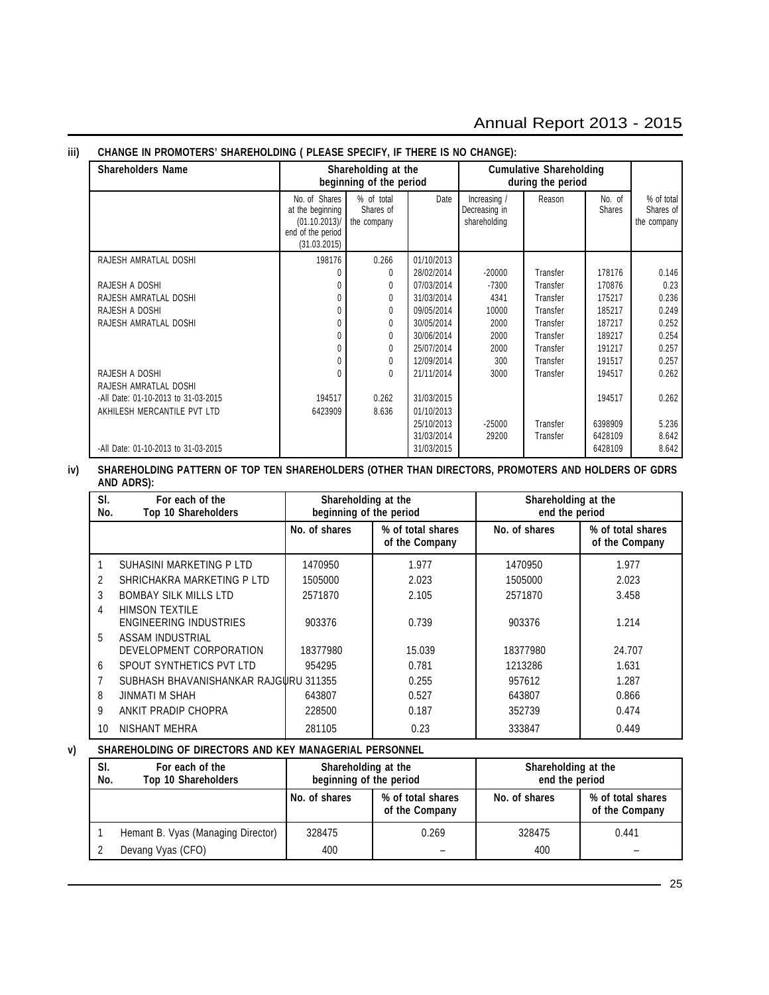# Annual Report 2013 - 2015

#### **Shareholders Name Shareholding at the Cumulative Shareholding beginning of the period** during the period No. of Shares **1 %** of total **Date** Increasing *I* Reason No. of % of total Note in the beginning Shares of **Decreasing in** Reason Shares Shares of at the beginning Shares of Decreasing in Shares Shares of Shares of Shares of Shares of  $(01.10.2013)$  the company  $\begin{vmatrix} 1 & 1 \\ 1 & 1 \end{vmatrix}$  shareholding  $\begin{vmatrix} 1 & 1 \\ 1 & 1 \end{vmatrix}$  the company end of the period (31.03.2015) RAJESH AMRATLAL DOSHI 198176 | 0.266 01/10/2013 0 0 28/02/2014 -20000 Transfer 178176 0.146 RAJESH A DOSHI 0 0 07/03/2014 -7300 Transfer 170876 0.23 RAJESH AMRATLAL DOSHI 0 0 31/03/2014 4341 Transfer 175217 0.236 RAJESH A DOSHI 0 0 09/05/2014 10000 Transfer 185217 0.249 RAJESH AMRATLAL DOSHI 0 0 30/05/2014 2000 Transfer 187217 0.252 0 0 30/06/2014 2000 Transfer 189217 0.254 0 0 25/07/2014 2000 Transfer 191217 0.257 0 0 12/09/2014 300 Transfer 191517 0.257 RAJESH A DOSHI 0 0 21/11/2014 3000 Transfer 194517 0.262 RAJESH AMRATLAL DOSHI -All Date: 01-10-2013 to 31-03-2015 194517 0.262 31/03/2015 194517 0.262 AKHILESH MERCANTILE PVT LTD 6423909 6423909 8.636 01/10/2013 25/10/2013 -25000 Transfer 6398909 5.236 31/03/2014 29200 Transfer 6428109 8.642 -All Date: 01-10-2013 to 31-03-2015 **8.642 12-2015** 31/03/2015 **31/03/2015 6428109 6428109 8.642**

#### **iii) CHANGE IN PROMOTERS' SHAREHOLDING ( PLEASE SPECIFY, IF THERE IS NO CHANGE):**

#### **iv) SHAREHOLDING PATTERN OF TOP TEN SHAREHOLDERS (OTHER THAN DIRECTORS, PROMOTERS AND HOLDERS OF GDRS AND ADRS):**

| SI.<br>No. | For each of the<br><b>Top 10 Shareholders</b> | Shareholding at the<br>beginning of the period |                                     | Shareholding at the<br>end the period |                                     |  |
|------------|-----------------------------------------------|------------------------------------------------|-------------------------------------|---------------------------------------|-------------------------------------|--|
|            |                                               | No. of shares                                  | % of total shares<br>of the Company | No. of shares                         | % of total shares<br>of the Company |  |
|            | SUHASINI MARKETING P LTD                      | 1470950                                        | 1.977                               | 1470950                               | 1.977                               |  |
| 2          | SHRICHAKRA MARKETING P LTD                    | 1505000                                        | 2.023                               | 1505000                               | 2.023                               |  |
| 3          | <b>BOMBAY SILK MILLS LTD</b>                  | 2571870                                        | 2.105                               | 2571870                               | 3.458                               |  |
| 4          | HIMSON TEXTILE                                |                                                |                                     |                                       |                                     |  |
|            | ENGINEERING INDUSTRIES                        | 903376                                         | 0.739                               | 903376                                | 1.214                               |  |
| 5          | ASSAM INDUSTRIAL                              |                                                |                                     |                                       |                                     |  |
|            | DEVELOPMENT CORPORATION                       | 18377980                                       | 15.039                              | 18377980                              | 24.707                              |  |
| 6          | SPOUT SYNTHETICS PVT LTD                      | 954295                                         | 0.781                               | 1213286                               | 1.631                               |  |
|            | SUBHASH BHAVANISHANKAR RAJGURU 311355         |                                                | 0.255                               | 957612                                | 1.287                               |  |
| 8          | JINMATI M SHAH                                | 643807                                         | 0.527                               | 643807                                | 0.866                               |  |
| 9          | ANKIT PRADIP CHOPRA                           | 228500                                         | 0.187                               | 352739                                | 0.474                               |  |
| 10         | NISHANT MEHRA                                 | 281105                                         | 0.23                                | 333847                                | 0.449                               |  |

#### **v) SHAREHOLDING OF DIRECTORS AND KEY MANAGERIAL PERSONNEL**

| SI.<br>No. | For each of the<br>Top 10 Shareholders | Shareholding at the<br>beginning of the period |                                     | Shareholding at the<br>end the period |                                     |  |
|------------|----------------------------------------|------------------------------------------------|-------------------------------------|---------------------------------------|-------------------------------------|--|
|            |                                        | No. of shares                                  | % of total shares<br>of the Company | No. of shares                         | % of total shares<br>of the Company |  |
|            | Hemant B. Vyas (Managing Director)     | 328475                                         | 0.269                               | 328475                                | 0.441                               |  |
|            | Devang Vyas (CFO)                      | 400                                            | $\qquad \qquad$                     | 400                                   |                                     |  |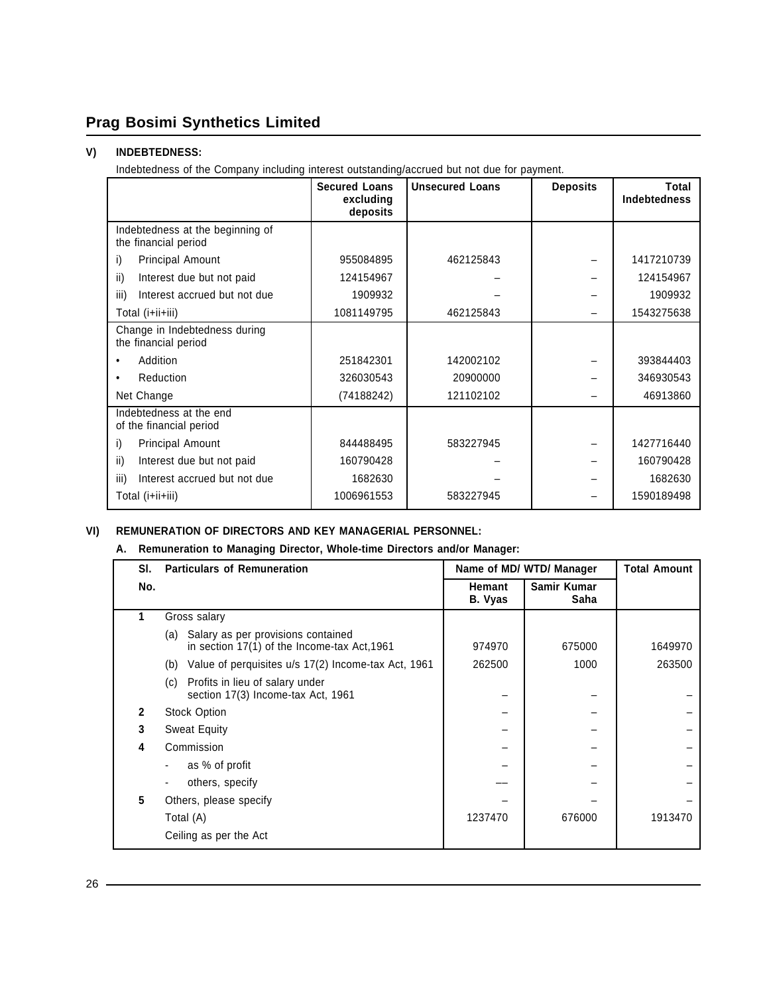# **V) INDEBTEDNESS:**

Indebtedness of the Company including interest outstanding/accrued but not due for payment.

|                                                          | <b>Secured Loans</b><br>excluding<br>deposits | <b>Unsecured Loans</b> | <b>Deposits</b> | Total<br><b>Indebtedness</b> |
|----------------------------------------------------------|-----------------------------------------------|------------------------|-----------------|------------------------------|
| Indebtedness at the beginning of<br>the financial period |                                               |                        |                 |                              |
| <b>Principal Amount</b><br>i)                            | 955084895                                     | 462125843              |                 | 1417210739                   |
| Interest due but not paid<br>ii)                         | 124154967                                     |                        |                 | 124154967                    |
| Interest accrued but not due<br>iii)                     | 1909932                                       |                        |                 | 1909932                      |
| Total (i+ii+iii)                                         | 1081149795                                    | 462125843              |                 | 1543275638                   |
| Change in Indebtedness during<br>the financial period    |                                               |                        |                 |                              |
| Addition                                                 | 251842301                                     | 142002102              |                 | 393844403                    |
| <b>Reduction</b><br>٠                                    | 326030543                                     | 20900000               |                 | 346930543                    |
| Net Change                                               | (74188242)                                    | 121102102              |                 | 46913860                     |
| Indebtedness at the end<br>of the financial period       |                                               |                        |                 |                              |
| <b>Principal Amount</b><br>i)                            | 844488495                                     | 583227945              |                 | 1427716440                   |
| Interest due but not paid<br>ii)                         | 160790428                                     |                        |                 | 160790428                    |
| Interest accrued but not due<br>iii)                     | 1682630                                       |                        |                 | 1682630                      |
| Total (i+ii+iii)                                         | 1006961553                                    | 583227945              |                 | 1590189498                   |

#### **VI) REMUNERATION OF DIRECTORS AND KEY MANAGERIAL PERSONNEL:**

#### **A. Remuneration to Managing Director, Whole-time Directors and/or Manager:**

| SI. | <b>Particulars of Remuneration</b>                                                        | Name of MD/ WTD/ Manager |                     | <b>Total Amount</b> |
|-----|-------------------------------------------------------------------------------------------|--------------------------|---------------------|---------------------|
| No. |                                                                                           | <b>Hemant</b><br>B. Vyas | Samir Kumar<br>Saha |                     |
|     | Gross salary                                                                              |                          |                     |                     |
|     | Salary as per provisions contained<br>(a)<br>in section 17(1) of the Income-tax Act, 1961 | 974970                   | 675000              | 1649970             |
|     | Value of perquisites u/s 17(2) Income-tax Act, 1961<br>(b)                                | 262500                   | 1000                | 263500              |
|     | Profits in lieu of salary under<br>(c)<br>section 17(3) Income-tax Act, 1961              |                          |                     |                     |
| 2   | <b>Stock Option</b>                                                                       |                          |                     |                     |
| 3   | <b>Sweat Equity</b>                                                                       |                          |                     |                     |
| 4   | Commission                                                                                |                          |                     |                     |
|     | as % of profit                                                                            |                          |                     |                     |
|     | others, specify                                                                           |                          |                     |                     |
| 5   | Others, please specify                                                                    |                          |                     |                     |
|     | Total (A)                                                                                 | 1237470                  | 676000              | 1913470             |
|     | Ceiling as per the Act                                                                    |                          |                     |                     |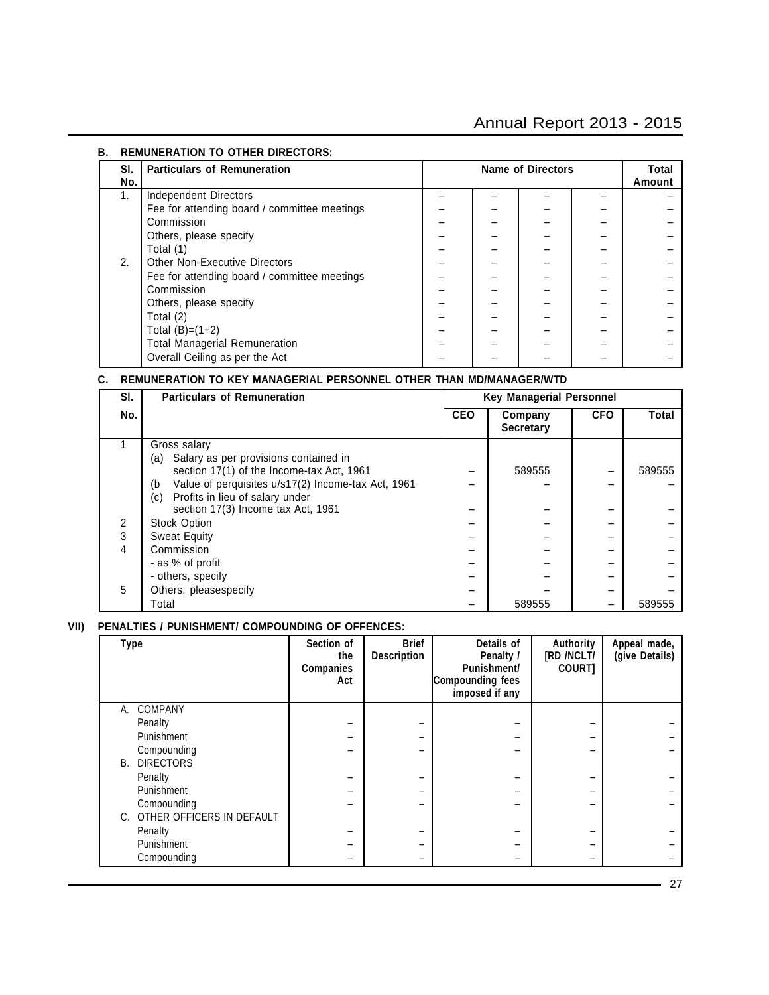# Annual Report 2013 - 2015

| REMONERATION TO OTHER DIRECTORS. |                                              |  |                          |  |                 |  |
|----------------------------------|----------------------------------------------|--|--------------------------|--|-----------------|--|
| SI.<br>No.                       | <b>Particulars of Remuneration</b>           |  | <b>Name of Directors</b> |  | Total<br>Amount |  |
| 1.                               | Independent Directors                        |  |                          |  |                 |  |
|                                  | Fee for attending board / committee meetings |  |                          |  |                 |  |
|                                  | Commission                                   |  |                          |  |                 |  |
|                                  | Others, please specify                       |  |                          |  |                 |  |
|                                  | Total (1)                                    |  |                          |  |                 |  |
| 2.                               | <b>Other Non-Executive Directors</b>         |  |                          |  |                 |  |
|                                  | Fee for attending board / committee meetings |  |                          |  |                 |  |
|                                  | Commission                                   |  |                          |  |                 |  |
|                                  | Others, please specify                       |  |                          |  |                 |  |
|                                  | Total (2)                                    |  |                          |  |                 |  |
|                                  | Total $(B)=(1+2)$                            |  |                          |  |                 |  |
|                                  | <b>Total Managerial Remuneration</b>         |  |                          |  |                 |  |
|                                  | Overall Ceiling as per the Act               |  |                          |  |                 |  |

#### **B. REMUNERATION TO OTHER DIRECTORS:**

#### **C. REMUNERATION TO KEY MANAGERIAL PERSONNEL OTHER THAN MD/MANAGER/WTD**

| SI. | <b>Particulars of Remuneration</b>                       | <b>Key Managerial Personnel</b> |                             |            |        |
|-----|----------------------------------------------------------|---------------------------------|-----------------------------|------------|--------|
| No. |                                                          | <b>CEO</b>                      | Company<br><b>Secretary</b> | <b>CFO</b> | Total  |
|     | Gross salary                                             |                                 |                             |            |        |
|     | Salary as per provisions contained in<br>(a)             |                                 |                             |            |        |
|     | section 17(1) of the Income-tax Act, 1961                |                                 | 589555                      |            | 589555 |
|     | Value of perquisites u/s17(2) Income-tax Act, 1961<br>(b |                                 |                             |            |        |
|     | Profits in lieu of salary under<br>(c)                   |                                 |                             |            |        |
|     | section 17(3) Income tax Act, 1961                       |                                 |                             |            |        |
| 2   | <b>Stock Option</b>                                      |                                 |                             |            |        |
| 3   | <b>Sweat Equity</b>                                      |                                 |                             |            |        |
| 4   | Commission                                               |                                 |                             |            |        |
|     | - as % of profit                                         |                                 |                             |            |        |
|     | - others, specify                                        |                                 |                             |            |        |
| 5   | Others, pleasespecify                                    |                                 |                             |            |        |
|     | Total                                                    |                                 | 589555                      |            | 589555 |

#### **VII) PENALTIES / PUNISHMENT/ COMPOUNDING OF OFFENCES:**

| Type |                              | Section of<br>the<br>Companies<br>Act | <b>Brief</b><br><b>Description</b> | Details of<br>Penalty /<br>Punishment/<br>Compounding fees<br>imposed if any | Authority<br>[RD /NCLT/<br>COURT] | Appeal made,<br>(give Details) |
|------|------------------------------|---------------------------------------|------------------------------------|------------------------------------------------------------------------------|-----------------------------------|--------------------------------|
| А.   | <b>COMPANY</b>               |                                       |                                    |                                                                              |                                   |                                |
|      | Penalty                      |                                       |                                    |                                                                              |                                   |                                |
|      | Punishment                   |                                       |                                    |                                                                              |                                   |                                |
|      | Compounding                  |                                       |                                    |                                                                              |                                   |                                |
| В.   | <b>DIRECTORS</b>             |                                       |                                    |                                                                              |                                   |                                |
|      | Penalty                      |                                       |                                    |                                                                              |                                   |                                |
|      | Punishment                   |                                       |                                    |                                                                              |                                   |                                |
|      | Compounding                  |                                       |                                    |                                                                              |                                   |                                |
|      | C. OTHER OFFICERS IN DEFAULT |                                       |                                    |                                                                              |                                   |                                |
|      | Penalty                      |                                       |                                    |                                                                              |                                   |                                |
|      | Punishment                   |                                       |                                    |                                                                              |                                   |                                |
|      | Compounding                  |                                       |                                    |                                                                              |                                   |                                |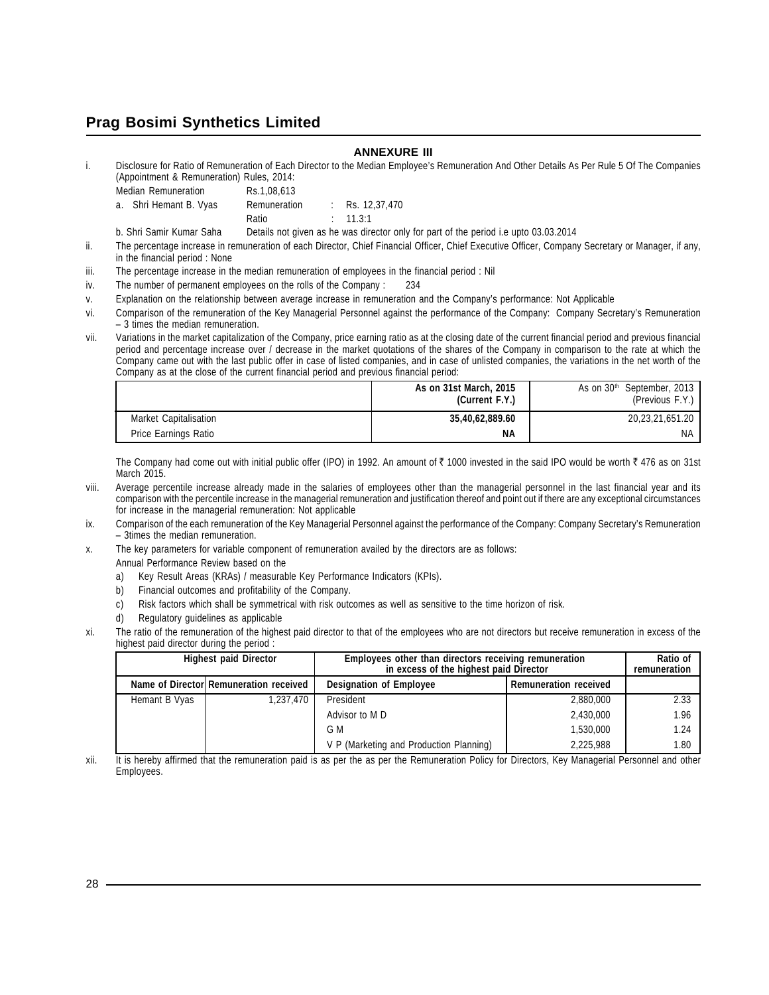#### **ANNEXURE III**

i. Disclosure for Ratio of Remuneration of Each Director to the Median Employee's Remuneration And Other Details As Per Rule 5 Of The Companies (Appointment & Remuneration) Rules, 2014:

| . | Median Remuneration    | Rs.1,08,613  |                     |
|---|------------------------|--------------|---------------------|
|   | a. Shri Hemant B. Vyas | Remuneration | : Rs. $12,37,470$   |
|   |                        | Ratio        | $\therefore$ 11.3:1 |

b. Shri Samir Kumar Saha Details not given as he was director only for part of the period i.e upto 03.03.2014

- ii. The percentage increase in remuneration of each Director, Chief Financial Officer, Chief Executive Officer, Company Secretary or Manager, if any, in the financial period : None
- iii. The percentage increase in the median remuneration of employees in the financial period : Nil
- iv. The number of permanent employees on the rolls of the Company : 234
- v. Explanation on the relationship between average increase in remuneration and the Company's performance: Not Applicable
- vi. Comparison of the remuneration of the Key Managerial Personnel against the performance of the Company: Company Secretary's Remuneration – 3 times the median remuneration.
- vii. Variations in the market capitalization of the Company, price earning ratio as at the closing date of the current financial period and previous financial period and percentage increase over / decrease in the market quotations of the shares of the Company in comparison to the rate at which the Company came out with the last public offer in case of listed companies, and in case of unlisted companies, the variations in the net worth of the Company as at the close of the current financial period and previous financial period:

|                       | As on 31st March, 2015<br>(Current F.Y.) | As on 30 <sup>th</sup> September, 2013<br>(Previous F.Y.) |
|-----------------------|------------------------------------------|-----------------------------------------------------------|
| Market Capitalisation | 35,40,62,889.60                          | 20,23,21,651.20                                           |
| Price Earnings Ratio  | <b>NA</b>                                | <b>NA</b>                                                 |

The Company had come out with initial public offer (IPO) in 1992. An amount of  $\bar{\tau}$  1000 invested in the said IPO would be worth  $\bar{\tau}$  476 as on 31st March 2015.

- viii. Average percentile increase already made in the salaries of employees other than the managerial personnel in the last financial year and its comparison with the percentile increase in the managerial remuneration and justification thereof and point out if there are any exceptional circumstances for increase in the managerial remuneration: Not applicable
- ix. Comparison of the each remuneration of the Key Managerial Personnel against the performance of the Company: Company Secretary's Remuneration – 3times the median remuneration.
- x. The key parameters for variable component of remuneration availed by the directors are as follows: Annual Performance Review based on the
	- a) Key Result Areas (KRAs) / measurable Key Performance Indicators (KPIs).
	- b) Financial outcomes and profitability of the Company.
	- c) Risk factors which shall be symmetrical with risk outcomes as well as sensitive to the time horizon of risk.
	- d) Regulatory guidelines as applicable
- xi. The ratio of the remuneration of the highest paid director to that of the employees who are not directors but receive remuneration in excess of the highest paid director during the period :

|               | <b>Highest paid Director</b>           | Employees other than directors receiving remuneration<br>in excess of the highest paid Director | Ratio of<br>remuneration     |      |
|---------------|----------------------------------------|-------------------------------------------------------------------------------------------------|------------------------------|------|
|               | Name of Director Remuneration received | <b>Designation of Employee</b>                                                                  | <b>Remuneration received</b> |      |
| Hemant B Vyas | 1.237.470                              | President                                                                                       | 2,880,000                    | 2.33 |
|               |                                        | Advisor to M D                                                                                  | 2,430,000                    | 1.96 |
|               |                                        | G M                                                                                             | 1,530,000                    | 1.24 |
|               |                                        | V P (Marketing and Production Planning)                                                         | 2.225.988                    | 1.80 |

xii. It is hereby affirmed that the remuneration paid is as per the as per the Remuneration Policy for Directors, Key Managerial Personnel and other Employees.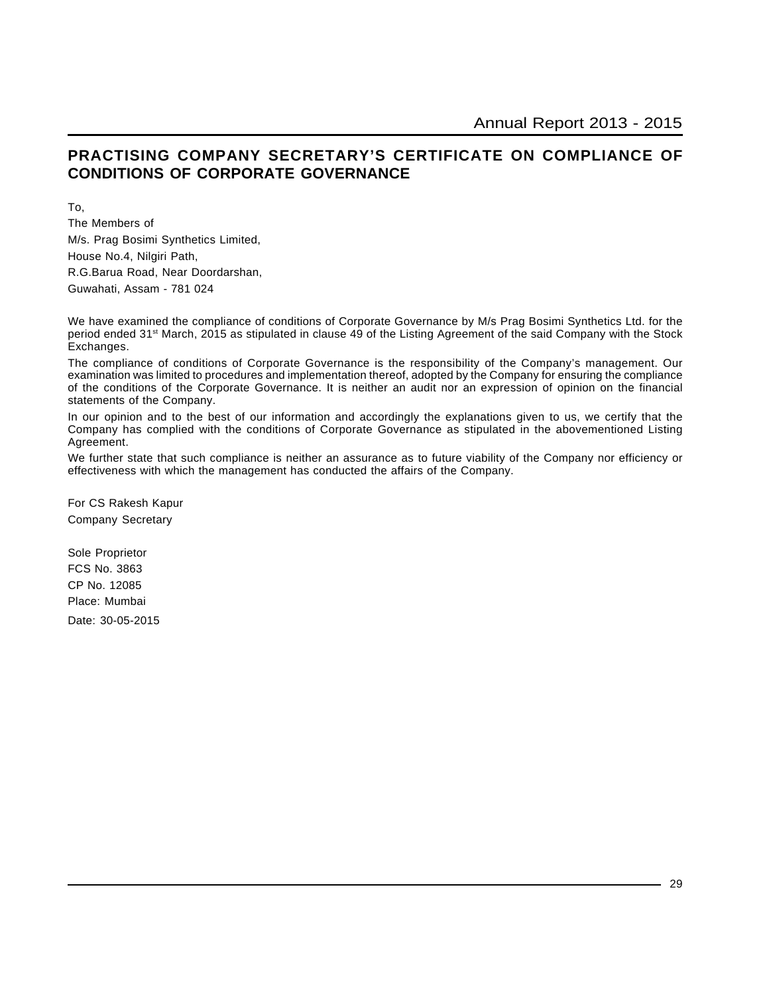# **PRACTISING COMPANY SECRETARY'S CERTIFICATE ON COMPLIANCE OF CONDITIONS OF CORPORATE GOVERNANCE**

To,

The Members of M/s. Prag Bosimi Synthetics Limited, House No.4, Nilgiri Path, R.G.Barua Road, Near Doordarshan, Guwahati, Assam - 781 024

We have examined the compliance of conditions of Corporate Governance by M/s Prag Bosimi Synthetics Ltd. for the period ended 31st March, 2015 as stipulated in clause 49 of the Listing Agreement of the said Company with the Stock Exchanges.

The compliance of conditions of Corporate Governance is the responsibility of the Company's management. Our examination was limited to procedures and implementation thereof, adopted by the Company for ensuring the compliance of the conditions of the Corporate Governance. It is neither an audit nor an expression of opinion on the financial statements of the Company.

In our opinion and to the best of our information and accordingly the explanations given to us, we certify that the Company has complied with the conditions of Corporate Governance as stipulated in the abovementioned Listing Agreement.

We further state that such compliance is neither an assurance as to future viability of the Company nor efficiency or effectiveness with which the management has conducted the affairs of the Company.

For CS Rakesh Kapur Company Secretary

Sole Proprietor FCS No. 3863 CP No. 12085 Place: Mumbai Date: 30-05-2015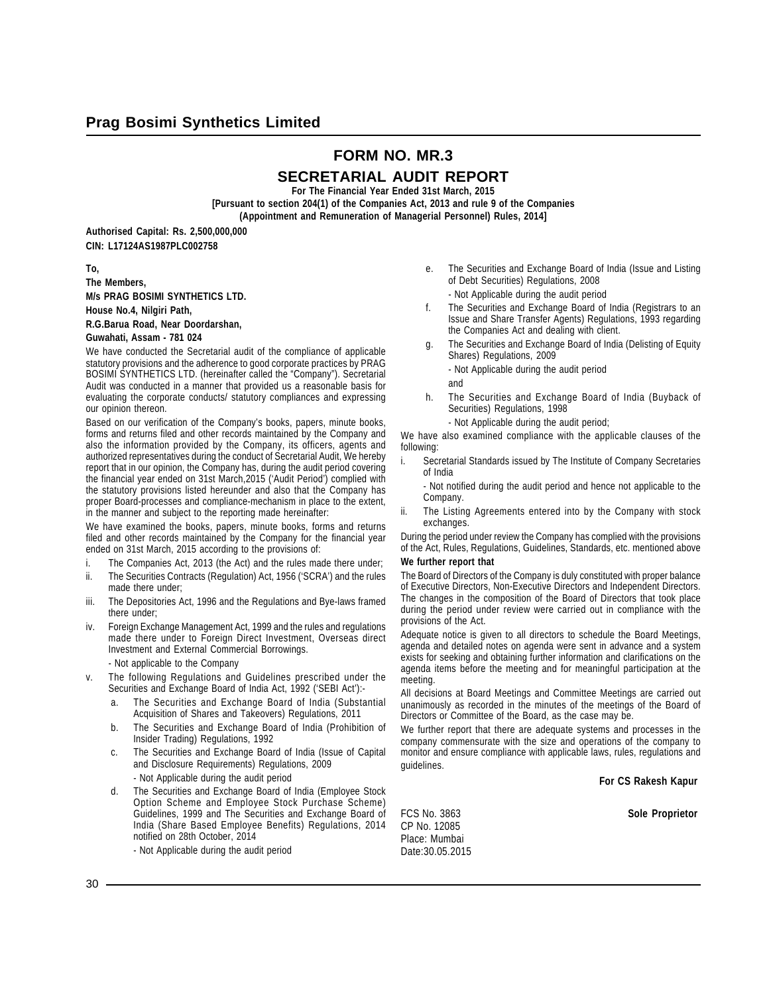# **FORM NO. MR.3**

# **SECRETARIAL AUDIT REPORT**

**For The Financial Year Ended 31st March, 2015**

**[Pursuant to section 204(1) of the Companies Act, 2013 and rule 9 of the Companies (Appointment and Remuneration of Managerial Personnel) Rules, 2014]**

**Authorised Capital: Rs. 2,500,000,000 CIN: L17124AS1987PLC002758**

#### **To,**

**The Members, M/s PRAG BOSIMI SYNTHETICS LTD. House No.4, Nilgiri Path,**

**R.G.Barua Road, Near Doordarshan,**

#### **Guwahati, Assam - 781 024**

We have conducted the Secretarial audit of the compliance of applicable statutory provisions and the adherence to good corporate practices by PRAG BOSIMI SYNTHETICS LTD. (hereinafter called the "Company"). Secretarial Audit was conducted in a manner that provided us a reasonable basis for evaluating the corporate conducts/ statutory compliances and expressing our opinion thereon.

Based on our verification of the Company's books, papers, minute books, forms and returns filed and other records maintained by the Company and also the information provided by the Company, its officers, agents and authorized representatives during the conduct of Secretarial Audit, We hereby report that in our opinion, the Company has, during the audit period covering the financial year ended on 31st March,2015 ('Audit Period') complied with the statutory provisions listed hereunder and also that the Company has proper Board-processes and compliance-mechanism in place to the extent, in the manner and subject to the reporting made hereinafter:

We have examined the books, papers, minute books, forms and returns filed and other records maintained by the Company for the financial year ended on 31st March, 2015 according to the provisions of:

- i. The Companies Act, 2013 (the Act) and the rules made there under;
- ii. The Securities Contracts (Regulation) Act, 1956 ('SCRA') and the rules made there under;
- iii. The Depositories Act, 1996 and the Regulations and Bye-laws framed there under;
- iv. Foreign Exchange Management Act, 1999 and the rules and regulations made there under to Foreign Direct Investment, Overseas direct Investment and External Commercial Borrowings.
	- Not applicable to the Company
- v. The following Regulations and Guidelines prescribed under the Securities and Exchange Board of India Act, 1992 ('SEBI Act'):
	- a. The Securities and Exchange Board of India (Substantial Acquisition of Shares and Takeovers) Regulations, 2011
	- b. The Securities and Exchange Board of India (Prohibition of Insider Trading) Regulations, 1992
	- c. The Securities and Exchange Board of India (Issue of Capital and Disclosure Requirements) Regulations, 2009 - Not Applicable during the audit period
	- d. The Securities and Exchange Board of India (Employee Stock Option Scheme and Employee Stock Purchase Scheme) Guidelines, 1999 and The Securities and Exchange Board of India (Share Based Employee Benefits) Regulations, 2014 notified on 28th October, 2014
		- Not Applicable during the audit period
- e. The Securities and Exchange Board of India (Issue and Listing of Debt Securities) Regulations, 2008
	- Not Applicable during the audit period
- f. The Securities and Exchange Board of India (Registrars to an Issue and Share Transfer Agents) Regulations, 1993 regarding the Companies Act and dealing with client.
- g. The Securities and Exchange Board of India (Delisting of Equity Shares) Regulations, 2009
	- Not Applicable during the audit period
	- and
- h. The Securities and Exchange Board of India (Buyback of Securities) Regulations, 1998
	- Not Applicable during the audit period;

We have also examined compliance with the applicable clauses of the following:

i. Secretarial Standards issued by The Institute of Company Secretaries of India

- Not notified during the audit period and hence not applicable to the Company.

ii. The Listing Agreements entered into by the Company with stock exchanges.

During the period under review the Company has complied with the provisions of the Act, Rules, Regulations, Guidelines, Standards, etc. mentioned above

#### **We further report that**

The Board of Directors of the Company is duly constituted with proper balance of Executive Directors, Non-Executive Directors and Independent Directors. The changes in the composition of the Board of Directors that took place during the period under review were carried out in compliance with the provisions of the Act.

Adequate notice is given to all directors to schedule the Board Meetings, agenda and detailed notes on agenda were sent in advance and a system exists for seeking and obtaining further information and clarifications on the agenda items before the meeting and for meaningful participation at the meeting.

All decisions at Board Meetings and Committee Meetings are carried out unanimously as recorded in the minutes of the meetings of the Board of Directors or Committee of the Board, as the case may be.

We further report that there are adequate systems and processes in the company commensurate with the size and operations of the company to monitor and ensure compliance with applicable laws, rules, regulations and guidelines.

**For CS Rakesh Kapur**

FCS No. 3863 **Sole Proprietor** CP No. 12085 Place: Mumbai Date:30.05.2015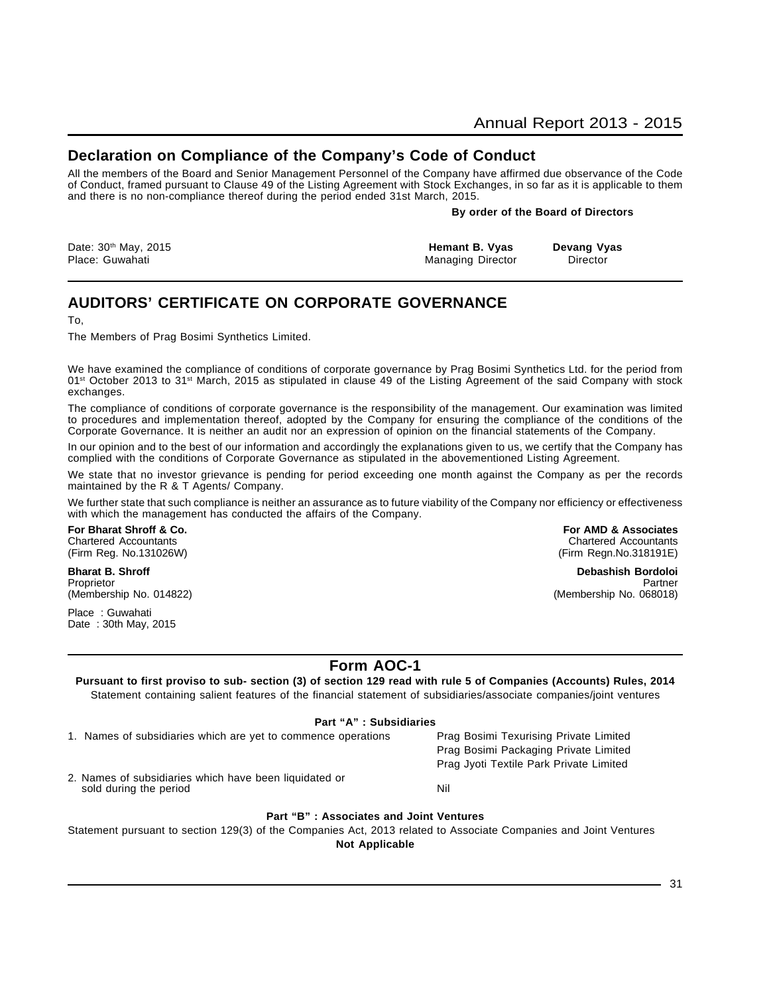# **Declaration on Compliance of the Company's Code of Conduct**

All the members of the Board and Senior Management Personnel of the Company have affirmed due observance of the Code of Conduct, framed pursuant to Clause 49 of the Listing Agreement with Stock Exchanges, in so far as it is applicable to them and there is no non-compliance thereof during the period ended 31st March, 2015.

#### **By order of the Board of Directors**

| Date: 30 <sup>th</sup> May, 2015 | Hemant B. Vyas    | Devang Vyas |
|----------------------------------|-------------------|-------------|
| Place: Guwahati                  | Managing Director | Director    |

# **AUDITORS' CERTIFICATE ON CORPORATE GOVERNANCE**

To,

The Members of Prag Bosimi Synthetics Limited.

We have examined the compliance of conditions of corporate governance by Prag Bosimi Synthetics Ltd. for the period from 01<sup>st</sup> October 2013 to 31<sup>st</sup> March, 2015 as stipulated in clause 49 of the Listing Agreement of the said Company with stock exchanges.

The compliance of conditions of corporate governance is the responsibility of the management. Our examination was limited to procedures and implementation thereof, adopted by the Company for ensuring the compliance of the conditions of the Corporate Governance. It is neither an audit nor an expression of opinion on the financial statements of the Company.

In our opinion and to the best of our information and accordingly the explanations given to us, we certify that the Company has complied with the conditions of Corporate Governance as stipulated in the abovementioned Listing Agreement.

We state that no investor grievance is pending for period exceeding one month against the Company as per the records maintained by the R & T Agents/ Company.

We further state that such compliance is neither an assurance as to future viability of the Company nor efficiency or effectiveness with which the management has conducted the affairs of the Company.

**For Bharat Shroff & Co. For AMD & Associates** Chartered Accountants Chartered Accountants

Place : Guwahati Date : 30th May, 2015

(Firm Reg. No.131026W) (Firm Regn.No.318191E)

**Bharat B. Shroff Debashish Bordoloi** Proprietor Partner Proprietor Partner Partner Partner Partner Partner Partner Partner Partner Partner Partner (Membership No. 014822) (Membership No. 068018)

> Prag Bosimi Packaging Private Limited Prag Jyoti Textile Park Private Limited

# **Form AOC-1**

**Pursuant to first proviso to sub- section (3) of section 129 read with rule 5 of Companies (Accounts) Rules, 2014** Statement containing salient features of the financial statement of subsidiaries/associate companies/joint ventures

#### **Part "A" : Subsidiaries**

1. Names of subsidiaries which are yet to commence operations Prag Bosimi Texurising Private Limited

2. Names of subsidiaries which have been liquidated or sold during the period Nil

#### **Part "B" : Associates and Joint Ventures**

Statement pursuant to section 129(3) of the Companies Act, 2013 related to Associate Companies and Joint Ventures

**Not Applicable**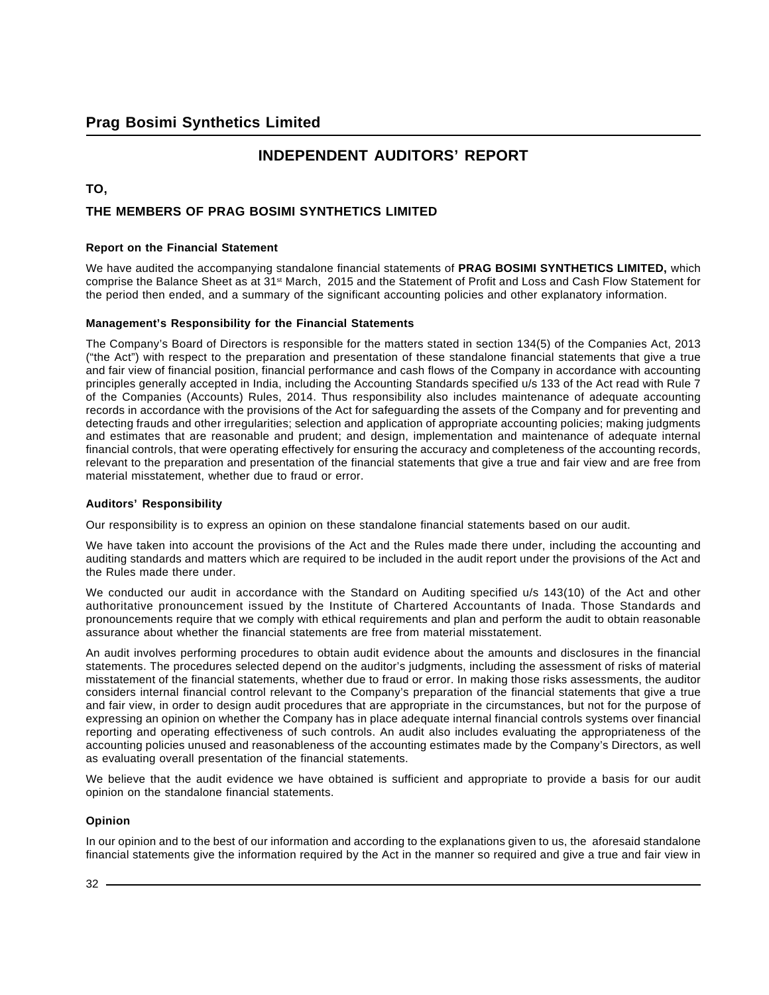# **INDEPENDENT AUDITORS' REPORT**

#### **TO,**

### **THE MEMBERS OF PRAG BOSIMI SYNTHETICS LIMITED**

#### **Report on the Financial Statement**

We have audited the accompanying standalone financial statements of **PRAG BOSIMI SYNTHETICS LIMITED,** which comprise the Balance Sheet as at 31<sup>st</sup> March, 2015 and the Statement of Profit and Loss and Cash Flow Statement for the period then ended, and a summary of the significant accounting policies and other explanatory information.

#### **Management's Responsibility for the Financial Statements**

The Company's Board of Directors is responsible for the matters stated in section 134(5) of the Companies Act, 2013 ("the Act") with respect to the preparation and presentation of these standalone financial statements that give a true and fair view of financial position, financial performance and cash flows of the Company in accordance with accounting principles generally accepted in India, including the Accounting Standards specified u/s 133 of the Act read with Rule 7 of the Companies (Accounts) Rules, 2014. Thus responsibility also includes maintenance of adequate accounting records in accordance with the provisions of the Act for safeguarding the assets of the Company and for preventing and detecting frauds and other irregularities; selection and application of appropriate accounting policies; making judgments and estimates that are reasonable and prudent; and design, implementation and maintenance of adequate internal financial controls, that were operating effectively for ensuring the accuracy and completeness of the accounting records, relevant to the preparation and presentation of the financial statements that give a true and fair view and are free from material misstatement, whether due to fraud or error.

#### **Auditors' Responsibility**

Our responsibility is to express an opinion on these standalone financial statements based on our audit.

We have taken into account the provisions of the Act and the Rules made there under, including the accounting and auditing standards and matters which are required to be included in the audit report under the provisions of the Act and the Rules made there under.

We conducted our audit in accordance with the Standard on Auditing specified u/s 143(10) of the Act and other authoritative pronouncement issued by the Institute of Chartered Accountants of Inada. Those Standards and pronouncements require that we comply with ethical requirements and plan and perform the audit to obtain reasonable assurance about whether the financial statements are free from material misstatement.

An audit involves performing procedures to obtain audit evidence about the amounts and disclosures in the financial statements. The procedures selected depend on the auditor's judgments, including the assessment of risks of material misstatement of the financial statements, whether due to fraud or error. In making those risks assessments, the auditor considers internal financial control relevant to the Company's preparation of the financial statements that give a true and fair view, in order to design audit procedures that are appropriate in the circumstances, but not for the purpose of expressing an opinion on whether the Company has in place adequate internal financial controls systems over financial reporting and operating effectiveness of such controls. An audit also includes evaluating the appropriateness of the accounting policies unused and reasonableness of the accounting estimates made by the Company's Directors, as well as evaluating overall presentation of the financial statements.

We believe that the audit evidence we have obtained is sufficient and appropriate to provide a basis for our audit opinion on the standalone financial statements.

#### **Opinion**

In our opinion and to the best of our information and according to the explanations given to us, the aforesaid standalone financial statements give the information required by the Act in the manner so required and give a true and fair view in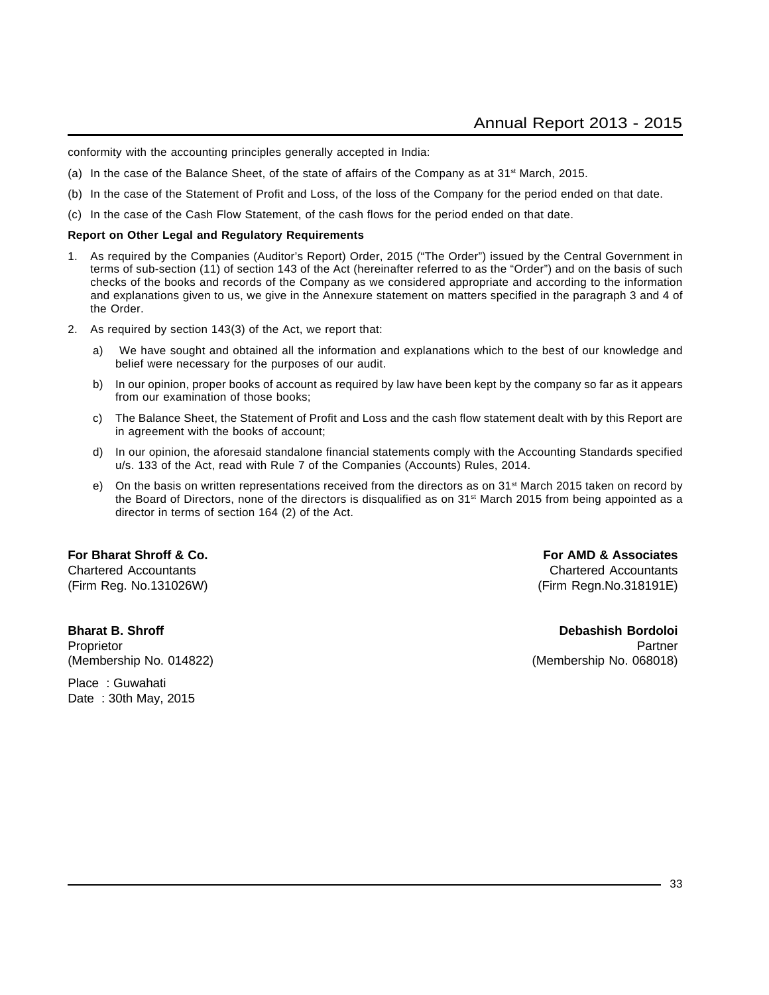conformity with the accounting principles generally accepted in India:

- (a) In the case of the Balance Sheet, of the state of affairs of the Company as at  $31<sup>st</sup>$  March, 2015.
- (b) In the case of the Statement of Profit and Loss, of the loss of the Company for the period ended on that date.
- (c) In the case of the Cash Flow Statement, of the cash flows for the period ended on that date.

#### **Report on Other Legal and Regulatory Requirements**

- 1. As required by the Companies (Auditor's Report) Order, 2015 ("The Order") issued by the Central Government in terms of sub-section (11) of section 143 of the Act (hereinafter referred to as the "Order") and on the basis of such checks of the books and records of the Company as we considered appropriate and according to the information and explanations given to us, we give in the Annexure statement on matters specified in the paragraph 3 and 4 of the Order.
- 2. As required by section 143(3) of the Act, we report that:
	- a) We have sought and obtained all the information and explanations which to the best of our knowledge and belief were necessary for the purposes of our audit.
	- b) In our opinion, proper books of account as required by law have been kept by the company so far as it appears from our examination of those books;
	- c) The Balance Sheet, the Statement of Profit and Loss and the cash flow statement dealt with by this Report are in agreement with the books of account;
	- d) In our opinion, the aforesaid standalone financial statements comply with the Accounting Standards specified u/s. 133 of the Act, read with Rule 7 of the Companies (Accounts) Rules, 2014.
	- e) On the basis on written representations received from the directors as on  $31<sup>st</sup>$  March 2015 taken on record by the Board of Directors, none of the directors is disqualified as on 31st March 2015 from being appointed as a director in terms of section 164 (2) of the Act.

# **For Bharat Shroff & Co. For AMD & Associates**

**Bharat B. Shroff Debashish Bordoloi**

Place : Guwahati Date : 30th May, 2015

Chartered Accountants Chartered Accountants (Firm Reg. No.131026W) (Firm Regn.No.318191E)

Proprietor Partner (Proprietor Partner Partner (Proprietor Partner Partner Partner Partner Partner Partner Par (Membership No. 014822) (Membership No. 068018)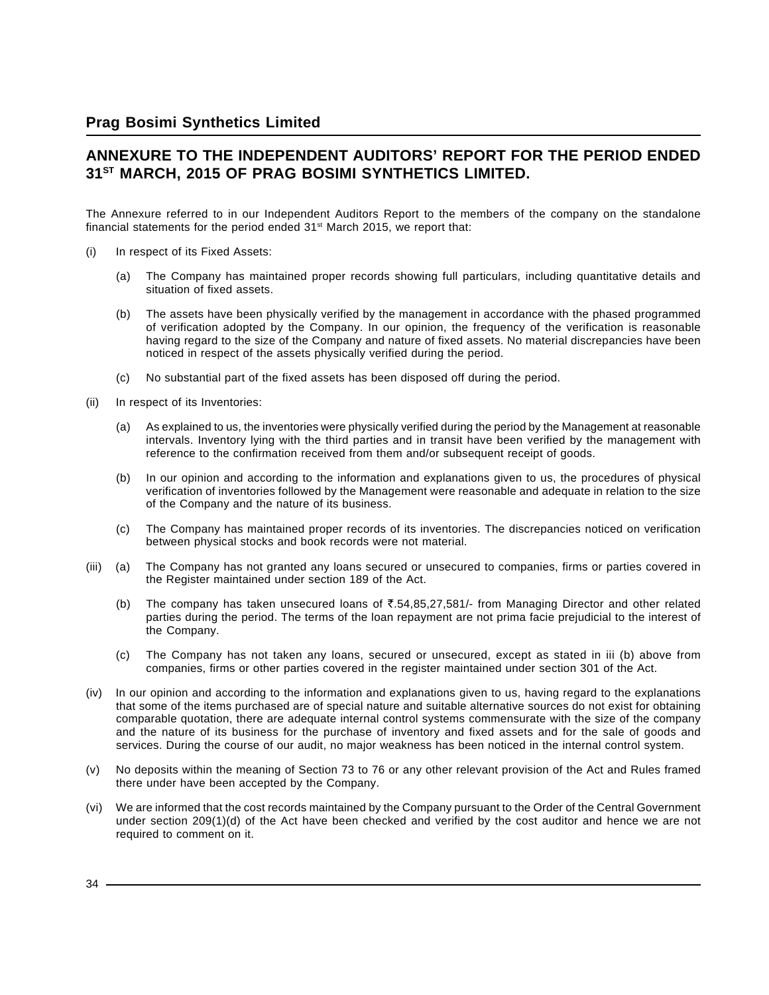# **ANNEXURE TO THE INDEPENDENT AUDITORS' REPORT FOR THE PERIOD ENDED 31ST MARCH, 2015 OF PRAG BOSIMI SYNTHETICS LIMITED.**

The Annexure referred to in our Independent Auditors Report to the members of the company on the standalone financial statements for the period ended  $31<sup>st</sup>$  March 2015, we report that:

- (i) In respect of its Fixed Assets:
	- (a) The Company has maintained proper records showing full particulars, including quantitative details and situation of fixed assets.
	- (b) The assets have been physically verified by the management in accordance with the phased programmed of verification adopted by the Company. In our opinion, the frequency of the verification is reasonable having regard to the size of the Company and nature of fixed assets. No material discrepancies have been noticed in respect of the assets physically verified during the period.
	- (c) No substantial part of the fixed assets has been disposed off during the period.
- (ii) In respect of its Inventories:
	- (a) As explained to us, the inventories were physically verified during the period by the Management at reasonable intervals. Inventory lying with the third parties and in transit have been verified by the management with reference to the confirmation received from them and/or subsequent receipt of goods.
	- (b) In our opinion and according to the information and explanations given to us, the procedures of physical verification of inventories followed by the Management were reasonable and adequate in relation to the size of the Company and the nature of its business.
	- (c) The Company has maintained proper records of its inventories. The discrepancies noticed on verification between physical stocks and book records were not material.
- (iii) (a) The Company has not granted any loans secured or unsecured to companies, firms or parties covered in the Register maintained under section 189 of the Act.
	- (b) The company has taken unsecured loans of  $\overline{3}$ , 54,85,27,581/- from Managing Director and other related parties during the period. The terms of the loan repayment are not prima facie prejudicial to the interest of the Company.
	- (c) The Company has not taken any loans, secured or unsecured, except as stated in iii (b) above from companies, firms or other parties covered in the register maintained under section 301 of the Act.
- (iv) In our opinion and according to the information and explanations given to us, having regard to the explanations that some of the items purchased are of special nature and suitable alternative sources do not exist for obtaining comparable quotation, there are adequate internal control systems commensurate with the size of the company and the nature of its business for the purchase of inventory and fixed assets and for the sale of goods and services. During the course of our audit, no major weakness has been noticed in the internal control system.
- (v) No deposits within the meaning of Section 73 to 76 or any other relevant provision of the Act and Rules framed there under have been accepted by the Company.
- (vi) We are informed that the cost records maintained by the Company pursuant to the Order of the Central Government under section 209(1)(d) of the Act have been checked and verified by the cost auditor and hence we are not required to comment on it.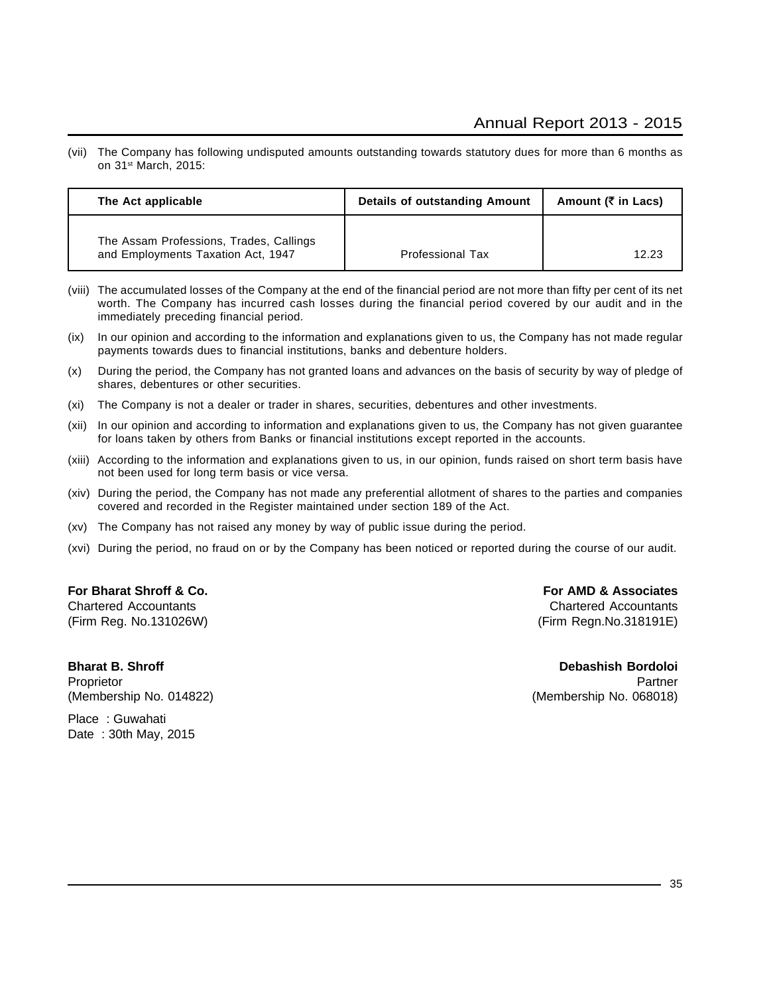(vii) The Company has following undisputed amounts outstanding towards statutory dues for more than 6 months as on 31st March, 2015:

| The Act applicable                                                            | Details of outstanding Amount | Amount ( $\bar{\tau}$ in Lacs) |
|-------------------------------------------------------------------------------|-------------------------------|--------------------------------|
| The Assam Professions, Trades, Callings<br>and Employments Taxation Act, 1947 | <b>Professional Tax</b>       | 12.23                          |

- (viii) The accumulated losses of the Company at the end of the financial period are not more than fifty per cent of its net worth. The Company has incurred cash losses during the financial period covered by our audit and in the immediately preceding financial period.
- (ix) In our opinion and according to the information and explanations given to us, the Company has not made regular payments towards dues to financial institutions, banks and debenture holders.
- (x) During the period, the Company has not granted loans and advances on the basis of security by way of pledge of shares, debentures or other securities.
- (xi) The Company is not a dealer or trader in shares, securities, debentures and other investments.
- (xii) In our opinion and according to information and explanations given to us, the Company has not given guarantee for loans taken by others from Banks or financial institutions except reported in the accounts.
- (xiii) According to the information and explanations given to us, in our opinion, funds raised on short term basis have not been used for long term basis or vice versa.
- (xiv) During the period, the Company has not made any preferential allotment of shares to the parties and companies covered and recorded in the Register maintained under section 189 of the Act.
- (xv) The Company has not raised any money by way of public issue during the period.
- (xvi) During the period, no fraud on or by the Company has been noticed or reported during the course of our audit.

#### **For Bharat Shroff & Co. For AMD & Associates**

Chartered Accountants Chartered Accountants (Firm Reg. No.131026W) (Firm Regn.No.318191E)

Proprietor Partner (Proprietor Partner Partner (Proprietor Partner Partner Partner Partner Partner Partner Par (Membership No. 014822) (Membership No. 068018)

**Bharat B. Shroff Community Bordoloi** Bordoloi Bordoloi Bordoloi Bordoloi Bordoloi Bordoloi Bordoloi Bordoloi Bordoloi

Place : Guwahati Date : 30th May, 2015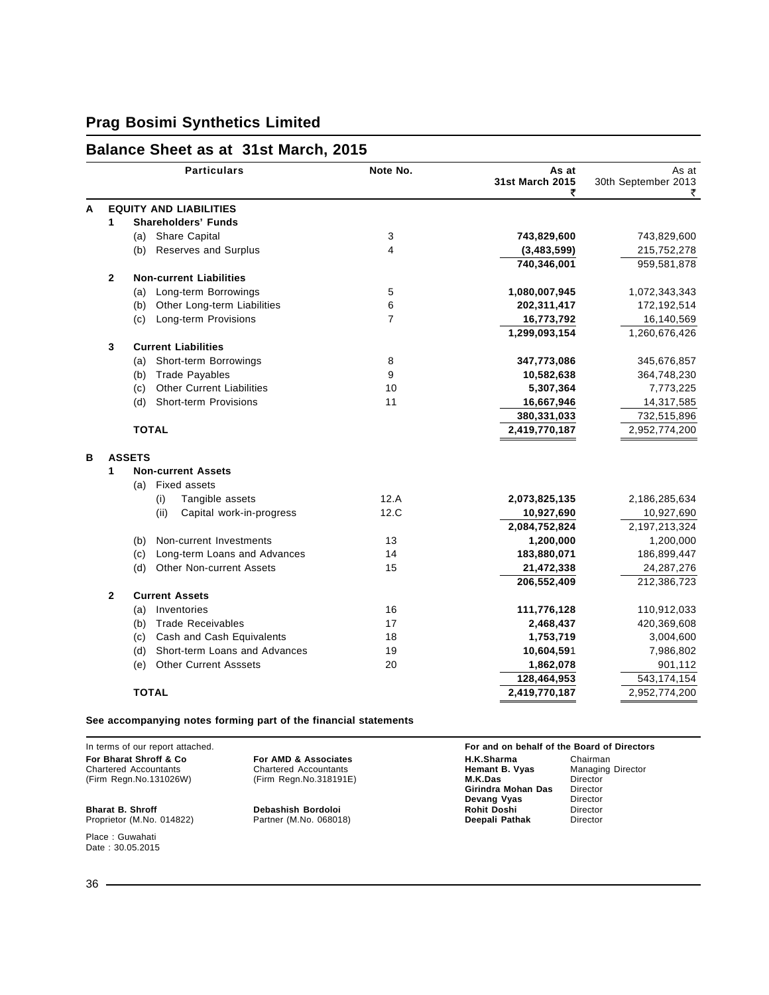### **Balance Sheet as at 31st March, 2015**

|   |                | <b>Particulars</b>                                                   | Note No.                | As at<br>31st March 2015<br>₹ | As at<br>30th September 2013<br>₹ |
|---|----------------|----------------------------------------------------------------------|-------------------------|-------------------------------|-----------------------------------|
| A |                | <b>EQUITY AND LIABILITIES</b>                                        |                         |                               |                                   |
|   | 1              | <b>Shareholders' Funds</b>                                           |                         |                               |                                   |
|   |                | <b>Share Capital</b><br>(a)                                          | 3                       | 743,829,600                   | 743,829,600                       |
|   |                | <b>Reserves and Surplus</b><br>(b)                                   | $\overline{\mathbf{4}}$ | (3,483,599)                   | 215,752,278                       |
|   |                |                                                                      |                         | 740,346,001                   | 959,581,878                       |
|   | $\overline{2}$ | <b>Non-current Liabilities</b>                                       |                         |                               |                                   |
|   |                | Long-term Borrowings<br>(a)                                          | 5                       | 1,080,007,945                 | 1,072,343,343                     |
|   |                | Other Long-term Liabilities<br>(b)                                   | 6                       | 202,311,417                   | 172,192,514                       |
|   |                | Long-term Provisions<br>(c)                                          | 7                       | 16,773,792                    | 16,140,569                        |
|   |                |                                                                      |                         | 1,299,093,154                 | 1,260,676,426                     |
|   | 3              | <b>Current Liabilities</b>                                           |                         |                               |                                   |
|   |                | Short-term Borrowings<br>(a)                                         | 8                       | 347,773,086                   | 345,676,857                       |
|   |                | <b>Trade Payables</b><br>(b)                                         | 9                       | 10,582,638                    | 364,748,230                       |
|   |                | <b>Other Current Liabilities</b><br>(c)                              | 10                      | 5,307,364                     | 7,773,225                         |
|   |                | Short-term Provisions<br>(d)                                         | 11                      | 16,667,946                    | 14,317,585                        |
|   |                |                                                                      |                         | 380,331,033                   | 732,515,896                       |
|   |                | <b>TOTAL</b>                                                         |                         | 2,419,770,187                 | 2,952,774,200                     |
| в |                | <b>ASSETS</b>                                                        |                         |                               |                                   |
|   | 1              | <b>Non-current Assets</b>                                            |                         |                               |                                   |
|   |                | <b>Fixed assets</b><br>(a)                                           |                         |                               |                                   |
|   |                | (i)<br>Tangible assets                                               | 12.A                    | 2,073,825,135                 | 2,186,285,634                     |
|   |                | (ii)<br>Capital work-in-progress                                     | 12.C                    | 10,927,690                    | 10,927,690                        |
|   |                |                                                                      |                         | 2,084,752,824                 | 2,197,213,324                     |
|   |                | Non-current Investments<br>(b)                                       | 13                      | 1,200,000                     | 1,200,000                         |
|   |                | Long-term Loans and Advances<br>(c)                                  | 14                      | 183,880,071                   | 186,899,447                       |
|   |                | (d)<br>Other Non-current Assets                                      | 15                      | 21,472,338                    | 24, 287, 276                      |
|   |                |                                                                      |                         | 206,552,409                   | 212,386,723                       |
|   | $\mathbf{2}$   | <b>Current Assets</b>                                                |                         |                               |                                   |
|   |                | Inventories<br>(a)                                                   | 16                      | 111,776,128                   | 110,912,033                       |
|   |                | <b>Trade Receivables</b><br>(b)                                      | 17                      | 2,468,437                     | 420,369,608                       |
|   |                | Cash and Cash Equivalents<br>(c)                                     | 18                      | 1,753,719                     | 3,004,600                         |
|   |                | Short-term Loans and Advances<br>(d)<br><b>Other Current Asssets</b> | 19<br>20                | 10,604,591<br>1,862,078       | 7,986,802<br>901,112              |
|   |                | (e)                                                                  |                         | 128,464,953                   | 543,174,154                       |
|   |                | <b>TOTAL</b>                                                         |                         | 2,419,770,187                 |                                   |
|   |                |                                                                      |                         |                               | 2,952,774,200                     |

#### **See accompanying notes forming part of the financial statements**

Place : Guwahati Date: 30.05.2015

In terms of our report attached. **For and on behalf of the Board of Directors For Bharat Shroff & Co For AMD & Associates H.K.Sharma** Chairman Chairman<br>Chartered Accountants Chartered Accountants **Hemant B. Vyas** Managing Director Chartered Accountants **Chartered Accountants Chartered Accountants Chartered Accountants Charter B. Vyas M.K.Das** M. (Firm Regn.No.131026W) (Firm Regn.No.318191E) **M.K.Das** Director **M.K.Das** Director<br> **Girindra Mohan Das** Director<br> **Devang Vyas** Director **Devang Vyas Director<br>
<b>Rohit Doshi** Director<br> **Deepali Pathak** Director **Bharat B. Shroff Debashish Bordoloi Rohit Doshi** Director Proprietor (M.No. 014822) Partner (M.No. 068018) **Deepali Pathak** Director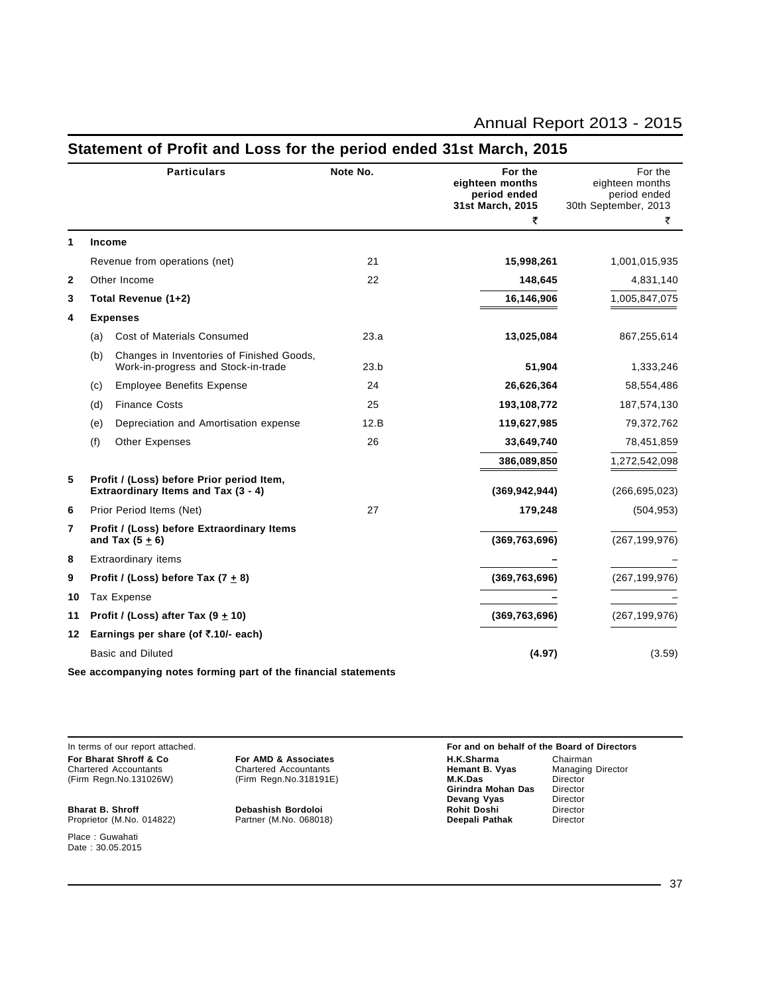|              |     | <b>Particulars</b>                                                               | Note No. | For the<br>eighteen months<br>period ended<br>31st March, 2015<br>₹ | For the<br>eighteen months<br>period ended<br>30th September, 2013 |
|--------------|-----|----------------------------------------------------------------------------------|----------|---------------------------------------------------------------------|--------------------------------------------------------------------|
| 1            |     | <b>Income</b>                                                                    |          |                                                                     | ₹                                                                  |
|              |     | Revenue from operations (net)                                                    | 21       | 15,998,261                                                          | 1,001,015,935                                                      |
| $\mathbf{2}$ |     | Other Income                                                                     | 22       | 148,645                                                             | 4,831,140                                                          |
| 3            |     | Total Revenue (1+2)                                                              |          | 16,146,906                                                          | 1,005,847,075                                                      |
| 4            |     | <b>Expenses</b>                                                                  |          |                                                                     |                                                                    |
|              | (a) | Cost of Materials Consumed                                                       | 23.a     | 13,025,084                                                          | 867,255,614                                                        |
|              | (b) | Changes in Inventories of Finished Goods,<br>Work-in-progress and Stock-in-trade | 23.b     | 51,904                                                              | 1,333,246                                                          |
|              | (c) | <b>Employee Benefits Expense</b>                                                 | 24       | 26,626,364                                                          | 58,554,486                                                         |
|              | (d) | <b>Finance Costs</b>                                                             | 25       | 193,108,772                                                         | 187,574,130                                                        |
|              | (e) | Depreciation and Amortisation expense                                            | 12.B     | 119,627,985                                                         | 79,372,762                                                         |
|              | (f) | <b>Other Expenses</b>                                                            | 26       | 33,649,740                                                          | 78,451,859                                                         |
|              |     |                                                                                  |          | 386,089,850                                                         | 1,272,542,098                                                      |
| 5            |     | Profit / (Loss) before Prior period Item,<br>Extraordinary Items and Tax (3 - 4) |          | (369, 942, 944)                                                     | (266, 695, 023)                                                    |
| 6            |     | Prior Period Items (Net)                                                         | 27       | 179,248                                                             | (504, 953)                                                         |
| 7            |     | Profit / (Loss) before Extraordinary Items<br>and Tax $(5 \pm 6)$                |          | (369, 763, 696)                                                     | (267, 199, 976)                                                    |
| 8            |     | Extraordinary items                                                              |          |                                                                     |                                                                    |
| 9            |     | Profit / (Loss) before Tax $(7 + 8)$                                             |          | (369, 763, 696)                                                     | (267, 199, 976)                                                    |
| 10           |     | Tax Expense                                                                      |          |                                                                     |                                                                    |
| 11           |     | Profit / (Loss) after Tax $(9 + 10)$                                             |          | (369, 763, 696)                                                     | (267, 199, 976)                                                    |
| 12           |     | Earnings per share (of ₹.10/- each)                                              |          |                                                                     |                                                                    |
|              |     | <b>Basic and Diluted</b>                                                         |          | (4.97)                                                              | (3.59)                                                             |
|              |     |                                                                                  |          |                                                                     |                                                                    |

### **Statement of Profit and Loss for the period ended 31st March, 2015**

**See accompanying notes forming part of the financial statements**

Proprietor (M.No. 014822)

Place : Guwahati Date : 30.05.2015

In terms of our report attached. **For and on behalf of the Board of Directors For Bharat Shroff & Co For AMD & Associates H.K.Sharma** Chairman Chairman<br>
Chartered Accountants Chartered Accountants **Hemant B. Vyas** Managing Director Chartered Accountants **Chartered Accountants Chartered Accountants Chartered Accountants Charter B. Vyas M.K.Das** Chartered Director (Firm Regn.No.131026W) (Firm Regn.No.318191E) **M.K.Das** Director **Girindra Mohan Das** Director<br>**Devang Vyas** Director **Devang Vyas** Director<br> **Rohit Doshi** Director **Bharat B. Shroff Debashish Bordoloi Rohit Doshi** Director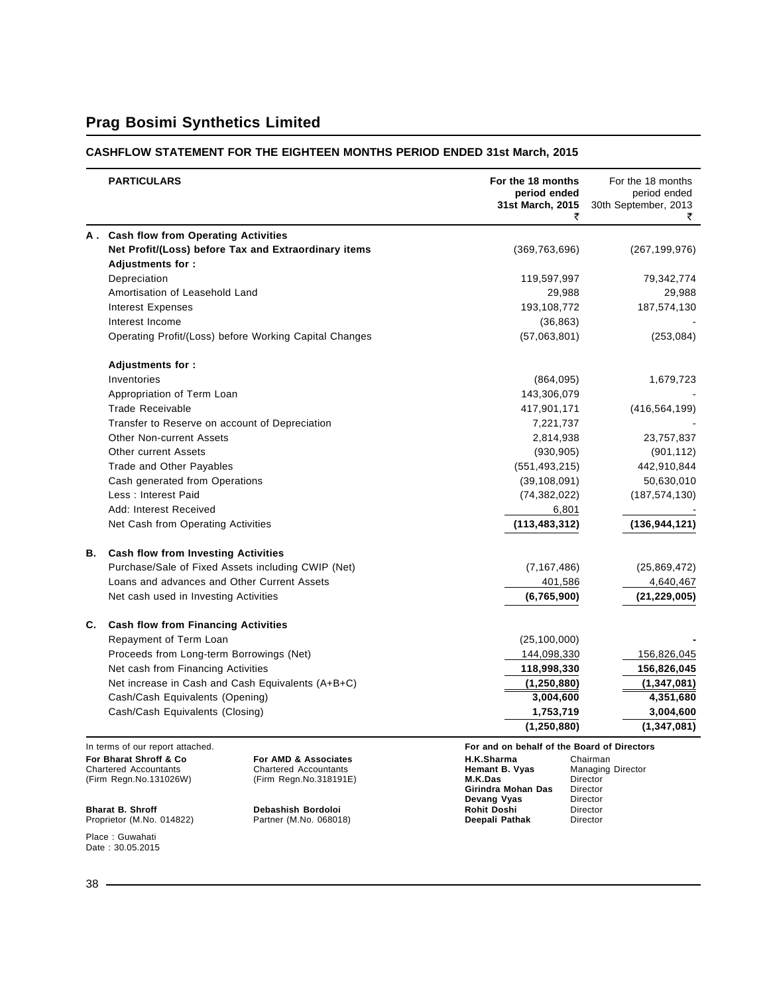### **CASHFLOW STATEMENT FOR THE EIGHTEEN MONTHS PERIOD ENDED 31st March, 2015**

|                                                                                  | <b>PARTICULARS</b>                                   |                                                                                | For the 18 months<br>period ended<br>31st March, 2015         | For the 18 months<br>period ended<br>30th September, 2013<br>₹ |
|----------------------------------------------------------------------------------|------------------------------------------------------|--------------------------------------------------------------------------------|---------------------------------------------------------------|----------------------------------------------------------------|
| А.                                                                               | <b>Cash flow from Operating Activities</b>           |                                                                                |                                                               |                                                                |
|                                                                                  |                                                      | Net Profit/(Loss) before Tax and Extraordinary items                           | (369, 763, 696)                                               | (267, 199, 976)                                                |
|                                                                                  | <b>Adjustments for:</b>                              |                                                                                |                                                               |                                                                |
|                                                                                  | Depreciation                                         |                                                                                | 119,597,997                                                   | 79,342,774                                                     |
|                                                                                  | Amortisation of Leasehold Land                       |                                                                                | 29,988                                                        | 29,988                                                         |
|                                                                                  | <b>Interest Expenses</b>                             |                                                                                | 193,108,772                                                   | 187,574,130                                                    |
|                                                                                  | Interest Income                                      |                                                                                | (36, 863)                                                     |                                                                |
|                                                                                  |                                                      | Operating Profit/(Loss) before Working Capital Changes                         | (57,063,801)                                                  | (253, 084)                                                     |
|                                                                                  | Adjustments for:                                     |                                                                                |                                                               |                                                                |
|                                                                                  | Inventories                                          |                                                                                | (864,095)                                                     | 1,679,723                                                      |
|                                                                                  | Appropriation of Term Loan                           |                                                                                | 143,306,079                                                   |                                                                |
|                                                                                  | <b>Trade Receivable</b>                              |                                                                                | 417,901,171                                                   | (416, 564, 199)                                                |
|                                                                                  | Transfer to Reserve on account of Depreciation       |                                                                                | 7,221,737                                                     |                                                                |
|                                                                                  | <b>Other Non-current Assets</b>                      |                                                                                | 2,814,938                                                     | 23,757,837                                                     |
|                                                                                  | <b>Other current Assets</b>                          |                                                                                | (930, 905)                                                    | (901, 112)                                                     |
|                                                                                  | Trade and Other Payables                             |                                                                                | (551, 493, 215)                                               | 442,910,844                                                    |
|                                                                                  | Cash generated from Operations                       |                                                                                | (39, 108, 091)                                                | 50,630,010                                                     |
|                                                                                  | Less: Interest Paid                                  |                                                                                | (74, 382, 022)                                                | (187, 574, 130)                                                |
|                                                                                  | Add: Interest Received                               |                                                                                | 6,801                                                         |                                                                |
|                                                                                  | Net Cash from Operating Activities                   |                                                                                | (113, 483, 312)                                               | (136,944,121)                                                  |
| В.                                                                               | <b>Cash flow from Investing Activities</b>           |                                                                                |                                                               |                                                                |
|                                                                                  | Purchase/Sale of Fixed Assets including CWIP (Net)   |                                                                                | (7, 167, 486)                                                 | (25,869,472)                                                   |
|                                                                                  | Loans and advances and Other Current Assets          |                                                                                | 401,586                                                       | 4,640,467                                                      |
|                                                                                  | Net cash used in Investing Activities                |                                                                                | (6,765,900)                                                   | (21, 229, 005)                                                 |
| C.                                                                               | <b>Cash flow from Financing Activities</b>           |                                                                                |                                                               |                                                                |
|                                                                                  | Repayment of Term Loan                               |                                                                                | (25, 100, 000)                                                |                                                                |
|                                                                                  | Proceeds from Long-term Borrowings (Net)             |                                                                                | 144,098,330                                                   | 156,826,045                                                    |
|                                                                                  | Net cash from Financing Activities                   |                                                                                | 118,998,330                                                   | 156,826,045                                                    |
|                                                                                  | Net increase in Cash and Cash Equivalents (A+B+C)    |                                                                                | (1, 250, 880)                                                 | (1, 347, 081)                                                  |
|                                                                                  | Cash/Cash Equivalents (Opening)                      |                                                                                | 3,004,600                                                     | 4,351,680                                                      |
|                                                                                  | Cash/Cash Equivalents (Closing)                      |                                                                                | 1,753,719                                                     | 3,004,600                                                      |
|                                                                                  |                                                      |                                                                                | (1, 250, 880)                                                 | (1, 347, 081)                                                  |
|                                                                                  | In terms of our report attached.                     |                                                                                | For and on behalf of the Board of Directors                   |                                                                |
| For Bharat Shroff & Co<br><b>Chartered Accountants</b><br>(Firm Regn.No.131026W) |                                                      | For AMD & Associates<br><b>Chartered Accountants</b><br>(Firm Regn.No.318191E) | H.K.Sharma<br>Hemant B. Vyas<br>M.K.Das<br>Girindra Mohan Das | Chairman<br>Managing Director<br>Director<br>Director          |
|                                                                                  | <b>Bharat B. Shroff</b><br>Proprietor (M.No. 014822) | Debashish Bordoloi<br>Partner (M.No. 068018)                                   | Devang Vyas<br>Rohit Doshi<br>Deepali Pathak                  | Director<br>Director<br>Director                               |

Place : Guwahati Date : 30.05.2015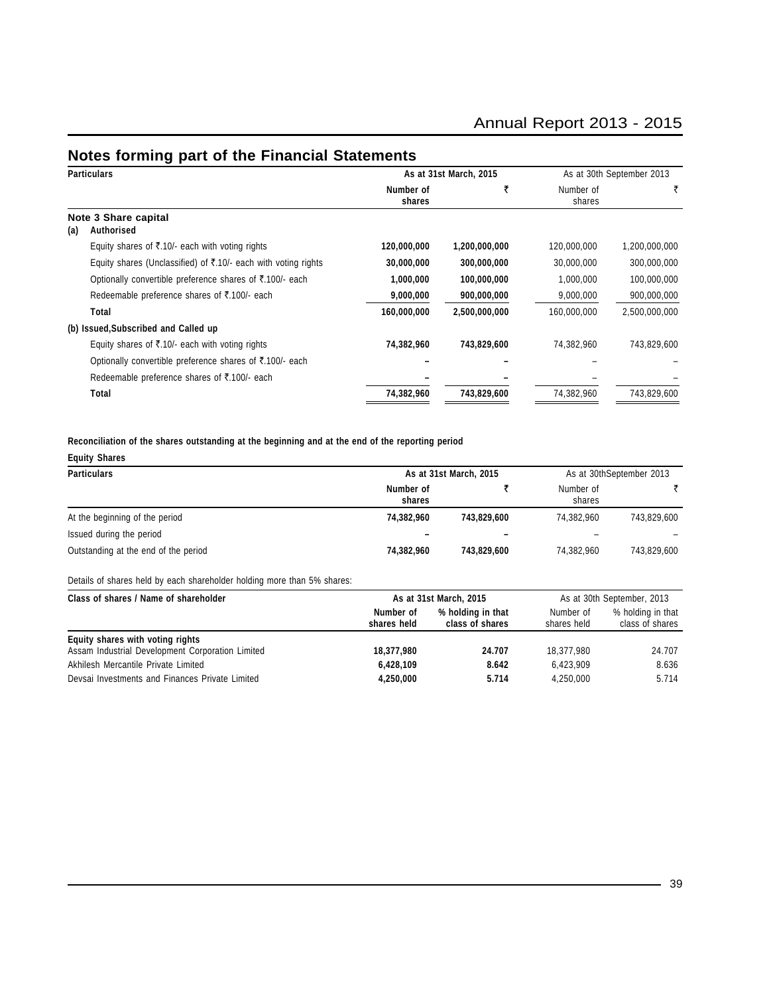## **Notes forming part of the Financial Statements**

| <b>Particulars</b>                        |                                                                |                     | As at 31st March, 2015 | As at 30th September 2013 |               |  |
|-------------------------------------------|----------------------------------------------------------------|---------------------|------------------------|---------------------------|---------------|--|
|                                           |                                                                | Number of<br>shares | ₹                      | Number of<br>shares       | ₹             |  |
| Note 3 Share capital<br>Authorised<br>(a) |                                                                |                     |                        |                           |               |  |
|                                           | Equity shares of ₹.10/- each with voting rights                | 120,000,000         | 1,200,000,000          | 120,000,000               | 1,200,000,000 |  |
|                                           | Equity shares (Unclassified) of ₹.10/- each with voting rights | 30,000,000          | 300,000,000            | 30,000,000                | 300,000,000   |  |
|                                           | Optionally convertible preference shares of ₹.100/- each       | 1,000,000           | 100,000,000            | 1,000,000                 | 100,000,000   |  |
|                                           | Redeemable preference shares of ₹.100/- each                   | 9,000,000           | 900,000,000            | 9,000,000                 | 900,000,000   |  |
|                                           | Total                                                          | 160,000,000         | 2,500,000,000          | 160,000,000               | 2,500,000,000 |  |
|                                           | (b) Issued, Subscribed and Called up                           |                     |                        |                           |               |  |
|                                           | Equity shares of ₹.10/- each with voting rights                | 74,382,960          | 743,829,600            | 74,382,960                | 743,829,600   |  |
|                                           | Optionally convertible preference shares of ₹.100/- each       |                     |                        |                           |               |  |
|                                           | Redeemable preference shares of ₹.100/- each                   |                     |                        |                           |               |  |
|                                           | Total                                                          | 74,382,960          | 743,829,600            | 74,382,960                | 743,829,600   |  |

#### **Reconciliation of the shares outstanding at the beginning and at the end of the reporting period**

| <b>Equity Shares</b>                 |                     |                          |                     |                          |  |
|--------------------------------------|---------------------|--------------------------|---------------------|--------------------------|--|
| <b>Particulars</b>                   |                     | As at 31st March, 2015   |                     | As at 30thSeptember 2013 |  |
|                                      | Number of<br>shares |                          | Number of<br>shares |                          |  |
| At the beginning of the period       | 74,382,960          | 743.829.600              | 74.382.960          | 743.829.600              |  |
| Issued during the period             |                     | $\overline{\phantom{0}}$ | -                   |                          |  |
| Outstanding at the end of the period | 74,382,960          | 743,829,600              | 74.382.960          | 743,829,600              |  |

#### Details of shares held by each shareholder holding more than 5% shares:

| Class of shares / Name of shareholder            | As at 31st March, 2015   |                                      | As at 30th September, 2013 |                                      |  |
|--------------------------------------------------|--------------------------|--------------------------------------|----------------------------|--------------------------------------|--|
|                                                  | Number of<br>shares held | % holding in that<br>class of shares | Number of<br>shares held   | % holding in that<br>class of shares |  |
| Equity shares with voting rights                 |                          |                                      |                            |                                      |  |
| Assam Industrial Development Corporation Limited | 18,377,980               | 24.707                               | 18.377.980                 | 24.707                               |  |
| Akhilesh Mercantile Private Limited              | 6,428,109                | 8.642                                | 6.423.909                  | 8.636                                |  |
| Devsai Investments and Finances Private Limited  | 4,250,000                | 5.714                                | 4.250.000                  | 5.714                                |  |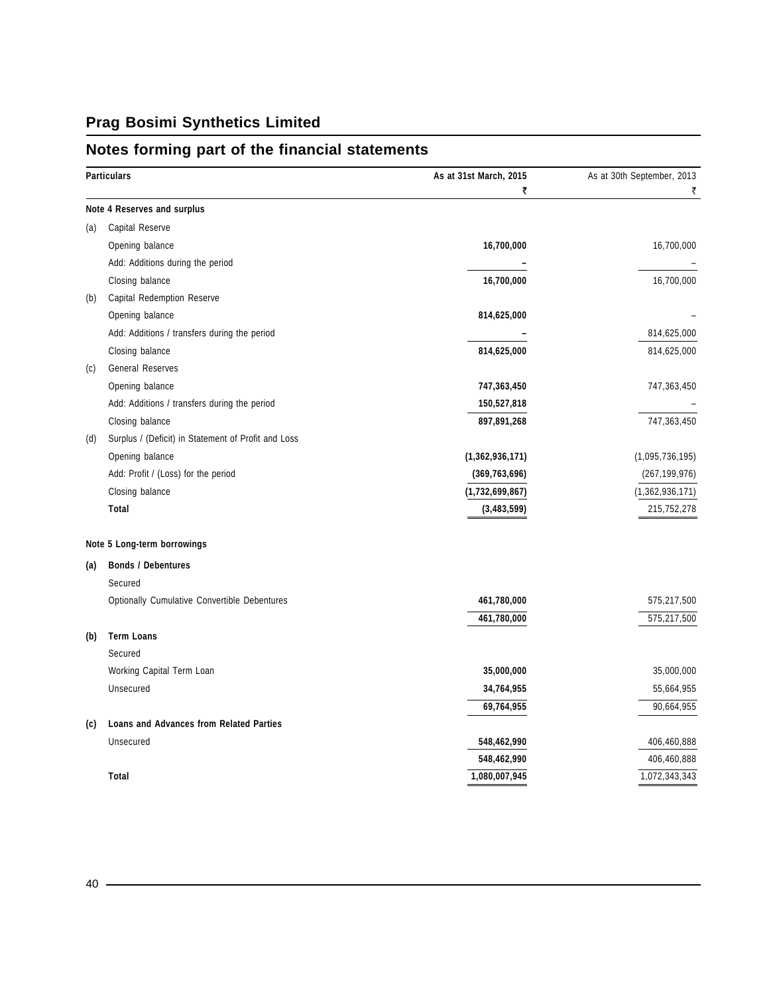# **Notes forming part of the financial statements**

| <b>Particulars</b>               |                                                     | As at 31st March, 2015<br>₹ | As at 30th September, 2013<br>₹ |
|----------------------------------|-----------------------------------------------------|-----------------------------|---------------------------------|
| Note 4 Reserves and surplus      |                                                     |                             |                                 |
| Capital Reserve<br>(a)           |                                                     |                             |                                 |
| Opening balance                  |                                                     | 16,700,000                  | 16,700,000                      |
|                                  | Add: Additions during the period                    |                             |                                 |
| Closing balance                  |                                                     | 16,700,000                  | 16,700,000                      |
| (b)                              | Capital Redemption Reserve                          |                             |                                 |
| Opening balance                  |                                                     | 814,625,000                 |                                 |
|                                  | Add: Additions / transfers during the period        |                             | 814,625,000                     |
| Closing balance                  |                                                     | 814,625,000                 | 814,625,000                     |
| General Reserves<br>(c)          |                                                     |                             |                                 |
| Opening balance                  |                                                     | 747,363,450                 | 747,363,450                     |
|                                  | Add: Additions / transfers during the period        | 150,527,818                 |                                 |
| Closing balance                  |                                                     | 897,891,268                 | 747,363,450                     |
| (d)                              | Surplus / (Deficit) in Statement of Profit and Loss |                             |                                 |
| Opening balance                  |                                                     | (1,362,936,171)             | (1,095,736,195)                 |
|                                  | Add: Profit / (Loss) for the period                 | (369, 763, 696)             | (267, 199, 976)                 |
| Closing balance                  |                                                     | (1,732,699,867)             | (1,362,936,171)                 |
| Total                            |                                                     | (3,483,599)                 | 215,752,278                     |
| Note 5 Long-term borrowings      |                                                     |                             |                                 |
| <b>Bonds / Debentures</b><br>(a) |                                                     |                             |                                 |
| Secured                          |                                                     |                             |                                 |
|                                  | Optionally Cumulative Convertible Debentures        | 461,780,000                 | 575,217,500                     |
|                                  |                                                     | 461,780,000                 | 575,217,500                     |
| <b>Term Loans</b><br>(b)         |                                                     |                             |                                 |
| Secured                          |                                                     |                             |                                 |
| Working Capital Term Loan        |                                                     | 35,000,000                  | 35,000,000                      |
| Unsecured                        |                                                     | 34,764,955                  | 55,664,955                      |
|                                  |                                                     | 69,764,955                  | 90,664,955                      |
| (c)                              | <b>Loans and Advances from Related Parties</b>      |                             |                                 |
| Unsecured                        |                                                     | 548,462,990                 | 406,460,888                     |
|                                  |                                                     | 548,462,990                 | 406,460,888                     |
| Total                            |                                                     | 1,080,007,945               | 1,072,343,343                   |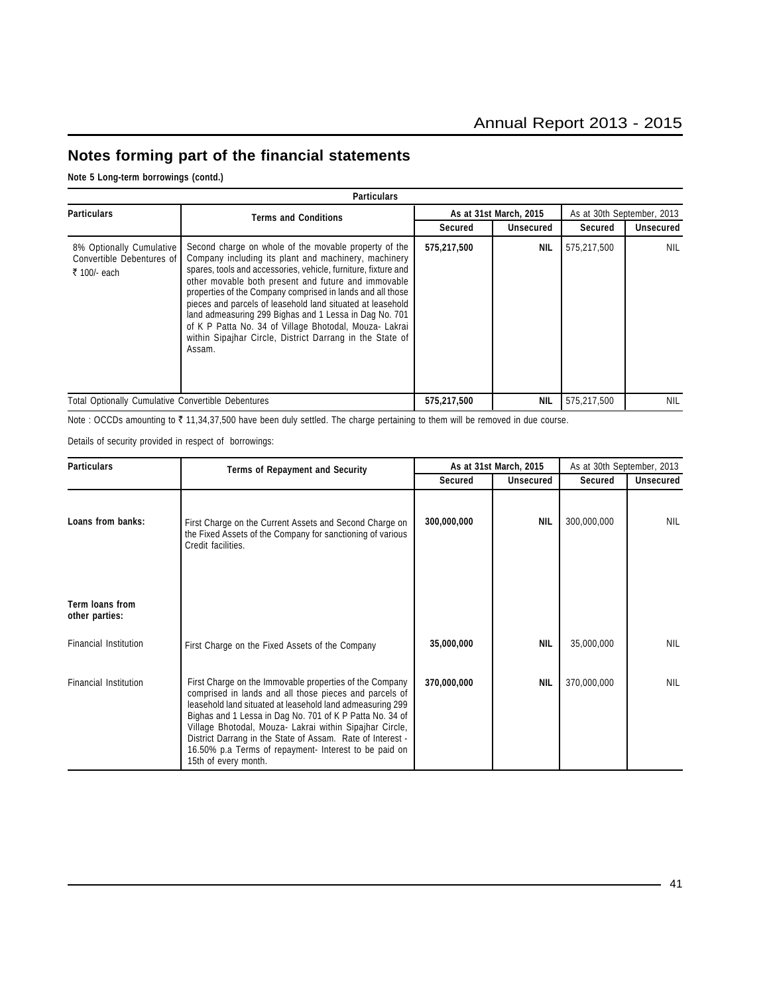## **Notes forming part of the financial statements**

**Note 5 Long-term borrowings (contd.)**

|                                                                       | Particulars                                                                                                                                                                                                                                                                                                                                                                                                                                                                                                                                                 |             |                        |                            |            |  |  |  |  |
|-----------------------------------------------------------------------|-------------------------------------------------------------------------------------------------------------------------------------------------------------------------------------------------------------------------------------------------------------------------------------------------------------------------------------------------------------------------------------------------------------------------------------------------------------------------------------------------------------------------------------------------------------|-------------|------------------------|----------------------------|------------|--|--|--|--|
| <b>Particulars</b>                                                    | <b>Terms and Conditions</b>                                                                                                                                                                                                                                                                                                                                                                                                                                                                                                                                 |             | As at 31st March, 2015 | As at 30th September, 2013 |            |  |  |  |  |
|                                                                       |                                                                                                                                                                                                                                                                                                                                                                                                                                                                                                                                                             | Secured     | Unsecured              | Secured                    | Unsecured  |  |  |  |  |
| 8% Optionally Cumulative<br>Convertible Debentures of<br>₹ 100/- each | Second charge on whole of the movable property of the<br>Company including its plant and machinery, machinery<br>spares, tools and accessories, vehicle, furniture, fixture and<br>other movable both present and future and immovable<br>properties of the Company comprised in lands and all those<br>pieces and parcels of leasehold land situated at leasehold<br>land admeasuring 299 Bighas and 1 Lessa in Dag No. 701<br>of K P Patta No. 34 of Village Bhotodal, Mouza-Lakrai<br>within Sipajhar Circle, District Darrang in the State of<br>Assam. | 575,217,500 | <b>NIL</b>             | 575,217,500                | NIL        |  |  |  |  |
| <b>Total Optionally Cumulative Convertible Debentures</b>             |                                                                                                                                                                                                                                                                                                                                                                                                                                                                                                                                                             | 575,217,500 | <b>NIL</b>             | 575,217,500                | <b>NIL</b> |  |  |  |  |

Note : OCCDs amounting to ₹ 11,34,37,500 have been duly settled. The charge pertaining to them will be removed in due course.

Details of security provided in respect of borrowings:

| <b>Particulars</b>                | <b>Terms of Repayment and Security</b>                                                                                                                                                                                                                                                                                                                                                                                                               |             | As at 31st March, 2015 | As at 30th September, 2013 |                  |  |
|-----------------------------------|------------------------------------------------------------------------------------------------------------------------------------------------------------------------------------------------------------------------------------------------------------------------------------------------------------------------------------------------------------------------------------------------------------------------------------------------------|-------------|------------------------|----------------------------|------------------|--|
|                                   |                                                                                                                                                                                                                                                                                                                                                                                                                                                      | Secured     | <b>Unsecured</b>       | Secured                    | <b>Unsecured</b> |  |
| Loans from banks:                 | First Charge on the Current Assets and Second Charge on<br>the Fixed Assets of the Company for sanctioning of various<br>Credit facilities.                                                                                                                                                                                                                                                                                                          | 300,000,000 | <b>NIL</b>             | 300,000,000                | <b>NIL</b>       |  |
| Term loans from<br>other parties: |                                                                                                                                                                                                                                                                                                                                                                                                                                                      |             |                        |                            |                  |  |
| <b>Financial Institution</b>      | First Charge on the Fixed Assets of the Company                                                                                                                                                                                                                                                                                                                                                                                                      | 35,000,000  | <b>NIL</b>             | 35,000,000                 | NIL              |  |
| <b>Financial Institution</b>      | First Charge on the Immovable properties of the Company<br>comprised in lands and all those pieces and parcels of<br>leasehold land situated at leasehold land admeasuring 299<br>Bighas and 1 Lessa in Dag No. 701 of K P Patta No. 34 of<br>Village Bhotodal, Mouza- Lakrai within Sipajhar Circle,<br>District Darrang in the State of Assam. Rate of Interest -<br>16.50% p.a Terms of repayment- Interest to be paid on<br>15th of every month. | 370,000,000 | <b>NIL</b>             | 370,000,000                | <b>NIL</b>       |  |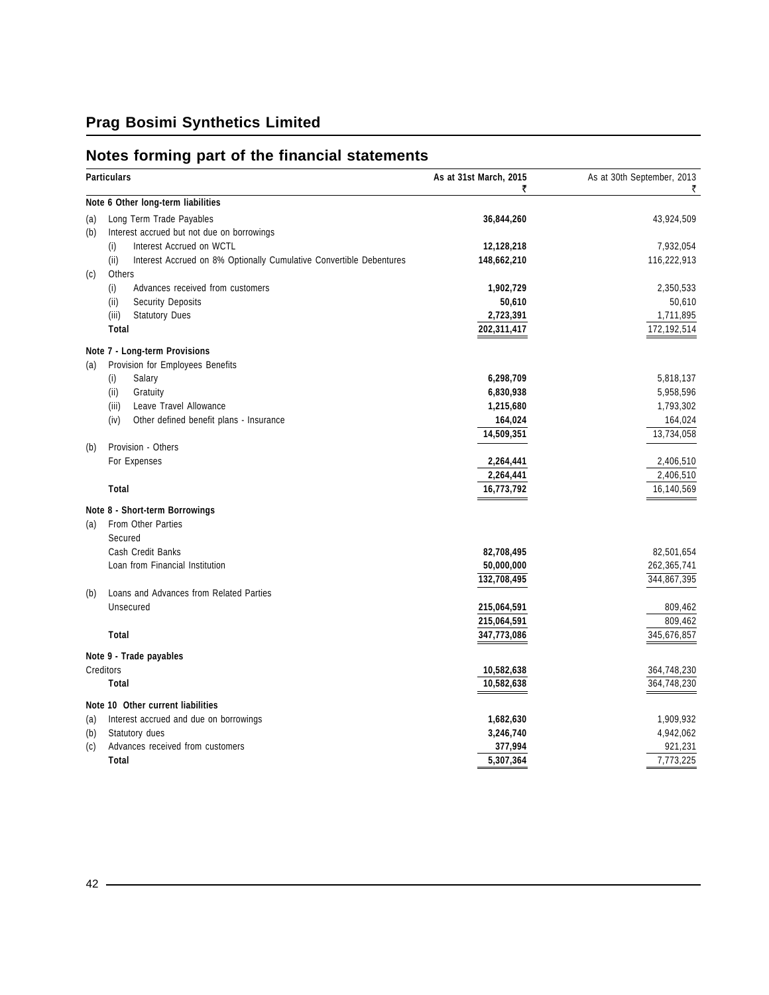## **Notes forming part of the financial statements**

| <b>Particulars</b> |                                                                             | As at 31st March, 2015<br>₹ | As at 30th September, 2013<br>₹ |
|--------------------|-----------------------------------------------------------------------------|-----------------------------|---------------------------------|
|                    | Note 6 Other long-term liabilities                                          |                             |                                 |
| (a)                | Long Term Trade Payables                                                    | 36,844,260                  | 43,924,509                      |
| (b)                | Interest accrued but not due on borrowings                                  |                             |                                 |
|                    | Interest Accrued on WCTL<br>(i)                                             | 12,128,218                  | 7,932,054                       |
|                    | (ii)<br>Interest Accrued on 8% Optionally Cumulative Convertible Debentures | 148,662,210                 | 116,222,913                     |
| (c)                | Others                                                                      |                             |                                 |
|                    | Advances received from customers<br>(i)                                     | 1,902,729                   | 2,350,533                       |
|                    | <b>Security Deposits</b><br>(ii)                                            | 50,610                      | 50,610                          |
|                    | (iii)<br><b>Statutory Dues</b>                                              | 2,723,391                   | 1,711,895                       |
|                    | <b>Total</b>                                                                | 202,311,417                 | 172,192,514                     |
|                    | Note 7 - Long-term Provisions                                               |                             |                                 |
| (a)                | Provision for Employees Benefits                                            |                             |                                 |
|                    | (i)<br>Salary                                                               | 6,298,709                   | 5,818,137                       |
|                    | (ii)<br>Gratuity                                                            | 6,830,938                   | 5,958,596                       |
|                    | (iii)<br>Leave Travel Allowance                                             | 1,215,680                   | 1,793,302                       |
|                    | (iv)<br>Other defined benefit plans - Insurance                             | 164,024                     | 164,024                         |
|                    |                                                                             | 14,509,351                  | 13,734,058                      |
| (b)                | Provision - Others                                                          |                             |                                 |
|                    | For Expenses                                                                | 2,264,441                   | 2,406,510                       |
|                    |                                                                             | 2,264,441                   | 2,406,510                       |
|                    | Total                                                                       | 16,773,792                  | 16,140,569                      |
|                    | Note 8 - Short-term Borrowings                                              |                             |                                 |
| (a)                | From Other Parties                                                          |                             |                                 |
|                    | Secured                                                                     |                             |                                 |
|                    | Cash Credit Banks                                                           | 82,708,495                  | 82,501,654                      |
|                    | Loan from Financial Institution                                             | 50,000,000                  | 262,365,741                     |
|                    |                                                                             | 132,708,495                 | 344,867,395                     |
| (b)                | Loans and Advances from Related Parties                                     |                             |                                 |
|                    | Unsecured                                                                   | 215,064,591                 | 809,462                         |
|                    |                                                                             | 215,064,591                 | 809,462                         |
|                    | Total                                                                       | 347,773,086                 | 345,676,857                     |
|                    | Note 9 - Trade payables                                                     |                             |                                 |
| Creditors          |                                                                             | 10,582,638                  | 364,748,230                     |
|                    | <b>Total</b>                                                                | 10,582,638                  | 364,748,230                     |
|                    | Note 10 Other current liabilities                                           |                             |                                 |
| (a)                | Interest accrued and due on borrowings                                      | 1,682,630                   | 1,909,932                       |
| (b)                | Statutory dues                                                              | 3,246,740                   | 4,942,062                       |
| (c)                | Advances received from customers                                            | 377,994                     | 921,231                         |
|                    | Total                                                                       | 5,307,364                   | 7,773,225                       |

<u> 1989 - Johann Barn, mars ar breist besteht fan de Fryske kommer</u>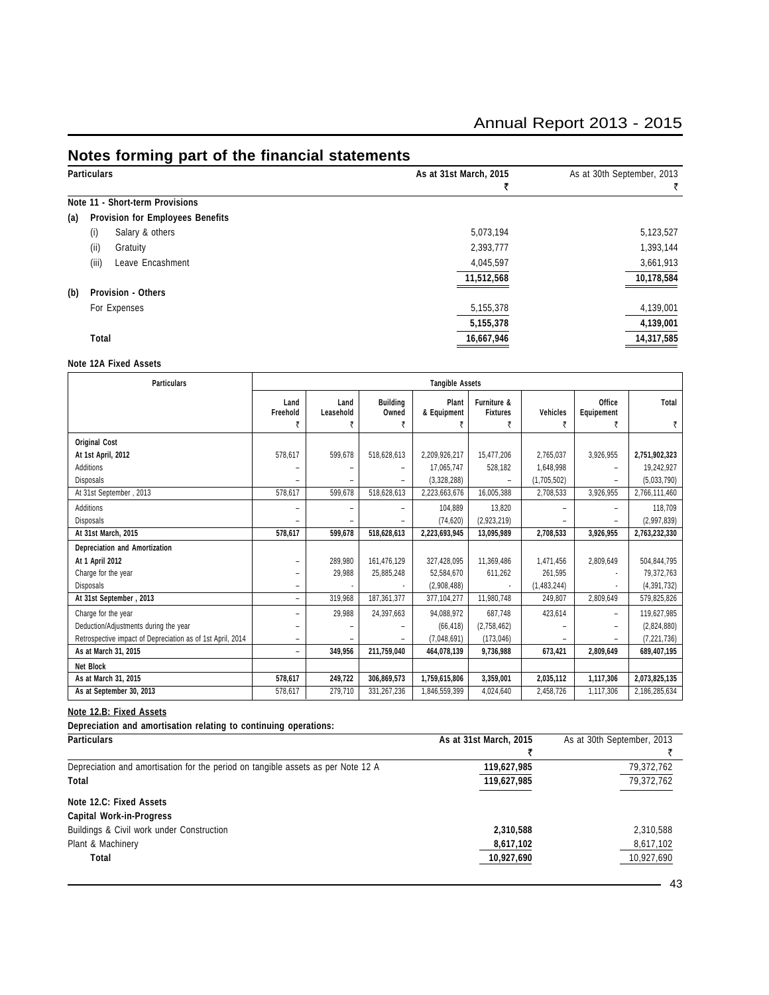## **Notes forming part of the financial statements**

| <b>Particulars</b> |                                         | As at 31st March, 2015 | As at 30th September, 2013 |
|--------------------|-----------------------------------------|------------------------|----------------------------|
|                    |                                         | ₹                      | ₹                          |
|                    | Note 11 - Short-term Provisions         |                        |                            |
| (a)                | <b>Provision for Employees Benefits</b> |                        |                            |
| (i)                | Salary & others                         | 5,073,194              | 5,123,527                  |
| (ii)               | Gratuity                                | 2,393,777              | 1,393,144                  |
| (iii)              | Leave Encashment                        | 4,045,597              | 3,661,913                  |
|                    |                                         | 11,512,568             | 10,178,584                 |
| (b)                | Provision - Others                      |                        |                            |
|                    | For Expenses                            | 5,155,378              | 4,139,001                  |
|                    |                                         | 5,155,378              | 4,139,001                  |
| Total              |                                         | 16,667,946             | 14,317,585                 |
|                    |                                         |                        |                            |

#### **Note 12A Fixed Assets**

| <b>Particulars</b>                                         | <b>Tangible Assets</b>   |                   |                               |                      |                                     |                      |                           |               |
|------------------------------------------------------------|--------------------------|-------------------|-------------------------------|----------------------|-------------------------------------|----------------------|---------------------------|---------------|
|                                                            | Land<br>Freehold<br>₹    | Land<br>Leasehold | <b>Building</b><br>Owned<br>₹ | Plant<br>& Equipment | Furniture &<br><b>Fixtures</b><br>₹ | <b>Vehicles</b><br>₹ | Office<br>Equipement<br>₹ | Total         |
|                                                            |                          |                   |                               |                      |                                     |                      |                           |               |
| <b>Original Cost</b>                                       |                          |                   |                               |                      |                                     |                      |                           |               |
| At 1st April, 2012                                         | 578,617                  | 599,678           | 518,628,613                   | 2,209,926,217        | 15,477,206                          | 2,765,037            | 3,926,955                 | 2,751,902,323 |
| Additions                                                  |                          | ۰                 |                               | 17,065,747           | 528,182                             | 1,648,998            | ۰                         | 19,242,927    |
| <b>Disposals</b>                                           |                          | $\qquad \qquad -$ |                               | (3,328,288)          |                                     | (1,705,502)          | ۰                         | (5,033,790)   |
| At 31st September, 2013                                    | 578,617                  | 599,678           | 518,628,613                   | 2,223,663,676        | 16,005,388                          | 2,708,533            | 3,926,955                 | 2,766,111,460 |
| Additions                                                  |                          | $\overline{a}$    |                               | 104,889              | 13,820                              |                      |                           | 118,709       |
| <b>Disposals</b>                                           |                          | ۰                 |                               | (74, 620)            | (2,923,219)                         |                      |                           | (2,997,839)   |
| At 31st March, 2015                                        | 578.617                  | 599,678           | 518,628,613                   | 2,223,693,945        | 13,095,989                          | 2,708,533            | 3,926,955                 | 2,763,232,330 |
| Depreciation and Amortization                              |                          |                   |                               |                      |                                     |                      |                           |               |
| At 1 April 2012                                            |                          | 289,980           | 161,476,129                   | 327,428,095          | 11,369,486                          | 1,471,456            | 2,809,649                 | 504,844,795   |
| Charge for the year                                        |                          | 29,988            | 25,885,248                    | 52,584,670           | 611,262                             | 261,595              |                           | 79,372,763    |
| <b>Disposals</b>                                           |                          |                   |                               | (2,908,488)          |                                     | (1,483,244)          |                           | (4, 391, 732) |
| At 31st September, 2013                                    | $\overline{\phantom{0}}$ | 319,968           | 187,361,377                   | 377,104,277          | 11,980,748                          | 249,807              | 2,809,649                 | 579,825,826   |
| Charge for the year                                        |                          | 29,988            | 24,397,663                    | 94,088,972           | 687,748                             | 423,614              | ۰                         | 119,627,985   |
| Deduction/Adjustments during the year                      |                          |                   |                               | (66, 418)            | (2,758,462)                         |                      | ۰                         | (2,824,880)   |
| Retrospective impact of Depreciation as of 1st April, 2014 | -                        |                   |                               | (7,048,691)          | (173, 046)                          |                      |                           | (7, 221, 736) |
| As at March 31, 2015                                       |                          | 349,956           | 211,759,040                   | 464,078,139          | 9,736,988                           | 673,421              | 2,809,649                 | 689,407,195   |
| <b>Net Block</b>                                           |                          |                   |                               |                      |                                     |                      |                           |               |
| As at March 31, 2015                                       | 578,617                  | 249,722           | 306,869,573                   | 1,759,615,806        | 3,359,001                           | 2,035,112            | 1,117,306                 | 2,073,825,135 |
| As at September 30, 2013                                   | 578,617                  | 279,710           | 331,267,236                   | 1,846,559,399        | 4,024,640                           | 2,458,726            | 1,117,306                 | 2,186,285,634 |

#### **Note 12.B: Fixed Assets**

**Depreciation and amortisation relating to continuing operations:**

| <b>Particulars</b>                                                               | As at 31st March, 2015 | As at 30th September, 2013 |
|----------------------------------------------------------------------------------|------------------------|----------------------------|
|                                                                                  |                        |                            |
| Depreciation and amortisation for the period on tangible assets as per Note 12 A | 119,627,985            | 79,372,762                 |
| Total                                                                            | 119,627,985            | 79,372,762                 |
| Note 12.C: Fixed Assets                                                          |                        |                            |
| <b>Capital Work-in-Progress</b>                                                  |                        |                            |
| Buildings & Civil work under Construction                                        | 2,310,588              | 2,310,588                  |
| Plant & Machinery                                                                | 8,617,102              | 8,617,102                  |
| Total                                                                            | 10,927,690             | 10,927,690                 |
|                                                                                  |                        | 43                         |
|                                                                                  |                        |                            |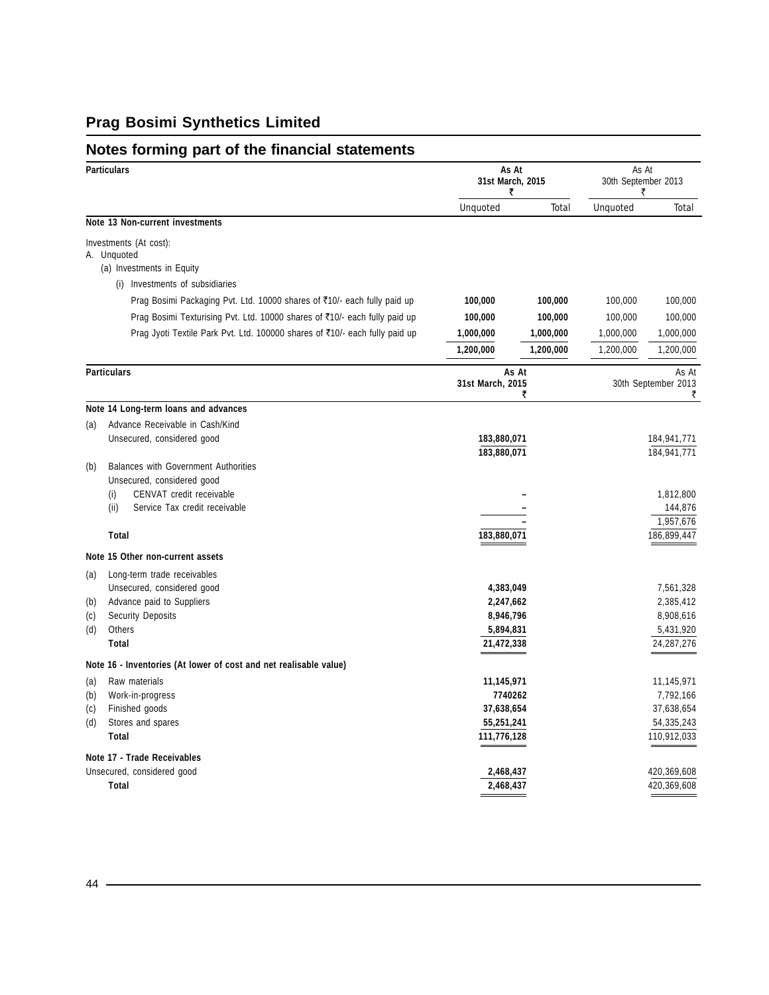## **Notes forming part of the financial statements**

|     | <b>Particulars</b>                                                                                                                                      | 31st March, 2015<br>₹      | As At      | As At<br>30th September 2013<br>₹ |                                   |
|-----|---------------------------------------------------------------------------------------------------------------------------------------------------------|----------------------------|------------|-----------------------------------|-----------------------------------|
|     |                                                                                                                                                         | Unquoted                   | Total      | Unquoted                          | Total                             |
|     | Note 13 Non-current investments                                                                                                                         |                            |            |                                   |                                   |
|     | Investments (At cost):<br>A. Unquoted<br>(a) Investments in Equity                                                                                      |                            |            |                                   |                                   |
|     | (i) Investments of subsidiaries                                                                                                                         |                            |            |                                   |                                   |
|     | Prag Bosimi Packaging Pvt. Ltd. 10000 shares of ₹10/- each fully paid up                                                                                | 100,000                    | 100,000    | 100,000                           | 100,000                           |
|     | Prag Bosimi Texturising Pvt. Ltd. 10000 shares of ₹10/- each fully paid up                                                                              | 100,000                    | 100,000    | 100,000                           | 100,000                           |
|     | Prag Jyoti Textile Park Pvt. Ltd. 100000 shares of ₹10/- each fully paid up                                                                             | 1,000,000                  | 1,000,000  | 1,000,000                         | 1,000,000                         |
|     |                                                                                                                                                         | 1,200,000                  | 1,200,000  | 1,200,000                         | 1,200,000                         |
|     | <b>Particulars</b>                                                                                                                                      | 31st March, 2015           | As At<br>₹ |                                   | As At<br>30th September 2013<br>₹ |
|     | Note 14 Long-term loans and advances                                                                                                                    |                            |            |                                   |                                   |
| (a) | Advance Receivable in Cash/Kind                                                                                                                         |                            |            |                                   |                                   |
|     | Unsecured, considered good                                                                                                                              | 183,880,071<br>183,880,071 |            |                                   | 184,941,771<br>184,941,771        |
| (b) | Balances with Government Authorities<br>Unsecured, considered good<br>(i)<br>CENVAT credit receivable<br>(ii)<br>Service Tax credit receivable<br>Total |                            |            |                                   | 1,812,800<br>144,876<br>1,957,676 |
|     |                                                                                                                                                         | 183,880,071                |            |                                   | 186,899,447                       |
|     | Note 15 Other non-current assets                                                                                                                        |                            |            |                                   |                                   |
| (a) | Long-term trade receivables                                                                                                                             |                            |            |                                   |                                   |
| (b) | Unsecured, considered good<br>Advance paid to Suppliers                                                                                                 | 4,383,049<br>2,247,662     |            |                                   | 7,561,328<br>2,385,412            |
| (c) | <b>Security Deposits</b>                                                                                                                                | 8,946,796                  |            |                                   | 8,908,616                         |
| (d) | Others                                                                                                                                                  | 5,894,831                  |            |                                   | 5,431,920                         |
|     | Total                                                                                                                                                   | 21,472,338                 |            |                                   | 24, 287, 276                      |
|     | Note 16 - Inventories (At lower of cost and net realisable value)                                                                                       |                            |            |                                   |                                   |
| (a) | Raw materials                                                                                                                                           | 11,145,971                 |            |                                   | 11,145,971                        |
| (b) | Work-in-progress                                                                                                                                        | 7740262                    |            |                                   | 7,792,166                         |
| (c) | Finished goods                                                                                                                                          | 37,638,654                 |            |                                   | 37,638,654                        |
| (d) | Stores and spares                                                                                                                                       | 55,251,241                 |            |                                   | 54,335,243                        |
|     | Total                                                                                                                                                   | 111,776,128                |            |                                   | 110,912,033                       |
|     | Note 17 - Trade Receivables                                                                                                                             |                            |            |                                   |                                   |
|     | Unsecured, considered good                                                                                                                              | 2,468,437                  |            |                                   | 420,369,608                       |
|     | Total                                                                                                                                                   | 2,468,437                  |            |                                   | 420,369,608                       |

<u> 1989 - Johann Barbara, martxa alemaniar arg</u>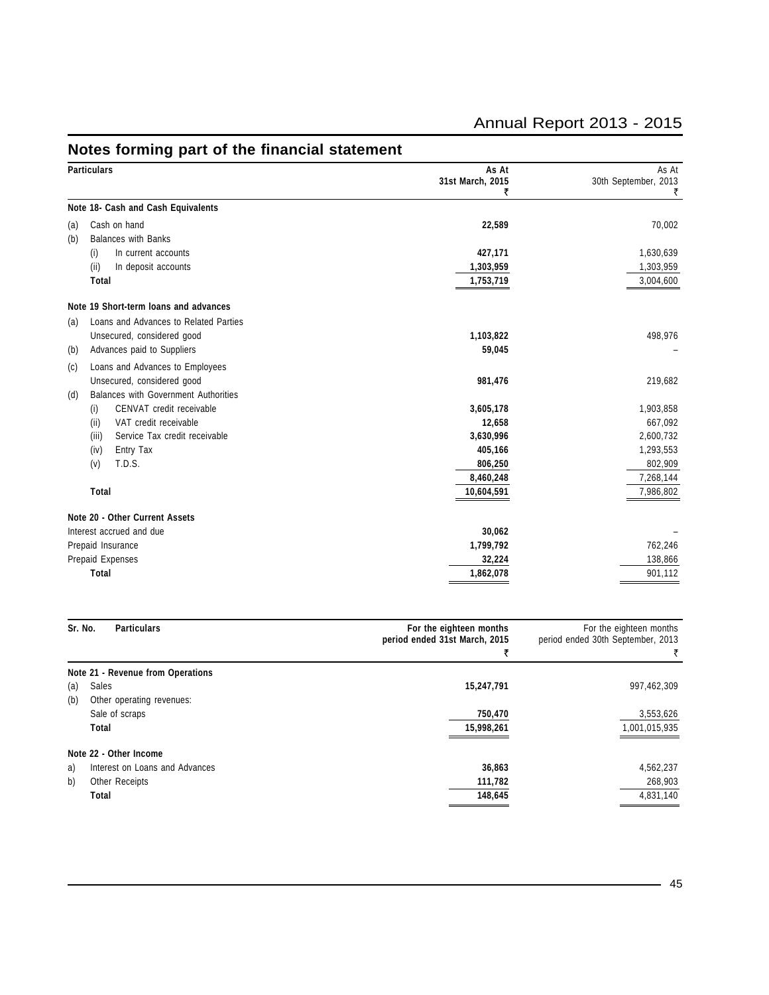| <b>Particulars</b>                                 | As At<br>31st March, 2015 | As At<br>30th September, 2013 |
|----------------------------------------------------|---------------------------|-------------------------------|
|                                                    | ₹                         | ₹                             |
| Note 18- Cash and Cash Equivalents                 |                           |                               |
| Cash on hand<br>(a)                                | 22,589                    | 70,002                        |
| <b>Balances with Banks</b><br>(b)                  |                           |                               |
| In current accounts<br>(i)                         | 427,171                   | 1,630,639                     |
| (ii)<br>In deposit accounts                        | 1,303,959                 | 1,303,959                     |
| Total                                              | 1,753,719                 | 3,004,600                     |
| Note 19 Short-term loans and advances              |                           |                               |
| Loans and Advances to Related Parties<br>(a)       |                           |                               |
| Unsecured, considered good                         | 1,103,822                 | 498,976                       |
| Advances paid to Suppliers<br>(b)                  | 59,045                    |                               |
| Loans and Advances to Employees<br>(c)             |                           |                               |
| Unsecured, considered good                         | 981,476                   | 219,682                       |
| <b>Balances with Government Authorities</b><br>(d) |                           |                               |
| CENVAT credit receivable<br>(i)                    | 3,605,178                 | 1,903,858                     |
| VAT credit receivable<br>(ii)                      | 12,658                    | 667,092                       |
| Service Tax credit receivable<br>(iii)             | 3,630,996                 | 2,600,732                     |
| (iv)<br>Entry Tax                                  | 405,166                   | 1,293,553                     |
| T.D.S.<br>(v)                                      | 806,250                   | 802,909                       |
|                                                    | 8,460,248                 | 7,268,144                     |
| Total                                              | 10,604,591                | 7,986,802                     |
| Note 20 - Other Current Assets                     |                           |                               |
| Interest accrued and due                           | 30,062                    |                               |
| Prepaid Insurance                                  | 1,799,792                 | 762,246                       |
| Prepaid Expenses                                   | 32,224                    | 138,866                       |
| Total                                              | 1,862,078                 | 901,112                       |

## **Notes forming part of the financial statement**

| Sr. No. | <b>Particulars</b>                | For the eighteen months<br>period ended 31st March, 2015 | For the eighteen months<br>period ended 30th September, 2013<br>₹ |
|---------|-----------------------------------|----------------------------------------------------------|-------------------------------------------------------------------|
|         | Note 21 - Revenue from Operations |                                                          |                                                                   |
| (a)     | Sales                             | 15,247,791                                               | 997,462,309                                                       |
| (b)     | Other operating revenues:         |                                                          |                                                                   |
|         | Sale of scraps                    | 750,470                                                  | 3,553,626                                                         |
|         | Total                             | 15,998,261                                               | 1,001,015,935                                                     |
|         | Note 22 - Other Income            |                                                          |                                                                   |
| a)      | Interest on Loans and Advances    | 36,863                                                   | 4,562,237                                                         |
| b)      | Other Receipts                    | 111,782                                                  | 268,903                                                           |
|         | Total                             | 148,645                                                  | 4,831,140                                                         |
|         |                                   |                                                          |                                                                   |

# Annual Report 2013 - 2015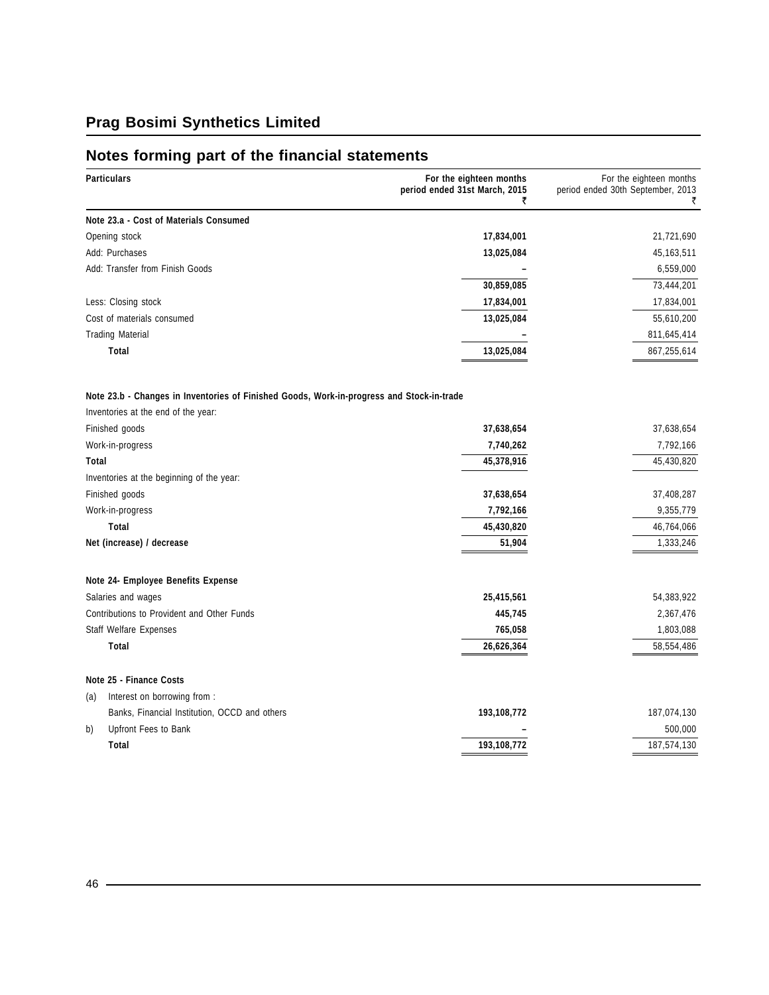# **Notes forming part of the financial statements**

| Particulars                                                                               | For the eighteen months<br>period ended 31st March, 2015<br>₹ | For the eighteen months<br>period ended 30th September, 2013<br>₹ |  |
|-------------------------------------------------------------------------------------------|---------------------------------------------------------------|-------------------------------------------------------------------|--|
| Note 23.a - Cost of Materials Consumed                                                    |                                                               |                                                                   |  |
| Opening stock                                                                             | 17,834,001                                                    | 21,721,690                                                        |  |
| Add: Purchases                                                                            | 13,025,084                                                    | 45,163,511                                                        |  |
| Add: Transfer from Finish Goods                                                           |                                                               | 6,559,000                                                         |  |
|                                                                                           | 30,859,085                                                    | 73,444,201                                                        |  |
| Less: Closing stock                                                                       | 17,834,001                                                    | 17,834,001                                                        |  |
| Cost of materials consumed                                                                | 13,025,084                                                    | 55,610,200                                                        |  |
| <b>Trading Material</b>                                                                   |                                                               | 811,645,414                                                       |  |
| Total                                                                                     | 13,025,084                                                    | 867,255,614                                                       |  |
| Note 23.b - Changes in Inventories of Finished Goods, Work-in-progress and Stock-in-trade |                                                               |                                                                   |  |
| Inventories at the end of the year:                                                       |                                                               |                                                                   |  |
| Finished goods                                                                            | 37,638,654                                                    | 37,638,654                                                        |  |
| Work-in-progress                                                                          | 7,740,262                                                     | 7,792,166                                                         |  |
| Total                                                                                     | 45,378,916                                                    | 45,430,820                                                        |  |
| Inventories at the beginning of the year:                                                 |                                                               |                                                                   |  |
| Finished goods                                                                            | 37,638,654                                                    | 37,408,287                                                        |  |
| Work-in-progress                                                                          | 7,792,166                                                     | 9,355,779                                                         |  |
| Total                                                                                     | 45,430,820                                                    | 46,764,066                                                        |  |
| Net (increase) / decrease                                                                 | 51,904                                                        | 1,333,246                                                         |  |
| Note 24- Employee Benefits Expense                                                        |                                                               |                                                                   |  |
| Salaries and wages                                                                        | 25,415,561                                                    | 54,383,922                                                        |  |
| Contributions to Provident and Other Funds                                                | 445,745                                                       | 2,367,476                                                         |  |
| Staff Welfare Expenses                                                                    | 765,058                                                       | 1,803,088                                                         |  |
| Total                                                                                     | 26,626,364                                                    | 58,554,486                                                        |  |
| Note 25 - Finance Costs                                                                   |                                                               |                                                                   |  |
| Interest on borrowing from :<br>(a)                                                       |                                                               |                                                                   |  |
| Banks, Financial Institution, OCCD and others                                             | 193,108,772                                                   | 187,074,130                                                       |  |
| Upfront Fees to Bank<br>b)                                                                |                                                               | 500,000                                                           |  |
| Total                                                                                     | 193,108,772                                                   | 187,574,130                                                       |  |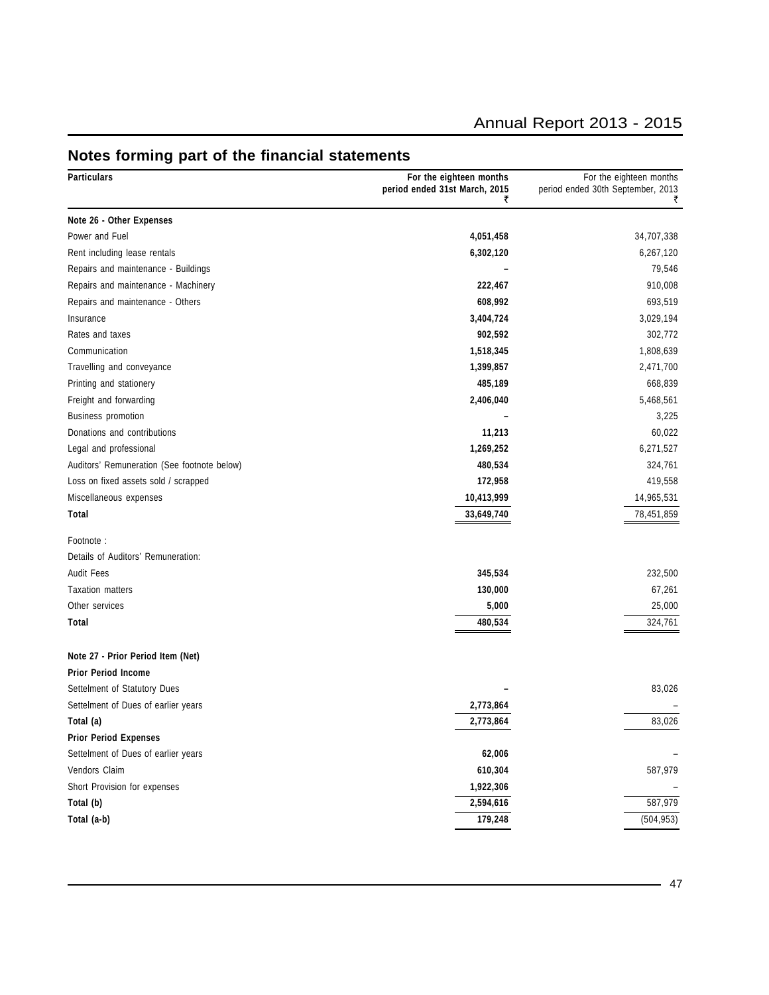## Annual Report 2013 - 2015

| 4,051,458<br>34,707,338<br>6,302,120<br>6,267,120<br>79,546<br>910,008<br>222,467<br>608,992<br>693,519<br>3,404,724<br>3,029,194<br>302,772<br>902,592<br>1,518,345<br>1,808,639<br>1,399,857<br>2,471,700<br>485,189<br>668,839<br>2,406,040<br>5,468,561<br>3,225<br>11,213<br>60,022<br>1,269,252<br>6,271,527<br>480,534<br>324,761<br>172,958<br>419,558<br>10,413,999<br>14,965,531<br>33,649,740<br>78,451,859<br>345,534<br>232,500<br>130,000<br>67,261<br>25,000<br>5,000<br>480,534<br>324,761<br>83,026<br>2,773,864<br>83,026<br>2,773,864<br>62,006<br>610,304<br>587,979<br>1,922,306<br>587,979<br>2,594,616<br>179,248<br>(504, 953) | <b>Particulars</b>                          | For the eighteen months<br>period ended 31st March, 2015<br>₹ | For the eighteen months<br>period ended 30th September, 2013<br>₹ |
|--------------------------------------------------------------------------------------------------------------------------------------------------------------------------------------------------------------------------------------------------------------------------------------------------------------------------------------------------------------------------------------------------------------------------------------------------------------------------------------------------------------------------------------------------------------------------------------------------------------------------------------------------------|---------------------------------------------|---------------------------------------------------------------|-------------------------------------------------------------------|
|                                                                                                                                                                                                                                                                                                                                                                                                                                                                                                                                                                                                                                                        | Note 26 - Other Expenses                    |                                                               |                                                                   |
|                                                                                                                                                                                                                                                                                                                                                                                                                                                                                                                                                                                                                                                        | Power and Fuel                              |                                                               |                                                                   |
|                                                                                                                                                                                                                                                                                                                                                                                                                                                                                                                                                                                                                                                        | Rent including lease rentals                |                                                               |                                                                   |
|                                                                                                                                                                                                                                                                                                                                                                                                                                                                                                                                                                                                                                                        | Repairs and maintenance - Buildings         |                                                               |                                                                   |
|                                                                                                                                                                                                                                                                                                                                                                                                                                                                                                                                                                                                                                                        | Repairs and maintenance - Machinery         |                                                               |                                                                   |
|                                                                                                                                                                                                                                                                                                                                                                                                                                                                                                                                                                                                                                                        | Repairs and maintenance - Others            |                                                               |                                                                   |
|                                                                                                                                                                                                                                                                                                                                                                                                                                                                                                                                                                                                                                                        | Insurance                                   |                                                               |                                                                   |
|                                                                                                                                                                                                                                                                                                                                                                                                                                                                                                                                                                                                                                                        | Rates and taxes                             |                                                               |                                                                   |
|                                                                                                                                                                                                                                                                                                                                                                                                                                                                                                                                                                                                                                                        | Communication                               |                                                               |                                                                   |
|                                                                                                                                                                                                                                                                                                                                                                                                                                                                                                                                                                                                                                                        | Travelling and conveyance                   |                                                               |                                                                   |
|                                                                                                                                                                                                                                                                                                                                                                                                                                                                                                                                                                                                                                                        | Printing and stationery                     |                                                               |                                                                   |
|                                                                                                                                                                                                                                                                                                                                                                                                                                                                                                                                                                                                                                                        | Freight and forwarding                      |                                                               |                                                                   |
|                                                                                                                                                                                                                                                                                                                                                                                                                                                                                                                                                                                                                                                        | <b>Business promotion</b>                   |                                                               |                                                                   |
|                                                                                                                                                                                                                                                                                                                                                                                                                                                                                                                                                                                                                                                        | Donations and contributions                 |                                                               |                                                                   |
|                                                                                                                                                                                                                                                                                                                                                                                                                                                                                                                                                                                                                                                        | Legal and professional                      |                                                               |                                                                   |
|                                                                                                                                                                                                                                                                                                                                                                                                                                                                                                                                                                                                                                                        | Auditors' Remuneration (See footnote below) |                                                               |                                                                   |
|                                                                                                                                                                                                                                                                                                                                                                                                                                                                                                                                                                                                                                                        | Loss on fixed assets sold / scrapped        |                                                               |                                                                   |
|                                                                                                                                                                                                                                                                                                                                                                                                                                                                                                                                                                                                                                                        | Miscellaneous expenses                      |                                                               |                                                                   |
|                                                                                                                                                                                                                                                                                                                                                                                                                                                                                                                                                                                                                                                        | Total                                       |                                                               |                                                                   |
|                                                                                                                                                                                                                                                                                                                                                                                                                                                                                                                                                                                                                                                        | Footnote:                                   |                                                               |                                                                   |
|                                                                                                                                                                                                                                                                                                                                                                                                                                                                                                                                                                                                                                                        | Details of Auditors' Remuneration:          |                                                               |                                                                   |
|                                                                                                                                                                                                                                                                                                                                                                                                                                                                                                                                                                                                                                                        | <b>Audit Fees</b>                           |                                                               |                                                                   |
|                                                                                                                                                                                                                                                                                                                                                                                                                                                                                                                                                                                                                                                        | <b>Taxation matters</b>                     |                                                               |                                                                   |
|                                                                                                                                                                                                                                                                                                                                                                                                                                                                                                                                                                                                                                                        | Other services                              |                                                               |                                                                   |
|                                                                                                                                                                                                                                                                                                                                                                                                                                                                                                                                                                                                                                                        | Total                                       |                                                               |                                                                   |
|                                                                                                                                                                                                                                                                                                                                                                                                                                                                                                                                                                                                                                                        | Note 27 - Prior Period Item (Net)           |                                                               |                                                                   |
|                                                                                                                                                                                                                                                                                                                                                                                                                                                                                                                                                                                                                                                        | <b>Prior Period Income</b>                  |                                                               |                                                                   |
|                                                                                                                                                                                                                                                                                                                                                                                                                                                                                                                                                                                                                                                        | Settelment of Statutory Dues                |                                                               |                                                                   |
|                                                                                                                                                                                                                                                                                                                                                                                                                                                                                                                                                                                                                                                        | Settelment of Dues of earlier years         |                                                               |                                                                   |
|                                                                                                                                                                                                                                                                                                                                                                                                                                                                                                                                                                                                                                                        | Total (a)                                   |                                                               |                                                                   |
|                                                                                                                                                                                                                                                                                                                                                                                                                                                                                                                                                                                                                                                        | <b>Prior Period Expenses</b>                |                                                               |                                                                   |
|                                                                                                                                                                                                                                                                                                                                                                                                                                                                                                                                                                                                                                                        | Settelment of Dues of earlier years         |                                                               |                                                                   |
|                                                                                                                                                                                                                                                                                                                                                                                                                                                                                                                                                                                                                                                        | Vendors Claim                               |                                                               |                                                                   |
|                                                                                                                                                                                                                                                                                                                                                                                                                                                                                                                                                                                                                                                        | Short Provision for expenses                |                                                               |                                                                   |
|                                                                                                                                                                                                                                                                                                                                                                                                                                                                                                                                                                                                                                                        | Total (b)                                   |                                                               |                                                                   |
|                                                                                                                                                                                                                                                                                                                                                                                                                                                                                                                                                                                                                                                        | Total (a-b)                                 |                                                               |                                                                   |

## **Notes forming part of the financial statements**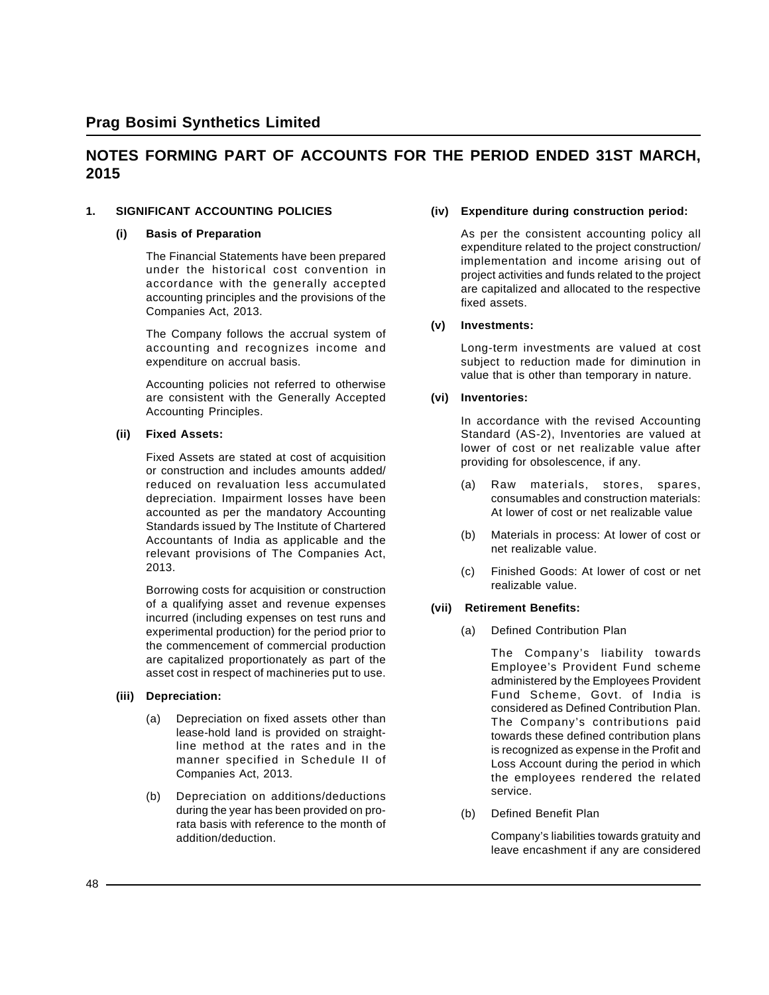## **NOTES FORMING PART OF ACCOUNTS FOR THE PERIOD ENDED 31ST MARCH, 2015**

#### **1. SIGNIFICANT ACCOUNTING POLICIES**

#### **(i) Basis of Preparation**

The Financial Statements have been prepared under the historical cost convention in accordance with the generally accepted accounting principles and the provisions of the Companies Act, 2013.

The Company follows the accrual system of accounting and recognizes income and expenditure on accrual basis.

Accounting policies not referred to otherwise are consistent with the Generally Accepted Accounting Principles.

#### **(ii) Fixed Assets:**

Fixed Assets are stated at cost of acquisition or construction and includes amounts added/ reduced on revaluation less accumulated depreciation. Impairment losses have been accounted as per the mandatory Accounting Standards issued by The Institute of Chartered Accountants of India as applicable and the relevant provisions of The Companies Act, 2013.

Borrowing costs for acquisition or construction of a qualifying asset and revenue expenses incurred (including expenses on test runs and experimental production) for the period prior to the commencement of commercial production are capitalized proportionately as part of the asset cost in respect of machineries put to use.

#### **(iii) Depreciation:**

- (a) Depreciation on fixed assets other than lease-hold land is provided on straightline method at the rates and in the manner specified in Schedule II of Companies Act, 2013.
- (b) Depreciation on additions/deductions during the year has been provided on prorata basis with reference to the month of addition/deduction.

#### **(iv) Expenditure during construction period:**

As per the consistent accounting policy all expenditure related to the project construction/ implementation and income arising out of project activities and funds related to the project are capitalized and allocated to the respective fixed assets.

#### **(v) Investments:**

Long-term investments are valued at cost subject to reduction made for diminution in value that is other than temporary in nature.

#### **(vi) Inventories:**

In accordance with the revised Accounting Standard (AS-2), Inventories are valued at lower of cost or net realizable value after providing for obsolescence, if any.

- (a) Raw materials, stores, spares, consumables and construction materials: At lower of cost or net realizable value
- (b) Materials in process: At lower of cost or net realizable value.
- (c) Finished Goods: At lower of cost or net realizable value.

#### **(vii) Retirement Benefits:**

(a) Defined Contribution Plan

The Company's liability towards Employee's Provident Fund scheme administered by the Employees Provident Fund Scheme, Govt. of India is considered as Defined Contribution Plan. The Company's contributions paid towards these defined contribution plans is recognized as expense in the Profit and Loss Account during the period in which the employees rendered the related service.

(b) Defined Benefit Plan

Company's liabilities towards gratuity and leave encashment if any are considered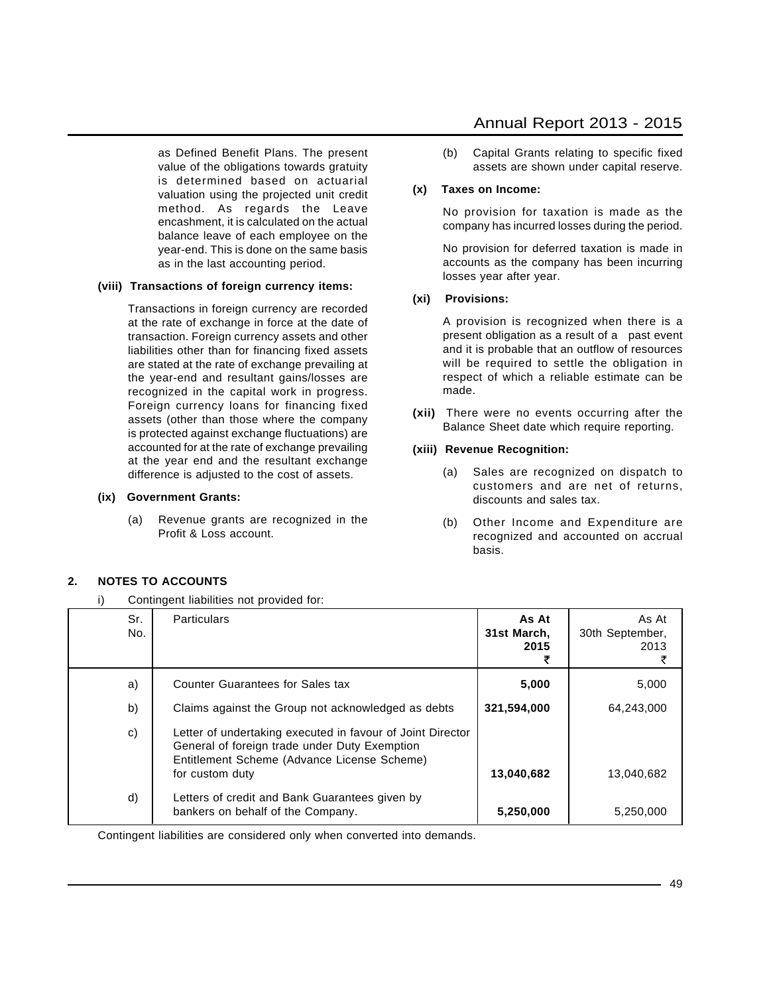as Defined Benefit Plans. The present value of the obligations towards gratuity is determined based on actuarial valuation using the projected unit credit method. As regards the Leave encashment, it is calculated on the actual balance leave of each employee on the year-end. This is done on the same basis as in the last accounting period.

#### **(viii) Transactions of foreign currency items:**

Transactions in foreign currency are recorded at the rate of exchange in force at the date of transaction. Foreign currency assets and other liabilities other than for financing fixed assets are stated at the rate of exchange prevailing at the year-end and resultant gains/losses are recognized in the capital work in progress. Foreign currency loans for financing fixed assets (other than those where the company is protected against exchange fluctuations) are accounted for at the rate of exchange prevailing at the year end and the resultant exchange difference is adjusted to the cost of assets.

#### **(ix) Government Grants:**

(a) Revenue grants are recognized in the Profit & Loss account.

### Annual Report 2013 - 2015

(b) Capital Grants relating to specific fixed assets are shown under capital reserve.

#### **(x) Taxes on Income:**

No provision for taxation is made as the company has incurred losses during the period.

No provision for deferred taxation is made in accounts as the company has been incurring losses year after year.

#### **(xi) Provisions:**

A provision is recognized when there is a present obligation as a result of a past event and it is probable that an outflow of resources will be required to settle the obligation in respect of which a reliable estimate can be made.

**(xii)** There were no events occurring after the Balance Sheet date which require reporting.

#### **(xiii) Revenue Recognition:**

- (a) Sales are recognized on dispatch to customers and are net of returns, discounts and sales tax.
- (b) Other Income and Expenditure are recognized and accounted on accrual basis.

### **2. NOTES TO ACCOUNTS**

i) Contingent liabilities not provided for:

| Sr.<br>No. | <b>Particulars</b>                                                                                                                                                            | As At<br>31st March.<br>2015 | As At<br>30th September,<br>2013 |
|------------|-------------------------------------------------------------------------------------------------------------------------------------------------------------------------------|------------------------------|----------------------------------|
| a)         | Counter Guarantees for Sales tax                                                                                                                                              | 5,000                        | 5,000                            |
| b)         | Claims against the Group not acknowledged as debts                                                                                                                            | 321,594,000                  | 64,243,000                       |
| c)         | Letter of undertaking executed in favour of Joint Director<br>General of foreign trade under Duty Exemption<br>Entitlement Scheme (Advance License Scheme)<br>for custom duty | 13,040,682                   | 13,040,682                       |
| d)         | Letters of credit and Bank Guarantees given by<br>bankers on behalf of the Company.                                                                                           | 5,250,000                    | 5,250,000                        |

Contingent liabilities are considered only when converted into demands.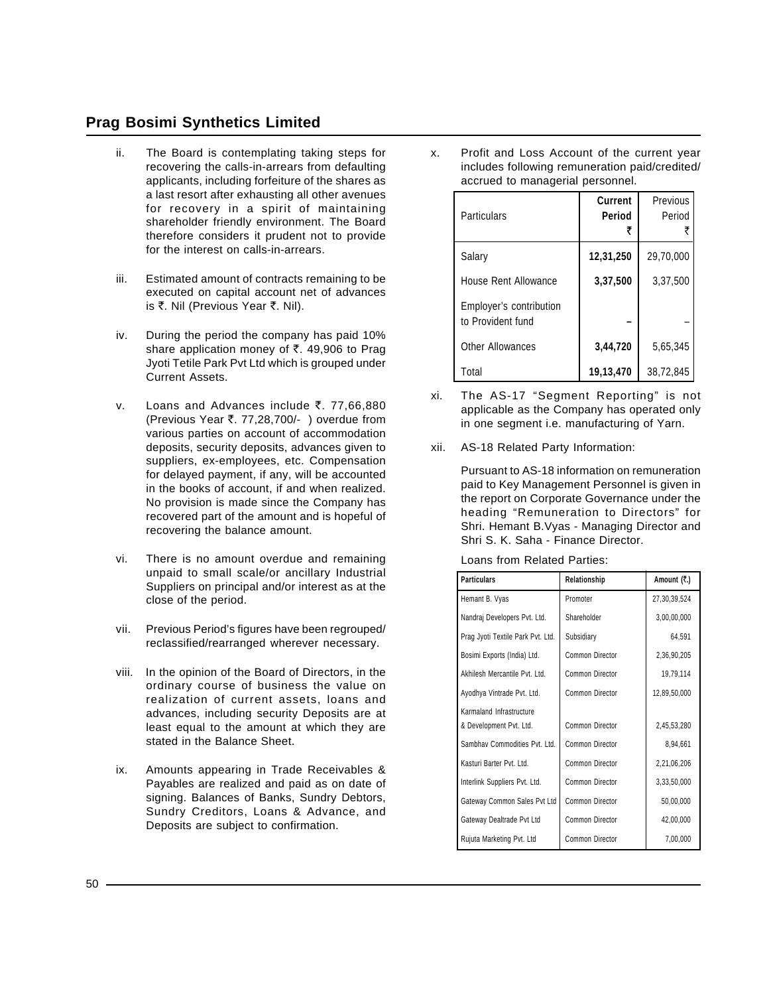- ii. The Board is contemplating taking steps for recovering the calls-in-arrears from defaulting applicants, including forfeiture of the shares as a last resort after exhausting all other avenues for recovery in a spirit of maintaining shareholder friendly environment. The Board therefore considers it prudent not to provide for the interest on calls-in-arrears.
- iii. Estimated amount of contracts remaining to be executed on capital account net of advances is ₹. Nil (Previous Year ₹. Nil).
- iv. During the period the company has paid 10% share application money of  $\bar{\tau}$ . 49,906 to Prag Jyoti Tetile Park Pvt Ltd which is grouped under Current Assets.
- v. Loans and Advances include  $\overline{5}$ . 77,66,880 (Previous Year `. 77,28,700/- ) overdue from various parties on account of accommodation deposits, security deposits, advances given to suppliers, ex-employees, etc. Compensation for delayed payment, if any, will be accounted in the books of account, if and when realized. No provision is made since the Company has recovered part of the amount and is hopeful of recovering the balance amount.
- vi. There is no amount overdue and remaining unpaid to small scale/or ancillary Industrial Suppliers on principal and/or interest as at the close of the period.
- vii. Previous Period's figures have been regrouped/ reclassified/rearranged wherever necessary.
- viii. In the opinion of the Board of Directors, in the ordinary course of business the value on realization of current assets, loans and advances, including security Deposits are at least equal to the amount at which they are stated in the Balance Sheet.
- ix. Amounts appearing in Trade Receivables & Payables are realized and paid as on date of signing. Balances of Banks, Sundry Debtors, Sundry Creditors, Loans & Advance, and Deposits are subject to confirmation.

x. Profit and Loss Account of the current year includes following remuneration paid/credited/ accrued to managerial personnel.

| Particulars                                  | <b>Current</b><br>Period | Previous<br>Period |
|----------------------------------------------|--------------------------|--------------------|
| Salary                                       | 12,31,250                | 29,70,000          |
| House Rent Allowance                         | 3,37,500                 | 3,37,500           |
| Employer's contribution<br>to Provident fund |                          |                    |
| <b>Other Allowances</b>                      | 3,44,720                 | 5,65,345           |
| Total                                        | 19,13,470                | 38,72,845          |

- xi. The AS-17 "Segment Reporting" is not applicable as the Company has operated only in one segment i.e. manufacturing of Yarn.
- xii. AS-18 Related Party Information:

Pursuant to AS-18 information on remuneration paid to Key Management Personnel is given in the report on Corporate Governance under the heading "Remuneration to Directors" for Shri. Hemant B.Vyas - Managing Director and Shri S. K. Saha - Finance Director.

| <b>Particulars</b>                | Relationship           | Amount (₹.)  |
|-----------------------------------|------------------------|--------------|
| Hemant B. Vyas                    | Promoter               | 27,30,39,524 |
| Nandraj Developers Pvt. Ltd.      | Shareholder            | 3,00,00,000  |
| Prag Jyoti Textile Park Pvt. Ltd. | Subsidiary             | 64,591       |
| Bosimi Exports (India) Ltd.       | Common Director        | 2,36,90,205  |
| Akhilesh Mercantile Pyt. Ltd.     | Common Director        | 19,79,114    |
| Ayodhya Vintrade Pvt. Ltd.        | Common Director        | 12,89,50,000 |
| Karmaland Infrastructure          |                        |              |
| & Development Pvt. Ltd.           | <b>Common Director</b> | 2,45,53,280  |
| Sambhav Commodities Pvt. Ltd.     | Common Director        | 8,94,661     |
| Kasturi Barter Pvt. Ltd.          | Common Director        | 2,21,06,206  |
| Interlink Suppliers Pvt. Ltd.     | <b>Common Director</b> | 3,33,50,000  |
| Gateway Common Sales Pvt Ltd      | <b>Common Director</b> | 50,00,000    |
| Gateway Dealtrade Pvt Ltd         | Common Director        | 42,00,000    |
| Rujuta Marketing Pvt. Ltd         | Common Director        | 7,00,000     |

Loans from Related Parties: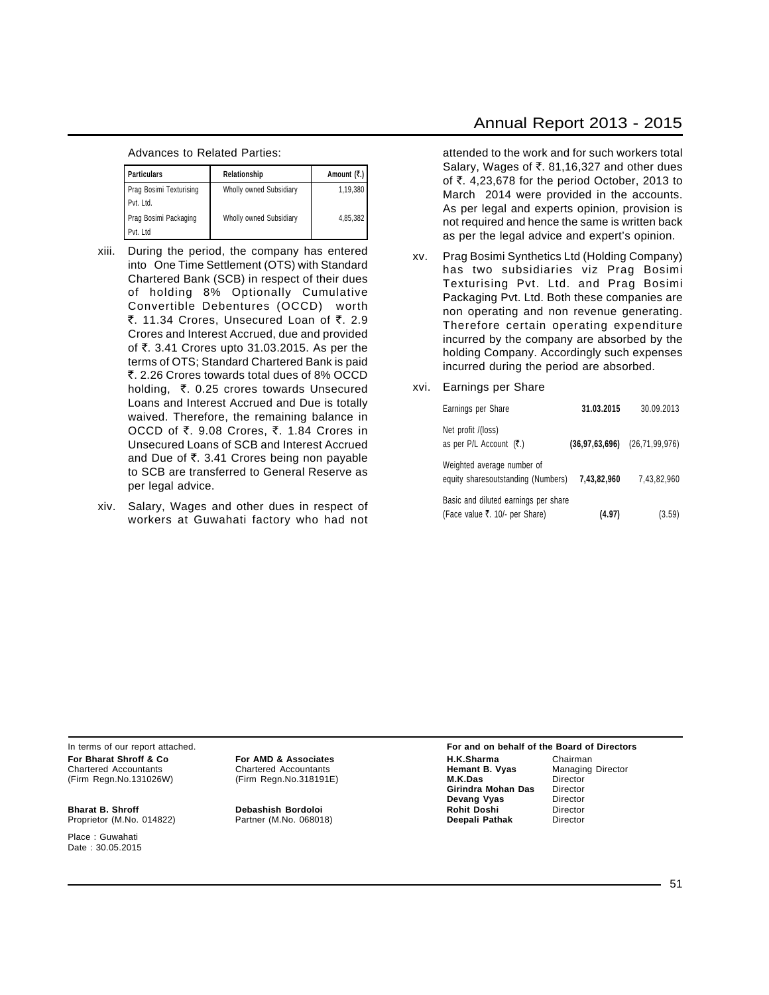#### Advances to Related Parties:

| <b>Particulars</b><br>Relationship |                                | Amount $( ₹.)$ |
|------------------------------------|--------------------------------|----------------|
| Prag Bosimi Texturising            | Wholly owned Subsidiary        | 1,19,380       |
| Pvt. Ltd.                          |                                |                |
| Prag Bosimi Packaging              | <b>Wholly owned Subsidiary</b> | 4,85,382       |
| Pvt. Ltd                           |                                |                |

- xiii. During the period, the company has entered into One Time Settlement (OTS) with Standard Chartered Bank (SCB) in respect of their dues of holding 8% Optionally Cumulative Convertible Debentures (OCCD) worth ₹. 11.34 Crores, Unsecured Loan of ₹. 2.9 Crores and Interest Accrued, due and provided of `. 3.41 Crores upto 31.03.2015. As per the terms of OTS; Standard Chartered Bank is paid `. 2.26 Crores towards total dues of 8% OCCD holding,  $\bar{\tau}$ . 0.25 crores towards Unsecured Loans and Interest Accrued and Due is totally waived. Therefore, the remaining balance in OCCD of ₹. 9.08 Crores, ₹. 1.84 Crores in Unsecured Loans of SCB and Interest Accrued and Due of  $\overline{\tau}$ . 3.41 Crores being non payable to SCB are transferred to General Reserve as per legal advice.
- xiv. Salary, Wages and other dues in respect of workers at Guwahati factory who had not

attended to the work and for such workers total Salary, Wages of ₹. 81,16,327 and other dues of `. 4,23,678 for the period October, 2013 to March 2014 were provided in the accounts. As per legal and experts opinion, provision is not required and hence the same is written back as per the legal advice and expert's opinion.

- xv. Prag Bosimi Synthetics Ltd (Holding Company) has two subsidiaries viz Prag Bosimi Texturising Pvt. Ltd. and Prag Bosimi Packaging Pvt. Ltd. Both these companies are non operating and non revenue generating. Therefore certain operating expenditure incurred by the company are absorbed by the holding Company. Accordingly such expenses incurred during the period are absorbed.
- xvi. Earnings per Share

| Earnings per Share                                                     | 31.03.2015  | 30.09.2013                        |
|------------------------------------------------------------------------|-------------|-----------------------------------|
| Net profit /(loss)<br>as per P/L Account (₹.)                          |             | $(36.97.63.696)$ $(26.71.99.976)$ |
| Weighted average number of<br>equity sharesoutstanding (Numbers)       | 7.43.82.960 | 7.43.82.960                       |
| Basic and diluted earnings per share<br>(Face value ₹. 10/- per Share) | (4.97)      | (3.59)                            |

In terms of our report attached. **For and on behalf of the Board of Directors**

**Bharat B. Shroff Debashish Bordoloi Rohit Doshi** Director Proprietor (M.No. 014822)

Place : Guwahati Date : 30.05.2015

#### **For Bharat Shroff & Co For AMD & Associates H.K.Sharma** Chairman Chairman<br>
Chartered Accountants Chartered Accountants **Hemant B. Vyas** Managing Director Chartered Accountants **Chartered Accountants Chartered Accountants Chartered Accountants Charter B. Vyas M.K.Das** M.K.Das (Firm Regn.No.131026W) (Firm Regn.No.318191E) **M.K.Das** Director **Girindra Mohan Das** Director<br>**Devang Vyas** Director **Devang Vyas** Director<br> **Rohit Doshi** Director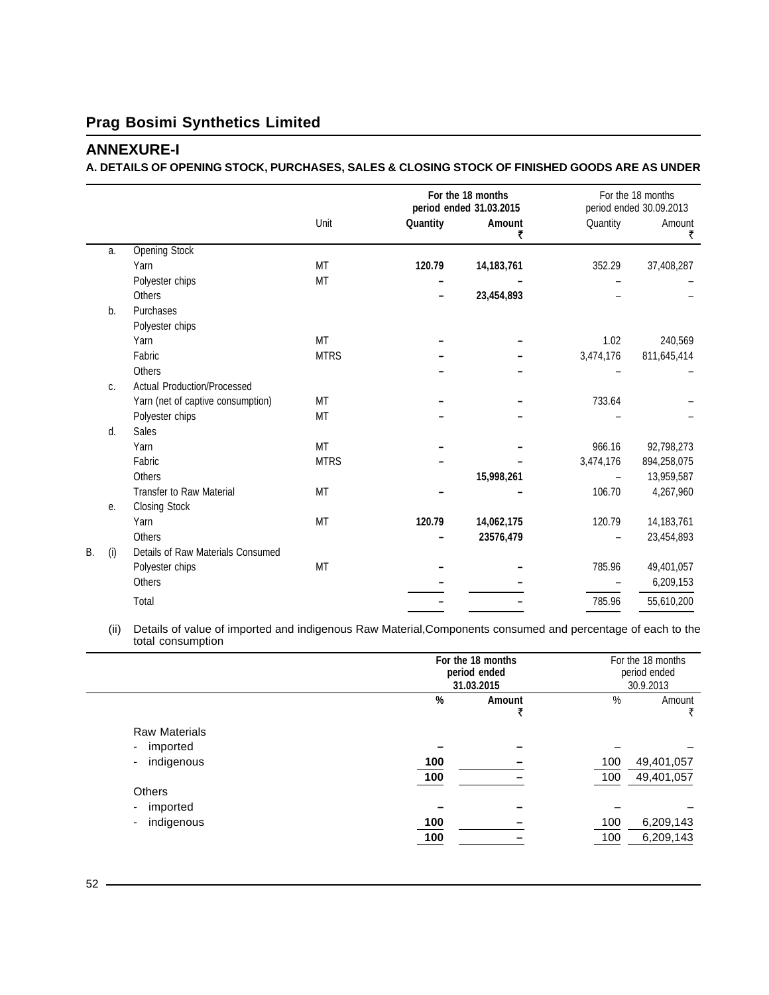### **ANNEXURE-I**

#### **A. DETAILS OF OPENING STOCK, PURCHASES, SALES & CLOSING STOCK OF FINISHED GOODS ARE AS UNDER**

|           |     |                                    |             |          | For the 18 months<br>period ended 31.03.2015 |           | For the 18 months<br>period ended 30.09.2013 |
|-----------|-----|------------------------------------|-------------|----------|----------------------------------------------|-----------|----------------------------------------------|
|           |     |                                    | Unit        | Quantity | Amount<br>₹                                  | Quantity  | Amount<br>₹                                  |
|           | a.  | <b>Opening Stock</b>               |             |          |                                              |           |                                              |
|           |     | Yarn                               | MT          | 120.79   | 14, 183, 761                                 | 352.29    | 37,408,287                                   |
|           |     | Polyester chips                    | MT          |          |                                              |           |                                              |
|           |     | <b>Others</b>                      |             |          | 23,454,893                                   |           |                                              |
|           | b.  | Purchases                          |             |          |                                              |           |                                              |
|           |     | Polyester chips                    |             |          |                                              |           |                                              |
|           |     | Yarn                               | <b>MT</b>   |          |                                              | 1.02      | 240,569                                      |
|           |     | Fabric                             | <b>MTRS</b> |          |                                              | 3,474,176 | 811,645,414                                  |
|           |     | <b>Others</b>                      |             |          |                                              |           |                                              |
|           | C.  | <b>Actual Production/Processed</b> |             |          |                                              |           |                                              |
|           |     | Yarn (net of captive consumption)  | MT          |          |                                              | 733.64    |                                              |
|           |     | Polyester chips                    | MT          |          |                                              |           |                                              |
|           | d.  | <b>Sales</b>                       |             |          |                                              |           |                                              |
|           |     | Yarn                               | <b>MT</b>   |          |                                              | 966.16    | 92,798,273                                   |
|           |     | Fabric                             | <b>MTRS</b> |          |                                              | 3,474,176 | 894,258,075                                  |
|           |     | <b>Others</b>                      |             |          | 15,998,261                                   |           | 13,959,587                                   |
|           |     | <b>Transfer to Raw Material</b>    | MT          |          |                                              | 106.70    | 4,267,960                                    |
|           | е.  | <b>Closing Stock</b>               |             |          |                                              |           |                                              |
|           |     | Yarn                               | MT          | 120.79   | 14,062,175                                   | 120.79    | 14, 183, 761                                 |
|           |     | Others                             |             |          | 23576,479                                    |           | 23,454,893                                   |
| <b>B.</b> | (i) | Details of Raw Materials Consumed  |             |          |                                              |           |                                              |
|           |     | Polyester chips                    | MT          |          |                                              | 785.96    | 49,401,057                                   |
|           |     | <b>Others</b>                      |             |          |                                              |           | 6,209,153                                    |
|           |     | Total                              |             |          |                                              | 785.96    | 55,610,200                                   |
|           |     |                                    |             |          |                                              |           |                                              |

(ii) Details of value of imported and indigenous Raw Material,Components consumed and percentage of each to the total consumption  $\overline{a}$ 

|                                  | For the 18 months<br>period ended<br>31.03.2015 |        |            | For the 18 months<br>period ended<br>30.9.2013 |  |
|----------------------------------|-------------------------------------------------|--------|------------|------------------------------------------------|--|
|                                  | %                                               | Amount | %          | Amount<br>₹                                    |  |
| <b>Raw Materials</b><br>imported |                                                 |        |            |                                                |  |
| indigenous<br>٠                  | 100<br>100                                      |        | 100<br>100 | 49,401,057<br>49,401,057                       |  |
| <b>Others</b><br>imported<br>٠   |                                                 |        |            |                                                |  |
| indigenous<br>٠                  | 100<br>100                                      |        | 100<br>100 | 6,209,143<br>6,209,143                         |  |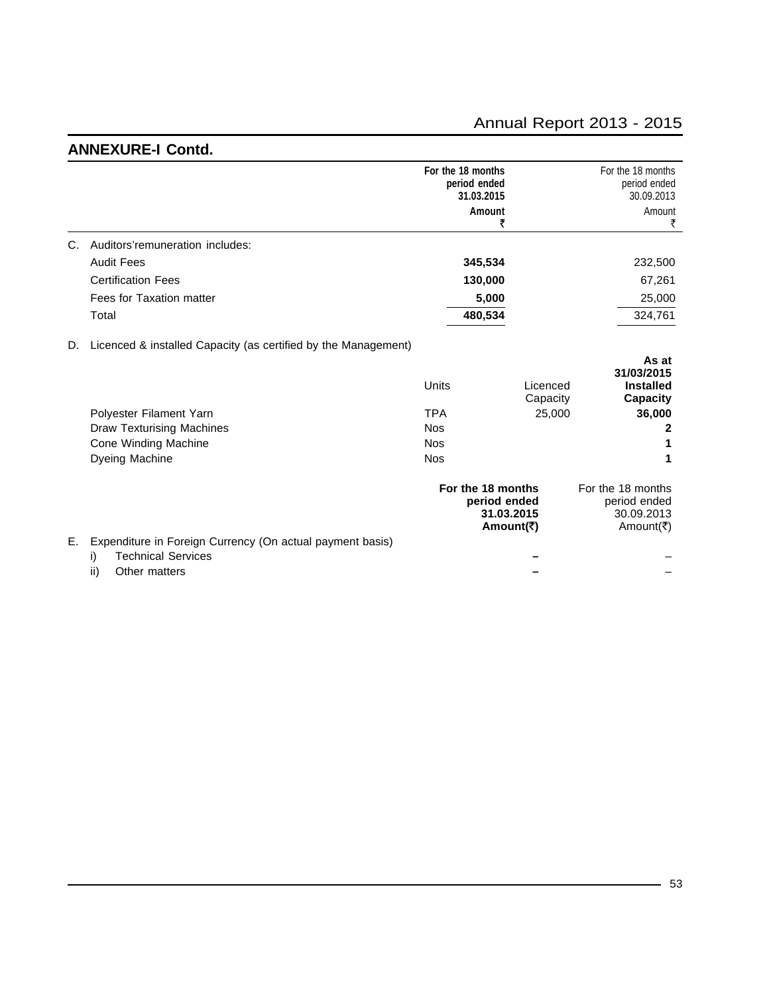## **ANNEXURE-I Contd.**

|    |                                                                | For the 18 months<br>period ended | 31.03.2015                                                   | For the 18 months<br>period ended<br>30.09.2013              |
|----|----------------------------------------------------------------|-----------------------------------|--------------------------------------------------------------|--------------------------------------------------------------|
|    |                                                                |                                   | Amount<br>₹                                                  | Amount<br>₹                                                  |
| C. | Auditors'remuneration includes:                                |                                   |                                                              |                                                              |
|    | <b>Audit Fees</b>                                              |                                   | 345,534                                                      | 232,500                                                      |
|    | <b>Certification Fees</b>                                      |                                   | 130,000                                                      | 67,261                                                       |
|    | Fees for Taxation matter                                       |                                   | 5,000                                                        | 25,000                                                       |
|    | Total                                                          |                                   | 480,534                                                      | 324,761                                                      |
| D. | Licenced & installed Capacity (as certified by the Management) |                                   |                                                              |                                                              |
|    |                                                                | Units                             | Licenced<br>Capacity                                         | As at<br>31/03/2015<br><b>Installed</b><br><b>Capacity</b>   |
|    | Polyester Filament Yarn                                        | <b>TPA</b>                        | 25,000                                                       | 36,000                                                       |
|    | <b>Draw Texturising Machines</b>                               | <b>Nos</b>                        |                                                              | 2                                                            |
|    | Cone Winding Machine                                           | <b>Nos</b>                        |                                                              |                                                              |
|    | Dyeing Machine                                                 | <b>Nos</b>                        |                                                              |                                                              |
|    |                                                                |                                   | For the 18 months<br>period ended<br>31.03.2015<br>Amount(₹) | For the 18 months<br>period ended<br>30.09.2013<br>Amount(₹) |
| Е. | Expenditure in Foreign Currency (On actual payment basis)      |                                   |                                                              |                                                              |
|    | <b>Technical Services</b><br>i)<br>ii)<br>Other matters        |                                   |                                                              |                                                              |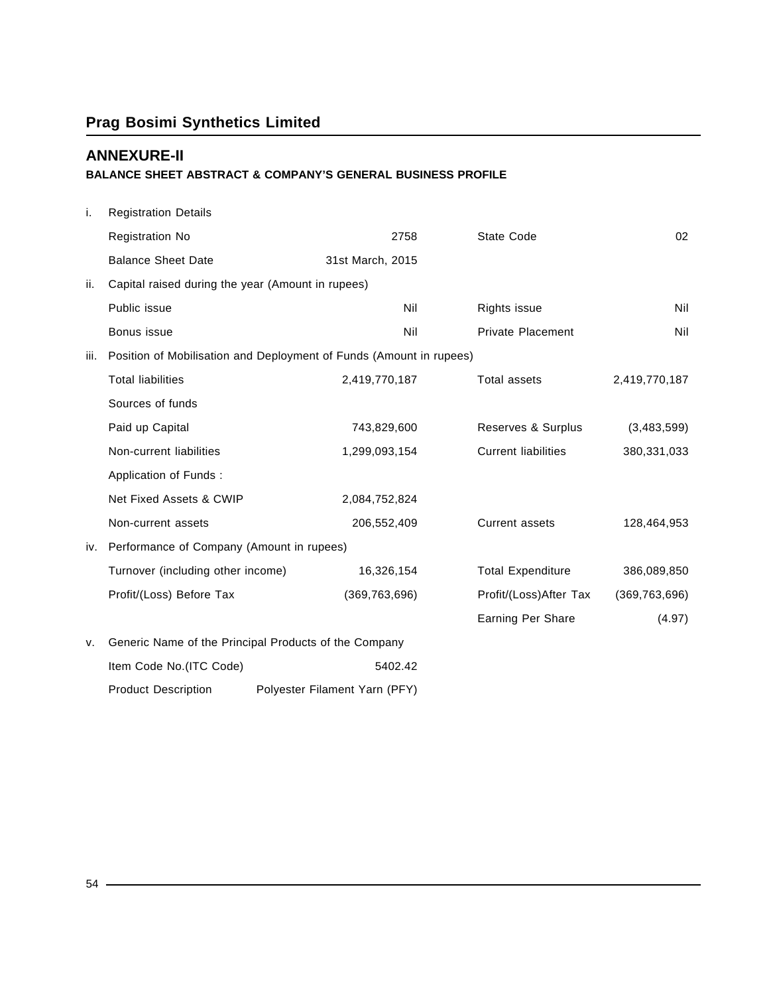## **ANNEXURE-II**

### **BALANCE SHEET ABSTRACT & COMPANY'S GENERAL BUSINESS PROFILE**

| i.   | <b>Registration Details</b>                       |                                                                     |                            |                                           |
|------|---------------------------------------------------|---------------------------------------------------------------------|----------------------------|-------------------------------------------|
|      | <b>Registration No</b>                            | 2758                                                                | State Code                 | 02                                        |
|      | <b>Balance Sheet Date</b>                         | 31st March, 2015                                                    |                            |                                           |
| ii.  | Capital raised during the year (Amount in rupees) |                                                                     |                            |                                           |
|      | Public issue                                      | Nil                                                                 | Rights issue               | Nil                                       |
|      | Bonus issue                                       | Nil                                                                 | <b>Private Placement</b>   | Nil                                       |
| iii. |                                                   | Position of Mobilisation and Deployment of Funds (Amount in rupees) |                            |                                           |
|      | <b>Total liabilities</b>                          | 2,419,770,187                                                       | <b>Total assets</b>        | 2,419,770,187                             |
|      | Sources of funds                                  |                                                                     |                            |                                           |
|      | Paid up Capital                                   | 743,829,600                                                         | Reserves & Surplus         | (3,483,599)                               |
|      | Non-current liabilities                           | 1,299,093,154                                                       | <b>Current liabilities</b> | 380,331,033                               |
|      | Application of Funds:                             |                                                                     |                            |                                           |
|      | Net Fixed Assets & CWIP                           | 2,084,752,824                                                       |                            |                                           |
|      | Non-current assets                                | 206,552,409                                                         | <b>Current assets</b>      | 128,464,953                               |
| iv.  | Performance of Company (Amount in rupees)         |                                                                     |                            |                                           |
|      | Turnover (including other income)                 | 16,326,154                                                          | <b>Total Expenditure</b>   | 386,089,850                               |
|      | Profit/(Loss) Before Tax                          | (369, 763, 696)                                                     |                            | Profit/(Loss)After Tax<br>(369, 763, 696) |
|      |                                                   |                                                                     | Earning Per Share          | (4.97)                                    |
| ν.   |                                                   | Generic Name of the Principal Products of the Company               |                            |                                           |
|      | Item Code No.(ITC Code)                           | 5402.42                                                             |                            |                                           |
|      | <b>Product Description</b>                        | Polyester Filament Yarn (PFY)                                       |                            |                                           |

54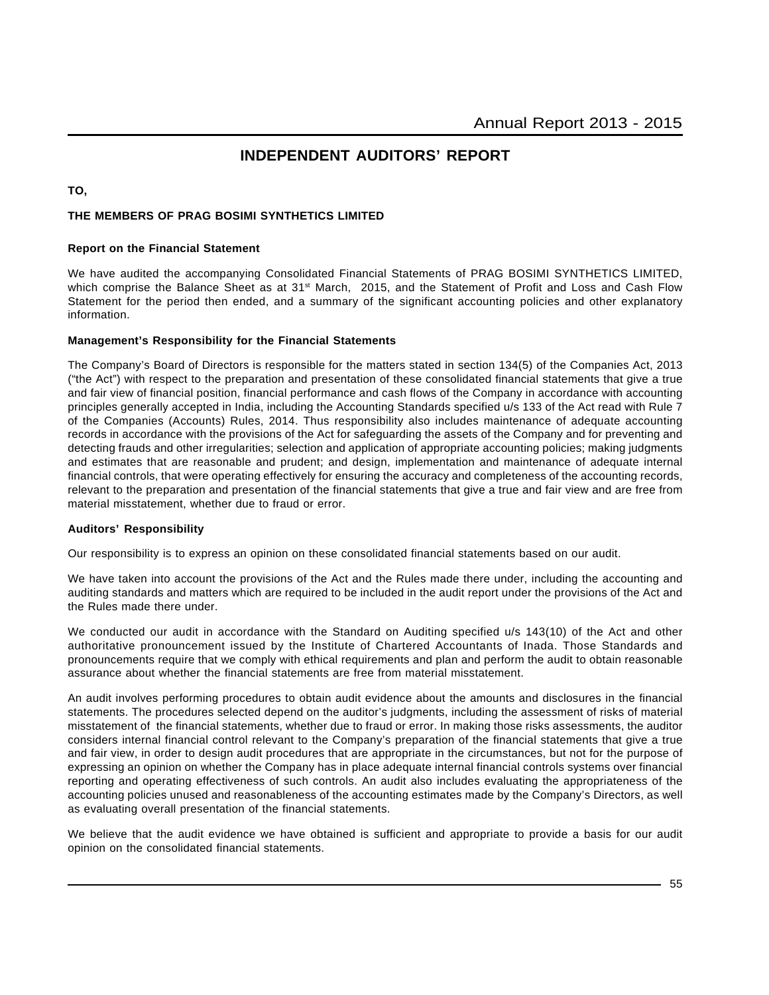## **INDEPENDENT AUDITORS' REPORT**

**TO,**

#### **THE MEMBERS OF PRAG BOSIMI SYNTHETICS LIMITED**

#### **Report on the Financial Statement**

We have audited the accompanying Consolidated Financial Statements of PRAG BOSIMI SYNTHETICS LIMITED, which comprise the Balance Sheet as at 31<sup>st</sup> March, 2015, and the Statement of Profit and Loss and Cash Flow Statement for the period then ended, and a summary of the significant accounting policies and other explanatory information.

#### **Management's Responsibility for the Financial Statements**

The Company's Board of Directors is responsible for the matters stated in section 134(5) of the Companies Act, 2013 ("the Act") with respect to the preparation and presentation of these consolidated financial statements that give a true and fair view of financial position, financial performance and cash flows of the Company in accordance with accounting principles generally accepted in India, including the Accounting Standards specified u/s 133 of the Act read with Rule 7 of the Companies (Accounts) Rules, 2014. Thus responsibility also includes maintenance of adequate accounting records in accordance with the provisions of the Act for safeguarding the assets of the Company and for preventing and detecting frauds and other irregularities; selection and application of appropriate accounting policies; making judgments and estimates that are reasonable and prudent; and design, implementation and maintenance of adequate internal financial controls, that were operating effectively for ensuring the accuracy and completeness of the accounting records, relevant to the preparation and presentation of the financial statements that give a true and fair view and are free from material misstatement, whether due to fraud or error.

#### **Auditors' Responsibility**

Our responsibility is to express an opinion on these consolidated financial statements based on our audit.

We have taken into account the provisions of the Act and the Rules made there under, including the accounting and auditing standards and matters which are required to be included in the audit report under the provisions of the Act and the Rules made there under.

We conducted our audit in accordance with the Standard on Auditing specified u/s 143(10) of the Act and other authoritative pronouncement issued by the Institute of Chartered Accountants of Inada. Those Standards and pronouncements require that we comply with ethical requirements and plan and perform the audit to obtain reasonable assurance about whether the financial statements are free from material misstatement.

An audit involves performing procedures to obtain audit evidence about the amounts and disclosures in the financial statements. The procedures selected depend on the auditor's judgments, including the assessment of risks of material misstatement of the financial statements, whether due to fraud or error. In making those risks assessments, the auditor considers internal financial control relevant to the Company's preparation of the financial statements that give a true and fair view, in order to design audit procedures that are appropriate in the circumstances, but not for the purpose of expressing an opinion on whether the Company has in place adequate internal financial controls systems over financial reporting and operating effectiveness of such controls. An audit also includes evaluating the appropriateness of the accounting policies unused and reasonableness of the accounting estimates made by the Company's Directors, as well as evaluating overall presentation of the financial statements.

We believe that the audit evidence we have obtained is sufficient and appropriate to provide a basis for our audit opinion on the consolidated financial statements.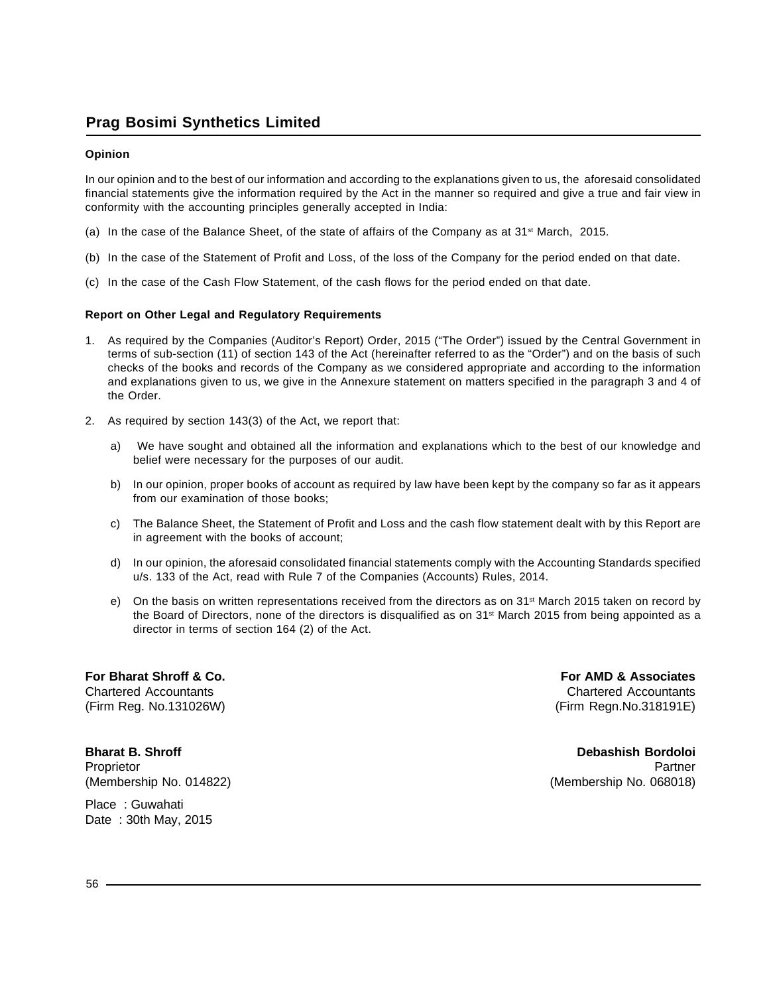#### **Opinion**

In our opinion and to the best of our information and according to the explanations given to us, the aforesaid consolidated financial statements give the information required by the Act in the manner so required and give a true and fair view in conformity with the accounting principles generally accepted in India:

- (a) In the case of the Balance Sheet, of the state of affairs of the Company as at  $31<sup>st</sup>$  March, 2015.
- (b) In the case of the Statement of Profit and Loss, of the loss of the Company for the period ended on that date.
- (c) In the case of the Cash Flow Statement, of the cash flows for the period ended on that date.

#### **Report on Other Legal and Regulatory Requirements**

- 1. As required by the Companies (Auditor's Report) Order, 2015 ("The Order") issued by the Central Government in terms of sub-section (11) of section 143 of the Act (hereinafter referred to as the "Order") and on the basis of such checks of the books and records of the Company as we considered appropriate and according to the information and explanations given to us, we give in the Annexure statement on matters specified in the paragraph 3 and 4 of the Order.
- 2. As required by section 143(3) of the Act, we report that:
	- a) We have sought and obtained all the information and explanations which to the best of our knowledge and belief were necessary for the purposes of our audit.
	- b) In our opinion, proper books of account as required by law have been kept by the company so far as it appears from our examination of those books;
	- c) The Balance Sheet, the Statement of Profit and Loss and the cash flow statement dealt with by this Report are in agreement with the books of account;
	- d) In our opinion, the aforesaid consolidated financial statements comply with the Accounting Standards specified u/s. 133 of the Act, read with Rule 7 of the Companies (Accounts) Rules, 2014.
	- e) On the basis on written representations received from the directors as on 31<sup>st</sup> March 2015 taken on record by the Board of Directors, none of the directors is disqualified as on 31<sup>st</sup> March 2015 from being appointed as a director in terms of section 164 (2) of the Act.

**For Bharat Shroff & Co. For AMD & Associates**

(Membership No. 014822) (Membership No. 068018)

Chartered Accountants Chartered Accountants (Firm Reg. No.131026W) (Firm Regn.No.318191E)

**Bharat B. Shroff Debashish Bordoloi** Proprietor Partner (Proprietor Partner Partner) and the control of the control of the control of the control of the control of the control of the control of the control of the control of the control of the control of the c

Place : Guwahati Date : 30th May, 2015

56 –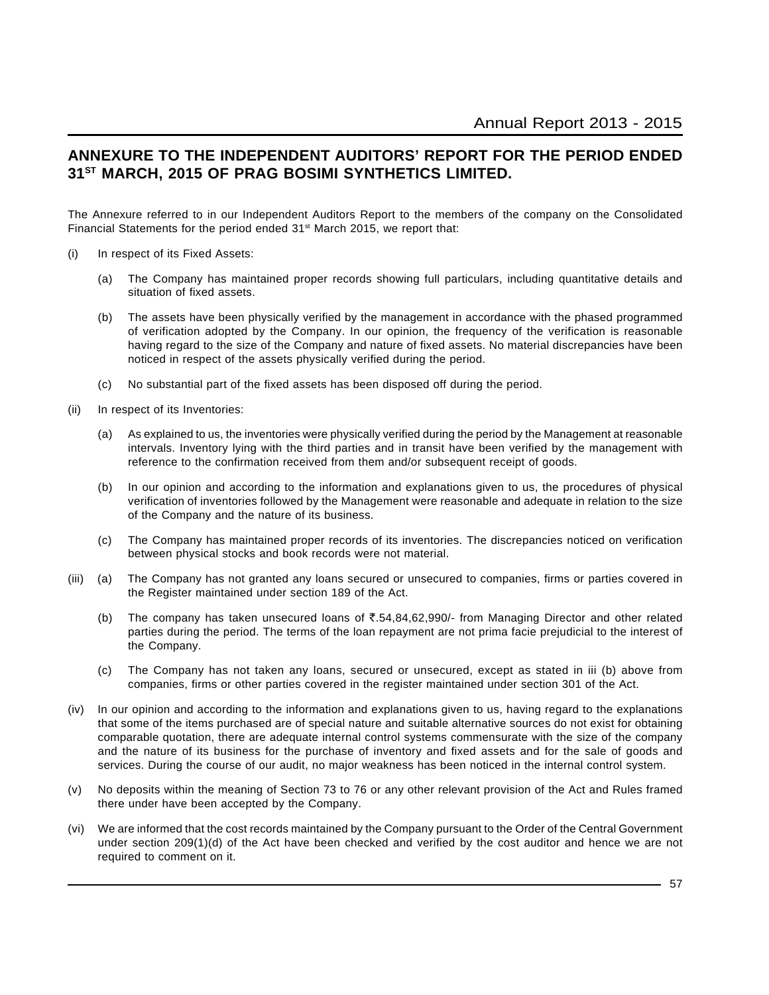## **ANNEXURE TO THE INDEPENDENT AUDITORS' REPORT FOR THE PERIOD ENDED 31ST MARCH, 2015 OF PRAG BOSIMI SYNTHETICS LIMITED.**

The Annexure referred to in our Independent Auditors Report to the members of the company on the Consolidated Financial Statements for the period ended 31<sup>st</sup> March 2015, we report that:

- (i) In respect of its Fixed Assets:
	- (a) The Company has maintained proper records showing full particulars, including quantitative details and situation of fixed assets.
	- (b) The assets have been physically verified by the management in accordance with the phased programmed of verification adopted by the Company. In our opinion, the frequency of the verification is reasonable having regard to the size of the Company and nature of fixed assets. No material discrepancies have been noticed in respect of the assets physically verified during the period.
	- (c) No substantial part of the fixed assets has been disposed off during the period.
- (ii) In respect of its Inventories:
	- (a) As explained to us, the inventories were physically verified during the period by the Management at reasonable intervals. Inventory lying with the third parties and in transit have been verified by the management with reference to the confirmation received from them and/or subsequent receipt of goods.
	- (b) In our opinion and according to the information and explanations given to us, the procedures of physical verification of inventories followed by the Management were reasonable and adequate in relation to the size of the Company and the nature of its business.
	- (c) The Company has maintained proper records of its inventories. The discrepancies noticed on verification between physical stocks and book records were not material.
- (iii) (a) The Company has not granted any loans secured or unsecured to companies, firms or parties covered in the Register maintained under section 189 of the Act.
	- (b) The company has taken unsecured loans of  $\overline{3.54,84,62,990/1}$  from Managing Director and other related parties during the period. The terms of the loan repayment are not prima facie prejudicial to the interest of the Company.
	- (c) The Company has not taken any loans, secured or unsecured, except as stated in iii (b) above from companies, firms or other parties covered in the register maintained under section 301 of the Act.
- (iv) In our opinion and according to the information and explanations given to us, having regard to the explanations that some of the items purchased are of special nature and suitable alternative sources do not exist for obtaining comparable quotation, there are adequate internal control systems commensurate with the size of the company and the nature of its business for the purchase of inventory and fixed assets and for the sale of goods and services. During the course of our audit, no major weakness has been noticed in the internal control system.
- (v) No deposits within the meaning of Section 73 to 76 or any other relevant provision of the Act and Rules framed there under have been accepted by the Company.
- (vi) We are informed that the cost records maintained by the Company pursuant to the Order of the Central Government under section 209(1)(d) of the Act have been checked and verified by the cost auditor and hence we are not required to comment on it.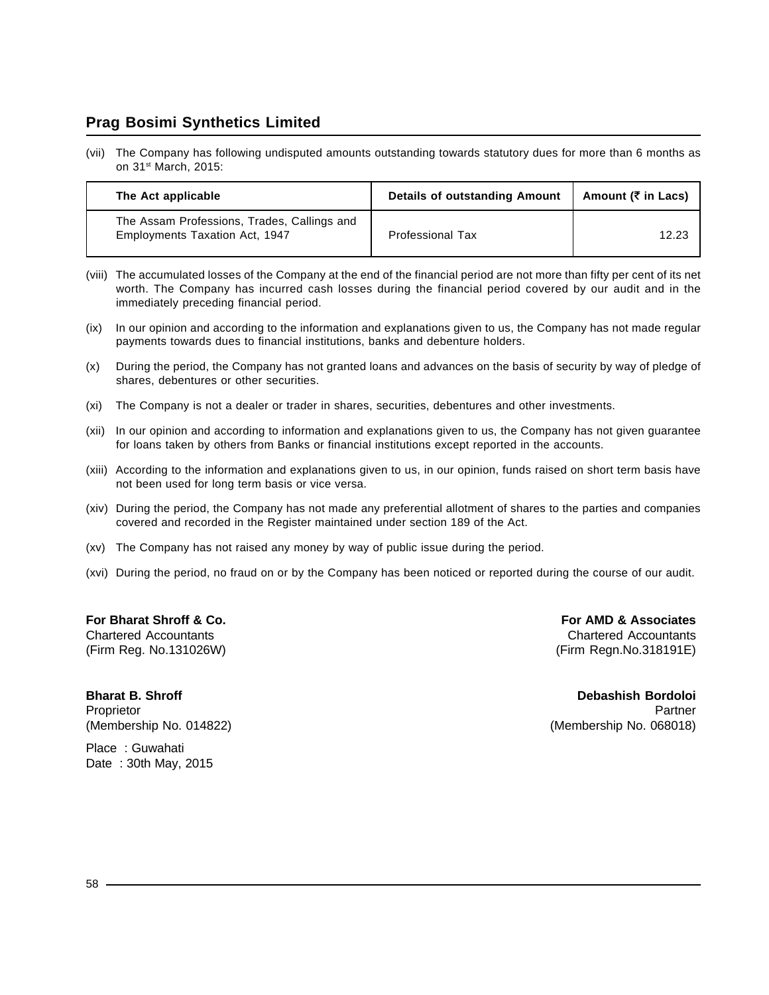(vii) The Company has following undisputed amounts outstanding towards statutory dues for more than 6 months as on 31st March, 2015:

| The Act applicable                                                            | Details of outstanding Amount | Amount ( $\bar{\tau}$ in Lacs) |
|-------------------------------------------------------------------------------|-------------------------------|--------------------------------|
| The Assam Professions, Trades, Callings and<br>Employments Taxation Act, 1947 | <b>Professional Tax</b>       | 12.23                          |

- (viii) The accumulated losses of the Company at the end of the financial period are not more than fifty per cent of its net worth. The Company has incurred cash losses during the financial period covered by our audit and in the immediately preceding financial period.
- (ix) In our opinion and according to the information and explanations given to us, the Company has not made regular payments towards dues to financial institutions, banks and debenture holders.
- (x) During the period, the Company has not granted loans and advances on the basis of security by way of pledge of shares, debentures or other securities.
- (xi) The Company is not a dealer or trader in shares, securities, debentures and other investments.
- (xii) In our opinion and according to information and explanations given to us, the Company has not given guarantee for loans taken by others from Banks or financial institutions except reported in the accounts.
- (xiii) According to the information and explanations given to us, in our opinion, funds raised on short term basis have not been used for long term basis or vice versa.
- (xiv) During the period, the Company has not made any preferential allotment of shares to the parties and companies covered and recorded in the Register maintained under section 189 of the Act.
- (xv) The Company has not raised any money by way of public issue during the period.
- (xvi) During the period, no fraud on or by the Company has been noticed or reported during the course of our audit.

Chartered Accountants Chartered Accountants (Firm Reg. No.131026W) (Firm Regn.No.318191E)

**For Bharat Shroff & Co. For AMD & Associates**

**Bharat B. Shroff Community Bordoloi** Bordoloi Bordoloi Bordoloi Bordoloi Bordoloi Bordoloi Bordoloi Bordoloi Bordoloi Proprietor Partner (Proprietor Partner Partner (Proprietor Partner Partner Partner Partner Partner Partner Par

(Membership No. 014822) (Membership No. 068018)

Place : Guwahati Date : 30th May, 2015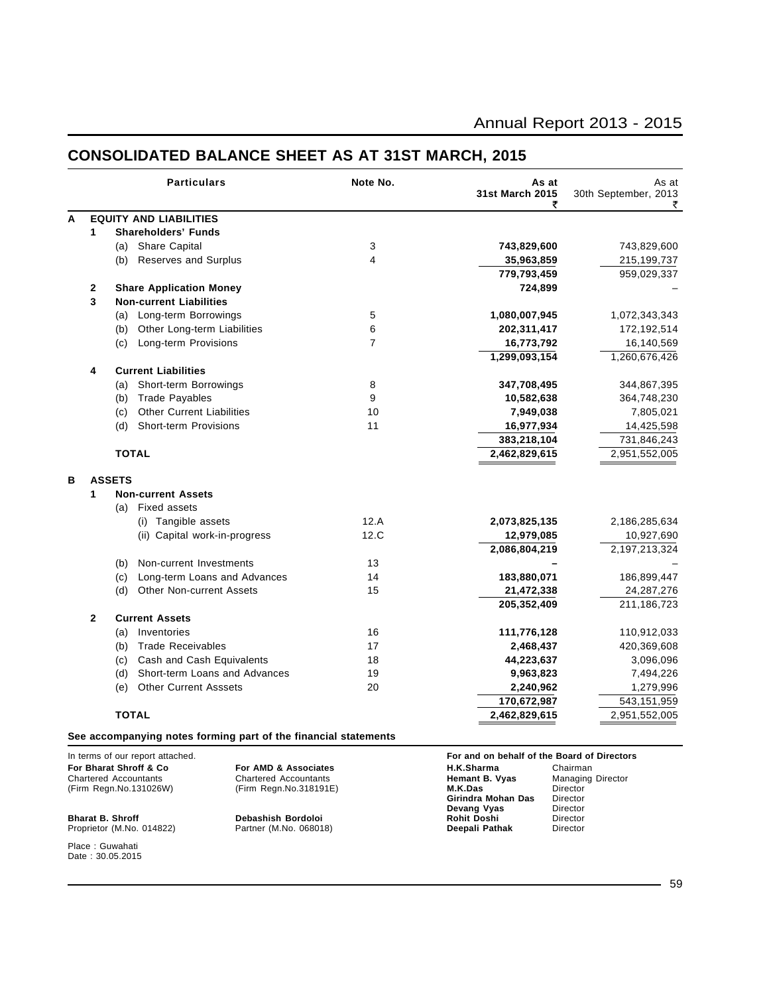|   |               | <b>Particulars</b>                                              | Note No.       | As at<br>31st March 2015<br>₹ | As at<br>30th September, 2013<br>₹ |
|---|---------------|-----------------------------------------------------------------|----------------|-------------------------------|------------------------------------|
| A |               | <b>EQUITY AND LIABILITIES</b>                                   |                |                               |                                    |
|   | 1             | <b>Shareholders' Funds</b>                                      |                |                               |                                    |
|   |               | (a) Share Capital                                               | $\sqrt{3}$     | 743,829,600                   | 743,829,600                        |
|   |               | <b>Reserves and Surplus</b><br>(b)                              | 4              | 35,963,859                    | 215,199,737                        |
|   |               |                                                                 |                | 779,793,459                   | 959,029,337                        |
|   | 2             | <b>Share Application Money</b>                                  |                | 724,899                       |                                    |
|   | 3             | <b>Non-current Liabilities</b>                                  |                |                               |                                    |
|   |               | (a) Long-term Borrowings                                        | 5              | 1,080,007,945                 | 1,072,343,343                      |
|   |               | Other Long-term Liabilities<br>(b)                              | 6              | 202,311,417                   | 172,192,514                        |
|   |               | Long-term Provisions<br>(c)                                     | $\overline{7}$ | 16,773,792                    | 16,140,569                         |
|   |               |                                                                 |                | 1,299,093,154                 | 1,260,676,426                      |
|   | 4             | <b>Current Liabilities</b>                                      |                |                               |                                    |
|   |               | Short-term Borrowings<br>(a)                                    | 8              | 347,708,495                   | 344,867,395                        |
|   |               | <b>Trade Payables</b><br>(b)                                    | 9              | 10,582,638                    | 364,748,230                        |
|   |               | <b>Other Current Liabilities</b><br>(c)                         | 10             | 7,949,038                     | 7,805,021                          |
|   |               | <b>Short-term Provisions</b><br>(d)                             | 11             | 16,977,934                    | 14,425,598                         |
|   |               |                                                                 |                | 383,218,104                   | 731,846,243                        |
|   |               | <b>TOTAL</b>                                                    |                | 2,462,829,615                 | 2,951,552,005                      |
| в | <b>ASSETS</b> |                                                                 |                |                               |                                    |
|   | 1             | <b>Non-current Assets</b>                                       |                |                               |                                    |
|   |               | <b>Fixed assets</b><br>(a)                                      |                |                               |                                    |
|   |               | (i) Tangible assets                                             | 12.A           | 2,073,825,135                 | 2,186,285,634                      |
|   |               | (ii) Capital work-in-progress                                   | 12.C           | 12,979,085                    | 10,927,690                         |
|   |               |                                                                 |                | 2,086,804,219                 | 2,197,213,324                      |
|   |               | Non-current Investments<br>(b)                                  | 13             |                               |                                    |
|   |               | (c)<br>Long-term Loans and Advances                             | 14             | 183,880,071                   | 186,899,447                        |
|   |               | (d)<br><b>Other Non-current Assets</b>                          | 15             | 21,472,338                    | 24,287,276                         |
|   |               |                                                                 |                | 205,352,409                   | 211,186,723                        |
|   | $\mathbf{2}$  | <b>Current Assets</b>                                           |                |                               |                                    |
|   |               | (a)<br>Inventories                                              | 16             | 111,776,128                   | 110,912,033                        |
|   |               | <b>Trade Receivables</b><br>(b)                                 | 17             | 2,468,437                     | 420,369,608                        |
|   |               | Cash and Cash Equivalents<br>(c)                                | 18             | 44,223,637                    | 3,096,096                          |
|   |               | Short-term Loans and Advances<br>(d)                            | 19             | 9,963,823                     | 7,494,226                          |
|   |               | <b>Other Current Asssets</b><br>(e)                             | 20             | 2,240,962                     | 1,279,996                          |
|   |               |                                                                 |                | 170,672,987                   | 543,151,959                        |
|   |               | <b>TOTAL</b>                                                    |                | 2,462,829,615                 | 2,951,552,005                      |
|   |               | See accompanying notes forming part of the financial statements |                |                               |                                    |

## **CONSOLIDATED BALANCE SHEET AS AT 31ST MARCH, 2015**

In terms of our report attached.<br> **For Bharat Shroff & Co For AMD & Associates For Share and on behalf of the Board of Directors**<br>
Chartered Accountants Chartered Accountants **For and B. Vyas** Managing Director Chartered Accountants Chartered Accountants **Hemant B. Vyas** Managing Director (Firm Regn.No.131026W) (Firm Regn.No.318191E) **M.K.Das** Director

#### Proprietor (M.No. 014822) Place : Guwahati Date: 30.05.2015

## **For Bharat Shroff & Co For AMD & Associates H.K.Sharma** Chairman

**Girindra Mohan Das** Director<br>**Devang Vyas** Director **Devang Vyas** Director<br> **Rohit Doshi** Director **Bharat B. Shroff Debashish Bordoloi Rohit Doshi** Director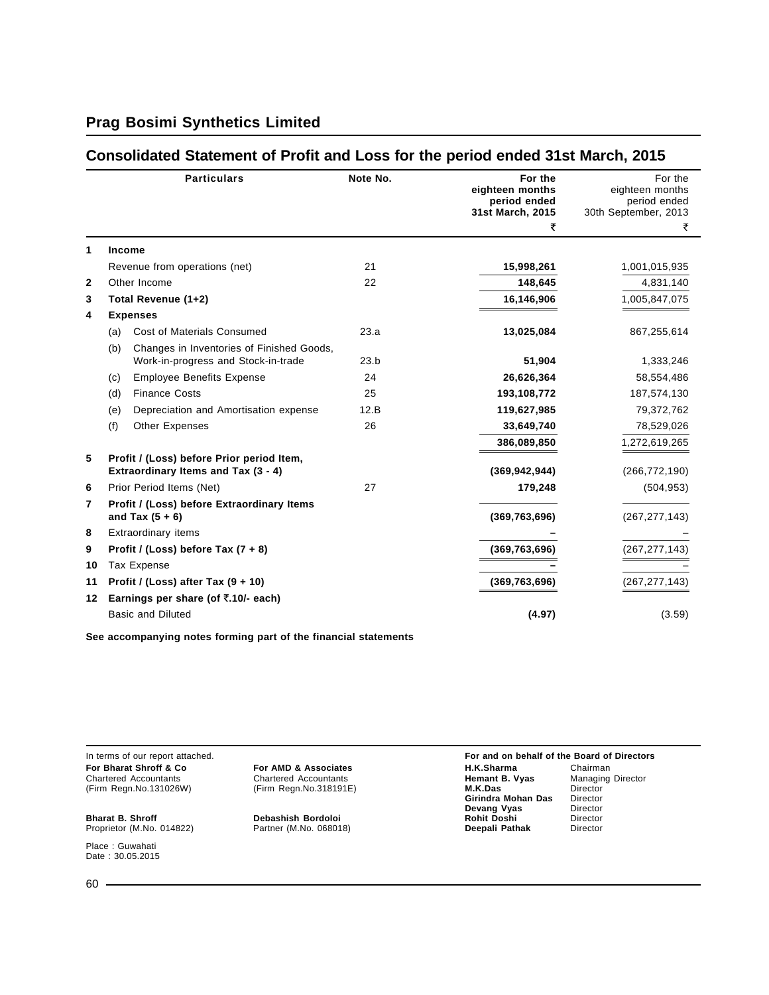### **Consolidated Statement of Profit and Loss for the period ended 31st March, 2015**

|    |     | <b>Particulars</b>                                                               | Note No. | For the<br>eighteen months<br>period ended<br>31st March, 2015 | For the<br>eighteen months<br>period ended<br>30th September, 2013 |
|----|-----|----------------------------------------------------------------------------------|----------|----------------------------------------------------------------|--------------------------------------------------------------------|
|    |     |                                                                                  |          | ₹                                                              | ₹                                                                  |
| 1  |     | <b>Income</b>                                                                    |          |                                                                |                                                                    |
|    |     | Revenue from operations (net)                                                    | 21       | 15,998,261                                                     | 1,001,015,935                                                      |
| 2  |     | Other Income                                                                     | 22       | 148,645                                                        | 4,831,140                                                          |
| 3  |     | Total Revenue (1+2)                                                              |          | 16,146,906                                                     | 1,005,847,075                                                      |
| 4  |     | <b>Expenses</b>                                                                  |          |                                                                |                                                                    |
|    | (a) | <b>Cost of Materials Consumed</b>                                                | 23.a     | 13,025,084                                                     | 867,255,614                                                        |
|    | (b) | Changes in Inventories of Finished Goods,<br>Work-in-progress and Stock-in-trade | 23.b     | 51,904                                                         | 1,333,246                                                          |
|    | (c) | <b>Employee Benefits Expense</b>                                                 | 24       | 26,626,364                                                     | 58,554,486                                                         |
|    | (d) | <b>Finance Costs</b>                                                             | 25       | 193,108,772                                                    | 187,574,130                                                        |
|    | (e) | Depreciation and Amortisation expense                                            | 12.B     | 119,627,985                                                    | 79,372,762                                                         |
|    | (f) | <b>Other Expenses</b>                                                            | 26       | 33,649,740                                                     | 78,529,026                                                         |
|    |     |                                                                                  |          | 386,089,850                                                    | 1,272,619,265                                                      |
| 5  |     | Profit / (Loss) before Prior period Item,<br>Extraordinary Items and Tax (3 - 4) |          | (369, 942, 944)                                                | (266, 772, 190)                                                    |
| 6  |     | Prior Period Items (Net)                                                         | 27       | 179,248                                                        | (504, 953)                                                         |
| 7  |     | Profit / (Loss) before Extraordinary Items<br>and Tax $(5 + 6)$                  |          | (369, 763, 696)                                                | (267, 277, 143)                                                    |
| 8  |     | Extraordinary items                                                              |          |                                                                |                                                                    |
| 9  |     | Profit / (Loss) before Tax $(7 + 8)$                                             |          | (369, 763, 696)                                                | (267, 277, 143)                                                    |
| 10 |     | Tax Expense                                                                      |          |                                                                |                                                                    |
| 11 |     | Profit / (Loss) after Tax $(9 + 10)$                                             |          | (369, 763, 696)                                                | (267, 277, 143)                                                    |
| 12 |     | Earnings per share (of $\overline{\xi}$ .10/- each)                              |          |                                                                |                                                                    |
|    |     | <b>Basic and Diluted</b>                                                         |          | (4.97)                                                         | (3.59)                                                             |
|    |     |                                                                                  |          |                                                                |                                                                    |

**See accompanying notes forming part of the financial statements**

(Firm Regn.No.131026W) (Firm Regn.No.318191E) **M.K.Das** Director

Proprietor (M.No. 014822)

Place : Guwahati Date: 30.05.2015

In terms of our report attached.<br> **For AMD & Associates For AMD & Associates For AMD & Associates For MEX Board of the Board of Directors**<br>
Chartered Accountants **Chartered Accountants Chartered Accountants Heman For Bharat Shroff & Co For AMD & Associates H.K.Sharma** Chairman Chairman Chartered Accountants Chartered Accountants **Hemant B. Vyas** Managing Director Chartered Accountants Chartered Accountants **Hemant B. Vyas** Managing Director **Girindra Mohan Das** Director<br>**Devang Vyas** Director **Devang Vyas** Director<br> **Rohit Doshi** Director **Bharat B. Shroff Debashish Bordoloi Rohit Doshi** Director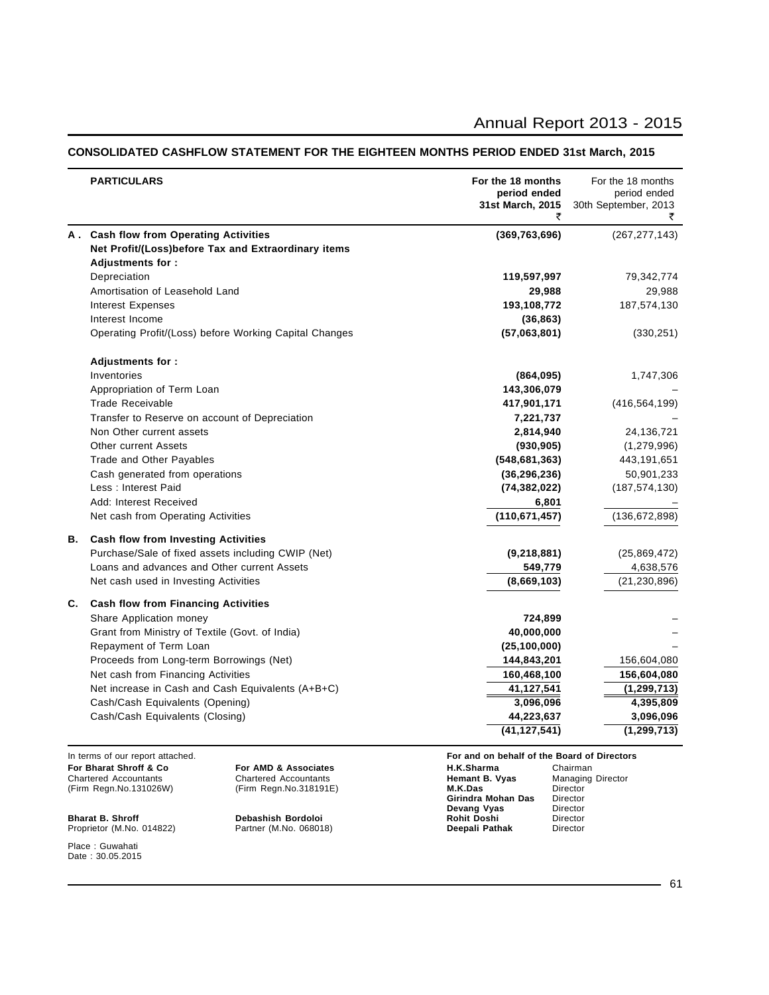#### **CONSOLIDATED CASHFLOW STATEMENT FOR THE EIGHTEEN MONTHS PERIOD ENDED 31st March, 2015**

|    | <b>PARTICULARS</b>                                                                                              | For the 18 months<br>period ended<br>31st March, 2015<br>₹ | For the 18 months<br>period ended<br>30th September, 2013<br>₹ |
|----|-----------------------------------------------------------------------------------------------------------------|------------------------------------------------------------|----------------------------------------------------------------|
|    | A. Cash flow from Operating Activities                                                                          | (369, 763, 696)                                            | (267, 277, 143)                                                |
|    | Net Profit/(Loss)before Tax and Extraordinary items                                                             |                                                            |                                                                |
|    | Adjustments for:                                                                                                |                                                            |                                                                |
|    | Depreciation                                                                                                    | 119,597,997                                                | 79,342,774                                                     |
|    | Amortisation of Leasehold Land                                                                                  | 29,988                                                     | 29,988                                                         |
|    | <b>Interest Expenses</b>                                                                                        | 193,108,772                                                | 187,574,130                                                    |
|    | Interest Income                                                                                                 | (36, 863)                                                  |                                                                |
|    | Operating Profit/(Loss) before Working Capital Changes                                                          | (57,063,801)                                               | (330, 251)                                                     |
|    | Adjustments for:                                                                                                |                                                            |                                                                |
|    | Inventories                                                                                                     | (864,095)                                                  | 1,747,306                                                      |
|    | Appropriation of Term Loan                                                                                      | 143,306,079                                                |                                                                |
|    | <b>Trade Receivable</b>                                                                                         | 417,901,171                                                | (416, 564, 199)                                                |
|    | Transfer to Reserve on account of Depreciation                                                                  | 7,221,737                                                  |                                                                |
|    | Non Other current assets                                                                                        | 2,814,940                                                  | 24,136,721                                                     |
|    | <b>Other current Assets</b>                                                                                     | (930, 905)                                                 | (1,279,996)                                                    |
|    | Trade and Other Payables                                                                                        | (548, 681, 363)                                            | 443,191,651                                                    |
|    | Cash generated from operations                                                                                  | (36, 296, 236)                                             | 50,901,233                                                     |
|    | Less: Interest Paid                                                                                             | (74, 382, 022)                                             | (187, 574, 130)                                                |
|    | Add: Interest Received                                                                                          | 6,801                                                      |                                                                |
|    | Net cash from Operating Activities                                                                              | (110, 671, 457)                                            | (136, 672, 898)                                                |
| В. | <b>Cash flow from Investing Activities</b>                                                                      |                                                            |                                                                |
|    | Purchase/Sale of fixed assets including CWIP (Net)                                                              | (9, 218, 881)                                              | (25,869,472)                                                   |
|    | Loans and advances and Other current Assets                                                                     | 549,779                                                    | 4,638,576                                                      |
|    | Net cash used in Investing Activities                                                                           | (8,669,103)                                                | (21, 230, 896)                                                 |
| C. | <b>Cash flow from Financing Activities</b>                                                                      |                                                            |                                                                |
|    | Share Application money                                                                                         | 724,899                                                    |                                                                |
|    | Grant from Ministry of Textile (Govt. of India)                                                                 | 40,000,000                                                 |                                                                |
|    | Repayment of Term Loan                                                                                          | (25, 100, 000)                                             |                                                                |
|    | Proceeds from Long-term Borrowings (Net)                                                                        | 144,843,201                                                | 156,604,080                                                    |
|    | Net cash from Financing Activities                                                                              | 160,468,100                                                | 156,604,080                                                    |
|    | Net increase in Cash and Cash Equivalents (A+B+C)                                                               | 41,127,541                                                 | (1, 299, 713)                                                  |
|    | Cash/Cash Equivalents (Opening)                                                                                 | 3,096,096                                                  | 4,395,809                                                      |
|    | Cash/Cash Equivalents (Closing)                                                                                 | 44,223,637                                                 | 3,096,096                                                      |
|    |                                                                                                                 | (41, 127, 541)                                             | (1, 299, 713)                                                  |
|    | In terms of our report attached.                                                                                | For and on behalf of the Board of Directors                |                                                                |
|    | For Bharat Shroff & Co.<br>For AMD & Associates<br><b>Chartered Accountants</b><br><b>Chartered Accountants</b> | H.K.Sharma<br>Hemant B. Vyas                               | Chairman<br><b>Managing Director</b>                           |
|    | (Firm Regn.No.131026W)<br>(Firm Regn.No.318191E)                                                                | M.K.Das                                                    | Director                                                       |

Proprietor (M.No. 014822)

Place : Guwahati Date : 30.05.2015

**Girindra Mohan Das** Director **Devang Vyas** Director **Bharat B. Shroff Debashish Bordoloi Rohit Doshi** Director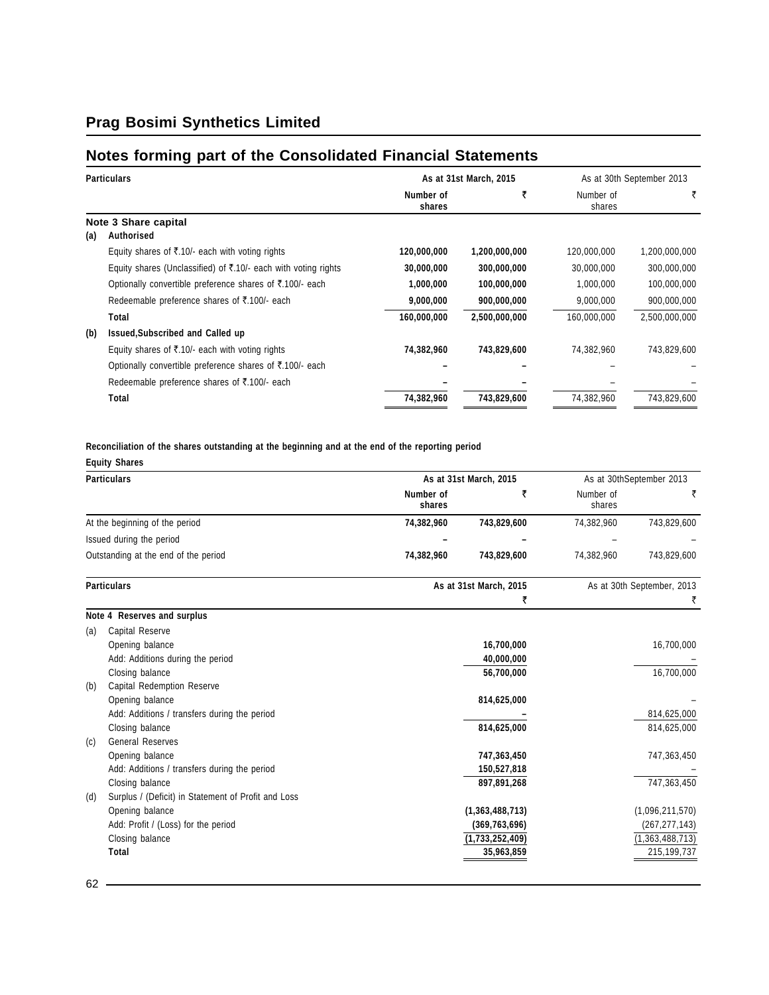## **Notes forming part of the Consolidated Financial Statements**

| <b>Particulars</b> |                                                                | As at 31st March, 2015 |               | As at 30th September 2013 |               |
|--------------------|----------------------------------------------------------------|------------------------|---------------|---------------------------|---------------|
|                    |                                                                | Number of<br>shares    |               | Number of<br>shares       | ₹             |
| (a)                | Note 3 Share capital<br>Authorised                             |                        |               |                           |               |
|                    | Equity shares of ₹.10/- each with voting rights                | 120,000,000            | 1,200,000,000 | 120,000,000               | 1,200,000,000 |
|                    | Equity shares (Unclassified) of ₹.10/- each with voting rights | 30,000,000             | 300,000,000   | 30,000,000                | 300,000,000   |
|                    | Optionally convertible preference shares of ₹.100/- each       | 1,000,000              | 100,000,000   | 1,000,000                 | 100,000,000   |
|                    | Redeemable preference shares of ₹.100/- each                   | 9,000,000              | 900,000,000   | 9,000,000                 | 900,000,000   |
|                    | Total                                                          | 160,000,000            | 2,500,000,000 | 160,000,000               | 2,500,000,000 |
| (b)                | Issued, Subscribed and Called up                               |                        |               |                           |               |
|                    | Equity shares of ₹.10/- each with voting rights                | 74,382,960             | 743,829,600   | 74,382,960                | 743,829,600   |
|                    | Optionally convertible preference shares of ₹.100/- each       |                        |               |                           |               |
|                    | Redeemable preference shares of ₹.100/- each                   |                        |               |                           |               |
|                    | Total                                                          | 74,382,960             | 743,829,600   | 74,382,960                | 743,829,600   |

**Reconciliation of the shares outstanding at the beginning and at the end of the reporting period**

|                                              |                                                                                                                                                                                                                                                                                                                            |                 |                                                                                                                          | As at 30thSeptember 2013        |
|----------------------------------------------|----------------------------------------------------------------------------------------------------------------------------------------------------------------------------------------------------------------------------------------------------------------------------------------------------------------------------|-----------------|--------------------------------------------------------------------------------------------------------------------------|---------------------------------|
|                                              | Number of<br>shares                                                                                                                                                                                                                                                                                                        | ₹               | Number of<br>shares                                                                                                      | ₹                               |
|                                              | 74,382,960                                                                                                                                                                                                                                                                                                                 | 743,829,600     | 74,382,960                                                                                                               | 743,829,600                     |
|                                              |                                                                                                                                                                                                                                                                                                                            |                 |                                                                                                                          |                                 |
|                                              | 74,382,960                                                                                                                                                                                                                                                                                                                 | 743,829,600     | 74,382,960                                                                                                               | 743,829,600                     |
|                                              |                                                                                                                                                                                                                                                                                                                            |                 |                                                                                                                          | As at 30th September, 2013<br>₹ |
|                                              |                                                                                                                                                                                                                                                                                                                            |                 |                                                                                                                          |                                 |
| Capital Reserve                              |                                                                                                                                                                                                                                                                                                                            |                 |                                                                                                                          |                                 |
| Opening balance                              |                                                                                                                                                                                                                                                                                                                            | 16,700,000      |                                                                                                                          | 16,700,000                      |
| Add: Additions during the period             |                                                                                                                                                                                                                                                                                                                            | 40,000,000      |                                                                                                                          |                                 |
| Closing balance                              |                                                                                                                                                                                                                                                                                                                            | 56,700,000      |                                                                                                                          | 16,700,000                      |
| <b>Capital Redemption Reserve</b>            |                                                                                                                                                                                                                                                                                                                            |                 |                                                                                                                          |                                 |
| Opening balance                              |                                                                                                                                                                                                                                                                                                                            | 814,625,000     |                                                                                                                          |                                 |
| Add: Additions / transfers during the period |                                                                                                                                                                                                                                                                                                                            |                 |                                                                                                                          | 814,625,000                     |
| Closing balance                              |                                                                                                                                                                                                                                                                                                                            | 814,625,000     |                                                                                                                          | 814,625,000                     |
| <b>General Reserves</b>                      |                                                                                                                                                                                                                                                                                                                            |                 |                                                                                                                          |                                 |
| Opening balance                              |                                                                                                                                                                                                                                                                                                                            | 747,363,450     |                                                                                                                          | 747,363,450                     |
| Add: Additions / transfers during the period |                                                                                                                                                                                                                                                                                                                            | 150,527,818     |                                                                                                                          |                                 |
|                                              |                                                                                                                                                                                                                                                                                                                            |                 |                                                                                                                          | 747,363,450                     |
|                                              |                                                                                                                                                                                                                                                                                                                            |                 |                                                                                                                          |                                 |
| Opening balance                              |                                                                                                                                                                                                                                                                                                                            | (1,363,488,713) |                                                                                                                          | (1,096,211,570)                 |
|                                              |                                                                                                                                                                                                                                                                                                                            |                 |                                                                                                                          | (267, 277, 143)                 |
|                                              |                                                                                                                                                                                                                                                                                                                            |                 |                                                                                                                          | (1,363,488,713)                 |
|                                              |                                                                                                                                                                                                                                                                                                                            |                 |                                                                                                                          | 215,199,737                     |
|                                              | <b>Particulars</b><br>At the beginning of the period<br>Issued during the period<br>Outstanding at the end of the period<br><b>Particulars</b><br>Note 4 Reserves and surplus<br>Closing balance<br>Surplus / (Deficit) in Statement of Profit and Loss<br>Add: Profit / (Loss) for the period<br>Closing balance<br>Total |                 | As at 31st March, 2015<br>As at 31st March, 2015<br>₹<br>897,891,268<br>(369, 763, 696)<br>(1,733,252,409)<br>35,963,859 |                                 |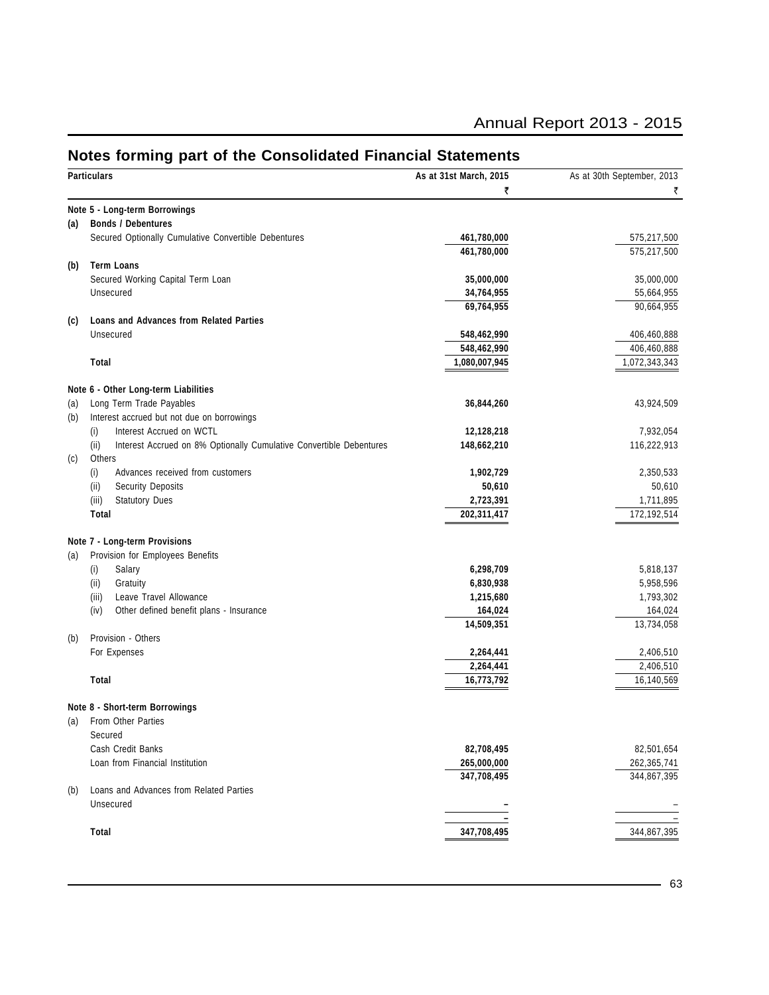| <b>Annual Report 2013 - 2015</b> |  |  |  |  |
|----------------------------------|--|--|--|--|
|----------------------------------|--|--|--|--|

|     | <b>Particulars</b>                                                          | As at 31st March, 2015 | As at 30th September, 2013 |
|-----|-----------------------------------------------------------------------------|------------------------|----------------------------|
|     |                                                                             | ₹                      | ₹                          |
|     | Note 5 - Long-term Borrowings                                               |                        |                            |
| (a) | <b>Bonds / Debentures</b>                                                   |                        |                            |
|     | Secured Optionally Cumulative Convertible Debentures                        | 461,780,000            | 575,217,500                |
|     |                                                                             | 461,780,000            | 575,217,500                |
| (b) | <b>Term Loans</b>                                                           |                        |                            |
|     | Secured Working Capital Term Loan                                           | 35,000,000             | 35,000,000                 |
|     | Unsecured                                                                   | 34,764,955             | 55,664,955                 |
|     |                                                                             | 69,764,955             | 90,664,955                 |
| (c) | <b>Loans and Advances from Related Parties</b>                              |                        |                            |
|     | Unsecured                                                                   | 548,462,990            | 406,460,888                |
|     |                                                                             | 548,462,990            | 406,460,888                |
|     | Total                                                                       | 1,080,007,945          | 1,072,343,343              |
|     |                                                                             |                        |                            |
|     | Note 6 - Other Long-term Liabilities                                        |                        |                            |
| (a) | Long Term Trade Payables                                                    | 36,844,260             | 43,924,509                 |
| (b) | Interest accrued but not due on borrowings                                  |                        |                            |
|     | Interest Accrued on WCTL<br>(i)                                             | 12,128,218             | 7,932,054                  |
|     | (ii)<br>Interest Accrued on 8% Optionally Cumulative Convertible Debentures | 148,662,210            | 116,222,913                |
| (c) | Others                                                                      |                        |                            |
|     | (i)<br>Advances received from customers                                     | 1,902,729              | 2,350,533                  |
|     | (ii)<br><b>Security Deposits</b>                                            | 50,610                 | 50,610                     |
|     | (iii)<br><b>Statutory Dues</b>                                              | 2,723,391              | 1,711,895                  |
|     | Total                                                                       | 202,311,417            | 172,192,514                |
|     |                                                                             |                        |                            |
|     | Note 7 - Long-term Provisions                                               |                        |                            |
| (a) | Provision for Employees Benefits                                            |                        |                            |
|     | Salary<br>(i)                                                               | 6,298,709              | 5,818,137                  |
|     | (ii)<br>Gratuity                                                            | 6,830,938              | 5,958,596                  |
|     | Leave Travel Allowance<br>(iii)                                             | 1,215,680              | 1,793,302                  |
|     | (iv)<br>Other defined benefit plans - Insurance                             | 164,024                | 164,024                    |
|     |                                                                             | 14,509,351             | 13,734,058                 |
| (b) | Provision - Others                                                          |                        |                            |
|     | For Expenses                                                                | 2,264,441              | 2,406,510                  |
|     |                                                                             | 2,264,441              | 2,406,510                  |
|     | Total                                                                       | 16,773,792             | 16,140,569                 |
|     |                                                                             |                        |                            |
|     | Note 8 - Short-term Borrowings                                              |                        |                            |
|     | (a) From Other Parties                                                      |                        |                            |
|     | Secured                                                                     |                        |                            |
|     | Cash Credit Banks                                                           | 82,708,495             | 82,501,654                 |
|     | Loan from Financial Institution                                             | 265,000,000            | 262,365,741                |
|     |                                                                             | 347,708,495            | 344,867,395                |
| (b) | Loans and Advances from Related Parties                                     |                        |                            |
|     | Unsecured                                                                   |                        |                            |
|     |                                                                             |                        |                            |
|     |                                                                             |                        |                            |

## **Notes forming part of the Consolidated Financial Statements**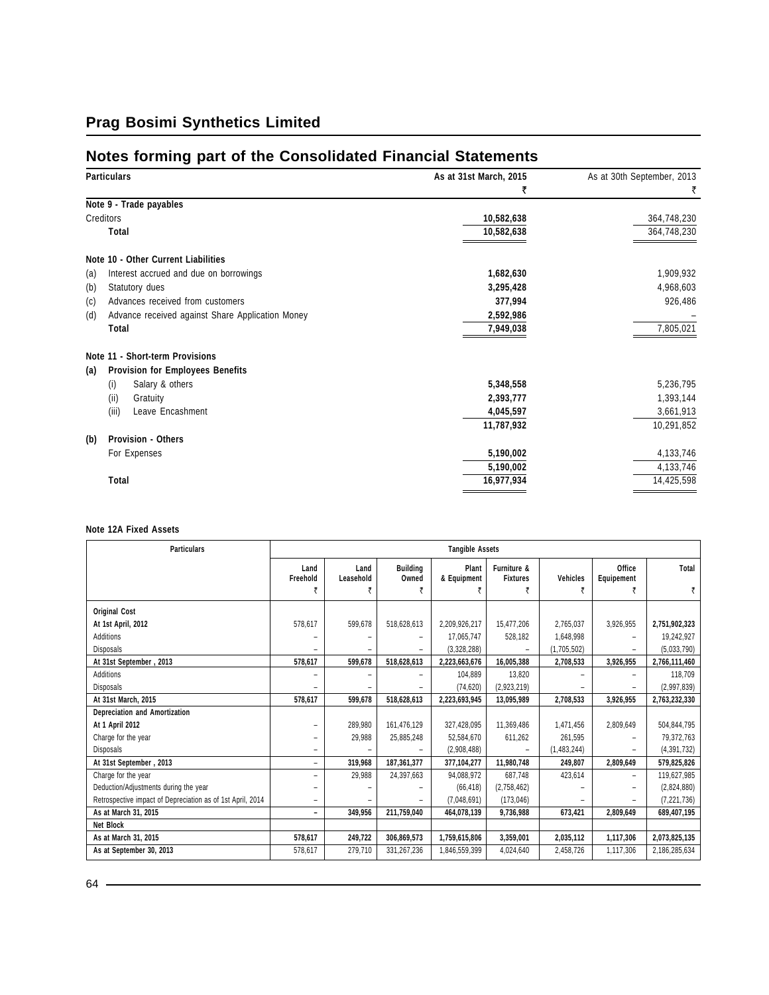# **Notes forming part of the Consolidated Financial Statements**

| <b>Particulars</b>                                      | As at 31st March, 2015 | As at 30th September, 2013 |
|---------------------------------------------------------|------------------------|----------------------------|
|                                                         | ₹                      | ₹                          |
| Note 9 - Trade payables                                 |                        |                            |
| Creditors                                               | 10,582,638             | 364,748,230                |
| Total                                                   | 10,582,638             | 364,748,230                |
| Note 10 - Other Current Liabilities                     |                        |                            |
| Interest accrued and due on borrowings<br>(a)           | 1,682,630              | 1,909,932                  |
| (b)<br>Statutory dues                                   | 3,295,428              | 4,968,603                  |
| Advances received from customers<br>(c)                 | 377,994                | 926,486                    |
| (d)<br>Advance received against Share Application Money | 2,592,986              |                            |
| Total                                                   | 7,949,038              | 7,805,021                  |
| Note 11 - Short-term Provisions                         |                        |                            |
| <b>Provision for Employees Benefits</b><br>(a)          |                        |                            |
| Salary & others<br>(i)                                  | 5,348,558              | 5,236,795                  |
| (ii)<br>Gratuity                                        | 2,393,777              | 1,393,144                  |
| (iii)<br>Leave Encashment                               | 4,045,597              | 3,661,913                  |
|                                                         | 11,787,932             | 10,291,852                 |
| <b>Provision - Others</b><br>(b)                        |                        |                            |
| For Expenses                                            | 5,190,002              | 4,133,746                  |
|                                                         | 5,190,002              | 4,133,746                  |
| Total                                                   | 16,977,934             | 14,425,598                 |
|                                                         |                        |                            |

#### **Note 12A Fixed Assets**

| <b>Particulars</b>                                         | <b>Tangible Assets</b>   |                   |                          |                      |                                |                          |                          |               |
|------------------------------------------------------------|--------------------------|-------------------|--------------------------|----------------------|--------------------------------|--------------------------|--------------------------|---------------|
|                                                            | Land<br>Freehold         | Land<br>Leasehold | <b>Building</b><br>Owned | Plant<br>& Equipment | Furniture &<br><b>Fixtures</b> | <b>Vehicles</b>          | Office<br>Equipement     | Total         |
|                                                            | ₹                        | ₹                 |                          |                      |                                | ₹                        | ₹                        | ₹             |
| <b>Original Cost</b>                                       |                          |                   |                          |                      |                                |                          |                          |               |
| At 1st April, 2012                                         | 578,617                  | 599.678           | 518,628,613              | 2,209,926,217        | 15,477,206                     | 2.765.037                | 3,926,955                | 2,751,902,323 |
| Additions                                                  |                          |                   |                          | 17,065,747           | 528,182                        | 1,648,998                | $\overline{\phantom{0}}$ | 19,242,927    |
| Disposals                                                  |                          |                   |                          | (3,328,288)          |                                | (1,705,502)              |                          | (5,033,790)   |
| At 31st September, 2013                                    | 578,617                  | 599,678           | 518,628,613              | 2,223,663,676        | 16,005,388                     | 2,708,533                | 3,926,955                | 2,766,111,460 |
| Additions                                                  |                          |                   |                          | 104.889              | 13.820                         |                          |                          | 118,709       |
| <b>Disposals</b>                                           |                          |                   |                          | (74, 620)            | (2,923,219)                    |                          |                          | (2,997,839)   |
| At 31st March, 2015                                        | 578,617                  | 599,678           | 518,628,613              | 2,223,693,945        | 13,095,989                     | 2,708,533                | 3,926,955                | 2,763,232,330 |
| Depreciation and Amortization                              |                          |                   |                          |                      |                                |                          |                          |               |
| At 1 April 2012                                            |                          | 289,980           | 161,476,129              | 327,428,095          | 11,369,486                     | 1,471,456                | 2,809,649                | 504,844,795   |
| Charge for the year                                        |                          | 29,988            | 25,885,248               | 52.584.670           | 611.262                        | 261,595                  |                          | 79,372,763    |
| Disposals                                                  |                          |                   |                          | (2,908,488)          |                                | (1,483,244)              |                          | (4, 391, 732) |
| At 31st September, 2013                                    | -                        | 319,968           | 187,361,377              | 377.104.277          | 11.980.748                     | 249,807                  | 2,809,649                | 579,825,826   |
| Charge for the year                                        | ٠                        | 29,988            | 24,397,663               | 94.088.972           | 687,748                        | 423,614                  | -                        | 119,627,985   |
| Deduction/Adjustments during the year                      |                          |                   |                          | (66, 418)            | (2,758,462)                    |                          |                          | (2,824,880)   |
| Retrospective impact of Depreciation as of 1st April, 2014 | -                        |                   |                          | (7,048,691)          | (173, 046)                     | $\overline{\phantom{0}}$ |                          | (7, 221, 736) |
| As at March 31, 2015                                       | $\overline{\phantom{0}}$ | 349,956           | 211,759,040              | 464,078,139          | 9,736,988                      | 673,421                  | 2,809,649                | 689,407,195   |
| Net Block                                                  |                          |                   |                          |                      |                                |                          |                          |               |
| As at March 31, 2015                                       | 578,617                  | 249,722           | 306,869,573              | 1,759,615,806        | 3,359,001                      | 2,035,112                | 1,117,306                | 2,073,825,135 |
| As at September 30, 2013                                   | 578,617                  | 279,710           | 331,267,236              | 1,846,559,399        | 4.024.640                      | 2,458,726                | 1,117,306                | 2,186,285,634 |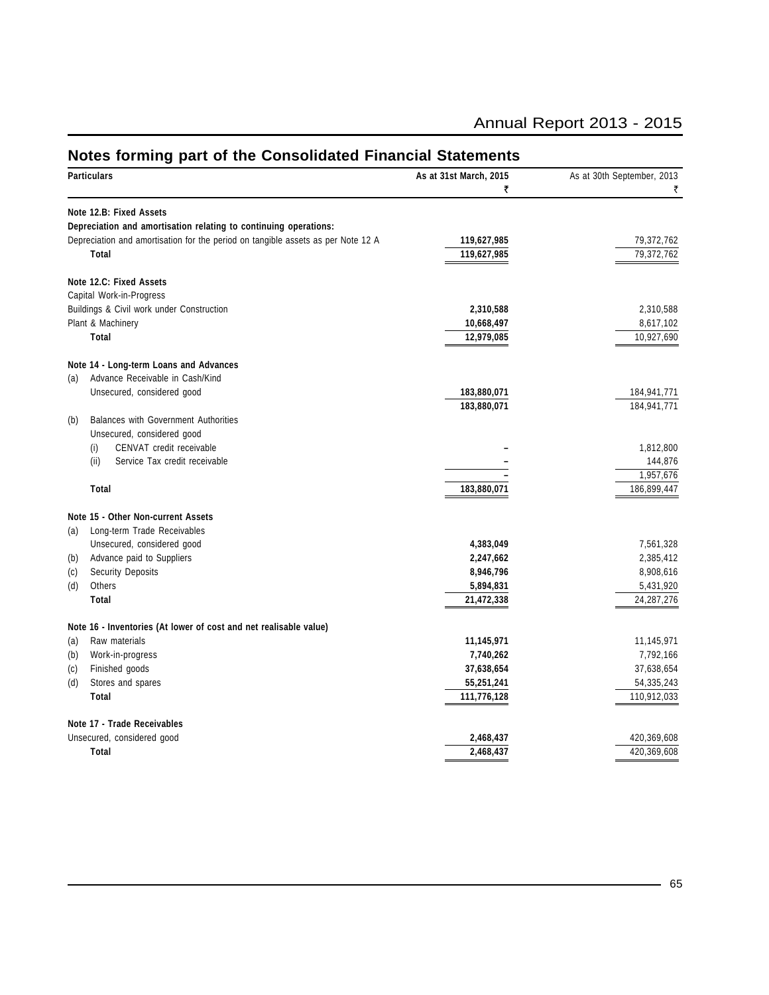| Particulars                                                                      | As at 31st March, 2015 | As at 30th September, 2013 |
|----------------------------------------------------------------------------------|------------------------|----------------------------|
|                                                                                  | ₹                      |                            |
| Note 12.B: Fixed Assets                                                          |                        |                            |
| Depreciation and amortisation relating to continuing operations:                 |                        |                            |
| Depreciation and amortisation for the period on tangible assets as per Note 12 A | 119,627,985            | 79,372,762                 |
| Total                                                                            | 119,627,985            | 79,372,762                 |
| Note 12.C: Fixed Assets                                                          |                        |                            |
| Capital Work-in-Progress                                                         |                        |                            |
| Buildings & Civil work under Construction                                        | 2,310,588              | 2,310,588                  |
| Plant & Machinery                                                                | 10,668,497             | 8,617,102                  |
| Total                                                                            | 12,979,085             | 10,927,690                 |
| Note 14 - Long-term Loans and Advances                                           |                        |                            |
| Advance Receivable in Cash/Kind<br>(a)                                           |                        |                            |
| Unsecured, considered good                                                       | 183,880,071            | 184,941,771                |
|                                                                                  | 183,880,071            | 184,941,771                |
| Balances with Government Authorities<br>(b)                                      |                        |                            |
| Unsecured, considered good                                                       |                        |                            |
| CENVAT credit receivable<br>(i)                                                  |                        | 1,812,800                  |
| (ii)<br>Service Tax credit receivable                                            |                        | 144,876                    |
|                                                                                  |                        | 1,957,676                  |
| Total                                                                            | 183,880,071            | 186,899,447                |
| Note 15 - Other Non-current Assets                                               |                        |                            |
| Long-term Trade Receivables<br>(a)                                               |                        |                            |
| Unsecured, considered good                                                       | 4,383,049              | 7,561,328                  |
| Advance paid to Suppliers<br>(b)                                                 | 2,247,662              | 2,385,412                  |
| <b>Security Deposits</b><br>(c)                                                  | 8,946,796              | 8,908,616                  |
| Others<br>(d)                                                                    | 5,894,831              | 5,431,920                  |
| Total                                                                            | 21,472,338             | 24, 287, 276               |
| Note 16 - Inventories (At lower of cost and net realisable value)                |                        |                            |
| Raw materials<br>(a)                                                             | 11,145,971             | 11,145,971                 |
| (b)<br>Work-in-progress                                                          | 7,740,262              | 7,792,166                  |
| Finished goods<br>(c)                                                            | 37,638,654             | 37,638,654                 |
| Stores and spares<br>(d)                                                         | 55,251,241             | 54,335,243                 |
| Total                                                                            | 111,776,128            | 110,912,033                |
| Note 17 - Trade Receivables                                                      |                        |                            |
| Unsecured, considered good                                                       | 2,468,437              | 420,369,608                |

**Total 2,468,437** 420,369,608

### **Notes forming part of the Consolidated Financial Statements**

Annual Report 2013 - 2015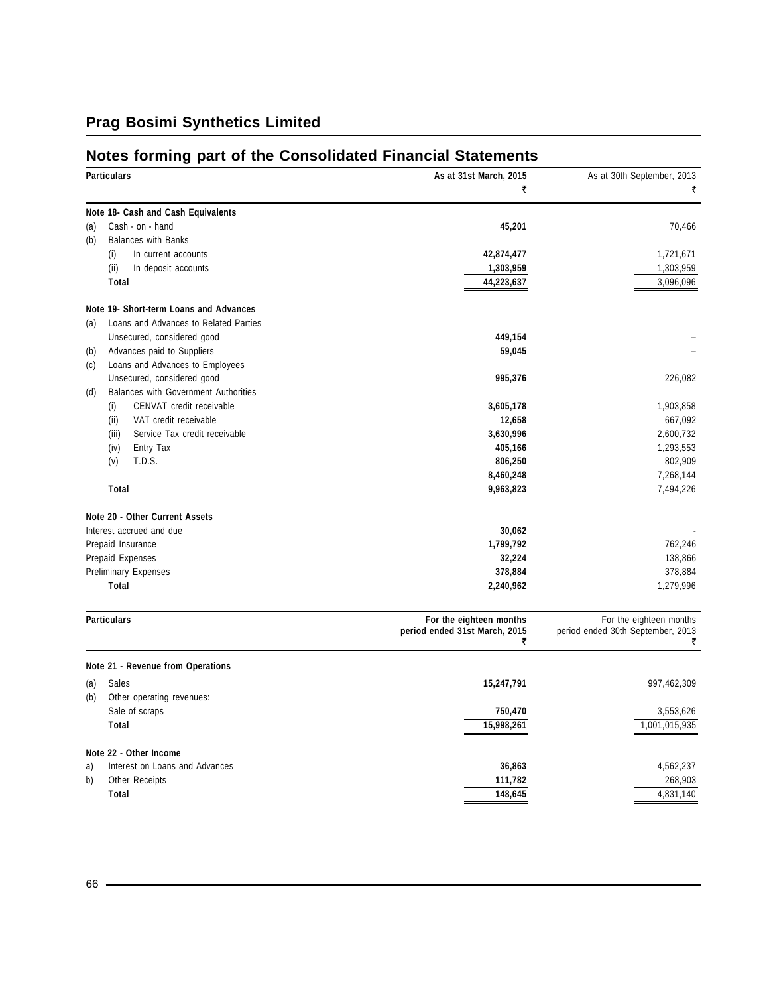## **Notes forming part of the Consolidated Financial Statements**

|     | <b>Particulars</b>                     | As at 31st March, 2015                                        | As at 30th September, 2013                                        |
|-----|----------------------------------------|---------------------------------------------------------------|-------------------------------------------------------------------|
|     |                                        | ₹                                                             | ₹                                                                 |
|     | Note 18- Cash and Cash Equivalents     |                                                               |                                                                   |
| (a) | Cash - on - hand                       | 45,201                                                        | 70,466                                                            |
| (b) | <b>Balances with Banks</b>             |                                                               |                                                                   |
|     | (i)<br>In current accounts             | 42,874,477                                                    | 1,721,671                                                         |
|     | (ii)<br>In deposit accounts            | 1,303,959                                                     | 1,303,959                                                         |
|     | Total                                  | 44,223,637                                                    | 3,096,096                                                         |
|     | Note 19- Short-term Loans and Advances |                                                               |                                                                   |
| (a) | Loans and Advances to Related Parties  |                                                               |                                                                   |
|     | Unsecured, considered good             | 449,154                                                       |                                                                   |
| (b) | Advances paid to Suppliers             | 59,045                                                        |                                                                   |
| (c) | Loans and Advances to Employees        |                                                               |                                                                   |
|     | Unsecured, considered good             | 995,376                                                       | 226,082                                                           |
| (d) | Balances with Government Authorities   |                                                               |                                                                   |
|     | CENVAT credit receivable<br>(i)        | 3,605,178                                                     | 1,903,858                                                         |
|     | (ii)<br>VAT credit receivable          | 12,658                                                        | 667,092                                                           |
|     | Service Tax credit receivable<br>(iii) | 3,630,996                                                     | 2,600,732                                                         |
|     | Entry Tax<br>(iv)                      | 405,166                                                       | 1,293,553                                                         |
|     | T.D.S.<br>(v)                          | 806,250                                                       | 802,909                                                           |
|     |                                        | 8,460,248                                                     | 7,268,144                                                         |
|     | <b>Total</b>                           | 9,963,823                                                     | 7,494,226                                                         |
|     | Note 20 - Other Current Assets         |                                                               |                                                                   |
|     | Interest accrued and due               | 30,062                                                        |                                                                   |
|     | Prepaid Insurance                      | 1,799,792                                                     | 762,246                                                           |
|     | Prepaid Expenses                       | 32,224                                                        | 138,866                                                           |
|     | <b>Preliminary Expenses</b>            | 378,884                                                       | 378,884                                                           |
|     | <b>Total</b>                           | 2,240,962                                                     | 1,279,996                                                         |
|     |                                        |                                                               |                                                                   |
|     | <b>Particulars</b>                     | For the eighteen months<br>period ended 31st March, 2015<br>₹ | For the eighteen months<br>period ended 30th September, 2013<br>₹ |
|     | Note 21 - Revenue from Operations      |                                                               |                                                                   |
| (a) | Sales                                  | 15,247,791                                                    | 997,462,309                                                       |
| (b) | Other operating revenues:              |                                                               |                                                                   |
|     | Sale of scraps                         | 750,470                                                       | 3,553,626                                                         |
|     | Total                                  | 15,998,261                                                    | 1,001,015,935                                                     |
|     |                                        |                                                               |                                                                   |
|     | Note 22 - Other Income                 |                                                               |                                                                   |
| a)  | Interest on Loans and Advances         | 36,863                                                        | 4,562,237                                                         |
| b)  | Other Receipts                         | 111,782                                                       | 268,903                                                           |
|     | <b>Total</b>                           | 148,645                                                       | 4,831,140                                                         |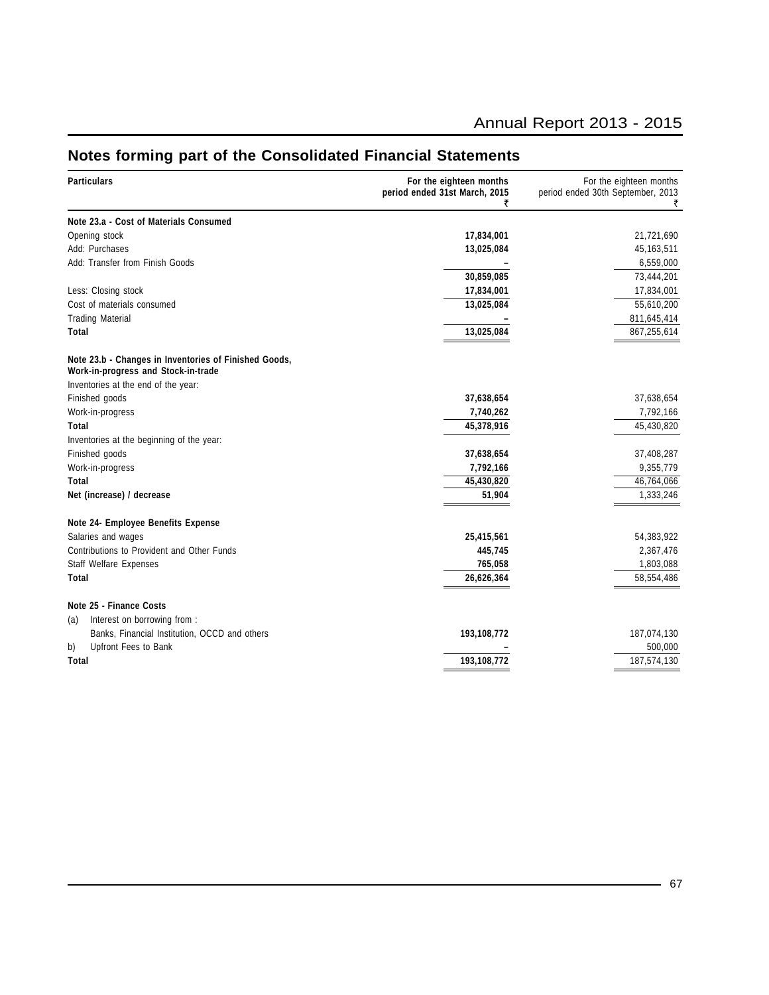### Annual Report 2013 - 2015

#### **Particulars For the eighteen months For the eighteen months For the eighteen months For the eighteen months For the eighteen months For the eighteen months For the eighteen months Particulars Particulars** period ended 30th September, 2013  $\vec{\zeta}$  and  $\vec{\zeta}$ **Note 23.a - Cost of Materials Consumed** Opening stock **17,834,001** 21,721,690 Add: Purchases **13,025,084** 45,163,511 Add: Transfer from Finish Goods **–** 6,559,000 **30,859,085** 73,444,201 Less: Closing stock **17,834,001** 17,834,001 Cost of materials consumed **13,025,084** 55,610,200 Trading Material **–** 811,645,414 **Total 13,025,084** 867,255,614 **Note 23.b - Changes in Inventories of Finished Goods, Work-in-progress and Stock-in-trade** Inventories at the end of the year: Finished goods **37,638,654** 37,638,654 Work-in-progress **7,740,262** 7,792,166 **Total 45,378,916** 45,430,820 Inventories at the beginning of the year: Finished goods **37,638,654** 37,408,287 Work-in-progress **7,792,166** 9,355,779 **Total 45,430,820** 46,764,066 **Net (increase) / decrease 51,904** 1,333,246 **Note 24- Employee Benefits Expense** Salaries and wages **25,415,561** 54,383,922 Contributions to Provident and Other Funds **445,745** 2,367,476 Staff Welfare Expenses **765,058** 1,803,088 **Total 26,626,364** 58,554,486 **Note 25 - Finance Costs** (a) Interest on borrowing from : Banks, Financial Institution, OCCD and others **193,108,772** 187,074,130 b) Upfront Fees to Bank **–** 500,000 **Total 193,108,772** 187,574,130

### **Notes forming part of the Consolidated Financial Statements**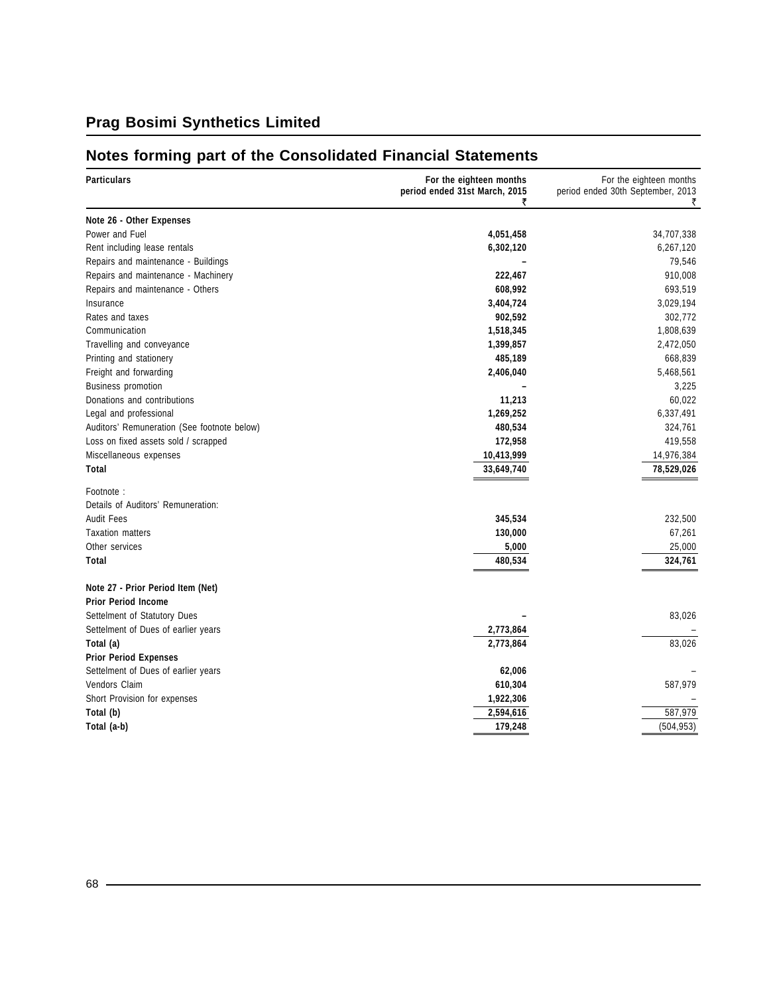# **Notes forming part of the Consolidated Financial Statements**

| <b>Particulars</b>                          | For the eighteen months<br>period ended 31st March, 2015<br>₹ | For the eighteen months<br>period ended 30th September, 2013<br>₹ |
|---------------------------------------------|---------------------------------------------------------------|-------------------------------------------------------------------|
| Note 26 - Other Expenses                    |                                                               |                                                                   |
| Power and Fuel                              | 4,051,458                                                     | 34,707,338                                                        |
| Rent including lease rentals                | 6,302,120                                                     | 6,267,120                                                         |
| Repairs and maintenance - Buildings         |                                                               | 79,546                                                            |
| Repairs and maintenance - Machinery         | 222,467                                                       | 910,008                                                           |
| Repairs and maintenance - Others            | 608,992                                                       | 693,519                                                           |
| Insurance                                   | 3,404,724                                                     | 3,029,194                                                         |
| Rates and taxes                             | 902,592                                                       | 302,772                                                           |
| Communication                               | 1,518,345                                                     | 1,808,639                                                         |
| Travelling and conveyance                   | 1,399,857                                                     | 2,472,050                                                         |
| Printing and stationery                     | 485,189                                                       | 668,839                                                           |
| Freight and forwarding                      | 2,406,040                                                     | 5,468,561                                                         |
| <b>Business promotion</b>                   |                                                               | 3,225                                                             |
| Donations and contributions                 | 11,213                                                        | 60,022                                                            |
| Legal and professional                      | 1,269,252                                                     | 6,337,491                                                         |
| Auditors' Remuneration (See footnote below) | 480,534                                                       | 324,761                                                           |
| Loss on fixed assets sold / scrapped        | 172,958                                                       | 419,558                                                           |
| Miscellaneous expenses                      | 10,413,999                                                    | 14,976,384                                                        |
| Total                                       | 33,649,740                                                    | 78,529,026                                                        |
| Footnote:                                   |                                                               |                                                                   |
| Details of Auditors' Remuneration:          |                                                               |                                                                   |
| <b>Audit Fees</b>                           | 345,534                                                       | 232,500                                                           |
| <b>Taxation matters</b>                     | 130,000                                                       | 67,261                                                            |
| Other services                              | 5,000                                                         | 25,000                                                            |
| Total                                       | 480,534                                                       | 324,761                                                           |
| Note 27 - Prior Period Item (Net)           |                                                               |                                                                   |
| <b>Prior Period Income</b>                  |                                                               |                                                                   |
| Settelment of Statutory Dues                |                                                               | 83,026                                                            |
| Settelment of Dues of earlier years         | 2,773,864                                                     |                                                                   |
| Total (a)                                   | 2,773,864                                                     | 83,026                                                            |
| <b>Prior Period Expenses</b>                |                                                               |                                                                   |
| Settelment of Dues of earlier years         | 62,006                                                        |                                                                   |
| Vendors Claim                               | 610,304                                                       | 587,979                                                           |
| Short Provision for expenses                | 1,922,306                                                     |                                                                   |
| Total (b)                                   | 2,594,616                                                     | 587,979                                                           |
| Total (a-b)                                 | 179,248                                                       | (504, 953)                                                        |
|                                             |                                                               |                                                                   |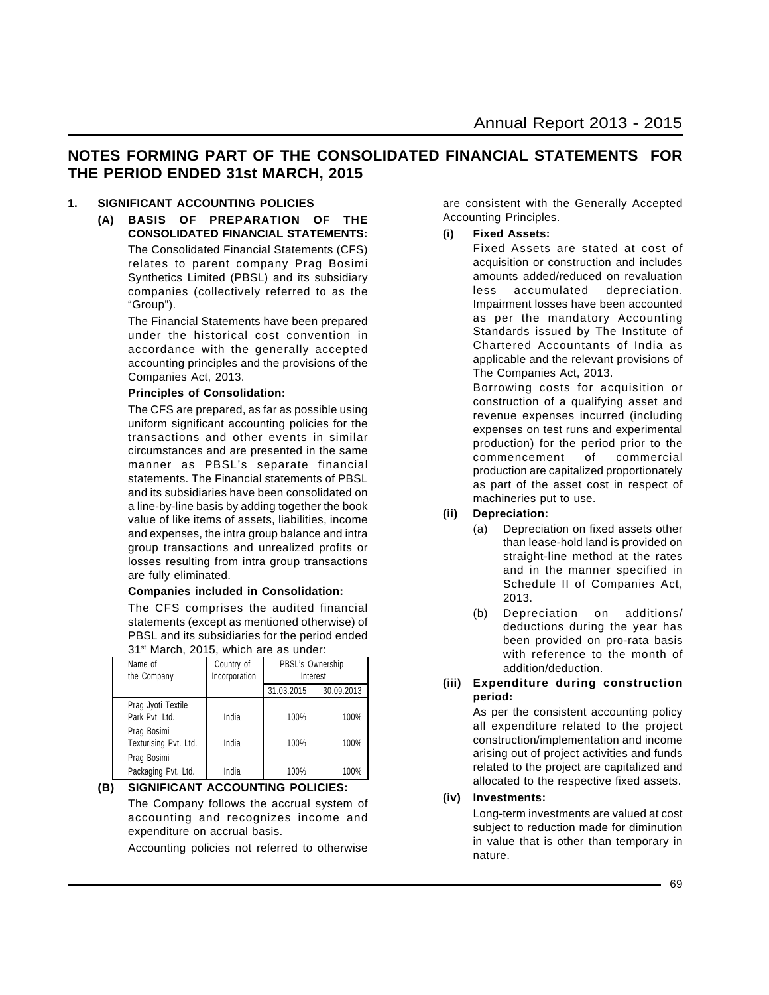### **NOTES FORMING PART OF THE CONSOLIDATED FINANCIAL STATEMENTS FOR THE PERIOD ENDED 31st MARCH, 2015**

#### **1. SIGNIFICANT ACCOUNTING POLICIES**

**(A) BASIS OF PREPARATION OF THE CONSOLIDATED FINANCIAL STATEMENTS:** The Consolidated Financial Statements (CFS) relates to parent company Prag Bosimi Synthetics Limited (PBSL) and its subsidiary companies (collectively referred to as the "Group").

> The Financial Statements have been prepared under the historical cost convention in accordance with the generally accepted accounting principles and the provisions of the Companies Act, 2013.

#### **Principles of Consolidation:**

The CFS are prepared, as far as possible using uniform significant accounting policies for the transactions and other events in similar circumstances and are presented in the same manner as PBSL's separate financial statements. The Financial statements of PBSL and its subsidiaries have been consolidated on a line-by-line basis by adding together the book value of like items of assets, liabilities, income and expenses, the intra group balance and intra group transactions and unrealized profits or losses resulting from intra group transactions are fully eliminated.

#### **Companies included in Consolidation:**

The CFS comprises the audited financial statements (except as mentioned otherwise) of PBSL and its subsidiaries for the period ended 31<sup>st</sup> March, 2015, which are as under:

| Name of<br>the Company               | Country of<br>Incorporation | PBSL's Ownership<br>Interest |            |
|--------------------------------------|-----------------------------|------------------------------|------------|
|                                      |                             | 31.03.2015                   | 30.09.2013 |
| Prag Jyoti Textile<br>Park Pvt. Ltd. | India                       | 100%                         | 100%       |
| Prag Bosimi<br>Texturising Pvt. Ltd. | India                       | 100%                         | 100%       |
| Prag Bosimi<br>Packaging Pvt. Ltd.   | India                       | 100%                         | 100%       |

**(B) SIGNIFICANT ACCOUNTING POLICIES:** The Company follows the accrual system of accounting and recognizes income and expenditure on accrual basis.

Accounting policies not referred to otherwise

are consistent with the Generally Accepted Accounting Principles.

#### **(i) Fixed Assets:**

Fixed Assets are stated at cost of acquisition or construction and includes amounts added/reduced on revaluation less accumulated depreciation. Impairment losses have been accounted as per the mandatory Accounting Standards issued by The Institute of Chartered Accountants of India as applicable and the relevant provisions of The Companies Act, 2013.

Borrowing costs for acquisition or construction of a qualifying asset and revenue expenses incurred (including expenses on test runs and experimental production) for the period prior to the commencement of commercial production are capitalized proportionately as part of the asset cost in respect of machineries put to use.

#### **(ii) Depreciation:**

- (a) Depreciation on fixed assets other than lease-hold land is provided on straight-line method at the rates and in the manner specified in Schedule II of Companies Act, 2013.
- (b) Depreciation on additions/ deductions during the year has been provided on pro-rata basis with reference to the month of addition/deduction.

#### **(iii) Expenditure during construction period:**

As per the consistent accounting policy all expenditure related to the project construction/implementation and income arising out of project activities and funds related to the project are capitalized and allocated to the respective fixed assets.

#### **(iv) Investments:**

Long-term investments are valued at cost subject to reduction made for diminution in value that is other than temporary in nature.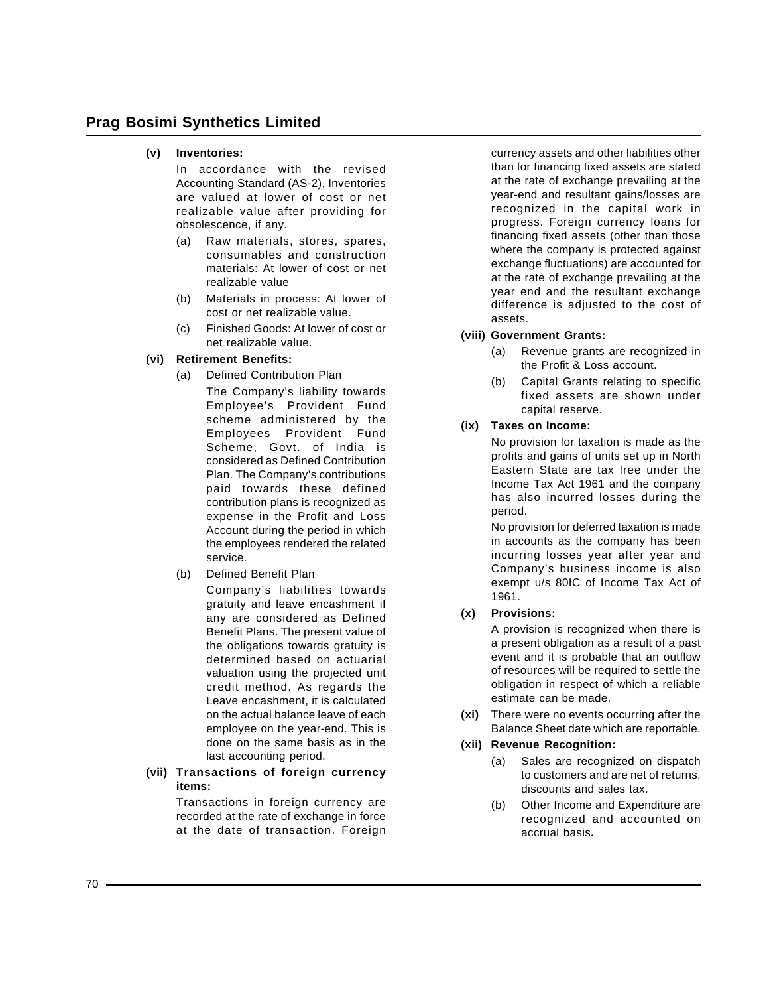#### **(v) Inventories:**

In accordance with the revised Accounting Standard (AS-2), Inventories are valued at lower of cost or net realizable value after providing for obsolescence, if any.

- (a) Raw materials, stores, spares, consumables and construction materials: At lower of cost or net realizable value
- (b) Materials in process: At lower of cost or net realizable value.
- (c) Finished Goods: At lower of cost or net realizable value.

#### **(vi) Retirement Benefits:**

- (a) Defined Contribution Plan
	- The Company's liability towards Employee's Provident Fund scheme administered by the Employees Provident Fund Scheme, Govt. of India is considered as Defined Contribution Plan. The Company's contributions paid towards these defined contribution plans is recognized as expense in the Profit and Loss Account during the period in which the employees rendered the related service.
- (b) Defined Benefit Plan

Company's liabilities towards gratuity and leave encashment if any are considered as Defined Benefit Plans. The present value of the obligations towards gratuity is determined based on actuarial valuation using the projected unit credit method. As regards the Leave encashment, it is calculated on the actual balance leave of each employee on the year-end. This is done on the same basis as in the last accounting period.

#### **(vii) Transactions of foreign currency items:**

Transactions in foreign currency are recorded at the rate of exchange in force at the date of transaction. Foreign currency assets and other liabilities other than for financing fixed assets are stated at the rate of exchange prevailing at the year-end and resultant gains/losses are recognized in the capital work in progress. Foreign currency loans for financing fixed assets (other than those where the company is protected against exchange fluctuations) are accounted for at the rate of exchange prevailing at the year end and the resultant exchange difference is adjusted to the cost of assets.

#### **(viii) Government Grants:**

- (a) Revenue grants are recognized in the Profit & Loss account.
- (b) Capital Grants relating to specific fixed assets are shown under capital reserve.

#### **(ix) Taxes on Income:**

No provision for taxation is made as the profits and gains of units set up in North Eastern State are tax free under the Income Tax Act 1961 and the company has also incurred losses during the period.

No provision for deferred taxation is made in accounts as the company has been incurring losses year after year and Company's business income is also exempt u/s 80IC of Income Tax Act of 1961.

### **(x) Provisions:**

A provision is recognized when there is a present obligation as a result of a past event and it is probable that an outflow of resources will be required to settle the obligation in respect of which a reliable estimate can be made.

**(xi)** There were no events occurring after the Balance Sheet date which are reportable.

#### **(xii) Revenue Recognition:**

- (a) Sales are recognized on dispatch to customers and are net of returns, discounts and sales tax.
- (b) Other Income and Expenditure are recognized and accounted on accrual basis**.**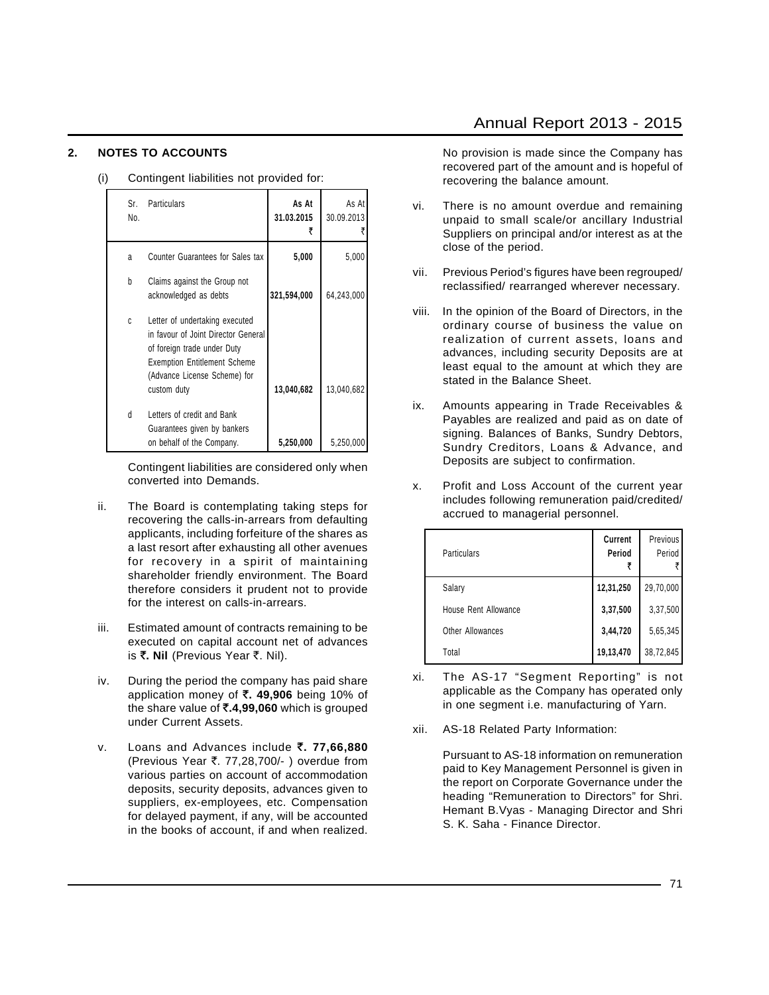#### **2. NOTES TO ACCOUNTS**

| (i) | Contingent liabilities not provided for: |  |
|-----|------------------------------------------|--|
|-----|------------------------------------------|--|

| Sr.<br>No. | Particulars                                                                                                                                                                                | As At<br>31.03.2015 | As At<br>30.09.2013 |
|------------|--------------------------------------------------------------------------------------------------------------------------------------------------------------------------------------------|---------------------|---------------------|
| a          | Counter Guarantees for Sales tax                                                                                                                                                           | 5,000               | 5,000               |
| b          | Claims against the Group not<br>acknowledged as debts                                                                                                                                      | 321,594,000         | 64,243,000          |
| C          | Letter of undertaking executed<br>in favour of Joint Director General<br>of foreign trade under Duty<br><b>Exemption Entitlement Scheme</b><br>(Advance License Scheme) for<br>custom duty | 13,040,682          | 13,040,682          |
| d          | Letters of credit and Bank<br>Guarantees given by bankers<br>on behalf of the Company.                                                                                                     | 5,250,000           | 5,250,000           |

Contingent liabilities are considered only when converted into Demands.

- ii. The Board is contemplating taking steps for recovering the calls-in-arrears from defaulting applicants, including forfeiture of the shares as a last resort after exhausting all other avenues for recovery in a spirit of maintaining shareholder friendly environment. The Board therefore considers it prudent not to provide for the interest on calls-in-arrears.
- iii. Estimated amount of contracts remaining to be executed on capital account net of advances is ₹. Nil (Previous Year ₹. Nil).
- iv. During the period the company has paid share application money of `**. 49,906** being 10% of the share value of `**.4,99,060** which is grouped under Current Assets.
- v. Loans and Advances include `**. 77,66,880** (Previous Year  $\overline{\tau}$ . 77,28,700/- ) overdue from various parties on account of accommodation deposits, security deposits, advances given to suppliers, ex-employees, etc. Compensation for delayed payment, if any, will be accounted in the books of account, if and when realized.

No provision is made since the Company has recovered part of the amount and is hopeful of recovering the balance amount.

- vi. There is no amount overdue and remaining unpaid to small scale/or ancillary Industrial Suppliers on principal and/or interest as at the close of the period.
- vii. Previous Period's figures have been regrouped/ reclassified/ rearranged wherever necessary.
- viii. In the opinion of the Board of Directors, in the ordinary course of business the value on realization of current assets, loans and advances, including security Deposits are at least equal to the amount at which they are stated in the Balance Sheet.
- ix. Amounts appearing in Trade Receivables & Payables are realized and paid as on date of signing. Balances of Banks, Sundry Debtors, Sundry Creditors, Loans & Advance, and Deposits are subject to confirmation.
- x. Profit and Loss Account of the current year includes following remuneration paid/credited/ accrued to managerial personnel.

| Particulars          | Current<br>Period | Previous<br>Period |
|----------------------|-------------------|--------------------|
| Salary               | 12,31,250         | 29,70,000          |
| House Rent Allowance | 3,37,500          | 3,37,500           |
| Other Allowances     | 3,44,720          | 5,65,345           |
| Total                | 19,13,470         | 38,72,845          |

- xi. The AS-17 "Segment Reporting" is not applicable as the Company has operated only in one segment i.e. manufacturing of Yarn.
- xii. AS-18 Related Party Information:

Pursuant to AS-18 information on remuneration paid to Key Management Personnel is given in the report on Corporate Governance under the heading "Remuneration to Directors" for Shri. Hemant B.Vyas - Managing Director and Shri S. K. Saha - Finance Director.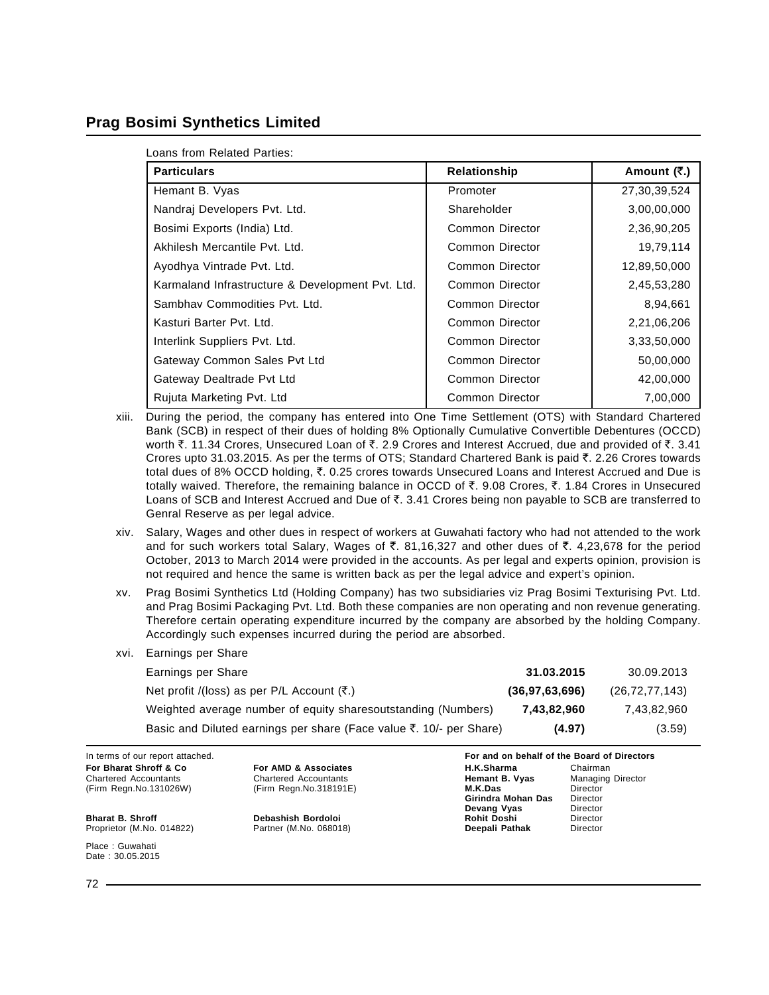#### **Prag Bosimi Synthetics Limited**

| Loans from Related Parties: |  |  |
|-----------------------------|--|--|
|-----------------------------|--|--|

| <b>Particulars</b>                               | Relationship    | Amount (₹.)  |
|--------------------------------------------------|-----------------|--------------|
| Hemant B. Vyas                                   | Promoter        | 27,30,39,524 |
| Nandraj Developers Pvt. Ltd.                     | Shareholder     | 3,00,00,000  |
| Bosimi Exports (India) Ltd.                      | Common Director | 2,36,90,205  |
| Akhilesh Mercantile Pyt. Ltd.                    | Common Director | 19,79,114    |
| Ayodhya Vintrade Pvt. Ltd.                       | Common Director | 12,89,50,000 |
| Karmaland Infrastructure & Development Pvt. Ltd. | Common Director | 2,45,53,280  |
| Sambhay Commodities Pyt. Ltd.                    | Common Director | 8,94,661     |
| Kasturi Barter Pyt. Ltd.                         | Common Director | 2,21,06,206  |
| Interlink Suppliers Pvt. Ltd.                    | Common Director | 3,33,50,000  |
| Gateway Common Sales Pvt Ltd                     | Common Director | 50,00,000    |
| Gateway Dealtrade Pvt Ltd                        | Common Director | 42,00,000    |
| Rujuta Marketing Pvt. Ltd                        | Common Director | 7,00,000     |

- xiii. During the period, the company has entered into One Time Settlement (OTS) with Standard Chartered Bank (SCB) in respect of their dues of holding 8% Optionally Cumulative Convertible Debentures (OCCD) worth  $\bar{\zeta}$ , 11.34 Crores, Unsecured Loan of  $\bar{\zeta}$ , 2.9 Crores and Interest Accrued, due and provided of  $\bar{\zeta}$ , 3.41 Crores upto 31.03.2015. As per the terms of OTS; Standard Chartered Bank is paid  $\bar{\tau}$ . 2.26 Crores towards total dues of 8% OCCD holding, ₹. 0.25 crores towards Unsecured Loans and Interest Accrued and Due is totally waived. Therefore, the remaining balance in OCCD of  $\bar{\tau}$ . 9.08 Crores,  $\bar{\tau}$ . 1.84 Crores in Unsecured Loans of SCB and Interest Accrued and Due of  $\bar{\tau}$ . 3.41 Crores being non payable to SCB are transferred to Genral Reserve as per legal advice.
- xiv. Salary, Wages and other dues in respect of workers at Guwahati factory who had not attended to the work and for such workers total Salary, Wages of  $\bar{\tau}$ . 81,16,327 and other dues of  $\bar{\tau}$ . 4,23,678 for the period October, 2013 to March 2014 were provided in the accounts. As per legal and experts opinion, provision is not required and hence the same is written back as per the legal advice and expert's opinion.
- xv. Prag Bosimi Synthetics Ltd (Holding Company) has two subsidiaries viz Prag Bosimi Texturising Pvt. Ltd. and Prag Bosimi Packaging Pvt. Ltd. Both these companies are non operating and non revenue generating. Therefore certain operating expenditure incurred by the company are absorbed by the holding Company. Accordingly such expenses incurred during the period are absorbed.
- xvi. Earnings per Share

| Earnings per Share                                                  | 31.03.2015        | 30.09.2013        |
|---------------------------------------------------------------------|-------------------|-------------------|
| Net profit /(loss) as per P/L Account $(\bar{\tau})$ .              | (36, 97, 63, 696) | (26, 72, 77, 143) |
| Weighted average number of equity sharesoutstanding (Numbers)       | 7,43,82,960       | 7.43.82.960       |
| Basic and Diluted earnings per share (Face value ₹. 10/- per Share) | (4.97)            | (3.59)            |

Chartered Accountants Chartered Accountants **Hemant B. Vyas** Managing Director

**Girindra Mohan Das** Director<br>**Devang Vyas** Director **Devang Vyas** Director<br> **Rohit Doshi** Director

In terms of our report attached. **For and on behalf of the Board of Directors For Bharat Shroff & Co For AMD & Associates H.K.Sharma** Chairman Chairman Chairman Chairman Chairman Chairman Chairman Chairman Chairman Chairman Chairman Chairman Chairman Chairman Chairman Chairman Chairman Chairman (Firm Regn.No.131026W) (Firm Regn.No.318191E) **M.K.Das** Director

**Bharat B. Shroff Debashish Bordoloi Rohit Doshi** Director Proprietor (M.No. 014822)

Place : Guwahati Date : 30.05.2015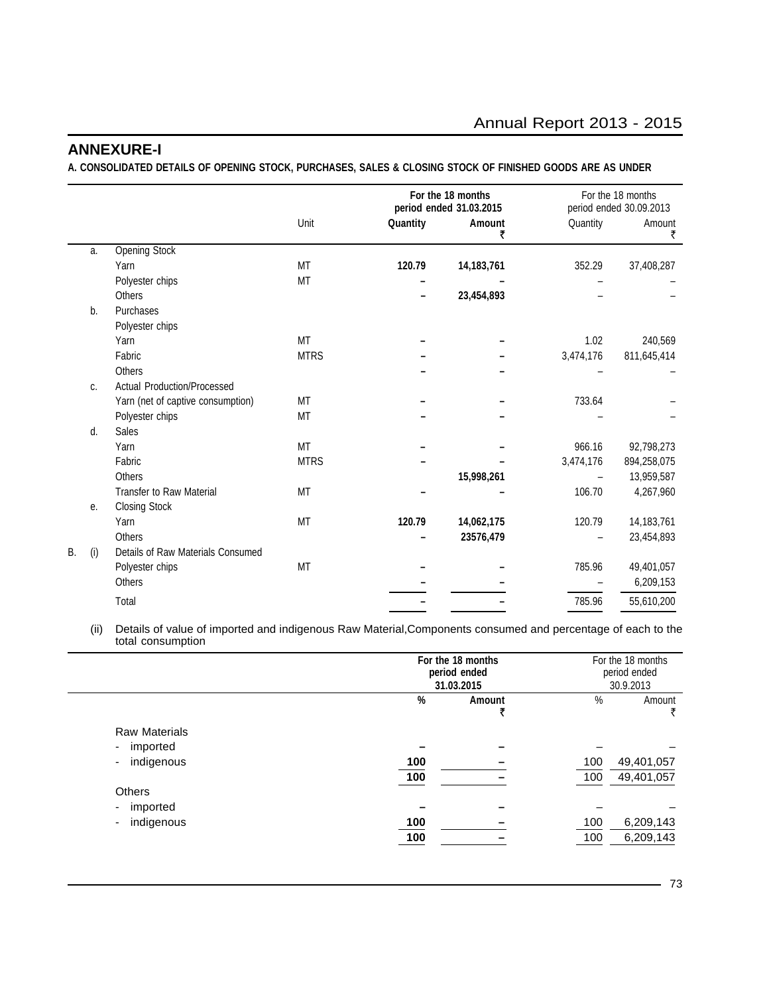### **ANNEXURE-I**

**A. CONSOLIDATED DETAILS OF OPENING STOCK, PURCHASES, SALES & CLOSING STOCK OF FINISHED GOODS ARE AS UNDER**

|    |     |                                   |             |          | For the 18 months<br>period ended 31.03.2015 |           | For the 18 months<br>period ended 30.09.2013 |
|----|-----|-----------------------------------|-------------|----------|----------------------------------------------|-----------|----------------------------------------------|
|    |     |                                   | Unit        | Quantity | Amount<br>₹                                  | Quantity  | Amount<br>₹                                  |
|    | a.  | <b>Opening Stock</b>              |             |          |                                              |           |                                              |
|    |     | Yarn                              | <b>MT</b>   | 120.79   | 14,183,761                                   | 352.29    | 37,408,287                                   |
|    |     | Polyester chips                   | MT          |          |                                              |           |                                              |
|    |     | <b>Others</b>                     |             |          | 23,454,893                                   |           |                                              |
|    | b.  | Purchases                         |             |          |                                              |           |                                              |
|    |     | Polyester chips                   |             |          |                                              |           |                                              |
|    |     | Yarn                              | MT          |          |                                              | 1.02      | 240,569                                      |
|    |     | Fabric                            | <b>MTRS</b> |          |                                              | 3,474,176 | 811,645,414                                  |
|    |     | Others                            |             |          |                                              |           |                                              |
|    | C.  | Actual Production/Processed       |             |          |                                              |           |                                              |
|    |     | Yarn (net of captive consumption) | MT          |          |                                              | 733.64    |                                              |
|    |     | Polyester chips                   | <b>MT</b>   |          |                                              |           |                                              |
|    | d.  | Sales                             |             |          |                                              |           |                                              |
|    |     | Yarn                              | <b>MT</b>   |          |                                              | 966.16    | 92,798,273                                   |
|    |     | Fabric                            | <b>MTRS</b> |          |                                              | 3,474,176 | 894,258,075                                  |
|    |     | Others                            |             |          | 15,998,261                                   |           | 13,959,587                                   |
|    |     | <b>Transfer to Raw Material</b>   | <b>MT</b>   |          |                                              | 106.70    | 4,267,960                                    |
|    | е.  | <b>Closing Stock</b>              |             |          |                                              |           |                                              |
|    |     | Yarn                              | <b>MT</b>   | 120.79   | 14,062,175                                   | 120.79    | 14,183,761                                   |
|    |     | Others                            |             |          | 23576,479                                    |           | 23,454,893                                   |
| B. | (i) | Details of Raw Materials Consumed |             |          |                                              |           |                                              |
|    |     | Polyester chips                   | <b>MT</b>   |          |                                              | 785.96    | 49,401,057                                   |
|    |     | <b>Others</b>                     |             |          |                                              |           | 6,209,153                                    |
|    |     | Total                             |             |          |                                              | 785.96    | 55,610,200                                   |

(ii) Details of value of imported and indigenous Raw Material,Components consumed and percentage of each to the total consumption

|                                      |            | For the 18 months<br>period ended<br>31.03.2015 |            | For the 18 months<br>period ended<br>30.9.2013 |
|--------------------------------------|------------|-------------------------------------------------|------------|------------------------------------------------|
|                                      | %          | Amount                                          | $\%$       | Amount<br>₹                                    |
| <b>Raw Materials</b>                 |            |                                                 |            |                                                |
| imported<br>$\overline{\phantom{a}}$ |            |                                                 |            |                                                |
| indigenous                           | 100        |                                                 | 100        | 49,401,057                                     |
|                                      | 100        |                                                 | 100        | 49,401,057                                     |
| <b>Others</b>                        |            |                                                 |            |                                                |
| imported                             |            |                                                 |            |                                                |
| indigenous                           | 100<br>100 |                                                 | 100<br>100 | 6,209,143<br>6,209,143                         |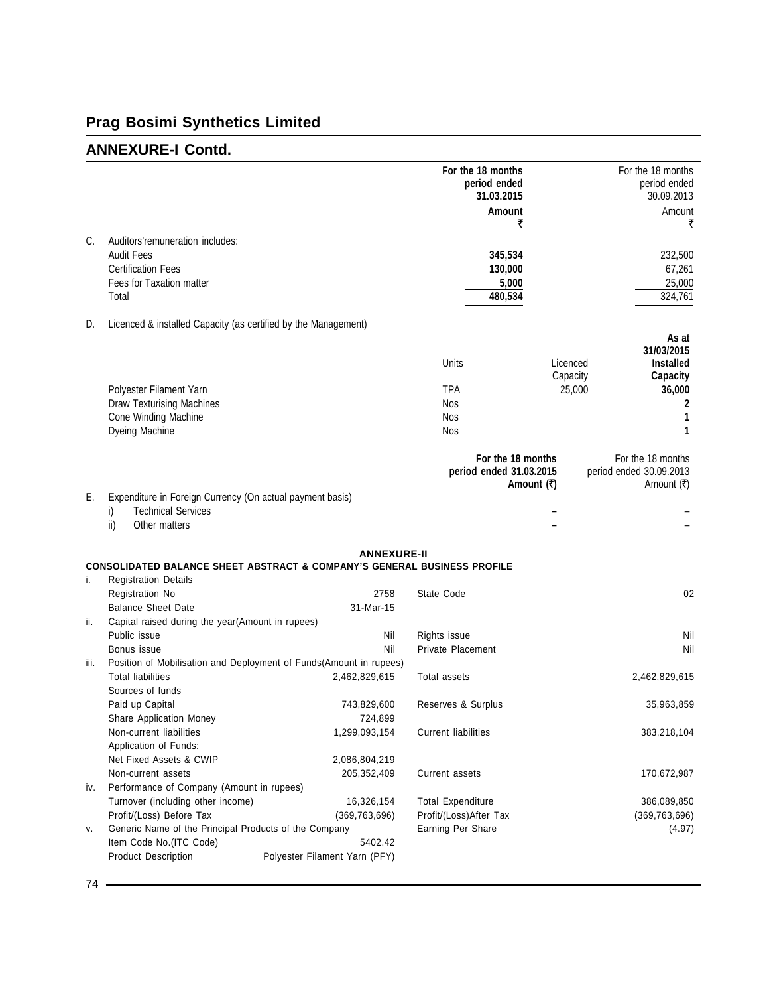# **Prag Bosimi Synthetics Limited**

## **ANNEXURE-I Contd.**

|      |                                                                                     |                               | For the 18 months<br>period ended<br>31.03.2015<br>Amount | ₹                 | For the 18 months<br>period ended<br>30.09.2013<br>Amount<br>₹ |
|------|-------------------------------------------------------------------------------------|-------------------------------|-----------------------------------------------------------|-------------------|----------------------------------------------------------------|
| C.   | Auditors'remuneration includes:                                                     |                               |                                                           |                   |                                                                |
|      | <b>Audit Fees</b>                                                                   |                               | 345,534                                                   |                   | 232,500                                                        |
|      | <b>Certification Fees</b>                                                           |                               | 130,000                                                   |                   | 67,261                                                         |
|      | Fees for Taxation matter                                                            |                               |                                                           | 5,000             | 25,000                                                         |
|      | Total                                                                               |                               | 480,534                                                   |                   | 324,761                                                        |
| D.   | Licenced & installed Capacity (as certified by the Management)                      |                               |                                                           |                   |                                                                |
|      |                                                                                     |                               |                                                           |                   | As at                                                          |
|      |                                                                                     |                               |                                                           |                   | 31/03/2015                                                     |
|      |                                                                                     |                               | Units                                                     | Licenced          | <b>Installed</b>                                               |
|      |                                                                                     |                               |                                                           | Capacity          | Capacity                                                       |
|      | Polyester Filament Yarn                                                             |                               | <b>TPA</b>                                                |                   | 25,000<br>36,000                                               |
|      | <b>Draw Texturising Machines</b>                                                    |                               | Nos                                                       |                   | 2                                                              |
|      | Cone Winding Machine                                                                |                               | <b>Nos</b>                                                |                   |                                                                |
|      | Dyeing Machine                                                                      |                               | <b>Nos</b>                                                |                   | 1                                                              |
|      |                                                                                     |                               | period ended 31.03.2015                                   | For the 18 months | For the 18 months<br>period ended 30.09.2013                   |
|      |                                                                                     |                               |                                                           | Amount (₹)        | Amount (₹)                                                     |
| Е.   | Expenditure in Foreign Currency (On actual payment basis)                           |                               |                                                           |                   |                                                                |
|      | <b>Technical Services</b><br>i)                                                     |                               |                                                           |                   |                                                                |
|      | ii)<br>Other matters                                                                |                               |                                                           |                   |                                                                |
|      |                                                                                     | <b>ANNEXURE-II</b>            |                                                           |                   |                                                                |
|      | <b>CONSOLIDATED BALANCE SHEET ABSTRACT &amp; COMPANY'S GENERAL BUSINESS PROFILE</b> |                               |                                                           |                   |                                                                |
| i.   | <b>Registration Details</b>                                                         |                               |                                                           |                   |                                                                |
|      | Registration No                                                                     | 2758                          | State Code                                                |                   | 02                                                             |
|      | <b>Balance Sheet Date</b>                                                           | 31-Mar-15                     |                                                           |                   |                                                                |
| ii.  | Capital raised during the year(Amount in rupees)                                    |                               |                                                           |                   |                                                                |
|      | Public issue                                                                        | Nil                           | Rights issue                                              |                   | Nil                                                            |
|      | Bonus issue                                                                         | Nil                           | Private Placement                                         |                   | Nil                                                            |
| iii. | Position of Mobilisation and Deployment of Funds(Amount in rupees)                  |                               |                                                           |                   |                                                                |
|      | <b>Total liabilities</b>                                                            | 2,462,829,615                 | Total assets                                              |                   | 2,462,829,615                                                  |
|      | Sources of funds                                                                    |                               |                                                           |                   |                                                                |
|      | Paid up Capital                                                                     | 743,829,600                   | Reserves & Surplus                                        |                   | 35,963,859                                                     |
|      | Share Application Money                                                             | 724,899                       |                                                           |                   |                                                                |
|      | Non-current liabilities                                                             | 1,299,093,154                 | <b>Current liabilities</b>                                |                   | 383,218,104                                                    |
|      | Application of Funds:                                                               |                               |                                                           |                   |                                                                |
|      | Net Fixed Assets & CWIP                                                             | 2,086,804,219                 |                                                           |                   |                                                                |
|      | Non-current assets                                                                  | 205,352,409                   | Current assets                                            |                   | 170,672,987                                                    |
| IV.  | Performance of Company (Amount in rupees)                                           |                               |                                                           |                   |                                                                |
|      | Turnover (including other income)                                                   | 16,326,154                    | <b>Total Expenditure</b>                                  |                   | 386,089,850                                                    |
|      | Profit/(Loss) Before Tax                                                            | (369, 763, 696)               | Profit/(Loss)After Tax                                    |                   | (369, 763, 696)                                                |
| ۷.   | Generic Name of the Principal Products of the Company                               |                               | Earning Per Share                                         |                   | (4.97)                                                         |
|      | Item Code No.(ITC Code)                                                             | 5402.42                       |                                                           |                   |                                                                |
|      | <b>Product Description</b>                                                          | Polyester Filament Yarn (PFY) |                                                           |                   |                                                                |
|      |                                                                                     |                               |                                                           |                   |                                                                |
| 74   |                                                                                     |                               |                                                           |                   |                                                                |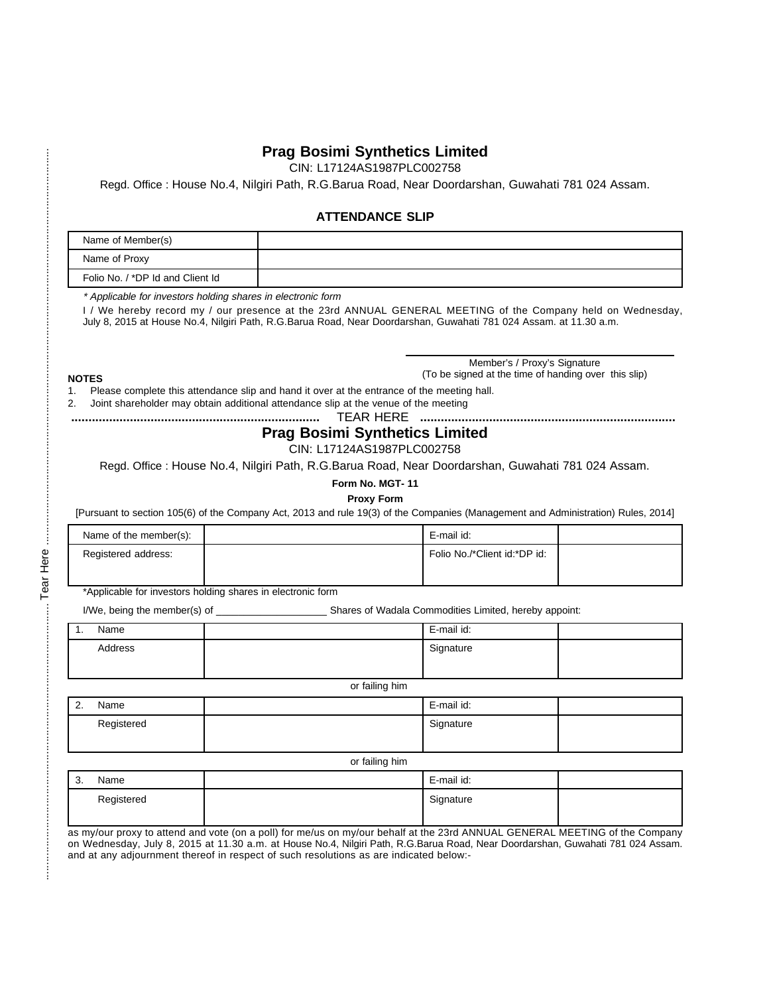#### **Prag Bosimi Synthetics Limited**

CIN: L17124AS1987PLC002758

Regd. Office : House No.4, Nilgiri Path, R.G.Barua Road, Near Doordarshan, Guwahati 781 024 Assam.

#### **ATTENDANCE SLIP**

| Name of Member(s)                |  |
|----------------------------------|--|
| Name of Proxy                    |  |
| Folio No. / *DP Id and Client Id |  |

\* Applicable for investors holding shares in electronic form

I / We hereby record my / our presence at the 23rd ANNUAL GENERAL MEETING of the Company held on Wednesday, July 8, 2015 at House No.4, Nilgiri Path, R.G.Barua Road, Near Doordarshan, Guwahati 781 024 Assam. at 11.30 a.m.

#### **NOTES**

Member's / Proxy's Signature (To be signed at the time of handing over this slip)

1. Please complete this attendance slip and hand it over at the entrance of the meeting hall.

2. Joint shareholder may obtain additional attendance slip at the venue of the meeting

**........................................................................** TEAR HERE **..........................................................................**

### **Prag Bosimi Synthetics Limited**

#### CIN: L17124AS1987PLC002758

Regd. Office : House No.4, Nilgiri Path, R.G.Barua Road, Near Doordarshan, Guwahati 781 024 Assam.

**Form No. MGT- 11**

**Proxy Form**

[Pursuant to section 105(6) of the Company Act, 2013 and rule 19(3) of the Companies (Management and Administration) Rules, 2014]

| Name of the member(s): | E-mail id:                   |  |
|------------------------|------------------------------|--|
| Registered address:    | Folio No./*Client id:*DP id: |  |

\*Applicable for investors holding shares in electronic form

I/We, being the member(s) of \_\_\_\_\_\_\_\_\_\_\_\_\_\_\_\_\_\_\_\_ Shares of Wadala Commodities Limited, hereby appoint:

| . . | Name    | E-mail id: |  |
|-----|---------|------------|--|
|     | Address | Signature  |  |
|     |         |            |  |

or failing him

| $\sim$<br>Name | E-mail id: |  |
|----------------|------------|--|
| Registered     | Signature  |  |

or failing him

| ົ<br>. ت | Name       | E-mail id: |  |
|----------|------------|------------|--|
|          | Registered | Signature  |  |
|          |            |            |  |

as my/our proxy to attend and vote (on a poll) for me/us on my/our behalf at the 23rd ANNUAL GENERAL MEETING of the Company on Wednesday, July 8, 2015 at 11.30 a.m. at House No.4, Nilgiri Path, R.G.Barua Road, Near Doordarshan, Guwahati 781 024 Assam. and at any adjournment thereof in respect of such resolutions as are indicated below:-

İ